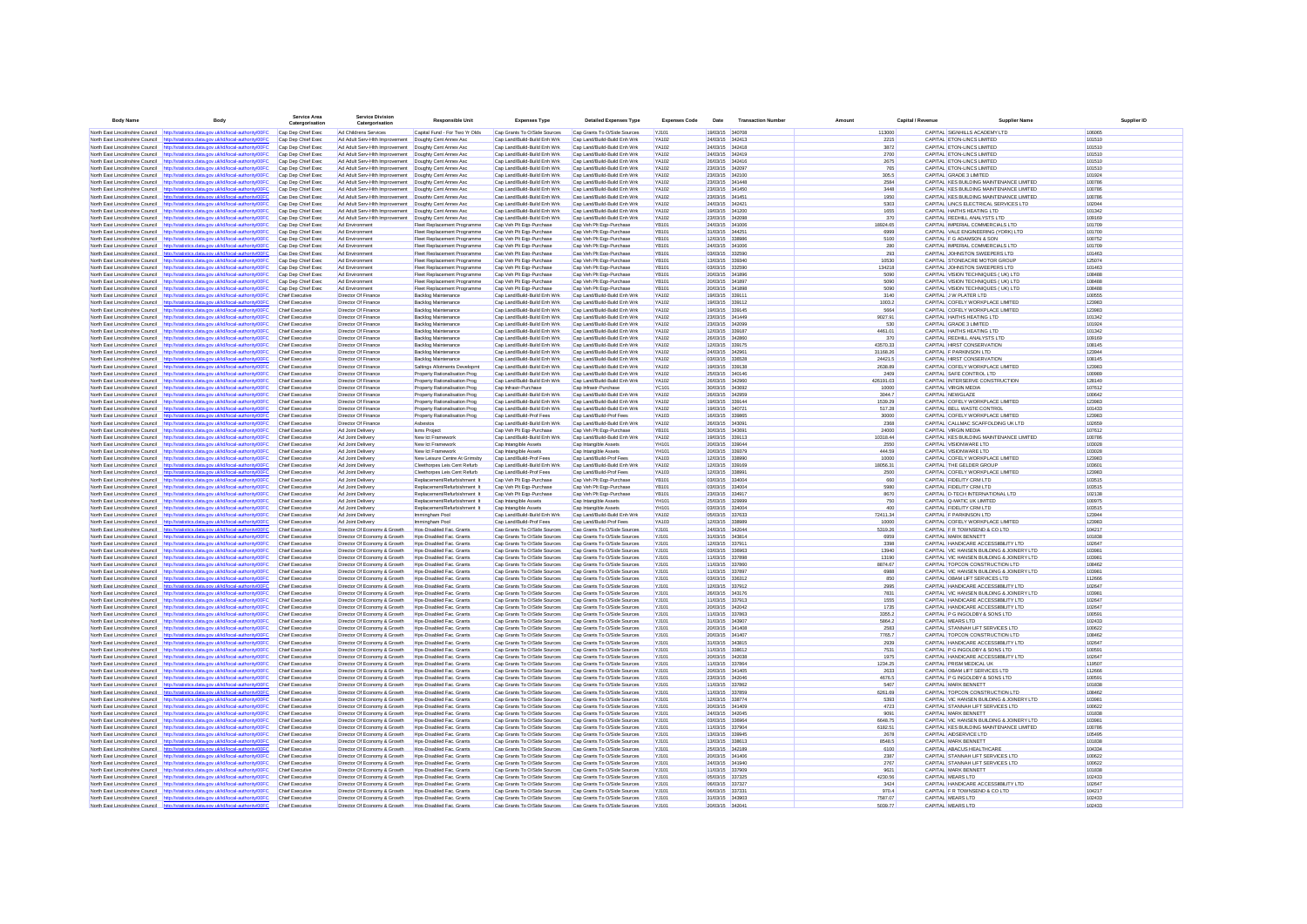| <b>Body Name</b>                                                   | Body                                                                                                                                                                           | <b>Service Ares</b><br>Catergorisation           | <b>Service Division</b><br>Catergorisation                       | <b>Responsible Unit</b>                                     | <b>Expenses Type</b>                                         | <b>Detailed Expenses Type</b>                                | <b>Expenses Code</b>         | Date                               | <b>Transaction Numb</b> |           | Capital / Revenue |                                                                                      |                  | Supplier ID |
|--------------------------------------------------------------------|--------------------------------------------------------------------------------------------------------------------------------------------------------------------------------|--------------------------------------------------|------------------------------------------------------------------|-------------------------------------------------------------|--------------------------------------------------------------|--------------------------------------------------------------|------------------------------|------------------------------------|-------------------------|-----------|-------------------|--------------------------------------------------------------------------------------|------------------|-------------|
|                                                                    | North East Lincolnshire Council http://statistics.data.gov.uk/id/local-authority/00FC                                                                                          | Cap Dep Chief Exec                               | Ad Childrens Services                                            | Capital Fund - For Two Yr Olds                              | Cap Grants To O/Side Sources                                 | Cap Grants To O/Side Sources                                 | YJ101                        | 19/03/15 340708                    |                         | 113000    |                   | CAPITAL SIGNHILLS ACADEMY LTD                                                        | 106065           |             |
|                                                                    | North East Lincolnshire Council http://statistics.data.gov.uk/id/local-authority/00FC                                                                                          | Cap Dep Chief Exec                               | Ad Adult Serv-Hith Improvement  Doughty Cent Annex Asc           |                                                             | Cap Land/Build-Build Enh Wrk                                 | Cap Land/Build-Build Enh Wrk                                 | YA102                        | 24/03/15 342413                    |                         |           | 2215              | CAPITAL ETON-LINCS LIMITED                                                           | 101510           |             |
| North East Lincolnshire Council                                    | http://statistics.data.gov.uk/id/local-authority/00FC                                                                                                                          | Cap Dep Chief Exec                               | Ad Adult Serv-Hith Improvement  Doughty Cent Annex Asc           |                                                             | Cap Land/Build-Build Enh Wrk                                 | Cap Land/Build-Build Enh Wrk                                 | <b>YA102</b>                 | 24/03/15 342418                    |                         |           | 3872              | CAPITAL ETON-LINCS LIMITED                                                           | 101510           |             |
| North East Lincolnshire Council                                    | http://statistics.data.gov.uk/id/local-authority/00FC                                                                                                                          | Cap Dep Chief Exec                               | Ad Adult Serv-Hith Improvement  Doughty Cent Annex Asc           |                                                             | Cap Land/Build-Build Enh Wrk                                 | Cap Land/Build-Build Enh Wrk                                 | <b>YA102</b>                 | 24/03/15 342419                    |                         |           | 2700              | CAPITAL ETON-LINCS LIMITED                                                           | 101510           |             |
|                                                                    | North East Lincolnshire Council http://statistics.data.gov.uk/id/local-authority/00FC                                                                                          | Cap Dep Chief Exec                               | Ad Adult Serv-Hith Improvement   Doughty Cent Annex Asc          |                                                             | Can Land/Build-Build Enh Wrk                                 | Can Land/Build-Build Enh Wrk                                 | <b>YA102</b>                 | 26/03/15 342416                    |                         |           | 2675              | CAPITAL ETON-LINCS LIMITED                                                           | 101510           |             |
|                                                                    | North East Lincolnshire Council http://statistics.data.gov.uk/id/local-authority/00FC                                                                                          | Cap Dep Chief Exec                               | Ad Adult Serv-Hith Improvement  Doughty Cent Annex Aso           |                                                             | Cap Land/Build-Build Enh Wrk                                 | Cap Land/Build-Build Enh Wrk                                 | <b>YA102</b>                 | 23/03/15 342097                    |                         |           | 765               | CAPITAL ETON-LINCS LIMITED                                                           | 101510           |             |
|                                                                    | North East Lincolnshire Council http://statistics.data.gov.uk/id/local-authority/00FC                                                                                          | Cap Dep Chief Exec                               | Ad Adult Serv-Hith Improvement  Doughty Cent Annex Aso           |                                                             | Cap Land/Build-Build Enh Wrk                                 | Cap Land/Build-Build Enh Wrk                                 | YA102                        | 23/03/15 342100                    |                         |           | 305.5             | CAPITAL GRADE 31 IMITED                                                              | 101924           |             |
| North East Lincolnshire Council                                    | http://statistics.data.oov.uk/id/local-authority/00EC<br>http://statistics.data.gov.uk/id/local-authority/00FC                                                                 | Cap Dep Chief Exec                               | Ad Adult Serv-Hith Improvement  Doughty Cent Annex Aso           |                                                             | Cap Land/Build-Build Enh Wrk                                 | Cap Land/Build-Build Enh Wrk                                 | YA102                        | 23/03/15 341448<br>23/03/15 341450 |                         |           | 2584<br>3448      | CAPITAL KES BUILDING MAINTENANCE LIMITED<br>CAPITAL KES BUILDING MAINTENANCE LIMITED | 100786<br>100786 |             |
| North East Lincolnshire Council<br>North East Lincolnshire Council | http://statistics.data.gov.uk/id/local-authority/00FC                                                                                                                          | Cap Dep Chief Exec<br>Cap Dep Chief Exec         | Ad Adult Serv-Hith Improvement<br>Ad Adult Serv-Hith Improvement | Doughty Cent Annex Asc<br>Doughty Cent Annex Asc            | Cap Land/Build-Build Enh Wrk<br>Cap Land/Build-Build Enh Wrk | Cap Land/Build-Build Enh Wrk<br>Cap Land/Build-Build Enh Wrk | <b>YA102</b><br>YA102        | 23/03/15 341451                    |                         |           | 1950              | CAPITAL KES BUILDING MAINTENANCE LIMITED                                             | 100786           |             |
|                                                                    | North East Lincolnshire Council http://statistics.data.gov.uk/id/local-authority/00FC                                                                                          | Cap Dep Chief Exec                               | Ad Adult Serv-Hith Improvement  Doughty Cent Annex Aso           |                                                             | Cap Land/Build-Build Enh Wrk                                 | Cap Land/Build-Build Enh Wrk                                 | YA102                        | 24/03/15 34242                     |                         |           | 5303              | CAPITAL LINCS ELECTRICAL SERVICES LTD                                                | 102044           |             |
| North East Lincolnshire Council                                    | http://statistics.data.gov.uk/id/local-authority/00FC                                                                                                                          | Cap Dep Chief Exec                               | Ad Adult Serv-Hith Improvement                                   | Doughty Cent Annex Aso                                      | Cap Land/Build-Build Enh Wrk                                 | Cap Land/Build-Build Enh Wrk                                 | <b>YA102</b>                 | 19/03/15 341200                    |                         |           | 1655              | CAPITAL HAITHS HEATING LTD                                                           | 101342           |             |
|                                                                    | North East Lincolnshire Council http://statistics.data.gov.uk/id/local-authority/00FC                                                                                          | Cap Dep Chief Exec                               | Ad Adult Serv-Hith Improvement                                   | Doughty Cent Annex Asc                                      | Cap Land/Build-Build Enh Wrk                                 | Cap Land/Build-Build Enh Wrk                                 | YA102                        | 23/03/15 342098                    |                         |           | 370               | CAPITAL REDHILL ANALYSTS LTD                                                         | 109169           |             |
| North East Lincolnshire Council                                    | http://statistics.data.gov.uk/id/local-authority/00FC                                                                                                                          | Cap Dep Chief Exec                               | Ad Environment                                                   | Fleet Replacement Programme                                 | Cap Veh Plt Ego-Purchase                                     | Cap Veh Plt Ego-Purchase                                     | <b>YB101</b>                 | 24/03/15 341006                    |                         | 18924.65  |                   | CAPITAL IMPERIAL COMMERCIALS LTD                                                     | 101709           |             |
| North East Lincolnshire Council                                    | http://statistics.data.gov.uk/id/local-authority/00FC                                                                                                                          | Cap Dep Chief Exec                               | Ad Environmen                                                    | Fleet Replacement Programme                                 | Cap Veh Plt Eqp-Purchase                                     | Cap Veh Plt Eqp-Purchase                                     | YB101                        | 31/03/15 34425                     |                         |           | 6999              | CAPITAL VALE ENGINEERING (YORK) LTD                                                  | 101700           |             |
| North East Lincolnshire Council                                    | http://statistics.data.gov.uk/id/local-authority/00FC                                                                                                                          | Cap Dep Chief Exec                               | Ad Environmen                                                    | Fleet Replacement Programme                                 | Cap Veh Plt Eqp-Purchase                                     | Cap Veh Plt Eqp-Purchase                                     | YB101                        | 12/03/15 33898                     |                         |           | 5100              | CAPITAL F G ADAMSON & SON                                                            | 100752           |             |
|                                                                    | North East Lincolnshire Council http://statistics.data.gov.uk/id/local-authority/00FC                                                                                          | Cap Dep Chief Exec                               | <b>Ad Environment</b>                                            | Fleet Replacement Programme                                 | Cap Veh Plt Ego-Purchase                                     | Cap Veh Plt Egp-Purchase                                     | <b>YB101</b>                 | 24/03/15 341006                    |                         |           | 280               | CAPITAL IMPERIAL COMMERCIALS LTD                                                     | 101709           |             |
|                                                                    | North East Lincolnshire Council http://statistics.data.gov.uk/id/local-authority/00FC                                                                                          | Cap Dep Chief Exec                               | Ad Environment                                                   | Fleet Replacement Programme                                 | Cap Veh Plt Ego-Purchase                                     | Cap Veh Plt Egp-Purchase                                     | <b>YR101</b>                 | 03/03/15 332590                    |                         |           | 293               | CAPITAL JOHNSTON SWEEPERS LTD                                                        | 101463           |             |
|                                                                    | North East Lincolnshire Council http://statistics.data.gov.uk/id/local-authority/00FC<br>North East Lincolnshire Council http://statistics.data.gov.uk/id/local-authority/00FC | Cap Dep Chief Exec<br>Cap Dep Chief Exec         | Ad Environment<br>Ad Environment                                 | Fleet Replacement Programme<br>Fleet Replacement Programme  | Cap Veh Plt Ego-Purchase<br>Cap Veh Plt Ego-Purchase         | Cap Veh Plt Ego-Purchase<br>Cap Veh Plt Egp-Purchase         | <b>YB101</b><br><b>YB101</b> | 13/03/15 339340<br>03/03/15 332590 |                         | 134218    | 10530             | CAPITAL STONEACRE MOTOR GROUP<br>CAPITAL JOHNSTON SWEEPERS LTD                       | 125074<br>101463 |             |
| North East Lincolnshire Council                                    | http://statistics.data.gov.uk/id/local-authority/00FC                                                                                                                          | Cap Dep Chief Exec                               | Ad Environment                                                   | Fleet Replacement Programme                                 | Cap Veh Plt Ego-Purchase                                     | Cap Veh Plt Egp-Purchase                                     | <b>YB101</b>                 | 20/03/15 341896                    |                         |           | 5090              | CAPITAL VISION TECHNIQUES ( UK) LTD                                                  | 108488           |             |
| North East Lincolnshire Council                                    | http://statistics.data.gov.uk/id/local-authority/00FC                                                                                                                          | Cap Dep Chief Exec                               | Ad Environment                                                   | Fleet Replacement Programme                                 | Cap Veh Plt Ego-Purchase                                     | Cap Veh Plt Egp-Purchase                                     | <b>YB101</b>                 | 20/03/15 341897                    |                         |           | 5090              | CAPITAL VISION TECHNIQUES ( UK) LTD                                                  | 108488           |             |
|                                                                    | North East Lincolnshire Council http://statistics.data.gov.uk/id/local-authority/00FC                                                                                          | Cap Dep Chief Exec                               | Ad Environment                                                   | Fleet Replacement Programme                                 | Cap Veh Plt Ego-Purchase                                     | Cap Veh Plt Egp-Purchase                                     | <b>YR101</b>                 | 2003/15 341898                     |                         |           | 5090              | CAPITAL VISION TECHNIQUES ( UK) LTD                                                  | 108488           |             |
|                                                                    | North East Lincolnshire Council http://statistics.data.gov.uk/id/local-authority/00FC                                                                                          | Chief Executive                                  | Director Of Finance                                              | <b>Backlon Maintenance</b>                                  | Can Land/Build-Build Enh Wrk                                 | Can Land/Build-Build Enh Wrk                                 | <b>YA102</b>                 | 19/03/15 339111                    |                         |           | 3140              | CAPITAL J W PLATER LTD                                                               | 100555           |             |
| North East Lincolnshire Council                                    | http://statistics.data.gov.uk/id/local-authority/00FC                                                                                                                          | Chief Executive                                  | Director Of Finance                                              | Backlog Maintenance                                         | Cap Land/Build-Build Enh Wrk                                 | Cap Land/Build-Build Enh Wrk                                 | <b>YA102</b>                 | 19/03/15 339112                    |                         |           | 1003.2            | CAPITAL COFELY WORKPLACE LIMITED                                                     | 123983           |             |
|                                                                    | North East Lincolnshire Council http://statistics.data.gov.uk/id/local-authority/00FC                                                                                          | Chief Executive                                  | Director Of Finance                                              | Backlog Maintenance                                         | Cap Land/Build-Build Enh Wrk                                 | Cap Land/Build-Build Enh Wrk                                 | <b>YA102</b>                 | 19/03/15 339145                    |                         |           | 5664              | CAPITAL COFELY WORKPLACE LIMITED                                                     | 123983           |             |
| North East Lincolnshire Council                                    | http://statistics.data.gov.uk/id/local-authority/00FC                                                                                                                          | Chief Executive                                  | Director Of Finance                                              | Backlog Maintenance                                         | Cap Land/Build-Build Enh Wrk                                 | Cap Land/Build-Build Enh Wrk                                 | YA102                        | 23/03/15 341449                    |                         | 9027.91   |                   | CAPITAL HAITHS HEATING LTD                                                           | 101342           |             |
| North East Lincolnshire Council                                    | http://statistics.data.gov.uk/id/local-authority/00FC                                                                                                                          | Chief Executive                                  | Director Of Finance                                              | Backlog Maintenance                                         | Cap Land/Build-Build Enh Wrk                                 | Cap Land/Build-Build Enh Wrk                                 | YA102                        | 23/03/15 342099                    |                         |           | 530               | CAPITAL GRADE 3 LIMITED                                                              | 101924           |             |
| North East Lincolnshire Council                                    | http://statistics.data.gov.uk/id/local-authority/00FC                                                                                                                          | <b>Chief Executive</b>                           | Director Of Finance                                              | Backlog Maintenance                                         | Cap Land/Build-Build Enh Wrk                                 | Cap Land/Build-Build Enh Wrk                                 | <b>YA102</b>                 | 12/03/15 339187                    |                         | 4461.01   |                   | <b>CAPITAL HAITHS HEATING LTD</b>                                                    | 101342           |             |
| North East Lincolnshire Council                                    | North East Lincolnshire Council http://statistics.data.gov.uk/id/local-authority/00FC<br>http://statistics.data.gov.uk/id/local-authority/00F                                  | <b>Chief Executive</b><br>Chief Executive        | Director Of Finance<br>Director Of Finance                       | Backlog Maintenance<br>Backlog Maintenance                  | Cap Land/Build-Build Enh Wrk<br>Cap Land/Build-Build Enh Wrk | Cap Land/Build-Build Enh Wrk<br>Cap Land/Build-Build Enh Wrk | <b>YA102</b><br>YA102        | 26/03/15 342860<br>12/03/15 339175 |                         | 43570.33  | 370               | CAPITAL REDHILL ANALYSTS LTD<br>CAPITAL HIRST CONSERVATION                           | 109169<br>108145 |             |
| North East Lincolnshire Council                                    | http://statistics.data.gov.uk/id/local-authority/00FC                                                                                                                          | <b>Chief Executive</b>                           | Director Of Finance                                              | Backlog Maintenance                                         | Cap Land/Build-Build Enh Wrk                                 | Cap Land/Build-Build Enh Wrk                                 | YA102                        | 24/03/15 34296                     |                         | 31168.26  |                   | CAPITAL F PARKINSON LTD                                                              | 123944           |             |
| North East Lincolnshire Council                                    | istics.data.gov.uk/id/local-authority/00FC                                                                                                                                     | Chief Executive                                  | Director Of Finance                                              | Backlog Maintenance                                         | Cap Land/Build-Build Enh Wrk                                 | Cap Land/Build-Build Enh Wrk                                 | YA102                        | 03/03/15 33652                     |                         | 24421.5   |                   | CAPITAL HIRST CONSERVATION                                                           | 108145           |             |
| North East Lincolnshire Council                                    | http://statistics.data.gov.uk/id/local-authority/00FC                                                                                                                          | <b>Chief Executive</b>                           | Director Of Finance                                              | Saltings Allotments Developmt                               | Cap Land/Build-Build Enh Wrk                                 | Cap Land/Build-Build Enh Wrk                                 | YA102                        | 19/03/15 339138                    |                         | 2638.89   |                   | CAPITAL COFELY WORKPLACE LIMITED                                                     | 123983           |             |
|                                                                    | North East Lincolnshire Council http://statistics.data.gov.uk/id/local-authority/00FC                                                                                          | <b>Chief Executive</b>                           | Director Of Finance                                              | Property Rationalisation Prog.                              | Cap Land/Build-Build Enh Wrk                                 | Cap Land/Build-Build Enh Wrk                                 | <b>YA102</b>                 | 25/03/15 340146                    |                         |           | 2409              | CAPITAL SAFE CONTROL LTD                                                             | 100989           |             |
|                                                                    | North East Lincolnshire Council http://statistics.data.gov.uk/id/local-authority/00FC                                                                                          | <b>Chief Executive</b>                           | Director Of Finance                                              | Property Rationalisation Prog.                              | Cap Land/Build-Build Enh Wrk                                 | Cap Land/Build-Build Enh Wrk                                 | <b>YA102</b>                 | 26/03/15 342960                    |                         | 426191.03 |                   | CAPITAL INTERSERVE CONSTRUCTION                                                      | 128140           |             |
| North East Lincolnshire Council                                    | tistics.data.oov.uk/id/local-authority/00FC                                                                                                                                    | <b>Chief Executive</b>                           | Director Of Finance                                              | Property Rationalisation Prog.                              | Cap Infrastr-Purchase                                        | Cap Infrastr-Purchase                                        | <b>YC101</b>                 | 30/03/15 343692                    |                         |           | 10000             | CAPITAL VIRGIN MEDIA                                                                 | 107612           |             |
| North East Lincolnshire Council                                    | http://statistics.data.gov.uk/id/local-authority/00FC                                                                                                                          | Chief Executive                                  | Director Of Finance                                              | Property Rationalisation Prog                               | Cap Land/Build-Build Enh Wrk                                 | Cap Land/Build-Build Enh Wrk                                 | <b>YA102</b>                 | 26/03/15 342959                    |                         | 3044.7    |                   | CAPITAL NEWGLAZE                                                                     | 100642           |             |
| North East Lincolnshire Council                                    | http://statistics.data.gov.uk/id/local-authority/00FC                                                                                                                          | Chief Executive                                  | Director Of Finance                                              | Property Rationalisation Prog                               | Cap Land/Build-Build Enh Wrk                                 | Cap Land/Build-Build Enh Wrk                                 | <b>YA102</b>                 | 19/03/15 339144                    |                         | 1539.29   |                   | CAPITAL COFELY WORKPLACE LIMITED                                                     | 123983           |             |
| North East Lincolnshire Council                                    | http://statistics.data.gov.uk/id/local-authority/00FC                                                                                                                          | Chief Executive                                  | Director Of Finance                                              | Property Rationalisation Prog                               | Cap Land/Build-Build Enh Wrk                                 | Cap Land/Build-Build Enh Wrk                                 | <b>YA102</b>                 | 19/03/15 340721                    |                         | 517.28    |                   | CAPITAL BELL WASTE CONTROL                                                           | 101433           |             |
| North Fast Lincolnshire Council                                    | North East Lincolnshire Council http://statistics.data.gov.uk/id/local-authority/00FC<br>http://statistics.data.oov.uk/id/local-authority/00EC.                                | Chief Executive<br>Chief Executive               | Director Of Finance<br>Director Of Finance                       | Property Rationalisation Prog<br>Ashestos                   | Can Land/Build-Prof Fees<br>Cap Land/Build-Build Enh Wrk     | Can Land/Build-Prof Fees<br>Cap Land/Build-Build Enh Wrk     | <b>YA103</b><br><b>YA102</b> | 16/03/15 339865<br>26/03/15 343091 |                         |           | 30000<br>2368     | CAPITAL COFFLY WORKPLACE LIMITED<br>CAPITAL CALLMAC SCAFFOLDING UK LTD               | 123983<br>102659 |             |
|                                                                    | North East Lincolnshire Council http://statistics.data.gov.uk/id/local-authority/00FC                                                                                          | Chief Executive                                  | Ad Joint Delivery                                                | <b>Isms Project</b>                                         | Cap Veh Plt Ego-Purchase                                     | Cap Veh Plt Egp-Purchase                                     | <b>YR101</b>                 | 30/03/15 343691                    |                         |           | 24000             | CAPITAL VIRGIN MEDIA                                                                 | 107612           |             |
| North East Lincolnshire Council                                    | http://statistics.data.gov.uk/id/local-authority/00FC                                                                                                                          | Chief Executive                                  | Ad Joint Delivery                                                | New Ict Framework                                           | Cap Land/Build-Build Enh Wrk                                 | Cap Land/Build-Build Enh Wrk                                 | <b>YA102</b>                 | 19/03/15 339113                    |                         | 10318.44  |                   | CAPITAL KES BUILDING MAINTENANCE LIMITED                                             | 100786           |             |
| North East Lincolnshire Council                                    | http://statistics.data.gov.uk/id/local-authority/00FC                                                                                                                          | Chief Executive                                  | Ad Joint Delivery                                                | New Ict Framework                                           | Cap Intangible Assets                                        | Cap Intangible Assets                                        | <b>YH101</b>                 | 20/03/15 339044                    |                         |           | 2550              | CAPITAL VISIONWARE LTD                                                               | 103028           |             |
| North East Lincolnshire Council                                    | http://statistics.data.gov.uk/id/local-authority/00FC                                                                                                                          | <b>Chief Executive</b>                           | Ad Joint Delivery                                                | New Ict Framework                                           | Cap Intangible Assets                                        | Cap Intangible Assets                                        | <b>YH101</b>                 | 20/03/15 339379                    |                         |           | 444.59            | CAPITAL VISIONWARE LTD                                                               | 103028           |             |
| North East Lincolnshire Council                                    | http://statistics.data.gov.uk/id/local-authority/00FC                                                                                                                          | <b>Chief Executive</b>                           | Ad Joint Delivery                                                | New Leisure Centre At Grimsby                               | Cap Land/Build-Prof Fees                                     | Cap Land/Build-Prof Fees                                     | <b>YA103</b>                 | 12/03/15 338990                    |                         |           | 10000             | CAPITAL COFELY WORKPLACE LIMITED                                                     | 123983           |             |
| North East Lincolnshire Council                                    | http://statistics.data.gov.uk/id/local-authority/00FC                                                                                                                          | <b>Chief Executive</b>                           | Ad Joint Delivery                                                | Cleethorpes Leis Cent Refurb                                | Cap Land/Build-Build Enh Wrk                                 | Cap Land/Build-Build Enh Wrk                                 | <b>YA102</b>                 | 12/03/15 339169                    |                         | 18056.31  |                   | CAPITAL THE GELDER GROUP                                                             | 103601           |             |
| North East Lincolnshire Council                                    | http://statistics.data.gov.uk/id/local-authority/00FC                                                                                                                          | Chief Executive                                  | Ad Joint Delivery                                                | Cleethorpes Leis Cent Refurb                                | Cap Land/Build-Prof Fees                                     | Cap Land/Build-Prof Fees                                     | YA103                        | 12/03/15 33899                     |                         |           | 2500              | CAPITAL COFELY WORKPLACE LIMITED                                                     | 123983           |             |
| North East Lincolnshire Council                                    | istics.data.gov.uk/id/local-authority/00FC                                                                                                                                     | Chief Executive                                  | Ad Joint Delivery                                                | Replacement/Refurbishment It                                | Cap Veh Plt Eqp-Purchase                                     | Cap Veh Plt Eqp-Purchase                                     | YB101                        | 03/03/15 33400                     |                         |           | 660               | CAPITAL FIDELITY CRM LTD                                                             | 103515           |             |
| North East Lincolnshire Council                                    | istics.data.gov.uk/id/local-authority/00FC                                                                                                                                     | Chief Executive                                  | Ad Joint Delivery                                                | Replacement/Refurbishment It                                | Cap Veh Plt Eqp-Purchase                                     | Cap Veh Plt Eqp-Purchase                                     | YB101                        | 03/03/15 33400                     |                         |           | 5980              | CAPITAL FIDELITY CRM LTD                                                             | 103515           |             |
| North East Lincolnshire Council                                    | http://statistics.data.gov.uk/id/local-authority/00FC                                                                                                                          | Chief Executive                                  | Ad Joint Delivery                                                | Replacement/Refurbishment It                                | Cap Veh Plt Eqp-Purchase                                     | Cap Veh Plt Eqp-Purchase                                     | YB101                        | 23/03/15 334917                    |                         |           | 8670              | CAPITAL D-TECH INTERNATIONAL LTD                                                     | 102138           |             |
|                                                                    | North East Lincolnshire Council http://statistics.data.gov.uk/id/local-authority/00FC<br>North East Lincolnshire Council http://statistics.data.gov.uk/id/local-authority/00FC | Chief Executive<br><b>Chief Executive</b>        | Ad Joint Delivery<br>Ad Joint Delivery                           | Replacement/Refurbishment k<br>Replacement/Refurbishment It | Cap Intangible Assets<br>Cap Intangible Assets               | Cap Intangible Assets<br>Cap Intangible Assets               | <b>YH101</b><br><b>YH101</b> | 25/03/15 329999<br>03/03/15 334004 |                         |           | 750<br>400        | CAPITAL Q-MATIC UK LIMITED<br>CAPITAL FIDELITY CRM LTD                               | 100975<br>103515 |             |
| North East Lincolnshire Council http://                            | stics.data.gov.uk/id/local-authority/00FC                                                                                                                                      | <b>Chief Executive</b>                           | Ad Joint Delivery                                                | Immingham Pool                                              | Cap Land/Build-Build Enh Wrk                                 | Cap Land/Build-Build Enh Wrk                                 | <b>YA102</b>                 | 05/03/15 337633                    |                         | 72411.34  |                   | CAPITAL F PARKINSON LTD                                                              | 123944           |             |
| North East Lincolnshire Council                                    | http://statistics.data.gov.uk/id/local-authority/00FC                                                                                                                          | Chief Executive                                  | Ad Joint Delivery                                                | mmingham Pool                                               | Cap Land/Build-Prof Fees                                     | Cap Land/Build-Prof Fees                                     | <b>YA103</b>                 | 12/03/15 338989                    |                         |           | 10000             | CAPITAL COFELY WORKPLACE LIMITED                                                     | 123983           |             |
| North East Lincolnshire Council                                    | http://statistics.data.gov.uk/id/local-authority/00FC                                                                                                                          | Chief Executive                                  | Director Of Economy & Growth                                     | Hos-Disabled Fac. Grants                                    | Cap Grants To O/Side Sources                                 | Cap Grants To O/Side Sources                                 | YJ101                        | 24/03/15 342044                    |                         | 5319.26   |                   | CAPITAL F R TOWNSEND & CO LTD                                                        | 104217           |             |
| North East Lincolnshire Council                                    | http://statistics.data.gov.uk/id/local-authority/00FC                                                                                                                          | Chief Executive                                  | Director Of Economy & Growth                                     | Hos-Disabled Fac. Grants                                    | Cap Grants To O/Side Sources                                 | Cap Grants To O/Side Sources                                 | YJ101                        | 31/03/15 343814                    |                         |           | 6959              | CAPITAL MARK BENNETT                                                                 | 101838           |             |
| North Fast Lincolnshire Council                                    | http://statistics.data.gov.uk/id/local-authority/00FC                                                                                                                          | Chief Executive                                  | Director Of Economy & Growth                                     | <b>Hos-Disabled Fac Grants</b>                              | Can Grants To O/Side Sources                                 | Cap Grants To O/Side Sources                                 | Y.1101                       | 12/03/15 337911                    |                         |           | 3398              | CAPITAL HANDICARE ACCESSIBILITY LTD.                                                 | 102647           |             |
|                                                                    | North East Lincolnshire Council http://statistics.data.oov.uk/id/local-authority/00EC                                                                                          | Chief Executive                                  | Director Of Economy & Growth                                     | <b>Hos-Disabled Fac Grants</b>                              | Can Grants To O/Side Sources                                 | Can Grants To O/Side Sources                                 | Y.1101                       | 03/03/15 336963                    |                         |           | 13940             | CAPITAL VIC HANSEN BUILDING & JOINERY LTD                                            | 103981           |             |
| North Fast Lincolnshire Council<br>North Fast Lincolnshire Council | http://statistics.data.oov.uk/id/local-authority/00EC<br>http://statistics.data.oov.uk/id/local-authority/00EC                                                                 | Chief Executive<br>Chief Executive               | Director Of Economy & Growth                                     | <b>Hos-Disabled Fac Grants</b><br>Hos-Disabled Fac. Grants  | Cap Grants To O/Side Sources                                 | Cap Grants To O/Side Sources                                 | Y.1101<br>Y.1101             | 11/03/15 337898<br>11/03/15 337860 |                         |           | 13190             | CAPITAL VIC HANSEN BUILDING & JOINERY LTD<br>CAPITAL TOPCON CONSTRUCTION LTD.        | 103981<br>108462 |             |
| North East Lincolnshire Council                                    | http://statistics.data.gov.uk/id/local-authority/00FC                                                                                                                          | Chief Executive                                  | Director Of Economy & Growth<br>Director Of Economy & Growth     | Hos-Disabled Fac. Grants                                    | Cap Grants To O/Side Sources<br>Cap Grants To O/Side Sources | Cap Grants To O/Side Sources<br>Cap Grants To O/Side Sources | YJ101                        | 11/03/15 337897                    |                         | 8874.67   | <b>GRAR</b>       | CAPITAL VIC HANSEN BUILDING & JOINERY LTD                                            | 103981           |             |
| North East Lincolnshire Council                                    | http://statistics.data.gov.uk/id/local-authority/00FC                                                                                                                          | Chief Executive                                  | Director Of Economy & Growth                                     | Hps-Disabled Fac. Grants                                    | Cap Grants To O/Side Sources                                 | Cap Grants To O/Side Sources                                 | YJ101                        | 03/03/15 336312                    |                         |           | 850               | CAPITAL OBAM LIFT SERVICES LTD                                                       | 112666           |             |
| North East Lincolnshire Council                                    | http://statistics.data.gov.uk/id/local-authority/00FC                                                                                                                          | <b>Chief Executive</b>                           | Director Of Economy & Growth                                     | Hos-Disabled Fac. Grants                                    | Cap Grants To O/Side Sources                                 | Cap Grants To O/Side Sources                                 | <b>YJ101</b>                 | 12/03/15 337912                    |                         |           | 2995              | CAPITAL HANDICARE ACCESSIBILITY LTD                                                  | 102647           |             |
|                                                                    | North East Lincolnshire Council http://statistics.data.gov.uk/id/local-authority/00FC                                                                                          | <b>Chief Executive</b>                           | Director Of Economy & Growth                                     | Hos-Disabled Fac. Grants                                    | Cap Grants To O/Side Sources                                 | Cap Grants To O/Side Sources                                 | <b>YJ101</b>                 | 26/03/15 343176                    |                         |           | 7831              | CAPITAL VIC HANSEN BUILDING & JOINERY LTD                                            | 103981           |             |
| North East Lincolnshire Council                                    | to://statistics.data.gov.uk/id/local-authority/00F0                                                                                                                            | <b>Chief Executive</b>                           | Director Of Economy & Growth                                     | Hos-Disabled Fac. Grants                                    | Cap Grants To O/Side Sources                                 | Cap Grants To O/Side Sources                                 | <b>YJ101</b>                 | 11/03/15 337913                    |                         |           | 1555              | CAPITAL HANDICARE ACCESSIBILITY LTD                                                  | 102647           |             |
| North East Lincolnshire Council                                    | http://statistics.data.gov.uk/id/local-authority/00FC                                                                                                                          | Chief Executive                                  | Director Of Economy & Growth                                     | Hps-Disabled Fac. Grants                                    | Cap Grants To O/Side Sources                                 | Cap Grants To O/Side Sources                                 | YJ101                        | 20/03/15 342042                    |                         |           | 1735              | CAPITAL HANDICARE ACCESSIBILITY LTD                                                  | 102647           |             |
| North East Lincolnshire Council                                    | http://statistics.data.gov.uk/id/local-authority/00FC                                                                                                                          | Chief Executive                                  | Director Of Economy & Growth                                     | Hps-Disabled Fac. Grants                                    | Cap Grants To O/Side Sources                                 | Cap Grants To O/Side Sources                                 | YJ101                        | 11/03/15 337863                    |                         |           | 3355.2            | CAPITAL P G INGOLDBY & SONS LTD                                                      | 100591           |             |
| North East Lincolnshire Council                                    | http://statistics.data.gov.uk/id/local-authority/00FC                                                                                                                          | <b>Chief Executive</b>                           | Director Of Economy & Growth                                     | Hps-Disabled Fac. Grants                                    | Cap Grants To O/Side Sources                                 | Cap Grants To O/Side Sources                                 | YJ101                        | 31/03/15 34390                     |                         |           | 5864.2            | CAPITAL MEARS LTD                                                                    | 102433<br>100622 |             |
| North East Lincolnshire Council                                    | http://statistics.data.gov.uk/id/local-authority/00FC<br>North East Lincolnshire Council http://statistics.data.gov.uk/id/local-authority/00FC                                 | <b>Chief Executive</b><br><b>Chief Executive</b> | Director Of Economy & Growth<br>Director Of Economy & Growth     | Hos-Disabled Fac. Grants<br>Hos-Disabled Fac. Grants        | Cap Grants To O/Side Sources<br>Cap Grants To O/Side Sources | Cap Grants To O/Side Sources<br>Cap Grants To O/Side Sources | YJ101                        | 20/03/15 341408<br>20/03/15 341407 |                         | 7765.7    | 2583              | CAPITAL STANNAH LIFT SERVICES LTD<br>CAPITAL TOPCON CONSTRUCTION LTD                 | 108462           |             |
| North East Lincolnshire Council                                    | http://statistics.data.gov.uk/id/local-authority/00FC                                                                                                                          | <b>Chief Executive</b>                           | Director Of Economy & Growth                                     | Hos-Disabled Fac. Grants                                    | Cap Grants To O/Side Sources                                 | Cap Grants To O/Side Sources                                 | <b>YJ101</b><br>YJ101        | 31/03/15 343815                    |                         |           | 2939              | CAPITAL HANDICARE ACCESSIBILITY LTD                                                  | 102647           |             |
| North East Lincolnshire Council                                    | http://statistics.data.gov.uk/id/local-authority/00FC                                                                                                                          | Chief Executive                                  | Director Of Economy & Growth                                     | Hps-Disabled Fac. Grants                                    | Cap Grants To O/Side Sources                                 | Cap Grants To O/Side Sources                                 | YJ101                        | 11/03/15 338612                    |                         |           | 7531              | CAPITAL P G INGOLDBY & SONS LTD                                                      | 100591           |             |
| North East Lincolnshire Council                                    | http://statistics.data.gov.uk/id/local-authority/00FC                                                                                                                          | Chief Executive                                  | Director Of Economy & Growth                                     | Hps-Disabled Fac. Grants                                    | Cap Grants To O/Side Sources                                 | Cap Grants To O/Side Sources                                 | YJ101                        | 20/03/15 342038                    |                         |           | 1975              | CAPITAL HANDICARE ACCESSIBILITY LTD                                                  | 102647           |             |
|                                                                    | North East Lincolnshire Council http://statistics.data.gov.uk/id/local-authority/00FC                                                                                          | Chief Executive                                  | Director Of Economy & Growth                                     | Hos-Disabled Fac. Grants                                    | Cap Grants To O/Side Sources                                 | Cap Grants To O/Side Sources                                 | YJ101                        | 11/03/15 337864                    |                         | 1234.25   |                   | CAPITAL PRISM MEDICAL UK                                                             | 119507           |             |
|                                                                    | North East Lincolnshire Council http://statistics.data.gov.uk/id/local-authority/00FC                                                                                          | Chief Executive                                  | Director Of Economy & Growth                                     | <b>Hos-Disabled Fac Grants</b>                              | Can Grants To O/Side Sources                                 | Can Grants To O/Side Sources                                 | Y.1101                       | 20/03/15 341405                    |                         |           | 2633              | CAPITAL ORAM LIFT SERVICES LTD.                                                      | 112666           |             |
| North Fast Lincolnshire Council                                    | http://statistics.data.oov.uk/id/local-authority/00EC.                                                                                                                         | Chief Executive                                  | Director Of Economy & Growth                                     | <b>Hos-Disabled Fac Grants</b>                              | Can Grants To O/Side Sources                                 | Cap Grants To O/Side Sources                                 | Y.1101                       | 23/03/15 342046                    |                         |           | 4676.5            | CAPITAL P G INGOLDRY & SONS LTD                                                      | 100591           |             |
| North Fast Lincolnshire Council                                    | http://statistics.data.oov.uk/id/local-authority/00EC                                                                                                                          | Chief Executive                                  | Director Of Economy & Growth                                     | <b>Hos-Disabled Fac Grants</b>                              | Can Grants To O/Side Sources                                 | Can Grants To O/Side Sources                                 | Y.1101                       | 11/03/15 337862                    |                         |           | 5407              | CAPITAL MARK RENNETT                                                                 | 101838           |             |
| North East Lincolnshire Council<br>North East Lincolnshire Council | http://statistics.data.gov.uk/id/local-authority/00FC<br>http://statistics.data.gov.uk/id/local-authority/00FC                                                                 | Chief Executive<br>Chief Executive               | Director Of Economy & Growth<br>Director Of Economy & Growth     | Hos-Disabled Fac. Grants<br>Hos-Disabled Fac. Grants        | Cap Grants To O/Side Sources<br>Cap Grants To O/Side Sources | Cap Grants To O/Side Sources<br>Cap Grants To O/Side Sources | Y.1101<br>Y.1101             | 11/03/15 337859<br>12/03/15 338774 |                         | 6261.69   | 5393              | CAPITAL TOPCON CONSTRUCTION LTD<br>CAPITAL VIC HANSEN BUILDING & JOINERY LTD         | 108462<br>103981 |             |
| North East Lincolnshire Council                                    | http://statistics.data.gov.uk/id/local-authority/00FC                                                                                                                          | <b>Chief Executive</b>                           | Director Of Economy & Growth                                     | Hos-Disabled Fac. Grants                                    | Cap Grants To O/Side Sources                                 | Cap Grants To O/Side Sources                                 | <b>YJ101</b>                 | 20/03/15 341409                    |                         |           | 4723              | CAPITAL STANNAH LIFT SERVICES LTD                                                    | 100622           |             |
| North East Lincolnshire Council                                    | http://statistics.data.gov.uk/id/local-authority/00FC                                                                                                                          | <b>Chief Executive</b>                           | Director Of Economy & Growth                                     | Hos-Disabled Fac. Grants                                    | Cap Grants To O/Side Sources                                 | Cap Grants To O/Side Sources                                 | <b>YJ101</b>                 | 24/03/15 342045                    |                         |           | 9091              | CAPITAL MARK BENNETT                                                                 | 101838           |             |
| North East Lincolnshire Council                                    | http://statistics.data.gov.uk/id/local-authority/00FC                                                                                                                          | <b>Chief Executive</b>                           | Director Of Economy & Growth                                     | Hos-Disabled Fac. Grants                                    | Cap Grants To O/Side Sources                                 | Cap Grants To O/Side Sources                                 | <b>YJ101</b>                 | 03/03/15 336964                    |                         | 6648.75   |                   | CAPITAL VIC HANSEN BUILDING & JOINERY LTD                                            | 103981           |             |
|                                                                    | North East Lincolnshire Council http://statistics.data.gov.uk/id/local-authority/00FC                                                                                          | <b>Chief Executive</b>                           | Director Of Economy & Growth                                     | Hos-Disabled Fac. Grants                                    | Cap Grants To O/Side Sources                                 | Cap Grants To O/Side Sources                                 | <b>YJ101</b>                 | 11/03/15 337904                    |                         | 6182.51   |                   | CAPITAL KES BUILDING MAINTENANCE LIMITED                                             | 100786           |             |
| North East Lincolnshire Council                                    | http://statistics.data.gov.uk/id/local-authority/00FC                                                                                                                          | Chief Executive                                  | Director Of Economy & Growth                                     | Hps-Disabled Fac. Grants                                    | Cap Grants To O/Side Sources                                 | Cap Grants To O/Side Sources                                 | YJ101                        | 13/03/15 339945                    |                         |           | 2678              | CAPITAL AIDSERVICE LTD                                                               | 105495           |             |
| North East Lincolnshire Council                                    | http://statistics.data.gov.uk/id/local-authority/00FC                                                                                                                          | <b>Chief Executive</b>                           | Director Of Economy & Growth                                     | Hps-Disabled Fac. Grants                                    | Cap Grants To O/Side Sources                                 | Cap Grants To O/Side Sources                                 | YJ101                        | 13/03/15 338613                    |                         |           | 8548.5            | CAPITAL MARK BENNET                                                                  | 101838           |             |
|                                                                    | North East Lincolnshire Council http://statistics.data.gov.uk/id/local-authority/00FC                                                                                          | Chief Executive                                  | Director Of Economy & Growth                                     | Hos-Disabled Fac. Grants                                    | Cap Grants To O/Side Sources                                 | Cap Grants To O/Side Sources                                 | YJ101                        | 25/03/15 342189                    |                         |           | 6100              | CAPITAL ABACUS HEALTHCARE                                                            | 104334           |             |
|                                                                    | North East Lincolnshire Council http://statistics.data.gov.uk/id/local-authority/00FC                                                                                          | Chief Executive                                  | Director Of Economy & Growth                                     | Hos-Disabled Fac. Grants                                    | Cap Grants To O/Side Sources                                 | Cap Grants To O/Side Sources                                 | YJ101                        | 20/03/15 341406                    |                         |           | 2387              | CAPITAL STANNAH LIFT SERVICES LTD                                                    | 100622           |             |
|                                                                    | North East Lincolnshire Council http://statistics.data.gov.uk/id/local-authority/00FC<br>North East Lincolnshire Council http://statistics.data.gov.uk/id/local-authority/00FC | Chief Executive<br><b>Chief Executive</b>        | Director Of Economy & Growth<br>Director Of Economy & Growth     | Hos-Disabled Fac. Grants<br>Hos-Disabled Fac. Grants        | Cap Grants To O/Side Sources<br>Cap Grants To O/Side Sources | Cap Grants To O/Side Sources<br>Cap Grants To O/Side Sources | YJ101<br>YJ101               | 24/03/15 341940<br>11/03/15 337909 |                         |           | 2767<br>9621      | CAPITAL STANNAH LIFT SERVICES LTD<br>CAPITAL MARK BENNETT                            | 100622<br>101838 |             |
| North East Lincolnshire Council                                    | http://statistics.data.gov.uk/id/local-authority/00FC                                                                                                                          | Chief Executive                                  | Director Of Economy & Growth                                     | Hps-Disabled Fac. Grants                                    | Cap Grants To O/Side Sources                                 | Cap Grants To O/Side Sources                                 | YJ101                        | 05/03/15 337325                    |                         | 4230.56   |                   | CAPITAL MEARS LTD                                                                    | 102433           |             |
|                                                                    | North East Lincolnshire Council http://statistics.data.gov.uk/id/local-authority/00FC                                                                                          | <b>Chief Executive</b>                           | Director Of Economy & Growth                                     | Hps-Disabled Fac. Grants                                    | Cap Grants To O/Side Sources                                 | Cap Grants To O/Side Sources                                 | YJ101                        | 06/03/15 337327                    |                         |           | 3424              | CAPITAL HANDICARE ACCESSIBILITY LTD                                                  | 102647           |             |
|                                                                    | North East Lincolnshire Council http://statistics.data.gov.uk/id/local-authority/00FC                                                                                          | Chief Executive                                  | Director Of Economy & Growth                                     | Hps-Disabled Fac. Grants                                    | Cap Grants To O/Side Sources                                 | Cap Grants To O/Side Sources                                 | YJ101                        | 06/03/15 337331                    |                         |           | 970.4             | CAPITAL F R TOWNSEND & CO LTD                                                        | 104217           |             |
|                                                                    | North East Lincolnshire Council http://statistics.data.gov.uk/id/local-authority/00FC                                                                                          | <b>Chief Executive</b>                           | Director Of Economy & Growth Hos-Disabled Fac. Grants            |                                                             | Cap Grants To O/Side Sources                                 | Cap Grants To O/Side Sources                                 | YJ101                        | 31/03/15 343903                    |                         | 7587.07   |                   | CAPITAL MEARS LTD                                                                    | 102433           |             |
| North East Lincolnshire Council                                    | http://statistics.data.gov.uk/id/local-author                                                                                                                                  | Chief Executive                                  | Director Of Economy & Growth                                     | Hos-Disabled Fac. Grants                                    | Cap Grants To O/Side Sources                                 | Cap Grants To O/Side Sources                                 | YJ101                        | 20/03/15 342041                    |                         | 5039.77   |                   | CAPITAL MEARS LTD                                                                    | 102433           |             |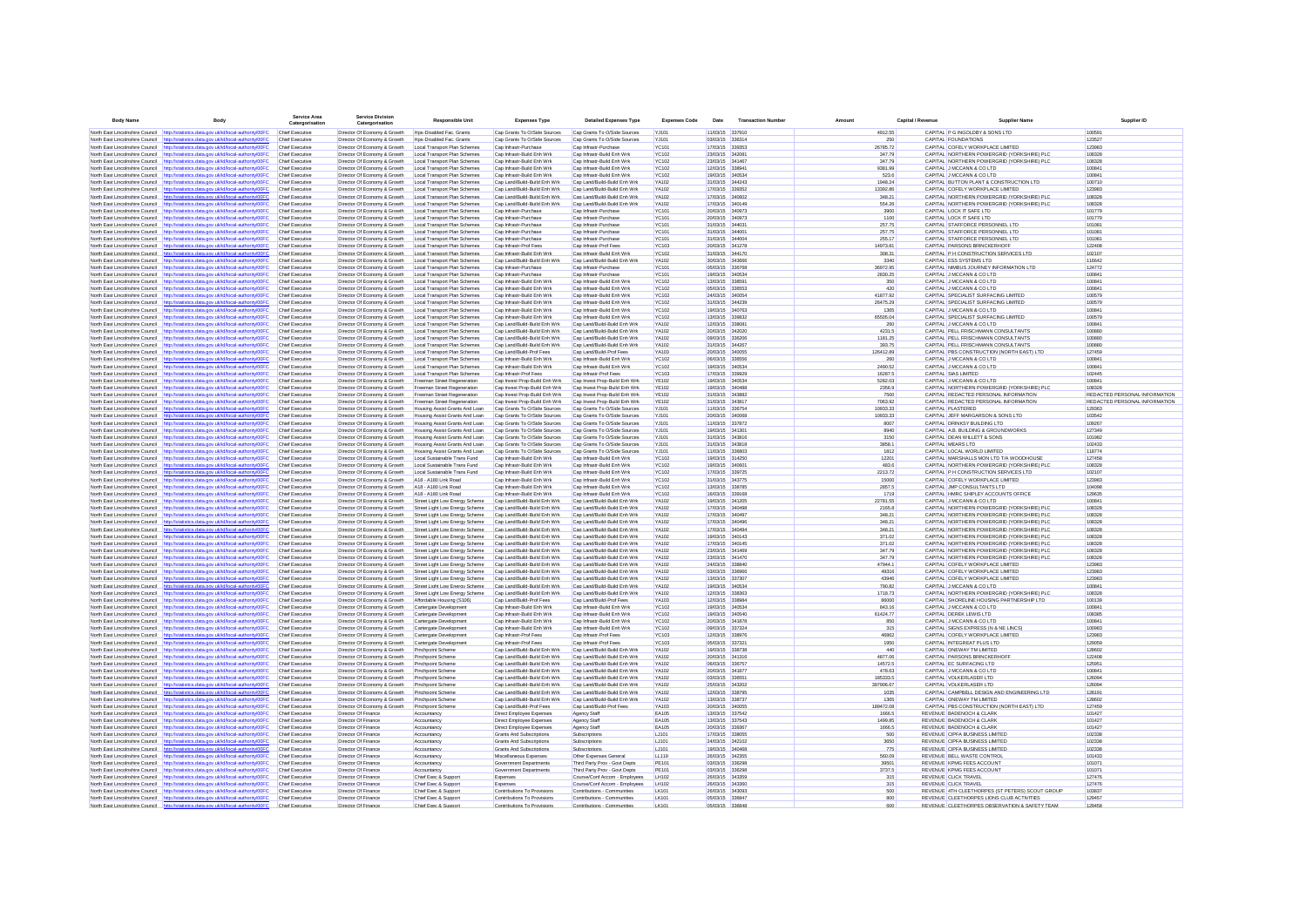| <b>Body Name</b>                                                   | Body                                                                                                                                                                           | Service Area<br>Catergorisation                  | <b>Service Division</b><br>Catergorisation                   | <b>Responsible Uni</b>                                           | <b>Expenses Typ</b>                                            | <b>Detailed Expenses Type</b>                                  | <b>Expenses Code</b>         | Date                               | <b>Transaction Number</b> |                      | Capital / Revenue | <b>Supplier Name</b>                                                                     | Supplier ID                             |
|--------------------------------------------------------------------|--------------------------------------------------------------------------------------------------------------------------------------------------------------------------------|--------------------------------------------------|--------------------------------------------------------------|------------------------------------------------------------------|----------------------------------------------------------------|----------------------------------------------------------------|------------------------------|------------------------------------|---------------------------|----------------------|-------------------|------------------------------------------------------------------------------------------|-----------------------------------------|
|                                                                    | North East Lincolnshire Council http://statistics.data.gov.uk/id/local-authority/00FC                                                                                          | Chief Executive                                  | Director Of Economy & Growth                                 | Hos-Disabled Fac. Grants                                         | Cap Grants To O/Side Sources                                   | Cap Grants To O/Side Sources                                   | YJ101                        | 11/03/15 337910                    |                           | 4912.55              |                   | CAPITAL P G INGOLDBY & SONS LTD                                                          | 100591                                  |
|                                                                    | North East Lincolnshire Council http://statistics.data.gov.uk/id/local-authority/00FC                                                                                          | Chief Executive                                  | Director Of Economy & Growth                                 | Hos-Disabled Fac. Grants                                         | Cap Grants To O/Side Sources                                   | Cap Grants To O/Side Sources                                   | YJ101                        | 03/03/15 336314                    |                           | 250                  |                   | CAPITAL FOUNDATIONS                                                                      | 123527                                  |
| North East Lincolnshire Council                                    | http://statistics.data.gov.uk/id/local-authority/00FC                                                                                                                          | Chief Executive                                  | Director Of Economy & Growth                                 | Local Transport Plan Schemes                                     | Cap Infrastr-Purchase                                          | Cap Infrastr-Purchase                                          | <b>YC101</b>                 | 17/03/15 339353                    |                           | 26785.72             |                   | CAPITAL COFELY WORKPLACE LIMITED                                                         | 123983                                  |
|                                                                    | North East Lincolnshire Council http://statistics.data.gov.uk/id/local-authority/00FC                                                                                          | Chief Executive                                  | Director Of Economy & Growth                                 | Local Transport Plan Schemes                                     | Cap Infrastr-Build Enh Wrk                                     | Cap Infrastr-Build Enh Wrk                                     | <b>YC102</b>                 | 23/03/15 342081                    |                           | 347.79               |                   | CAPITAL NORTHERN POWERGRID (YORKSHIRE) PLC                                               | 108328                                  |
|                                                                    | North East Lincolnshire Council http://statistics.data.gov.uk/id/local-authority/00FC                                                                                          | Chief Executive<br>Chief Executive               | Director Of Economy & Growth                                 | Local Transport Plan Schemes<br>Local Transport Plan Schemes     | Can Infrastr-Build Enh Wrk<br>Cap Infrastr-Build Enh Wrk       | Cap Infrastr-Build Enh Wrk<br>Cap Infrastr-Build Enh Wrk       | YC102<br>YC102               | 23/03/15 341467<br>12/03/15 338941 |                           | 347 79<br>9381.99    |                   | CAPITAL NORTHERN POWERGRID (YORKSHIRE) PLC                                               | 108328<br>100841                        |
|                                                                    | North East Lincolnshire Council http://statistics.data.gov.uk/id/local-authority/00FC<br>North East Lincolnshire Council http://statistics.data.gov.uk/id/local-authority/00FC | <b>Chief Executive</b>                           | Director Of Economy & Growth<br>Director Of Economy & Growth | Local Transport Plan Schemes                                     | Cap Infrastr-Build Enh Wrk                                     | Cap Infrastr-Build Enh Wrk                                     | <b>YC102</b>                 | 19/03/15 340534                    |                           | 523.6                |                   | CAPITAL J MCCANN & CO LTD<br>CAPITAL J MCCANN & CO LTD                                   | 100841                                  |
| North East Lincolnshire Council                                    | http://statistics.data.gov.uk/id/local-authority/00FC                                                                                                                          | <b>Chief Executive</b>                           | Director Of Economy & Growth                                 | Local Transport Plan Schemes                                     | Cap Land/Build-Build Enh Wrk                                   | Cap Land/Build-Build Enh Wrk                                   | <b>YA102</b>                 | 31/03/15 344243                    |                           | 1948.24              |                   | CAPITAL BUTTON PLANT & CONSTRUCTION LTD                                                  | 100710                                  |
|                                                                    | North East Lincolnshire Council http://statistics.data.gov.uk/id/local-authority/00FC                                                                                          | Chief Executive                                  | Director Of Economy & Growth                                 | Local Transport Plan Schemes                                     | Cap Land/Build-Build Enh Wrk                                   | Cap Land/Build-Build Enh Wrk                                   | <b>YA102</b>                 | 17/03/15 339352                    |                           | 13392.86             |                   | CAPITAL COFELY WORKPLACE LIMITED                                                         | 123983                                  |
| North East Lincolnshire Council                                    | http://statistics.data.gov.uk/id/local-authority/00FC                                                                                                                          | <b>Chief Executive</b>                           | Director Of Economy & Growth                                 | Local Transport Plan Schemes                                     | Cap Land/Build-Build Enh Wrk                                   | Cap Land/Build-Build Enh Wrk                                   | <b>YA102</b>                 | 17/03/15 340602                    |                           | 348.21               |                   | CAPITAL NORTHERN POWERGRID (YORKSHIRE) PLC                                               | 108328                                  |
|                                                                    | North East Lincolnshire Council http://statistics.data.gov.uk/id/local-authority/00FC                                                                                          | Chief Executive                                  | Director Of Economy & Growth                                 | Local Transport Plan Schemes                                     | Cap Land/Build-Build Enh Wrk                                   | Cap Land/Build-Build Enh Wrk                                   | <b>YA102</b>                 | 17/03/15 340149                    |                           | 554.26               |                   | CAPITAL NORTHERN POWERGRID (YORKSHIRE) PLC                                               | 108328                                  |
| North East Lincolnshire Council                                    | http://statistics.data.gov.uk/id/local-authority/00FC<br>North East Lincolnshire Council http://statistics.data.gov.uk/id/local-authority/00FC                                 | <b>Chief Executive</b><br><b>Chief Executive</b> | Director Of Economy & Growth<br>Director Of Economy & Growth | Local Transport Plan Schemes<br>Local Transport Plan Schemes     | Cap Infrastr-Purchase<br>Cap Infrastr-Purchase                 | Cap Infrastr-Purchase<br>Cap Infrastr-Purchase                 | <b>YC101</b><br><b>YC101</b> | 20/03/15 340973<br>20/03/15 340973 |                           | 3900<br>1100         |                   | CAPITAL LOCK IT SAFE LTD<br>CAPITAL LOCK IT SAFE LTD                                     | 101779<br>101779                        |
| North East Lincolnshire Council                                    | http://statistics.data.gov.uk/id/local-authority/00FC                                                                                                                          | <b>Chief Executive</b>                           | Director Of Economy & Growth                                 | Local Transport Plan Schemes                                     | Cap Infrastr-Purchase                                          | Cap Infrastr-Purchase                                          | <b>YC101</b>                 | 31/03/15 344031                    |                           | 257.75               |                   | CAPITAL STAFFORCE PERSONNEL LTD                                                          | 101081                                  |
| North East Lincolnshire Council                                    | http://statistics.data.gov.uk/id/local-authority/00FC                                                                                                                          | Chief Executive                                  | Director Of Economy & Growth                                 | Local Transport Plan Schemes                                     | Cap Infrastr-Purchase                                          | Cap Infrastr-Purchase                                          | <b>YC101</b>                 | 31/03/15 34400                     |                           | 257.75               |                   | CAPITAL STAFFORCE PERSONNEL LTD                                                          | 101081                                  |
| North East Lincolnshire Council                                    | http://statistics.data.gov.uk/id/local-authority/00FC                                                                                                                          | Chief Executive                                  | Director Of Economy & Growth                                 | Local Transport Plan Schemes                                     | Cap Infrastr-Purchase                                          | Cap Infrastr-Purchase                                          | <b>YC101</b>                 | 31/03/15 344004                    |                           | 255.17               |                   | CAPITAL STAFFORCE PERSONNEL LTD                                                          | 101081                                  |
|                                                                    | North East Lincolnshire Council http://statistics.data.gov.uk/id/local-authority/00FC                                                                                          | Chief Executive                                  | Director Of Economy & Growth                                 | Local Transport Plan Schemes                                     | Cap Infrastr-Prof Fees                                         | Cap Infrastr-Prof Fees                                         | <b>YC103</b>                 | 20/03/15 341278                    |                           | 14973.81             |                   | CAPITAL PARSONS BRINCKERHOFF                                                             | 122408                                  |
|                                                                    | North East Lincolnshire Council http://statistics.data.gov.uk/id/local-authority/00FC<br>North East Lincolnshire Council http://statistics.data.gov.uk/id/local-authority/00FC | Chief Executive<br>Chief Executive               | Director Of Economy & Growth<br>Director Of Economy & Growth | Local Transport Plan Schemes<br>Local Transport Plan Schemes     | Cap Infrastr-Build Enh Wrk<br>Cap Land/Build-Build Enh Wrk     | Cap Infrastr-Build Enh Wrk<br>Cap Land/Build-Build Enh Wrk     | <b>YC102</b><br>YA102        | 31/03/15 344170<br>30/03/15 343666 |                           | 308.31<br>3340       |                   | CAPITAL P H CONSTRUCTION SERVICES LTD<br>CAPITAL ESS SYSTEMS LTD                         | 102107<br>116642                        |
|                                                                    | North East Lincolnshire Council http://statistics.data.gov.uk/id/local-authority/00FC                                                                                          | Chief Executive                                  | Director Of Economy & Growth                                 | Local Transport Plan Schemes                                     | Cap Infrastr-Purchase                                          | Cap Infrastr-Purchase                                          | <b>YC101</b>                 | 05/03/15 336768                    |                           | 36972.95             |                   | CAPITAL NIMBUS JOURNEY INFORMATION LTD                                                   | 124772                                  |
| North East Lincolnshire Council                                    | http://statistics.data.gov.uk/id/local-authority/00FC                                                                                                                          | Chief Executive                                  | Director Of Economy & Growth                                 | Local Transport Plan Schemes                                     | Cap Infrastr-Purchase                                          | Cap Infrastr-Purchase                                          | <b>YC101</b>                 | 19/03/15 340534                    |                           | 2830.25              |                   | CAPITAL J MCCANN & CO LTD                                                                | 100841                                  |
|                                                                    | North East Lincolnshire Council http://statistics.data.gov.uk/id/local-authority/00FC                                                                                          | <b>Chief Executive</b>                           | Director Of Economy & Growth                                 | Local Transport Plan Schemes                                     | Cap Infrastr-Build Enh Wrk                                     | Cap Infrastr-Build Enh Wrk                                     | <b>YC102</b>                 | 13/03/15 338591                    |                           | 350                  |                   | CAPITAL J MCCANN & CO LTD                                                                | 100841                                  |
|                                                                    | North East Lincolnshire Council http://statistics.data.gov.uk/id/local-authority/00FC                                                                                          | Chief Executive                                  | Director Of Economy & Growth                                 | Local Transport Plan Schemes                                     | Cap Infrastr-Build Enh Wrk                                     | Cap Infrastr-Build Enh Wrk                                     | <b>YC102</b>                 | 05/03/15 336553                    |                           | 420                  |                   | CAPITAL J MCCANN & CO LTD                                                                | 100841<br>100579                        |
|                                                                    | North East Lincolnshire Council http://statistics.data.gov.uk/id/local-authority/00FC<br>North East Lincolnshire Council http://statistics.data.gov.uk/id/local-authority/00FC | <b>Chief Executive</b><br><b>Chief Executive</b> | Director Of Economy & Growth<br>Director Of Economy & Growth | Local Transport Plan Schemes<br>Local Transport Plan Schemes     | Cap Infrastr-Build Enh Wrk<br>Cap Infrastr-Build Enh Wrk       | Cap Infrastr-Build Enh Wrk<br>Cap Infrastr-Build Enh Wrk       | <b>YC102</b><br><b>YC102</b> | 24/03/15 340054<br>31/03/15 344239 |                           | 41877.92<br>26475.29 |                   | CAPITAL SPECIALIST SURFACING LIMITED<br>CAPITAL SPECIALIST SURFACING LIMITED             | 100579                                  |
|                                                                    | North East Lincolnshire Council http://statistics.data.gov.uk/id/local-authority/00FC                                                                                          | <b>Chief Executive</b>                           | Director Of Economy & Growth                                 | Local Transport Plan Schemes                                     | Cap Infrastr-Build Enh Wrk                                     | Cap Infrastr-Build Enh Wrk                                     | <b>YC102</b>                 | 19/03/15 340763                    |                           | 1365                 |                   | CAPITAL J MCCANN & CO LTD                                                                | 100841                                  |
| North East Lincolnshire Council                                    | http://statistics.data.gov.uk/id/local-authority/00FC                                                                                                                          | Chief Executive                                  | Director Of Economy & Growth                                 | Local Transport Plan Schemes                                     | Cap Infrastr-Build Enh Wrk                                     | Cap Infrastr-Build Enh Wrk                                     | <b>YC102</b>                 | 13/03/15 339832                    |                           | 65505.04             |                   | CAPITAL SPECIALIST SURFACING LIMITED                                                     | 100579                                  |
|                                                                    | North East Lincolnshire Council http://statistics.data.gov.uk/id/local-authority/00FC                                                                                          | Chief Executive                                  | Director Of Economy & Growth                                 | Local Transport Plan Schemes                                     | Cap Land/Build-Build Enh Wrk                                   | Cap Land/Build-Build Enh Wrk                                   | <b>YA102</b>                 | 12/03/15 338081                    |                           | 260                  |                   | CAPITAL J MCCANN & CO LTD                                                                | 100841                                  |
| North East Lincolnshire Council                                    | http://statistics.data.gov.uk/id/local-authority/00FC                                                                                                                          | <b>Chief Executive</b>                           | Director Of Economy & Growth                                 | Local Transport Plan Schemes                                     | Cap Land/Build-Build Enh Wrk                                   | Cap Land/Build-Build Enh Wrk                                   | <b>YA102</b>                 | 20/03/15 342020                    |                           | 4231.5               |                   | CAPITAL PELL FRISCHMANN CONSULTANTS                                                      | 100880                                  |
|                                                                    | North East Lincolnshire Council http://statistics.data.gov.uk/id/local-authority/00FC<br>North East Lincolnshire Council http://statistics.data.gov.uk/id/local-authority/00F0 | Chief Executive<br>Chief Executive               | Director Of Economy & Growth                                 | Local Transport Plan Schemes<br>Local Transport Plan Schemes     | Cap Land/Build-Build Enh Wrk<br>Cap Land/Build-Build Enh Wrk   | Cap Land/Build-Build Enh Wrk<br>Cap Land/Build-Build Enh Wrk   | <b>YA102</b><br><b>YA102</b> | 09/03/15 336206<br>31/03/15 344267 |                           | 1181.25<br>393.75    |                   | CAPITAL PELL FRISCHMANN CONSULTANTS<br>CAPITAL PELL FRISCHMANN CONSULTANTS               | 100880<br>100880                        |
| North East Lincolnshire Council                                    | http://statistics.data.gov.uk/id/local-authority/00FC                                                                                                                          | Chief Executive                                  | Director Of Economy & Growth<br>Director Of Economy & Growth | Local Transport Plan Schemes                                     | Cap Land/Build-Prof Fees                                       | Cap Land/Build-Prof Fees                                       | <b>YA103</b>                 | 20/03/15 340055                    |                           | 126412.89            |                   | CAPITAL PBS CONSTRUCTION (NORTH EAST) LTD                                                | 127459                                  |
| North East Lincolnshire Council                                    | http://statistics.data.gov.uk/id/local-authority/00FC                                                                                                                          | Chief Executive                                  | Director Of Economy & Growth                                 | Local Transport Plan Schemes                                     | Cap Infrastr-Build Enh Wrk                                     | Cap Infrastr-Build Enh Wrk                                     | <b>YC102</b>                 | 06/03/15 336556                    |                           | 260                  |                   | CAPITAL J MCCANN & CO LTD                                                                | 100841                                  |
|                                                                    | North East Lincolnshire Council http://statistics.data.gov.uk/id/local-authority/00FC                                                                                          | Chief Executive                                  | Director Of Economy & Growth                                 | Local Transport Plan Schemes                                     | Cap Infrastr-Build Enh Wrk                                     | Cap Infrastr-Build Enh Wrk                                     | <b>YC102</b>                 | 19/03/15 340534                    |                           | 2490.52              |                   | CAPITAL J MCCANN & CO LTD                                                                | 100841                                  |
|                                                                    | North East Lincolnshire Council http://statistics.data.gov.uk/id/local-authority/00FC                                                                                          | Chief Executive                                  | Director Of Economy & Growth                                 | Local Transport Plan Schemes                                     | Cap Infrastr-Prof Fees                                         | Cap Infrastr-Prof Fees                                         | <b>YC103</b>                 | 17/03/15 339929                    |                           | 16287.5              |                   | CAPITAL SIAS LIMITED                                                                     | 102445                                  |
|                                                                    | North East Lincolnshire Council http://statistics.data.gov.uk/id/local-authority/00FC                                                                                          | Chief Executive                                  | Director Of Economy & Growth                                 | Freeman Street Regeneration                                      | Cap Invest Prop-Build Enh Wrk                                  | Cap Invest Prop-Build Enh Wrk                                  | <b>YE102</b>                 | 19/03/15 340534                    |                           | 5282.03              |                   | CAPITAL J MCCANN & CO LTD                                                                | 100841                                  |
| North East Lincolnshire Council                                    | North East Lincolnshire Council http://statistics.data.gov.uk/id/local-authority/00FC<br>http://statistics.data.gov.uk/id/local-authority/00FC                                 | Chief Executive<br>Chief Executive               | Director Of Economy & Growth<br>Director Of Economy & Growth | Freeman Street Regeneration<br>Freeman Street Regeneration       | Cap Invest Prop-Build Enh Wrk<br>Cap Invest Prop-Build Enh Wrk | Cap Invest Prop-Build Enh Wrk<br>Cap Invest Prop-Build Enh Wrk | <b>YE102</b><br><b>YE102</b> | 19/03/15 340488<br>31/03/15 343882 |                           | 2356.9<br>7500       |                   | CAPITAL NORTHERN POWERGRID (YORKSHIRE) PLC<br>CAPITAL REDACTED PERSONAL INFORMATION      | 108328<br>REDACTED PERSONAL INFORMATION |
| North East Lincolnshire Council                                    | http://statistics.data.gov.uk/id/local-authority/00FC                                                                                                                          | <b>Chief Executive</b>                           | Director Of Economy & Growth                                 | Freeman Street Regeneration                                      | Cap Invest Prop-Build Enh Wrk                                  | Cap Invest Prop-Build Enh Wrk                                  | <b>YE102</b>                 | 31/03/15 343817                    |                           | 7063.92              |                   | CAPITAL REDACTED PERSONAL INFORMATION                                                    | REDACTED PERSONAL INFORMATION           |
|                                                                    | North East Lincolnshire Council http://statistics.data.gov.uk/id/local-authority/00FC                                                                                          | Chief Executive                                  | Director Of Economy & Growth                                 | Housing Assist Grants And Loan                                   | Cap Grants To O/Side Sources                                   | Cap Grants To O/Side Sources                                   | YJ101                        | 11/03/15 336754                    |                           | 10933.33             |                   | CAPITAL PLASTERED                                                                        | 129363                                  |
|                                                                    | North East Lincolnshire Council http://statistics.data.gov.uk/id/local-authority/00FC                                                                                          | <b>Chief Executive</b>                           | Director Of Economy & Growth                                 | Housing Assist Grants And Loan                                   | Cap Grants To O/Side Sources                                   | Cap Grants To O/Side Sources                                   | YJ101                        | 20/03/15 340068                    |                           | 10933.33             |                   | CAPITAL JEFF MARGARSON & SONS LTD                                                        | 103542                                  |
|                                                                    | North East Lincolnshire Council http://statistics.data.gov.uk/id/local-authority/00FC                                                                                          | <b>Chief Executive</b>                           | Director Of Economy & Growth                                 | Housing Assist Grants And Loan                                   | Cap Grants To O/Side Sources                                   | Cap Grants To O/Side Sources                                   | YJ101                        | 11/03/15 337872                    |                           | 8007                 |                   | CAPITAL DRINKSY BUILDING LTD                                                             | 109267                                  |
|                                                                    | North East Lincolnshire Council http://statistics.data.gov.uk/id/local-authority/00FC                                                                                          | <b>Chief Executive</b>                           | Director Of Economy & Growth                                 | Housing Assist Grants And Loan                                   | Cap Grants To O/Side Sources                                   | Cap Grants To O/Side Sources                                   | <b>YJ101</b>                 | 19/03/15 341301<br>31/03/15 343816 |                           | 8940                 |                   | CAPITAL A.B. BUILDING & GROUNDWORKS                                                      | 127349<br>101982                        |
| North East Lincolnshire Council                                    | http://statistics.data.gov.uk/id/local-authority/00FC<br>North East Lincolnshire Council http://statistics.data.gov.uk/id/local-authority/00FC                                 | <b>Chief Executive</b><br>Chief Executive        | Director Of Economy & Growth<br>Director Of Economy & Growth | Housing Assist Grants And Loan<br>Housing Assist Grants And Loan | Cap Grants To O/Side Sources<br>Cap Grants To O/Side Sources   | Cap Grants To O/Side Sources<br>Cap Grants To O/Side Sources   | YJ101<br>YJ101               | 31/03/15 343818                    |                           | 3150<br>3858.1       |                   | CAPITAL DEAN WILLETT & SONS<br>CAPITAL MEARS LTD                                         | 102433                                  |
| North East Lincolnshire Council                                    | http://statistics.data.gov.uk/id/local-authority/00FC                                                                                                                          | Chief Executive                                  | Director Of Economy & Growth                                 | Housing Assist Grants And Loan                                   | Cap Grants To O/Side Sources                                   | Cap Grants To O/Side Sources                                   | YJ101                        | 11/03/15 336803                    |                           | 1812                 |                   | CAPITAL LOCAL WORLD LIMITED                                                              | 118774                                  |
|                                                                    | North East Lincolnshire Council http://statistics.data.gov.uk/id/local-authority/00FC                                                                                          | Chief Executive                                  | Director Of Economy & Growth                                 | Local Sustainable Trans Fund                                     | Cap Infrastr-Build Enh Wrk                                     | Cap Infrastr-Build Enh Wrk                                     | <b>YC102</b>                 | 19/03/15 314250                    |                           | 12201                |                   | CAPITAL MARSHALLS MON LTD T/A WOODHOUSE                                                  | 127458                                  |
| North East Lincolnshire Council                                    | distics.data.oov.uk/id/local-authority/00FC                                                                                                                                    | Chief Executive                                  | Director Of Economy & Growth                                 | Local Sustainable Trans Fund                                     | Cap Infrastr-Build Enh Wrk                                     | Cap Infrastr-Build Enh Wrk                                     | <b>YC102</b>                 | 19/03/15 340601                    |                           | 483.6                |                   | CAPITAL NORTHERN POWERGRID (YORKSHIRE) PLC                                               | 108328                                  |
| North East Lincolnshire Council                                    | North East Lincolnshire Council http://statistics.data.gov.uk/id/local-authority/00FC                                                                                          | Chief Executive<br>Chief Executive               | Director Of Economy & Growth                                 | Local Sustainable Trans Fund<br>A18 - A180 Link Road             | Cap Infrastr-Build Enh Wrk<br>Cap Infrastr-Build Enh Wrk       | Cap Infrastr-Build Enh Wrk<br>Cap Infrastr-Build Enh Wrk       | <b>YC102</b><br><b>YC102</b> | 17/03/15 339725<br>31/03/15 343775 |                           | 2213.72<br>15000     |                   | CAPITAL P H CONSTRUCTION SERVICES LTD<br>CAPITAL COFELY WORKPLACE LIMITED                | 102107<br>123983                        |
| North East Lincolnshire Council                                    | http://statistics.data.gov.uk/id/local-authority/00FC<br>http://statistics.data.gov.uk/id/local-authority/00FC                                                                 | Chief Executive                                  | Director Of Economy & Growth<br>Director Of Economy & Growth | A18 - A180 Link Road                                             | Cap Infrastr-Build Enh Wrk                                     | Cap Infrastr-Build Enh Wrk                                     | <b>YC102</b>                 | 13/03/15 338785                    |                           | 2857.5               |                   | CAPITAL JMP CONSULTANTS LTD                                                              | 104098                                  |
| North East Lincolnshire Council                                    | http://statistics.data.gov.uk/id/local-authority/00FC                                                                                                                          | Chief Executive                                  | Director Of Economy & Growth                                 | A18 - A180 Link Road                                             | Cap Infrastr-Build Enh Wrk                                     | Cap Infrastr-Build Enh Wrk                                     | <b>YC102</b>                 | 16/03/15 339168                    |                           | 1719                 |                   | CAPITAL HMRC SHIPLEY ACCOUNTS OFFICE                                                     | 129635                                  |
|                                                                    | North East Lincolnshire Council http://statistics.data.gov.uk/id/local-authority/00FC                                                                                          | Chief Executive                                  | Director Of Economy & Growth                                 | Street Light Low Energy Scheme                                   | Cap Land/Build-Build Enh Wrk                                   | Cap Land/Build-Build Enh Wrk                                   | YA102                        | 19/03/15 341205                    |                           | 22781.55             |                   | CAPITAL J MCCANN & CO LTD                                                                | 100841                                  |
|                                                                    | North East Lincolnshire Council http://statistics.data.gov.uk/id/local-authority/00FC                                                                                          | Chief Executive                                  | Director Of Economy & Growth                                 | Street Light Low Energy Scheme                                   | Cap Land/Build-Build Enh Wrk                                   | Cap Land/Build-Build Enh Wrk                                   | <b>YA102</b>                 | 17/03/15 340498                    |                           | 2165.8               |                   | CAPITAL NORTHERN POWERGRID (YORKSHIRE) PLC                                               | 108328                                  |
| North East Lincolnshire Council                                    | istics.data.gov.uk/id/local-authority/00FC                                                                                                                                     | Chief Executive                                  | Director Of Economy & Growth                                 | Street Light Low Energy Scheme                                   | Cap Land/Build-Build Enh Wrk                                   | Cap Land/Build-Build Enh Wrk                                   | YA102                        | 17/03/15 340497                    |                           | 348.21               |                   | CAPITAL NORTHERN POWERGRID (YORKSHIRE) PLC                                               | 108328                                  |
| North East Lincolnshire Council<br>North East Lincolnshire Council | http://statistics.data.gov.uk/id/local-authority/00FC<br>http://statistics.data.gov.uk/id/local-authority/00FC                                                                 | Chief Executive<br>Chief Executive               | Director Of Economy & Growth<br>Director Of Economy & Growth | Street Light Low Energy Scheme<br>Street Light Low Energy Scheme | Cap Land/Build-Build Enh Wrk<br>Cap Land/Build-Build Enh Wrk   | Cap Land/Build-Build Enh Wrk<br>Cap Land/Build-Build Enh Wrk   | <b>YA102</b><br><b>YA102</b> | 17/03/15 340496<br>17/03/15 340494 |                           | 348.21<br>348.21     |                   | CAPITAL NORTHERN POWERGRID (YORKSHIRE) PLC<br>CAPITAL NORTHERN POWERGRID (YORKSHIRE) PLC | 108328<br>108328                        |
|                                                                    | North East Lincolnshire Council http://statistics.data.gov.uk/id/local-authority/00FC                                                                                          | <b>Chief Executive</b>                           | Director Of Economy & Growth                                 | Street Light Low Energy Scheme                                   | Cap Land/Build-Build Enh Wrk                                   | Cap Land/Build-Build Enh Wrk                                   | <b>YA102</b>                 | 19/03/15 340143                    |                           | 371.02               |                   | CAPITAL NORTHERN POWERGRID (YORKSHIRE) PLC                                               | 108328                                  |
| North East Lincolnshire Council                                    | http://statistics.data.gov.uk/id/local-authority/00FC                                                                                                                          | <b>Chief Executive</b>                           | Director Of Economy & Growth                                 | Street Light Low Energy Scheme                                   | Cap Land/Build-Build Enh Wrk                                   | Cap Land/Build-Build Enh Wrk                                   | YA102                        | 17/03/15 340145                    |                           | 371.02               |                   | CAPITAL NORTHERN POWERGRID (YORKSHIRE) PLC                                               | 108328                                  |
|                                                                    | North East Lincolnshire Council http://statistics.data.gov.uk/id/local-authority/00FC                                                                                          | <b>Chief Executive</b>                           | Director Of Economy & Growth                                 | Street Light Low Energy Scheme                                   | Cap Land/Build-Build Enh Wrk                                   | Cap Land/Build-Build Enh Wrk                                   | <b>YA102</b>                 | 23/03/15 341469                    |                           | 347.79               |                   | CAPITAL NORTHERN POWERGRID (YORKSHIRE) PLC                                               | 108328                                  |
| North East Lincolnshire Council                                    | http://statistics.data.gov.uk/id/local-authority/00FC                                                                                                                          | <b>Chief Executive</b>                           | Director Of Economy & Growth                                 | Street Light Low Energy Scheme                                   | Cap Land/Build-Build Enh Wrk                                   | Cap Land/Build-Build Enh Wrk                                   | YA102                        | 23/03/15 341470                    |                           | 347.79               |                   | CAPITAL NORTHERN POWERGRID (YORKSHIRE) PLC                                               | 108328                                  |
| North East Lincolnshire Council                                    | North East Lincolnshire Council http://statistics.data.gov.uk/id/local-authority/00FC<br>http://statistics.data.gov.uk/id/local-authority/00FC                                 | Chief Executive<br>Chief Executive               | Director Of Economy & Growth<br>Director Of Economy & Growth | Street Light Low Energy Scheme<br>Street Light Low Energy Scheme | Cap Land/Build-Build Enh Wrk<br>Cap Land/Build-Build Enh Wrk   | Cap Land/Build-Build Enh Wrk<br>Cap Land/Build-Build Enh Wrk   | <b>YA102</b><br><b>YA102</b> | 24/03/15 338840<br>03/03/15 336966 |                           | 47944.1<br>49316     |                   | CAPITAL COFELY WORKPLACE LIMITED<br>CAPITAL COFELY WORKPLACE LIMITED                     | 123983<br>123983                        |
|                                                                    | North East Lincolnshire Council http://statistics.data.gov.uk/id/local-authority/00FC                                                                                          | Chief Executive                                  | Director Of Economy & Growth                                 | Street Light Low Energy Scheme                                   | Cap Land/Build-Build Enh Wrk                                   | Cap Land/Build-Build Enh Wrk                                   | <b>YA102</b>                 | 13/03/15 337307                    |                           | 43946                |                   | CAPITAL COFELY WORKPLACE LIMITED                                                         | 123983                                  |
|                                                                    | North East Lincolnshire Council http://statistics.data.gov.uk/id/local-authority/00FC                                                                                          | Chief Executive                                  | Director Of Economy & Growth                                 | Street Light Low Energy Scheme                                   | Cap Land/Build-Build Enh Wrk                                   | Cap Land/Build-Build Enh Wrk                                   | <b>YA102</b>                 | 19/03/15 340534                    |                           | 790.82               |                   | CAPITAL J MCCANN & CO LTD                                                                | 100841                                  |
| North East Lincolnshire Council http://st                          | istics.data.gov.uk/id/local-authority/00FC                                                                                                                                     | Chief Executive                                  | Director Of Economy & Growth                                 | Street Light Low Energy Scheme                                   | Cap Land/Build-Build Enh Wrk                                   | Cap Land/Build-Build Enh Wrk                                   | <b>YA102</b>                 | 12/03/15 338363                    |                           | 1718.73              |                   | CAPITAL NORTHERN POWERGRID (YORKSHIRE) PLC                                               | 108328                                  |
|                                                                    | North East Lincolnshire Council http://statistics.data.gov.uk/id/local-authority/00FC                                                                                          | Chief Executive                                  | Director Of Economy & Growth                                 | Affordable Housing (S106)                                        | Cap Land/Build-Prof Fees                                       | Cap Land/Build-Prof Fees                                       | <b>YA103</b>                 | 12/03/15 338984                    |                           | 86000                |                   | CAPITAL SHORELINE HOUSING PARTNERSHIP LTD                                                | 100139                                  |
| North East Lincolnshire Council<br>North East Lincolnshire Council | http://statistics.data.gov.uk/id/local-authority/00FC<br>http://statistics.data.gov.uk/id/local-authority/00FC                                                                 | Chief Executive<br>Chief Executive               | Director Of Economy & Growth<br>Director Of Economy & Growth | Cartergate Development<br>Cartergate Development                 | Cap Infrastr-Build Enh Wrk<br>Cap Infrastr-Build Enh Wrk       | Cap Infrastr-Build Enh Wrk<br>Cap Infrastr-Build Enh Wrk       | <b>YC102</b><br><b>YC102</b> | 19/03/15 340534<br>19/03/15 340540 |                           | 843.16<br>61424.77   |                   | CAPITAL J MCCANN & CO LTD<br>CAPITAL DEREK LEWIS LTD                                     | 100841<br>108385                        |
|                                                                    | North East Lincolnshire Council http://statistics.data.gov.uk/id/local-authority/00FC                                                                                          | Chief Executive                                  | Director Of Economy & Growth                                 | Cartergate Development                                           | Cap Infrastr-Build Enh Wrk                                     | Cap Infrastr-Build Enh Wrk                                     | <b>YC102</b>                 | 20/03/15 341878                    |                           | 850                  |                   | CAPITAL J MCCANN & CO LTD                                                                | 100841                                  |
|                                                                    | North East Lincolnshire Council http://statistics.data.gov.uk/id/local-authority/00FC                                                                                          | <b>Chief Executive</b>                           | Director Of Economy & Growth                                 | Cartergate Development                                           | Cap Infrastr-Build Enh Wrk                                     | Cap Infrastr-Build Enh Wrk                                     | <b>YC102</b>                 | 09/03/15 337324                    |                           | 315                  |                   | CAPITAL SIGNS EXPRESS (N & NE LINCS)                                                     | 100983                                  |
|                                                                    | North East Lincolnshire Council http://statistics.data.gov.uk/id/local-authority/00FC                                                                                          | <b>Chief Executive</b>                           | Director Of Economy & Growth                                 | Cartergate Development                                           | Cap Infrastr-Prof Fees                                         | Cap Infrastr-Prof Fees                                         | <b>YC103</b>                 | 12/03/15 338976                    |                           | 46862                |                   | CAPITAL COFELY WORKPLACE LIMITED                                                         | 123983                                  |
|                                                                    | North East Lincolnshire Council http://statistics.data.gov.uk/id/local-authority/00FC                                                                                          | <b>Chief Executive</b>                           | Director Of Economy & Growth                                 | Cartergate Development                                           | Cap Infrastr-Prof Fees                                         | Cap Infrastr-Prof Fees                                         | <b>YC103</b>                 | 05/03/15 337321                    |                           | 1950                 |                   | CAPITAL INTEGREAT PLUS LTD                                                               | 129059                                  |
| North East Lincolnshire Council                                    | http://statistics.data.gov.uk/id/local-authority/00FC<br>North East Lincolnshire Council http://statistics.data.gov.uk/id/local-authority/00FC                                 | <b>Chief Executive</b><br><b>Chief Executive</b> | Director Of Economy & Growth<br>Director Of Economy & Growth | Pinchpoint Scheme<br>Pinchpoint Scheme                           | Cap Land/Build-Build Enh Wrk<br>Cap Land/Build-Build Enh Wrk   | Cap Land/Build-Build Enh Wrk<br>Cap Land/Build-Build Enh Wrk   | <b>YA102</b><br><b>YA102</b> | 19/03/15 338738<br>20/03/15 341316 |                           | 440<br>4877.06       |                   | CAPITAL ONEWAY TM LIMITED<br>CAPITAL PARSONS BRINCKERHOFF                                | 128602<br>122408                        |
| North East Lincolnshire Council                                    | http://statistics.data.gov.uk/id/local-authority/00FC                                                                                                                          | <b>Chief Executive</b>                           | Director Of Economy & Growth                                 | Pinchpoint Scheme                                                | Cap Land/Build-Build Enh Wrk                                   | Cap Land/Build-Build Enh Wrk                                   | YA102                        | 06/03/15 336757                    |                           | 14572.5              |                   | CAPITAL EC SURFACING LTD                                                                 | 125951                                  |
|                                                                    | North East Lincolnshire Council http://statistics.data.gov.uk/id/local-authority/00FC                                                                                          | <b>Chief Executive</b>                           | Director Of Economy & Growth                                 | Pinchpoint Scheme                                                | Cap Land/Build-Build Enh Wrk                                   | Cap Land/Build-Build Enh Wrk                                   | <b>YA102</b>                 | 20/03/15 341877                    |                           | 478.63               |                   | CAPITAL J MCCANN & CO LTD                                                                | 100841                                  |
|                                                                    | North East Lincolnshire Council http://statistics.data.gov.uk/id/local-authority/00FC                                                                                          | <b>Chief Executive</b>                           | Director Of Economy & Growth                                 | Pinchpoint Scheme                                                | Cap Land/Build-Build Enh Wrk                                   | Cap Land/Build-Build Enh Wrk                                   | YA102                        | 03/03/15 336551                    |                           | 185333.5             |                   | CAPITAL VOLKERLASER LTD                                                                  | 126094                                  |
|                                                                    | North East Lincolnshire Council http://statistics.data.gov.uk/id/local-authority/00FC                                                                                          | <b>Chief Executive</b>                           | Director Of Economy & Growth                                 | Pinchpoint Scheme                                                | Cap Land/Build-Build Enh Wrk                                   | Cap Land/Build-Build Enh Wrk                                   | <b>YA102</b>                 | 25/03/15 343202                    |                           | 397906.67            |                   | CAPITAL VOLKERLASER LTD                                                                  | 126094                                  |
| North East Lincolnshire Council                                    | http://statistics.data.gov.uk/id/local-authority/00FC<br>North East Lincolnshire Council http://statistics.data.gov.uk/id/local-authority/00FC                                 | <b>Chief Executive</b><br>Chief Executive        | Director Of Economy & Growth<br>Director Of Economy & Growth | Pinchpoint Scheme<br>Pinchpoint Scheme                           | Cap Land/Build-Build Enh Wrk<br>Cap Land/Build-Build Enh Wrk   | Cap Land/Build-Build Enh Wrk<br>Cap Land/Build-Build Enh Wrk   | <b>YA102</b><br>YA102        | 12/03/15 338795<br>13/03/15 338737 |                           | 1035<br>1365         |                   | CAPITAL CAMPBELL DESIGN AND ENGINEERING LTD                                              | 128191<br>128602                        |
|                                                                    | North East Lincolnshire Council http://statistics.data.gov.uk/id/local-authority/00FC                                                                                          | Chief Executive                                  | Director Of Economy & Growth                                 | Pinchpoint Scheme                                                | Cap Land/Build-Prof Fees                                       | Cap Land/Build-Prof Fees                                       | <b>YA103</b>                 | 20/03/15 340055                    |                           | 189472.08            |                   | CAPITAL ONEWAY TM LIMITED<br>CAPITAL PBS CONSTRUCTION (NORTH EAST) LTD                   | 127459                                  |
|                                                                    | North East Lincolnshire Council http://statistics.data.gov.uk/id/local-authority/00FC                                                                                          | Chief Executive                                  | Director Of Finance                                          | Accountancy                                                      | Direct Employee Expenses                                       | Agency Staff                                                   | <b>EA105</b>                 | 13/03/15 337542                    |                           | 1666.5               |                   | REVENUE BADENOCH & CLARK                                                                 | 101427                                  |
| North East Lincolnshire Council http://sta                         | istics.data.gov.uk/id/local-authority/00FC                                                                                                                                     | Chief Executive                                  | Director Of Finance                                          | Accountancy                                                      | Direct Employee Expenses                                       | Agency Staf                                                    | <b>EA105</b>                 | 13/03/15 337543                    |                           | 1499.85              |                   | REVENUE BADENOCH & CLARK                                                                 | 101427                                  |
|                                                                    | North East Lincolnshire Council http://statistics.data.oov.uk/id/local-authority/00FC                                                                                          | Chief Executive                                  | Director Of Finance                                          | Accountancy                                                      | Direct Employee Expenses                                       | Agency Staff                                                   | <b>EA105</b>                 | 20/03/15 339367                    |                           | 1666.5               |                   | REVENUE BADENOCH & CLARK                                                                 | 101427                                  |
| North East Lincolnshire Council                                    | http://statistics.data.gov.uk/id/local-authority/00FC                                                                                                                          | Chief Executive<br>Chief Executive               | Director Of Finance                                          | Accountancy                                                      | Grants And Subscriptions                                       | Subscriptions                                                  | LJ101                        | 17/03/15 338055                    |                           | 500                  |                   | REVENUE CIPFA BUSINESS LIMITED<br>REVENUE CIPFA BUSINESS LIMITED                         | 102338<br>102338                        |
|                                                                    | North East Lincolnshire Council http://statistics.data.gov.uk/id/local-authority/00FC<br>North East Lincolnshire Council http://statistics.data.gov.uk/id/local-authority/00FC | <b>Chief Executive</b>                           | Director Of Finance<br>Director Of Finance                   | Accountancy<br>Accountancy                                       | Grants And Subscriptions<br>Grants And Subscriptions           | Subscriptions<br>Subscriptions                                 | LJ101<br>LJ101               | 24/03/15 342102<br>19/03/15 340468 |                           | 3650<br>775          |                   | <b>REVENUE CIPFA BUSINESS LIMITED</b>                                                    | 102338                                  |
|                                                                    | North East Lincolnshire Council http://statistics.data.gov.uk/id/local-authority/00FC                                                                                          | <b>Chief Executive</b>                           | Director Of Finance                                          | Accountancy                                                      | Miscellaneous Expenses                                         | Other Expenses General                                         | LL119                        | 26/03/15 342355                    |                           | 560.09               |                   | REVENUE BELL WASTE CONTROL                                                               | 101433                                  |
|                                                                    | North East Lincolnshire Council http://statistics.data.gov.uk/id/local-authority/00FC                                                                                          | <b>Chief Executive</b>                           | Director Of Finance                                          | Accountancy                                                      | Government Departments                                         | Third Party Prov - Govt Depts                                  | <b>PE101</b>                 | 03/03/15 336298                    |                           | 39501                |                   | REVENUE KPMG FEES ACCOUNT                                                                | 101071                                  |
|                                                                    | North East Lincolnshire Council http://statistics.data.gov.uk/id/local-authority/00FC                                                                                          | <b>Chief Executive</b>                           | Director Of Finance                                          | Accountancy                                                      | Government Departments                                         | Third Party Prov - Govt Depts                                  | <b>PE101</b>                 | 03/03/15 336298                    |                           | 3737.5               |                   | REVENUE KPMG FEES ACCOUNT                                                                | 101071                                  |
|                                                                    | North East Lincolnshire Council http://statistics.data.gov.uk/id/local-authority/00FC                                                                                          | <b>Chief Executive</b><br><b>Chief Executive</b> | Director Of Finance<br>Director Of Finance                   | Chief Exec & Support<br>Chief Exec & Suppor                      | Expenses<br>Expenses                                           | Course/Conf Accom - Employees<br>Course/Conf Accom - Employees | LH102<br>LH102               | 26/03/15 343359<br>26/03/15 343360 |                           | 315<br>315           |                   | REVENUE CLICK TRAVEL<br>REVENUE CLICK TRAVEL                                             | 127476<br>127476                        |
|                                                                    | North East Lincolnshire Council http://statistics.data.gov.uk/id/local-authority/00FC<br>North East Lincolnshire Council http://statistics.data.gov.uk/id/local-authority/00FC | <b>Chief Executive</b>                           | Director Of Finance                                          | Chief Exec & Support                                             | Contributions To Provisions                                    | Contributions - Communities                                    | LK101                        | 26/03/15 343093                    |                           | 500                  |                   | REVENUE 4TH CLEETHORPES (ST PETERS) SCOUT GROUP                                          | 103837                                  |
|                                                                    | North East Lincolnshire Council http://statistics.data.gov.uk/id/local-authority/00FC                                                                                          | <b>Chief Executive</b>                           | Director Of Finance                                          | Chief Exec & Support                                             | Contributions To Provisions                                    | Contributions - Communities                                    | <b>LK101</b>                 | 05/03/15 336847                    |                           | 800                  |                   | REVENUE CLEETHORPES LIONS CLUB ACTIVITIES                                                | 129457                                  |
| North East Lincolnshire Council htt                                |                                                                                                                                                                                | <b>Chief Executive</b>                           | Director Of Finance                                          | Chief Exec & Support                                             | Contributions To Provisions                                    | Contributions - Communities                                    | <b>LK101</b>                 | 05/03/15 336848                    |                           | 600                  |                   | REVENUE CLEETHORPES OBSERVATION & SAFETY TEAM                                            | 129458                                  |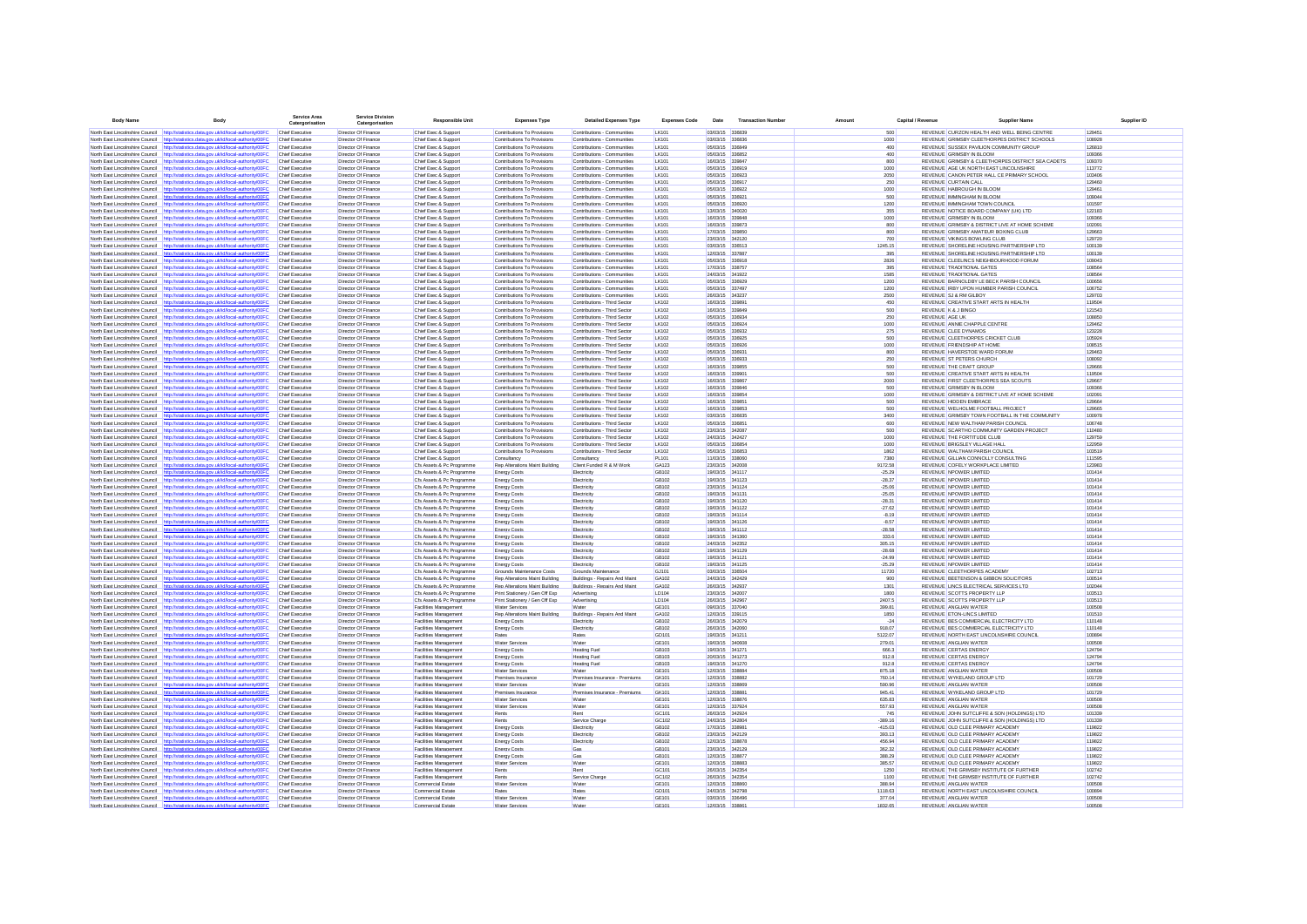| <b>Body Name</b>                           | Body                                                                                                                                                                           | <b>Service Area</b><br>Catergorisation           | <b>Service Division</b><br>Catergorisation | <b>Responsible Unit</b>                                | <b>Expenses Type</b>                                             | <b>Detailed Expenses Type</b>                                | <b>Expenses Code</b>         | Date                               | <b>Transaction Numbe</b> | Amoun   | Capital / Revenue    | <b>Supplier Name</b>                                                                        | Supplier ID      |
|--------------------------------------------|--------------------------------------------------------------------------------------------------------------------------------------------------------------------------------|--------------------------------------------------|--------------------------------------------|--------------------------------------------------------|------------------------------------------------------------------|--------------------------------------------------------------|------------------------------|------------------------------------|--------------------------|---------|----------------------|---------------------------------------------------------------------------------------------|------------------|
|                                            | North East Lincolnshire Council http://statistics.data.gov.uk/id/local-authority/00FC                                                                                          | Chief Executive                                  | Director Of Finance                        | Chief Exec & Sunnort                                   | Contributions To Provisions                                      | Contributions - Communities                                  | <b>IK101</b>                 | 03/03/15 336839                    |                          |         | 500                  | REVENUE CURZON HEALTH AND WELL BEING CENTRE                                                 | 129451           |
|                                            | North East Lincolnshire Council http://statistics.data.oov.uk/id/local-authority/00EC.                                                                                         | Chief Executive                                  | Director Of Finance                        | Chief Exec & Sunnort                                   | Contributions To Provisions                                      | Contributions - Communities                                  | <b>IK101</b>                 | 03/03/15 336836                    |                          |         | 1000                 | REVENUE GRIMSRY CLEETHORPES DISTRICT SCHOOLS                                                | 108928           |
|                                            | North East Lincolnshire Council http://statistics.data.oov.uk/id/local-authority/00EC                                                                                          | Chief Executive                                  | Director Of Finance                        | Chief Exec & Sunnort                                   | Contributions To Provisions                                      | Contributions - Communities                                  | <b>IK101</b>                 | 05/03/15 336849                    |                          |         | 400                  | REVENUE SUSSEX PAVILION COMMUNITY GROUP                                                     | 126810           |
| North Fast Lincolnshire Council            | http://statistics.data.gov.uk/id/local-authority/00FC                                                                                                                          | Chief Executive                                  | Director Of Finance                        | Chief Exec & Support                                   | Contributions To Provisions                                      | Contributions - Communities                                  | LK101                        | 05/03/15 336852                    |                          |         | 400                  | REVENUE GRIMSBY IN BLOOM                                                                    | 109366           |
| North East Lincolnshire Council            | North East Lincolnshire Council http://statistics.data.gov.uk/id/local-authority/00FC<br>http://statistics.data.oov.uk/id/local-authority/00FC                                 | <b>Chief Executive</b><br><b>Chief Executive</b> | Director Of Finance<br>Director Of Finance | Chief Exec & Support<br>Chief Exec & Suppor            | Contributions To Provisions<br>Contributions To Provisions       | Contributions - Communities<br>Contributions - Communities   | <b>LK101</b><br><b>LK101</b> | 16/03/15 339847<br>05/03/15 336919 |                          |         | 800<br>1000          | REVENUE GRIMSBY & CLEETHORPES DISTRICT SEA CADETS<br>REVENUE AGE UK NORTH EAST LINCOLNSHIRE | 109370<br>113772 |
|                                            | North East Lincolnshire Council http://statistics.data.gov.uk/id/local-authority/00FC                                                                                          | <b>Chief Executive</b>                           | Director Of Finance                        | Chief Exec & Support                                   | Contributions To Provisions                                      | Contributions - Communities                                  | <b>LK101</b>                 | 05/03/15 336923                    |                          |         | 2050                 | REVENUE CANON PETER HALL CE PRIMARY SCHOOL                                                  | 103406           |
|                                            | North East Lincolnshire Council http://statistics.data.gov.uk/id/local-authority/00FC                                                                                          | <b>Chief Executive</b>                           | Director Of Finance                        | Chief Exec & Suppor                                    | Contributions To Provisions                                      | Contributions - Communities                                  | <b>LK101</b>                 | 05/03/15 336917                    |                          |         | 250                  | <b>REVENUE CURTAIN CALL</b>                                                                 | 129460           |
| North East Lincolnshire Council            | http://statistics.data.gov.uk/id/local-authority/00FC                                                                                                                          | Chief Executive                                  | Director Of Finance                        | Chief Exec & Support                                   | Contributions To Provisions                                      | Contributions - Communities                                  | <b>LK101</b>                 | 05/03/15 336922                    |                          |         | 1000                 | REVENUE HABROUGH IN BLOOM                                                                   | 129461           |
| North East Lincolnshire Council            | http://statistics.data.gov.uk/id/local-authority/00FC                                                                                                                          | Chief Executive                                  | Director Of Finance                        | Chief Exec & Suppor                                    | Contributions To Provisions                                      | Contributions - Communities                                  | <b>LK101</b>                 | 05/03/15 336921                    |                          |         | 500                  | REVENUE MMINGHAM IN BLOOM                                                                   | 109044           |
|                                            | North East Lincolnshire Council http://statistics.data.gov.uk/id/local-authority/00FC<br>North East Lincolnshire Council http://statistics.data.gov.uk/id/local-authority/00FC | Chief Executive<br><b>Chief Executive</b>        | Director Of Finance<br>Director Of Finance | Chief Exec & Support<br>Chief Exec & Support           | Contributions To Provisions<br>Contributions To Provisions       | Contributions - Communities<br>Contributions - Communities   | LK101<br>LK101               | 05/03/15 336920<br>13/03/15 340020 |                          |         | 1200<br>355          | REVENUE IMMINGHAM TOWN COUNCIL<br>REVENUE NOTICE BOARD COMPANY (UK) LTD                     | 101597<br>122183 |
|                                            | North East Lincolnshire Council http://statistics.data.gov.uk/id/local-authority/00FC                                                                                          | <b>Chief Executive</b>                           | Director Of Finance                        | Chief Exec & Support                                   | Contributions To Provisions                                      | Contributions - Communities                                  | <b>LK101</b>                 | 16/03/15 339848                    |                          |         | 1000                 | REVENUE GRIMSBY IN BLOOM                                                                    | 109366           |
|                                            | North East Lincolnshire Council http://statistics.data.gov.uk/id/local-authority/00FC                                                                                          | Chief Executive                                  | Director Of Finance                        | Chief Exec & Support                                   | Contributions To Provisions                                      | Contributions - Communities                                  | LK101                        | 16/03/15 339873                    |                          |         | 800                  | REVENUE GRIMSBY & DISTRICT LIVE AT HOME SCHEME                                              | 102091           |
| North East Lincolnshire Council            | http://statistics.data.gov.uk/id/local-authority/00FC                                                                                                                          | Chief Executive                                  | Director Of Finance                        | Chief Exec & Support                                   | Contributions To Provisions                                      | Contributions - Communities                                  | LK101                        | 17/03/15 339850                    |                          |         | 800                  | REVENUE GRIMSBY AMATEUR BOXING CLUB                                                         | 129663           |
| North East Lincolnshire Council            | http://statistics.data.gov.uk/id/local-authority/00FC                                                                                                                          | <b>Chief Executive</b>                           | Director Of Finance                        | Chief Exec & Support                                   | Contributions To Provisions                                      | Contributions - Communities                                  | LK101                        | 23/03/15 342120                    |                          |         | 700                  | REVENUE VIKINGS BOWLING CLUB                                                                | 129720           |
|                                            | North East Lincolnshire Council http://statistics.data.gov.uk/id/local-authority/00FC<br>North East Lincolnshire Council http://statistics.data.oov.uk/id/local-authority/00EC | Chief Executive<br>Chief Executive               | Director Of Finance<br>Director Of Finance | Chief Exec & Support<br>Chief Exec & Support           | Contributions To Provisions<br>Contributions To Provisions       | Contributions - Communities<br>Contributions - Communities   | LK101<br><b>IK101</b>        | 03/03/15 336513<br>12/03/15 337887 |                          |         | 1245.15<br>395       | REVENUE SHORELINE HOUSING PARTNERSHIP LTD<br>REVENUE, SHORELINE HOUSING PARTNER SHIP LTD.   | 100139<br>100139 |
|                                            | North East Lincolnshire Council http://statistics.data.oov.uk/id/local-authority/00EC                                                                                          | Chief Executive                                  | Director Of Finance                        | Chief Exec & Support                                   | Contributions To Provisions                                      | Contributions - Communities                                  | <b>IK101</b>                 | 05/03/15 336918                    |                          |         | 2826                 | REVENUE CLEELINCS NEIGHBOURHOOD FORUM                                                       | 109043           |
|                                            | North East Lincolnshire Council http://statistics.data.oov.uk/id/local-authority/00EC                                                                                          | Chief Executive                                  | Director Of Finance                        | Chief Exec & Sunnort                                   | Contributions To Provisions                                      | Contributions - Communities                                  | <b>IK101</b>                 | 17/03/15 338757                    |                          |         | 395                  | REVENUE TRADITIONAL GATES                                                                   | 108564           |
| North East Lincolnshire Council            | http://statistics.data.gov.uk/id/local-authority/00FC                                                                                                                          | Chief Executive                                  | Director Of Finance                        | Chief Exec & Support                                   | Contributions To Provisions                                      | Contributions - Communities                                  | <b>IK101</b>                 | 24/03/15 341922                    |                          |         | 1585                 | <b>REVENUE TRADITIONAL GATES</b>                                                            | 108564           |
|                                            | North East Lincolnshire Council http://statistics.data.gov.uk/id/local-authority/00FC                                                                                          | Chief Executive                                  | Director Of Finance                        | Chief Exec & Support                                   | Contributions To Provisions                                      | Contributions - Communities                                  | LK101                        | 05/03/15 336929                    |                          |         | 1200                 | REVENUE BARNOLDBY LE BECK PARISH COUNCIL                                                    | 100656           |
| North East Lincolnshire Council            | http://statistics.data.gov.uk/id/local-authority/00FC<br>North East Lincolnshire Council http://statistics.data.gov.uk/id/local-authority/00FC                                 | Chief Executive<br>Chief Executive               | Director Of Finano<br>Director Of Finance  | Chief Exec & Suppor<br>Chief Exec & Support            | Contributions To Provisions<br>Contributions To Provisions       | Contributions - Communities<br>Contributions - Communities   | <b>LK101</b><br><b>LK101</b> | 05/03/15 337497<br>26/03/15 343237 |                          |         | 1200<br>2500         | REVENUE IRBY UPON HUMBER PARISH COUNCIL<br>REVENUE SJ & RM GILBOY                           | 106752<br>129703 |
|                                            | North East Lincolnshire Council http://statistics.data.gov.uk/id/local-authority/00FC                                                                                          | Chief Executive                                  | Director Of Finance                        | Chief Exec & Suppor                                    | Contributions To Provisions                                      | Contributions - Third Sector                                 | <b>LK102</b>                 | 16/03/15 339891                    |                          |         | 450                  | REVENUE CREATIVE START ARTS IN HEALTH                                                       | 119504           |
|                                            | North East Lincolnshire Council http://statistics.data.gov.uk/id/local-authority/00FC                                                                                          | Chief Executive                                  | Director Of Finance                        | Chief Exec & Support                                   | Contributions To Provisions                                      | Contributions - Third Sector                                 | LK102                        | 16/03/15 339849                    |                          |         | 500                  | REVENUE K & J BINGO                                                                         | 121543           |
| North East Lincolnshire Council            | http://statistics.data.gov.uk/id/local-authority/00FC                                                                                                                          | Chief Executiv                                   | Director Of Finance                        | Chief Exec & Suppor                                    | Contributions To Provisions                                      | Contributions - Third Sector                                 | LK102                        | 05/03/15 336934                    |                          |         | 250                  | <b>REVENUE AGE UK</b>                                                                       | 108850           |
|                                            | North East Lincolnshire Council http://statistics.data.gov.uk/id/local-authority/00FC                                                                                          | Chief Executive                                  | Director Of Finance                        | Chief Exec & Support                                   | Contributions To Provisions                                      | Contributions - Third Sector                                 | LK102                        | 05/03/15 336924                    |                          |         | 1000                 | REVENUE ANNIE CHAPPLE CENTRE                                                                | 129462           |
|                                            | North East Lincolnshire Council http://statistics.data.gov.uk/id/local-authority/00FC<br>North East Lincolnshire Council http://statistics.data.gov.uk/id/local-authority/00FC | Chief Executive<br>Chief Executive               | Director Of Finance<br>Director Of Finance | Chief Exec & Support<br>Chief Exec & Support           | Contributions To Provisions<br>Contributions To Provisions       | Contributions - Third Sector<br>Contributions - Third Sector | LK102<br>LK102               | 05/03/15 336932<br>05/03/15 336925 |                          |         | 275<br>500           | <b>REVENUE CLEE DYNAMOS</b><br>REVENUE CLEETHORPES CRICKET CLUB                             | 123228<br>105924 |
| North East Lincolnshire Council            | http://statistics.data.gov.uk/id/local-authority/00FC                                                                                                                          | Chief Executive                                  | Director Of Finance                        | Chief Exec & Support                                   | Contributions To Provisions                                      | Contributions - Third Sector                                 | LK102                        | 05/03/15 336926                    |                          |         | 1000                 | REVENUE FRIENDSHIP AT HOME                                                                  | 108515           |
| North East Lincolnshire Council            | http://statistics.data.gov.uk/id/local-authority/00FC                                                                                                                          | <b>Chief Executive</b>                           | Director Of Finance                        | Chief Exec & Support                                   | Contributions To Provisions                                      | Contributions - Third Sector                                 | LK102                        | 05/03/15 336931                    |                          |         | 800                  | REVENUE HAVERSTOE WARD FORUM                                                                | 129463           |
| North East Lincolnshire Council            | http://statistics.data.gov.uk/id/local-authority/00FC                                                                                                                          | <b>Chief Executive</b>                           | Director Of Finance                        | Chief Exec & Support                                   | Contributions To Provisions                                      | Contributions - Third Sector                                 | LK102                        | 05/03/15 336933                    |                          |         | 250                  | REVENUE ST PETERS CHURCH                                                                    | 108092           |
|                                            | North East Lincolnshire Council http://statistics.data.gov.uk/id/local-authority/00FC                                                                                          | Chief Executive                                  | Director Of Finance                        | Chief Exec & Support                                   | Contributions To Provisions                                      | Contributions - Third Sector                                 | LK102                        | 16/03/15 339855                    |                          |         | 500                  | REVENUE THE CRAFT GROUP                                                                     | 129666           |
|                                            | North East Lincolnshire Council http://statistics.data.gov.uk/id/local-authority/00FC<br>North East Lincolnshire Council http://statistics.data.gov.uk/id/local-authority/00FC | Chief Executive<br>Chief Executive               | Director Of Finance<br>Director Of Finance | Chief Exec & Support<br>Chief Exec & Support           | Contributions To Provisions<br>Contributions To Provisions       | Contributions - Third Sector<br>Contributions - Third Sector | LK102<br>LK102               | 16/03/15 339901<br>16/03/15 339867 |                          |         | 500<br>2000          | REVENUE CREATIVE START ARTS IN HEALTH<br>REVENUE FIRST CLEETHORPES SEA SCOUTS               | 119504<br>129667 |
|                                            | North East Lincolnshire Council http://statistics.data.gov.uk/id/local-authority/00FC                                                                                          | Chief Executive                                  | Director Of Finance                        | Chief Exec & Support                                   | Contributions To Provisions                                      | Contributions - Third Sector                                 | LK102                        | 16/03/15 339846                    |                          |         | 500                  | REVENUE GRIMSBY IN BLOOM                                                                    | 109366           |
| North Fast Lincolnshire Council            | http://statistics.data.oov.uk/id/local-authority/00EC                                                                                                                          | Chief Executive                                  | Director Of Finance                        | Chief Exec & Support                                   | Contributions To Provisions                                      | Contributions - Third Sector                                 | <b>IK102</b>                 | 16/03/15 339854                    |                          |         | 1000                 | REVENUE GRIMSBY & DISTRICT LIVE AT HOME SCHEME                                              | 102091           |
|                                            | North East Lincolnshire Council http://statistics.data.gov.uk/id/local-authority/00FC                                                                                          | Chief Executive                                  | Director Of Finance                        | Chief Exec & Support                                   | Contributions To Provisions                                      | Contributions - Third Sector                                 | <b>IK102</b>                 | 16/03/15 339851                    |                          |         | 500                  | REVENUE HIDDEN EMBRACE                                                                      | 129664           |
| North Fast Lincolnshire Council            | http://statistics.data.gov.uk/id/local-authority/00FC                                                                                                                          | Chief Executive                                  | Director Of Finance                        | Chief Exec & Support                                   | Contributions To Provisions                                      | Contributions - Third Sector                                 | <b>IK102</b>                 | 16/03/15 339853                    |                          |         | 500                  | REVENUE WELHOLME FOOTBALL PROJECT                                                           | 129665           |
| North East Lincolnshire Council            | North East Lincolnshire Council http://statistics.data.gov.uk/id/local-authority/00FC<br>http://statistics.data.gov.uk/id/local-authority/00FC                                 | Chief Executive<br>Chief Executive               | Director Of Finance<br>Director Of Finano  | Chief Exec & Support<br>Chief Exec & Suppor            | Contributions To Provisions<br>Contributions To Provisions       | Contributions - Third Sector<br>Contributions - Third Sector | <b>LK102</b><br><b>LK102</b> | 03/03/15 336835<br>05/03/15 336851 |                          |         | 3400<br>600          | REVENUE GRIMSBY TOWN FOOTBALL IN THE COMMUNITY<br>REVENUE NEW WALTHAM PARISH COUNCIL        | 100978<br>106748 |
|                                            | North East Lincolnshire Council http://statistics.data.gov.uk/id/local-authority/00FC                                                                                          | <b>Chief Executive</b>                           | Director Of Finance                        | Chief Exec & Suppor                                    | Contributions To Provisions                                      | Contributions - Third Sector                                 | <b>LK102</b>                 | 23/03/15 342087                    |                          |         | 500                  | REVENUE SCARTHO COMMUNITY GARDEN PROJECT                                                    | 110480           |
| North East Lincolnshire Council            | http://statistics.data.gov.uk/id/local-authority/00FC                                                                                                                          | Chief Executive                                  | Director Of Finance                        | Chief Exec & Suppor                                    | Contributions To Provisions                                      | Contributions - Third Sector                                 | LK102                        | 24/03/15 342427                    |                          |         | 1000                 | REVENUE THE FORTITUDE CLUB                                                                  | 129759           |
| North East Lincolnshire Council            | http://statistics.data.gov.uk/id/local-authority/00FC                                                                                                                          | Chief Executive                                  | Director Of Finance                        | Chief Exec & Suppor                                    | Contributions To Provisions                                      | Contributions - Third Sector                                 | LK102                        | 05/03/15 336854                    |                          |         | 1000                 | REVENUE BRIGSLEY VILLAGE HALL                                                               | 122959           |
| North East Lincolnshire Council            | http://statistics.data.gov.uk/id/local-authority/00FC                                                                                                                          | Chief Executive                                  | Director Of Finance                        | Chief Exec & Support                                   | Contributions To Provisions                                      | Contributions - Third Sector                                 | LK102                        | 05/03/15 336853                    |                          |         | 1862                 | REVENUE WALTHAM PARISH COUNCIL                                                              | 103519           |
|                                            | North East Lincolnshire Council http://statistics.data.gov.uk/id/local-authority/00FC                                                                                          | Chief Executive                                  | Director Of Finance                        | Chief Exec & Support                                   | Consultancy                                                      | Consultancy                                                  | <b>PL101</b><br>GA123        | 11/03/15 338060<br>23/03/15 342008 |                          |         | 7380                 | REVENUE GILLIAN CONNOLLY CONSULTING                                                         | 111595<br>123983 |
| North East Lincolnshire Council http://sta | North East Lincolnshire Council http://statistics.data.gov.uk/id/local-authority/00FC<br>istics.data.gov.uk/id/local-authority/00FC                                            | Chief Executive<br>Chief Executive               | Director Of Finance<br>Director Of Finance | Cfs Assets & Pc Programme<br>Cfs Assets & Pc Programme | Rep Alterations Maint Building<br><b>Energy Costs</b>            | Client Funded R & M Work<br>Electricity                      | GB102                        | 19/03/15 341117                    |                          |         | 9172.58<br>$-25.29$  | REVENUE COFELY WORKPLACE LIMITED<br>REVENUE NPOWER LIMITED                                  | 101414           |
| North East Lincolnshire Council            | http://statistics.data.gov.uk/id/local-authority/00FC                                                                                                                          | <b>Chief Executive</b>                           | Director Of Finance                        | Cfs Assets & Pc Programme                              | <b>Energy Costs</b>                                              | Electricity                                                  | GB102                        | 19/03/15 341123                    |                          |         | $-28.37$             | <b>REVENUE NPOWER LIMITED</b>                                                               | 101414           |
| North East Lincolnshire Council            | http://statistics.data.gov.uk/id/local-authority/00FC                                                                                                                          | <b>Chief Executive</b>                           | Director Of Finance                        | Cfs Assets & Pc Programme                              | <b>Energy Costs</b>                                              | Electricity                                                  | GB102                        | 23/03/15 341124                    |                          |         | $-25.06$             | REVENUE NPOWER LIMITED                                                                      | 101414           |
| North East Lincolnshire Council            | http://statistics.data.gov.uk/id/local-authority/00FC                                                                                                                          | <b>Chief Executive</b>                           | Director Of Finance                        | Cfs Assets & Pc Programme                              | <b>Energy Costs</b>                                              | Electricity                                                  | GB102                        | 19/03/15 341131                    |                          |         | $-25.05$             | REVENUE NPOWER LIMITED                                                                      | 101414           |
|                                            | North East Lincolnshire Council http://statistics.data.gov.uk/id/local-authority/00FC<br>North East Lincolnshire Council http://statistics.data.gov.uk/id/local-authority/00FC | Chief Executive<br><b>Chief Executive</b>        | Director Of Finance<br>Director Of Finance | Cfs Assets & Pc Programme<br>Cfs Assets & Pc Programme | <b>Energy Costs</b><br><b>Energy Costs</b>                       | Electricity<br>Electricity                                   | GB102<br>GB102               | 19/03/15 341120<br>19/03/15 341122 |                          |         | $-28.31$<br>$-27.62$ | REVENUE NPOWER LIMITED<br>REVENUE NPOWER LIMITED                                            | 101414<br>101414 |
| North East Lincolnshire Council            | http://statistics.data.gov.uk/id/local-authority/00FC                                                                                                                          | <b>Chief Executive</b>                           | Director Of Finance                        | Cfs Assets & Pc Programme                              | <b>Energy Costs</b>                                              | Electricity                                                  | GB102                        | 19/03/15 341114                    |                          |         | $-8.19$              | REVENUE NPOWER LIMITED                                                                      | 101414           |
|                                            | North East Lincolnshire Council http://statistics.data.gov.uk/id/local-authority/00FC                                                                                          | <b>Chief Executive</b>                           | Director Of Finance                        | Cfs Assets & Pc Programme                              | <b>Energy Costs</b>                                              | Electricity                                                  | GB102                        | 19/03/15 341126                    |                          |         | $-8.57$              | REVENUE NPOWER LIMITED                                                                      | 101414           |
| North East Lincolnshire Council            | http://statistics.data.gov.uk/id/local-authority/00FC                                                                                                                          | Chief Executive                                  | Director Of Finance                        | Cfs Assets & Pc Programme                              | <b>Energy Costs</b>                                              | Flectricity                                                  | GR <sub>102</sub>            | 19/03/15 341112                    |                          |         | $-28.58$             | REVENUE NPOWER LIMITED                                                                      | 101414           |
|                                            | North East Lincolnshire Council http://statistics.data.gov.uk/id/local-authority/00FC                                                                                          | Chief Executive                                  | Director Of Finance                        | Cfs Assets & Pc Programme                              | <b>Energy Costs</b>                                              | Flectricity                                                  | GR102                        | 19/03/15 341360                    |                          |         | 333.6                | REVENUE NPOWER LIMITED                                                                      | 101414<br>101414 |
| North East Lincolnshire Council            | http://statistics.data.oov.uk/id/local-authority/00FC<br>North East Lincolnshire Council http://statistics.data.gov.uk/id/local-authority/00FC                                 | Chief Executive<br>Chief Executive               | Director Of Finano<br>Director Of Finance  | Cfs Assets & Pc Programme<br>Cfs Assets & Pc Programme | <b>Energy Costs</b><br><b>Energy Costs</b>                       | Electricity<br>Electricity                                   | GB102<br>GB102               | 24/03/15 342352<br>19/03/15 341129 |                          |         | 305.15<br>$-28.68$   | <b>REVENUE NPOWER LIMITED</b><br>REVENUE NPOWER LIMITED                                     | 101414           |
| North East Lincolnshire Council            | http://statistics.data.gov.uk/id/local-authority/00FC                                                                                                                          | Chief Executive                                  | Director Of Finance                        | Cfs Assets & Pc Programme                              | <b>Energy Costs</b>                                              | Electricity                                                  | GB102                        | 19/03/15 341121                    |                          |         | $-24.99$             | REVENUE NPOWER LIMITED                                                                      | 101414           |
| North East Lincolnshire Council            | http://statistics.data.gov.uk/id/local-authority/00FC                                                                                                                          | Chief Executive                                  | Director Of Finance                        | Cfs Assets & Pc Programme                              | <b>Energy Costs</b>                                              | Electricity                                                  | GB102                        | 19/03/15 341125                    |                          |         | $-25.29$             | REVENUE NPOWER LIMITED                                                                      | 101414           |
| North East Lincolnshire Council            | http://statistics.data.gov.uk/id/local-authority/00FC                                                                                                                          | Chief Executiv                                   | Director Of Finance                        | Cfs Assets & Pc Programme                              | Grounds Maintenance Costs                                        | Grounds Maintenance                                          | GJ101                        | 03/03/15 336504                    |                          |         | 11720                | REVENUE CLEETHORPES ACADEMY                                                                 | 102713           |
|                                            | North East Lincolnshire Council http://statistics.data.gov.uk/id/local-authority/00FC                                                                                          | Chief Executive                                  | Director Of Finance                        | Cfs Assets & Pc Programme                              | Rep Alterations Maint Building                                   | Buildings - Repairs And Main                                 | GA102                        | 24/03/15 342429                    |                          |         | 900                  | REVENUE BEETENSON & GIBBON SOLICITORS                                                       | 100514           |
|                                            | North East Lincolnshire Council http://statistics.data.gov.uk/id/local-authority/00FC<br>North East Lincolnshire Council http://statistics.data.gov.uk/id/local-authority/00FC | Chief Executive<br>Chief Executive               | Director Of Finance<br>Director Of Finance | Cfs Assets & Pc Programme<br>Cfs Assets & Pc Programme | Rep Alterations Maint Building<br>Print Stationery / Gen Off Exp | Buildings - Repairs And Maint<br>Advertising                 | GA102<br>LD104               | 26/03/15 342937<br>23/03/15 342007 |                          |         | 1301<br>1800         | REVENUE LINCS ELECTRICAL SERVICES LTD<br>REVENUE SCOTTS PROPERTY LLP                        | 102044<br>103513 |
|                                            | North East Lincolnshire Council http://statistics.data.gov.uk/id/local-authority/00FC                                                                                          | <b>Chief Executive</b>                           | Director Of Finance                        | Cfs Assets & Pc Programme                              | Print Stationery / Gen Off Exp                                   | Advertising                                                  | LD104                        | 26/03/15 342967                    |                          |         | 2407.5               | REVENUE SCOTTS PROPERTY LLP                                                                 | 103513           |
| North East Lincolnshire Council            | http://statistics.data.gov.uk/id/local-authority/00FC                                                                                                                          | Chief Executive                                  | Director Of Finance                        | Facilities Management                                  | <b>Water Services</b>                                            | Water                                                        | GE101                        | 09/03/15 337040                    |                          |         | 399.81               | <b>REVENUE ANGLIAN WATER</b>                                                                | 100508           |
| North East Lincolnshire Council            | http://statistics.data.gov.uk/id/local-authority/00FC                                                                                                                          | <b>Chief Executive</b>                           | Director Of Finance                        | Facilities Management                                  | Rep Alterations Maint Building                                   | Buildings - Repairs And Maint                                | GA102                        | 12/03/15 339115                    |                          |         | 1850                 | REVENUE ETON-LINCS LIMITED                                                                  | 101510           |
|                                            | North East Lincolnshire Council http://statistics.data.gov.uk/id/local-authority/00FC<br>North East Lincolnshire Council http://statistics.data.gov.uk/id/local-authority/00FC | Chief Executive<br><b>Chief Executive</b>        | Director Of Finance<br>Director Of Finance | Facilities Management<br>Facilities Management         | <b>Energy Costs</b>                                              | Electricity<br>Electricity                                   | GB102<br>GB102               | 26/03/15 342079<br>26/03/15 342060 |                          |         | $-24$<br>918.07      | REVENUE BES COMMERCIAL ELECTRICITY LTD<br>REVENUE BES COMMERCIAL ELECTRICITY LTD            | 110148<br>110148 |
|                                            | North East Lincolnshire Council http://statistics.data.gov.uk/id/local-authority/00FC                                                                                          | <b>Chief Executive</b>                           | Director Of Finance                        | <b>Facilities Management</b>                           | <b>Energy Costs</b><br>Rates                                     | Rates                                                        | GD101                        | 19/03/15 341211                    |                          | 5122.07 |                      | REVENUE NORTH EAST LINCOLNSHIRE COUNCIL                                                     | 100894           |
|                                            | North East Lincolnshire Council http://statistics.data.gov.uk/id/local-authority/00FC                                                                                          | <b>Chief Executive</b>                           | Director Of Finance                        | Facilities Management                                  | <b>Water Services</b>                                            | Water                                                        | GE101                        | 19/03/15 340608                    |                          | 279.01  |                      | <b>REVENUE ANGLIAN WATER</b>                                                                | 100508           |
| North East Lincolnshire Council            | http://statistics.data.gov.uk/id/local-authority/00FC                                                                                                                          | <b>Chief Executive</b>                           | Director Of Finance                        | Facilities Management                                  | <b>Energy Costs</b>                                              | <b>Heating Fue</b>                                           | GB103                        | 19/03/15 341271                    |                          |         | 666.3                | <b>REVENUE CERTAS ENERGY</b>                                                                | 124794           |
|                                            | North East Lincolnshire Council http://statistics.data.gov.uk/id/local-authority/00FC                                                                                          | <b>Chief Executive</b>                           | Director Of Finance                        | Facilities Management                                  | <b>Energy Costs</b>                                              | <b>Heating Fue</b>                                           | GB103                        | 20/03/15 341273                    |                          |         | 912.8                | <b>REVENUE CERTAS ENERGY</b>                                                                | 124794           |
| North East Lincolnshire Council            | http://statistics.data.gov.uk/id/local-authority/00FC                                                                                                                          | <b>Chief Executive</b><br>Chief Executive        | Director Of Finano                         | <b>Facilities Management</b>                           | <b>Energy Costs</b>                                              | <b>Heating Fue</b><br>Wate                                   | GB103<br>GE101               | 19/03/15 341270<br>12/03/15 338884 |                          |         | 912.8<br>875.18      | REVENUE CERTAS ENERGY<br><b>REVENUE ANGLIAN WATER</b>                                       | 124794<br>100508 |
|                                            | North East Lincolnshire Council http://statistics.data.gov.uk/id/local-authority/00FC<br>North East Lincolnshire Council http://statistics.data.gov.uk/id/local-authority/00FC | Chief Executive                                  | Director Of Finance<br>Director Of Finano  | <b>Facilities Management</b><br>Facilities Management  | <b>Water Services</b><br>Premises Insurance                      | Premises Insurance - Premiums                                | <b>GK101</b>                 | 12/03/15 338882                    |                          |         | 760.14               | REVENUE WYKELAND GROUP LTD                                                                  | 101729           |
|                                            | North East Lincolnshire Council http://statistics.data.gov.uk/id/local-authority/00FC                                                                                          | Chief Executive                                  | Director Of Finance                        | Facilities Management                                  | <b>Water Services</b>                                            | Wate                                                         | GE101                        | 12/03/15 338869                    |                          | 590.96  |                      | REVENUE ANGLIAN WATER                                                                       | 100508           |
| North East Lincolnshire Council            | http://statistics.data.gov.uk/id/local-authority/00FC                                                                                                                          | Chief Executive                                  | Director Of Finano                         | Facilities Managemen                                   | Premises Insurance                                               | Premises Insurance - Premiums                                | <b>GK101</b>                 | 12/03/15 338881                    |                          |         | 945.41               | REVENUE WYKELAND GROUP LTD                                                                  | 101729           |
|                                            | North East Lincolnshire Council http://statistics.data.gov.uk/id/local-authority/00FC                                                                                          | Chief Executive                                  | Director Of Finance                        | Facilities Management                                  | Water Services                                                   | Wate                                                         | GE101                        | 12/03/15 338876                    |                          |         | 635.83               | REVENUE ANGLIAN WATER                                                                       | 100508           |
|                                            | North East Lincolnshire Council http://statistics.data.gov.uk/id/local-authority/00FC                                                                                          | Chief Executive<br>Chief Executive               | Director Of Finance<br>Director Of Finance | <b>Facilities Management</b><br>Facilities Management  | <b>Water Services</b>                                            | Water<br>Rent                                                | GE101<br>GC101               | 12/03/15 337924<br>26/03/15 342924 |                          |         | 557.93<br>745        | REVENUE ANGLIAN WATER<br>REVENUE JOHN SUTCLIFFE & SON (HOLDINGS) LTD                        | 100508<br>101339 |
|                                            | North East Lincolnshire Council http://statistics.data.gov.uk/id/local-authority/00FC<br>North East Lincolnshire Council http://statistics.data.gov.uk/id/local-authority/00FC | Chief Executive                                  | Director Of Finance                        | Facilities Management                                  | Rents<br>Rents                                                   | Service Charge                                               | GC102                        | 24/03/15 342804                    |                          |         | $-389.16$            | REVENUE JOHN SUTCLIFFE & SON (HOLDINGS) LTD                                                 | 101339           |
| North East Lincolnshire Council http://sta | tistics.data.oov.uk/id/local-authority/00FC                                                                                                                                    | Chief Executive                                  | Director Of Finance                        | Facilities Management                                  | <b>Energy Costs</b>                                              | Electricity                                                  | GB102                        | 17/03/15 338981                    |                          |         | $-415.03$            | REVENUE OLD CLEE PRIMARY ACADEMY                                                            | 119822           |
| North East Lincolnshire Council            | http://statistics.data.gov.uk/id/local-authority/00FC                                                                                                                          | <b>Chief Executive</b>                           | Director Of Finance                        | Facilities Management                                  | <b>Energy Costs</b>                                              | Electricity                                                  | GB102                        | 23/03/15 342129                    |                          |         | 393.13               | REVENUE OLD CLEE PRIMARY ACADEMY                                                            | 119822           |
|                                            | North East Lincolnshire Council http://statistics.data.gov.uk/id/local-authority/00FC                                                                                          | Chief Executive                                  | Director Of Finance                        | Facilities Management                                  | Energy Costs                                                     | Electricity                                                  | GB102                        | 12/03/15 338878                    |                          | 456.94  |                      | REVENUE OLD CLEE PRIMARY ACADEMY                                                            | 119822           |
|                                            | North East Lincolnshire Council http://statistics.data.gov.uk/id/local-authority/00FC<br>North East Lincolnshire Council http://statistics.data.gov.uk/id/local-authority/00FC | <b>Chief Executive</b><br><b>Chief Executive</b> | Director Of Finance<br>Director Of Finance | Facilities Management<br>Facilities Management         | <b>Energy Costs</b><br>Energy Costs                              | Gas<br>Gas                                                   | GB101<br>GB101               | 23/03/15 342129<br>12/03/15 338877 |                          |         | 362.32<br>388.29     | REVENUE OLD CLEE PRIMARY ACADEMY<br>REVENUE OLD CLEE PRIMARY ACADEMY                        | 119822<br>119822 |
|                                            | North East Lincolnshire Council http://statistics.data.gov.uk/id/local-authority/00FC                                                                                          | <b>Chief Executive</b>                           | Director Of Finance                        | Facilities Management                                  | <b>Water Services</b>                                            | Water                                                        | GE101                        | 12/03/15 338883                    |                          |         | 385.57               | REVENUE OLD CLEE PRIMARY ACADEMY                                                            | 119822           |
|                                            | North East Lincolnshire Council http://statistics.data.gov.uk/id/local-authority/00FC                                                                                          | <b>Chief Executive</b>                           | Director Of Finance                        | Facilities Management                                  | Rents                                                            | Rent                                                         | GC101                        | 26/03/15 342354                    |                          |         | 1250                 | REVENUE THE GRIMSBY INSTITUTE OF FURTHER                                                    | 102742           |
|                                            | North East Lincolnshire Council http://statistics.data.gov.uk/id/local-authority/00FC                                                                                          | <b>Chief Executive</b>                           | Director Of Finance                        | Facilities Management                                  | Rents                                                            | Service Charge                                               | GC102                        | 26/03/15 342354                    |                          |         | 1100                 | REVENUE THE GRIMSBY INSTITUTE OF FURTHER                                                    | 102742           |
|                                            | North East Lincolnshire Council http://statistics.data.gov.uk/id/local-authority/00FC                                                                                          | <b>Chief Executive</b>                           | Director Of Finance                        | Commercial Estate                                      | <b>Water Services</b>                                            | Water                                                        | GE101                        | 12/03/15 338860                    |                          |         | 388.94               | <b>REVENUE ANGLIAN WATER</b>                                                                | 100508           |
|                                            | North East Lincolnshire Council http://statistics.data.gov.uk/id/local-authority/00FC<br>North East Lincolnshire Council http://statistics.data.gov.uk/id/local-authority/00FC | <b>Chief Executive</b><br><b>Chief Executive</b> | Director Of Finance<br>Director Of Finance | Commercial Estate<br>Commercial Estate                 | Rates<br><b>Water Services</b>                                   | Rates<br>Water                                               | GD101<br>GE101               | 24/03/15 342798<br>03/03/15 336496 |                          | 1118.63 | 377.04               | REVENUE NORTH EAST LINCOLNSHIRE COUNCIL<br>REVENUE ANGLIAN WATER                            | 100894<br>100508 |
| North East Lincolnshire Council htt        |                                                                                                                                                                                | <b>Chief Executive</b>                           | Director Of Finance                        | Commercial Estate                                      | <b>Water Servicer</b>                                            | Wate                                                         | GE101                        | 12/03/15                           | 338861                   |         | 1832.65              | REVENUE ANGLIAN WATER                                                                       | 100508           |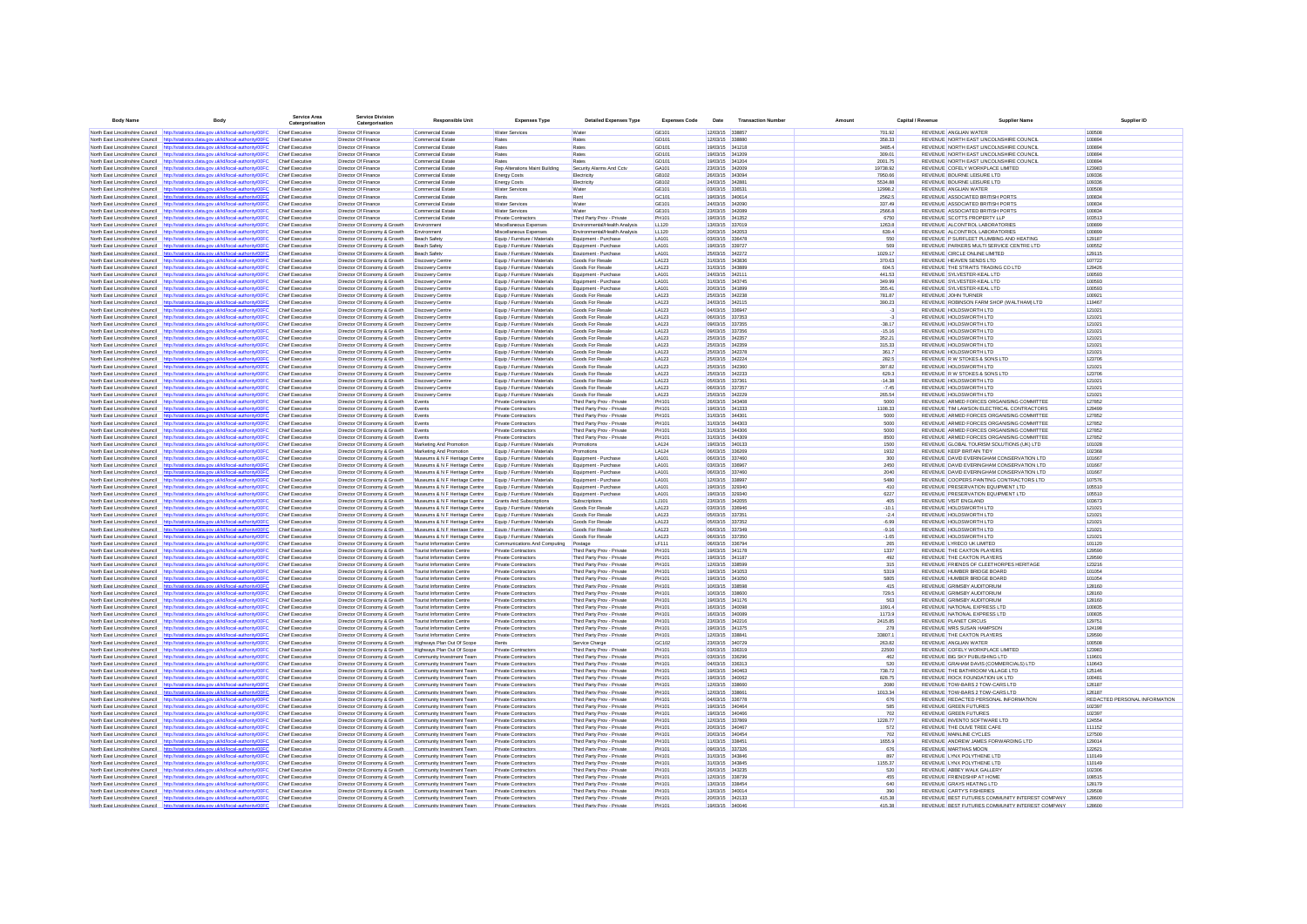| <b>Body Name</b>                    | Body                                                                                                                                                                           | <b>Service Are</b><br>Catergorisation            | Catergorisation                                              | <b>Responsible Unit</b>                                                | <b>Expenses Type</b>                                           | <b>Detailed Expenses Type</b>                            | <b>Expenses Code</b>  | Date                               | <b>Transaction Numbe</b> | Amount              | Capital / Revenue |                                                                             | <b>Supplier Name</b>                                                                   | Supplier ID                   |
|-------------------------------------|--------------------------------------------------------------------------------------------------------------------------------------------------------------------------------|--------------------------------------------------|--------------------------------------------------------------|------------------------------------------------------------------------|----------------------------------------------------------------|----------------------------------------------------------|-----------------------|------------------------------------|--------------------------|---------------------|-------------------|-----------------------------------------------------------------------------|----------------------------------------------------------------------------------------|-------------------------------|
|                                     | North East Lincolnshire Council http://statistics.data.gov.uk/id/local-authority/00FC                                                                                          | <b>Chief Executive</b>                           | Director Of Finance                                          | Commercial Estate                                                      | <b>Water Services</b>                                          | Wate                                                     | GE101                 | 12/03/15 338857                    |                          | 701.92              |                   | REVENUE ANGLIAN WATER                                                       |                                                                                        | 100508                        |
|                                     | North East Lincolnshire Council http://statistics.data.gov.uk/id/local-authority/00FC                                                                                          | <b>Chief Executive</b>                           | Director Of Finance                                          | Commercial Estate                                                      | Rates                                                          | Rates                                                    | GD101                 | 12/03/15 338880                    |                          | 358.33              |                   | REVENUE NORTH EAST LINCOLNSHIRE COUNCIL                                     |                                                                                        | 100894                        |
| North East Lincolnshire Council     | http://statistics.data.gov.uk/id/local-authority/00FC                                                                                                                          | Chief Executive                                  | Director Of Finance                                          | Commercial Estate                                                      | Rates                                                          | Rates                                                    | GD101                 | 19/03/15 341218                    |                          | 3485.4              |                   | REVENUE NORTH EAST LINCOLNSHIRE COUNCIL                                     |                                                                                        | 100894                        |
|                                     | North East Lincolnshire Council http://statistics.data.gov.uk/id/local-authority/00FC                                                                                          | Chief Executive                                  | Director Of Finance                                          | Commercial Estate                                                      | Rates                                                          | Rates                                                    | GD101                 | 19/03/15 341209                    |                          | 309.01              |                   | REVENUE NORTH EAST LINCOLNSHIRE COUNCIL                                     |                                                                                        | 100894                        |
|                                     | North East Lincolnshire Council http://statistics.data.gov.uk/id/local-authority/00FC<br>North East Lincolnshire Council http://statistics.data.gov.uk/id/local-authority/00FC | Chief Executive<br>Chief Executive               | Director Of Finance<br>Director Of Finance                   | Commercial Estate                                                      | Rates<br>Rep Alterations Maint Building                        | Rates<br>Security Alarms And Cctv                        | GD101<br>GA101        | 19/03/15 341204<br>23/03/15 342009 |                          | 2001.75<br>19738.92 |                   | REVENUE NORTH EAST LINCOLNSHIRE COUNCIL<br>REVENUE COFELY WORKPLACE LIMITED |                                                                                        | 100894<br>123983              |
|                                     | North East Lincolnshire Council http://statistics.data.gov.uk/id/local-authority/00FC                                                                                          | <b>Chief Executive</b>                           | Director Of Finance                                          | Commercial Estate<br>Commercial Estate                                 | <b>Energy Costs</b>                                            | Electricity                                              | GB102                 | 26/03/15 343094                    |                          | 7950.66             |                   | REVENUE BOURNE LEISURE LTD                                                  |                                                                                        | 109336                        |
|                                     | North East Lincolnshire Council http://statistics.data.gov.uk/id/local-authority/00FC                                                                                          | Chief Executive                                  | Director Of Finance                                          | Commercial Estate                                                      | <b>Energy Costs</b>                                            | Electricity                                              | GB102                 | 24/03/15 342881                    |                          | 5534.88             |                   | REVENUE BOURNE LEISURE LTD                                                  |                                                                                        | 109336                        |
| North East Lincolnshire Council     | http://statistics.data.gov.uk/id/local-authority/00FC                                                                                                                          | <b>Chief Executive</b>                           | Director Of Finance                                          | Commercial Estate                                                      | <b>Water Services</b>                                          | Water                                                    | GE101                 | 03/03/15 336531                    |                          | 12998.2             |                   | REVENUE ANGLIAN WATER                                                       |                                                                                        | 100508                        |
|                                     | North East Lincolnshire Council http://statistics.data.gov.uk/id/local-authority/00FC                                                                                          | <b>Chief Executive</b>                           | Director Of Finance                                          | Commercial Estate                                                      | Rents                                                          | Rent                                                     | GC101                 | 19/03/15 340614                    |                          | 2562.5              |                   | REVENUE ASSOCIATED BRITISH PORTS                                            |                                                                                        | 100834                        |
|                                     | North East Lincolnshire Council http://statistics.data.oov.uk/id/local-authority/00EC                                                                                          | Chief Executive                                  | Director Of Finance                                          | Commercial Estate                                                      | <b>Water Services</b>                                          | Water                                                    | GF101                 | 24/03/15 342090                    |                          | 337.49              |                   | REVENUE ASSOCIATED BRITISH PORTS.                                           |                                                                                        | 100834                        |
|                                     | North East Lincolnshire Council http://statistics.data.gov.uk/id/local-authority/00FC<br>North East Lincolnshire Council http://statistics.data.oov.uk/id/local-authority/00EC | Chief Executive<br>Chief Executive               | Director Of Finance<br>Director Of Finance                   | Commercial Estate<br>Commercial Estate                                 | <b>Water Services</b><br>Private Contractors                   | Water<br>Third Party Prov - Private                      | GF101<br>PH101        | 23/03/15 342089<br>19/03/15 341352 |                          | 2566 B<br>6750      |                   | REVENUE ASSOCIATED BRITISH PORTS<br>REVENUE SCOTTS PROPERTY U.P.            |                                                                                        | 100834<br>103513              |
|                                     | North East Lincolnshire Council http://statistics.data.oov.uk/id/local-authority/00EC                                                                                          | Chief Executive                                  | Director Of Economy & Growth                                 | Environment                                                            | Miscellaneous Expenses                                         | Frwironmental/Health Analysis                            | 11120                 | 13/03/15 337019                    |                          | 1263.8              |                   | REVENUE ALCONTROL LABORATORIES                                              |                                                                                        | 100899                        |
|                                     | North East Lincolnshire Council http://statistics.data.gov.uk/id/local-authority/00FC                                                                                          | Chief Executive                                  | Director Of Economy & Growth                                 | Environment                                                            | Miscellaneous Expenses                                         | Environmental/Health Analysis                            | LL120                 | 2003/15 342053                     |                          | 639.4               |                   | REVENUE ALCONTROL LARORATORIES                                              |                                                                                        | 100899                        |
| North East Lincolnshire Council     | http://statistics.data.gov.uk/id/local-authority/00FC                                                                                                                          | Chief Executive                                  | Director Of Economy & Growth                                 | Beach Safety                                                           | Equip / Furniture / Materials                                  | Equipment - Purchase                                     | <b>LA101</b>          | 03/03/15 336478                    |                          | 550                 |                   | REVENUE P SURFLEET PLUMBING AND HEATING                                     |                                                                                        | 129187                        |
|                                     | North East Lincolnshire Council http://statistics.data.gov.uk/id/local-authority/00FC                                                                                          | Chief Executive                                  | Director Of Economy & Growth                                 | Beach Safety                                                           | Equip / Furniture / Materials                                  | Equipment - Purchase                                     | <b>LA101</b>          | 19/03/15 339727                    |                          | 569                 |                   | REVENUE PARKERS MULTI SERVICE CENTRE LTD                                    |                                                                                        | 100552                        |
| North East Lincolnshire Council     | http://statistics.data.oov.uk/id/local-authority/00FC                                                                                                                          | <b>Chief Executive</b>                           | Director Of Economy & Growth                                 | Beach Safety                                                           | Equip / Furniture / Materials                                  | Equipment - Purchase                                     | <b>LA101</b>          | 25/03/15 342272                    |                          | 1029.17             |                   | REVENUE CIRCLE ONLINE LIMITED                                               |                                                                                        | 129115                        |
|                                     | North East Lincolnshire Council http://statistics.data.gov.uk/id/local-authority/00FC<br>North East Lincolnshire Council http://statistics.data.gov.uk/id/local-authority/00F0 | Chief Executive<br><b>Chief Executive</b>        | Director Of Economy & Growth<br>Director Of Economy & Growth | <b>Discovery Centre</b><br>Discovery Centre                            | Equip / Furniture / Materials<br>Equip / Furniture / Materials | Goods For Resale<br>Goods For Resale                     | LA123<br>LA123        | 31/03/15 343836<br>31/03/15 343889 |                          | 370.63<br>604.5     |                   | REVENUE HEAVEN SENDS LTD<br>REVENUE THE STRAITS TRADING CO LTD              |                                                                                        | 107722<br>129426              |
| North East Lincolnshire Council     | http://statistics.data.gov.uk/id/local-authority/00FC                                                                                                                          | <b>Chief Executive</b>                           | Director Of Economy & Growth                                 | Discovery Centre                                                       | Equip / Furniture / Materials                                  | Equipment - Purchase                                     | LA101                 | 24/03/15 34211                     |                          | 441.53              |                   | REVENUE SYLVESTER-KEAL LTD                                                  |                                                                                        | 100593                        |
| North East Lincolnshire Council     | http://statistics.data.gov.uk/id/local-authority/00FC                                                                                                                          | Chief Executive                                  | Director Of Economy & Growth                                 | Discovery Centre                                                       | Equip / Furniture / Materials                                  | Equipment - Purchase                                     | LA101                 | 31/03/15 343745                    |                          | 349.99              |                   | REVENUE SYLVESTER-KEAL LTD                                                  |                                                                                        | 100593                        |
|                                     | North East Lincolnshire Council http://statistics.data.gov.uk/id/local-authority/00FC                                                                                          | Chief Executive                                  | Director Of Economy & Growth                                 | Discovery Centre                                                       | Equip / Furniture / Materials                                  | Equipment - Purchase                                     | LA101                 | 20/03/15 341899                    |                          | 355.41              |                   | REVENUE SYLVESTER-KEAL LTD                                                  |                                                                                        | 100593                        |
|                                     | North East Lincolnshire Council http://statistics.data.gov.uk/id/local-authority/00FC                                                                                          | Chief Executive                                  | Director Of Economy & Growth                                 | Discovery Centre                                                       | Equip / Furniture / Materials                                  | Goods For Resale                                         | LA123                 | 25/03/15 342238                    |                          | 781.87              |                   | REVENUE JOHN TURNER                                                         |                                                                                        | 100921                        |
|                                     | North East Lincolnshire Council http://statistics.data.gov.uk/id/local-authority/00FC                                                                                          | Chief Executive                                  | Director Of Economy & Growth                                 | Discovery Centre                                                       | Equip / Furniture / Materials                                  | Goods For Resale                                         | LA123                 | 24/03/15 342115                    |                          | 390.23              |                   | REVENUE ROBINSON FARM SHOP (WALTHAM) LTD                                    |                                                                                        | 119467                        |
| North East Lincolnshire Council     | http://statistics.data.gov.uk/id/local-authority/00FC<br>North East Lincolnshire Council http://statistics.data.gov.uk/id/local-authority/00FC                                 | Chief Executive<br>Chief Executive               | Director Of Economy & Growth<br>Director Of Economy & Growth | Discovery Centre<br>Discovery Centre                                   | Equip / Furniture / Materials<br>Equip / Furniture / Materials | Goods For Resale<br>Goods For Resale                     | LA123<br>LA123        | 04/03/15 336947<br>06/03/15 337353 |                          | $-3$<br>$-3$        |                   | REVENUE HOLDSWORTH LTD<br>REVENUE HOLDSWORTH LTD                            |                                                                                        | 121021<br>121021              |
|                                     | North East Lincolnshire Council http://statistics.data.gov.uk/id/local-authority/00FC                                                                                          | Chief Executive                                  | Director Of Economy & Growth                                 | Discovery Centre                                                       | Equip / Furniture / Materials                                  | Goods For Resale                                         | LA123                 | 09/03/15 337355                    |                          | $-38.17$            |                   | REVENUE HOLDSWORTH LTD                                                      |                                                                                        | 121021                        |
|                                     | North East Lincolnshire Council http://statistics.data.gov.uk/id/local-authority/00FC                                                                                          | Chief Executive                                  | Director Of Economy & Growth                                 | Discovery Centre                                                       | Equip / Furniture / Materials                                  | Goods For Resale                                         | LA123                 | 09/03/15 337356                    |                          | $-15.16$            |                   | REVENUE HOLDSWORTH LTD                                                      |                                                                                        | 121021                        |
|                                     | North East Lincolnshire Council http://statistics.data.gov.uk/id/local-authority/00FC                                                                                          | <b>Chief Executive</b>                           | Director Of Economy & Growth                                 | Discovery Centre                                                       | Equip / Furniture / Materials                                  | Goods For Resale                                         | LA123                 | 25/03/15 342357                    |                          | 352.21              |                   | REVENUE HOLDSWORTH LTD                                                      |                                                                                        | 121021                        |
| North East Lincolnshire Council     | http://statistics.data.gov.uk/id/local-authority/00FC                                                                                                                          | Chief Executive                                  | Director Of Economy & Growth                                 | Discovery Centre                                                       | Equip / Furniture / Materials                                  | Goods For Resale                                         | LA123                 | 25/03/15 342359                    |                          | 315.33              |                   | REVENUE HOLDSWORTH LTD                                                      |                                                                                        | 121021                        |
|                                     | North East Lincolnshire Council http://statistics.data.gov.uk/id/local-authority/00FC                                                                                          | Chief Executive                                  | Director Of Economy & Growth                                 | <b>Discovery Centre</b>                                                | Equip / Furniture / Materials                                  | Goods For Resale                                         | LA123                 | 25/03/15 342378                    |                          | 361.7               |                   | REVENUE HOLDSWORTH LTD                                                      |                                                                                        | 121021                        |
| North East Lincolnshire Council     | http://statistics.data.gov.uk/id/local-authority/00FC                                                                                                                          | Chief Executive                                  | Director Of Economy & Growth                                 | Discovery Centre                                                       | Equip / Furniture / Materials                                  | Goods For Resale                                         | LA123                 | 25/03/15 342224                    |                          | 282.5               |                   | REVENUE R W STOKES & SONS LTD                                               |                                                                                        | 123706                        |
| North East Lincolnshire Council     | North East Lincolnshire Council http://statistics.data.gov.uk/id/local-authority/00FC                                                                                          | Chief Executive<br>Chief Executive               | Director Of Economy & Growth<br>Director Of Economy & Growth | <b>Discovery Centre</b>                                                | Equip / Furniture / Materials<br>Equip / Furniture / Materials | Goods For Resale<br>Goods For Resale                     | LA123<br>LA123        | 25/03/15 342360<br>25/03/15 342233 |                          | 397.82<br>629.3     |                   | REVENUE HOLDSWORTH LTD<br>REVENUE R W STOKES & SONS LTD                     |                                                                                        | 121021<br>123706              |
|                                     | http://statistics.data.gov.uk/id/local-authority/00FC<br>North East Lincolnshire Council http://statistics.data.gov.uk/id/local-authority/00FC                                 | Chief Executive                                  | Director Of Economy & Growth                                 | Discovery Centre<br>Discovery Centre                                   | Equip / Furniture / Materials                                  | Goods For Resale                                         | LA123                 | 05/03/15 33736                     |                          | $-14.38$            |                   | REVENUE HOLDSWORTH LTD                                                      |                                                                                        | 121021                        |
|                                     | North East Lincolnshire Council http://statistics.data.gov.uk/id/local-authority/00FC                                                                                          | Chief Executive                                  | Director Of Economy & Growth                                 | Discovery Centre                                                       | Equip / Furniture / Materials                                  | Goods For Resale                                         | LA123                 | 06/03/15 337357                    |                          | $-7.45$             |                   | REVENUE HOLDSWORTH LTD                                                      |                                                                                        | 121021                        |
| North East Lincolnshire Council     | http://statistics.data.gov.uk/id/local-authority/00FC                                                                                                                          | Chief Executive                                  | Director Of Economy & Growth                                 | Discovery Centre                                                       | Equip / Furniture / Materials                                  | Goods For Resale                                         | LA123                 | 25/03/15 342229                    |                          | 265.54              |                   | REVENUE HOLDSWORTH LTD                                                      |                                                                                        | 121021                        |
| North East Lincolnshire Council     | http://statistics.data.gov.uk/id/local-authority/00FC                                                                                                                          | Chief Executive                                  | Director Of Economy & Growth                                 | Events                                                                 | Private Contractors                                            | Third Party Prov - Private                               | <b>PH101</b>          | 26/03/15 343408                    |                          | 5000                |                   |                                                                             | REVENUE ARMED FORCES ORGANISING COMMITTEE                                              | 127852                        |
|                                     | North East Lincolnshire Council http://statistics.data.gov.uk/id/local-authority/00FC                                                                                          | Chief Executive                                  | Director Of Economy & Growth                                 | Events                                                                 | Private Contractors                                            | Third Party Prov - Private                               | PH101                 | 19/03/15 341333                    |                          | 1108.33             |                   |                                                                             | REVENUE TIM LAWSON ELECTRICAL CONTRACTORS                                              | 129499                        |
|                                     | North East Lincolnshire Council http://statistics.data.gov.uk/id/local-authority/00FC                                                                                          | Chief Executive                                  | Director Of Economy & Growth                                 | Events                                                                 | Private Contractors                                            | Third Party Prov - Private                               | PH101                 | 31/03/15 344301                    |                          | 5000                |                   |                                                                             | REVENUE ARMED FORCES ORGANISING COMMITTEE                                              | 127852                        |
|                                     | North East Lincolnshire Council http://statistics.data.gov.uk/id/local-authority/00FC<br>North East Lincolnshire Council http://statistics.data.gov.uk/id/local-authority/00FC | Chief Executive<br>Chief Executive               | Director Of Economy & Growth<br>Director Of Economy & Growth | Events<br>Events                                                       | Private Contractors<br>Private Contractors                     | Third Party Prov - Private<br>Third Party Prov - Private | PH101<br>PH101        | 31/03/15 344303<br>31/03/15 344306 |                          | 5000<br>5000        |                   |                                                                             | REVENUE ARMED FORCES ORGANISING COMMITTEE<br>REVENUE ARMED FORCES ORGANISING COMMITTEE | 127852<br>127852              |
| North East Lincolnshire Council     | http://statistics.data.gov.uk/id/local-authority/00FC                                                                                                                          | Chief Executive                                  | Director Of Economy & Growth                                 | Events                                                                 | <b>Private Contractors</b>                                     | Third Party Prov - Private                               | <b>PH101</b>          | 31/03/15 344309                    |                          | 8500                |                   |                                                                             | REVENUE ARMED FORCES ORGANISING COMMITTEE                                              | 127852                        |
|                                     | North East Lincolnshire Council http://statistics.data.gov.uk/id/local-authority/00FC                                                                                          | <b>Chief Executive</b>                           | Director Of Economy & Growth                                 | Marketing And Promotion                                                | Equip / Furniture / Materials                                  | Promotions                                               | LA124                 | 19/03/15 340133                    |                          | 1500                |                   | REVENUE GLOBAL TOURISM SOLUTIONS (UK) LTD                                   |                                                                                        | 101028                        |
|                                     | North East Lincolnshire Council http://statistics.data.gov.uk/id/local-authority/00FC                                                                                          | Chief Executive                                  | Director Of Economy & Growth                                 | Marketing And Promotion                                                | Equip / Furniture / Materials                                  | Promotions                                               | LA124                 | 06/03/15 336269                    |                          | 1932                |                   | REVENUE KEEP BRITAIN TIDY                                                   |                                                                                        | 102368                        |
|                                     | North East Lincolnshire Council http://statistics.data.gov.uk/id/local-authority/00FC                                                                                          | Chief Executive                                  | Director Of Economy & Growth                                 | Museums & N F Heritage Centre                                          | Equip / Furniture / Materials                                  | Equipment - Purchase                                     | LA101                 | 06/03/15 337460                    |                          | 300                 |                   |                                                                             | REVENUE DAVID EVERINGHAM CONSERVATION LTD                                              | 101667                        |
|                                     | North East Lincolnshire Council http://statistics.data.gov.uk/id/local-authority/00FC                                                                                          | <b>Chief Executive</b>                           | Director Of Economy & Growth                                 | Museums & N F Heritage Centre                                          | Equip / Furniture / Materials                                  | Equipment - Purchase                                     | <b>LA101</b>          | 03/03/15 336967                    |                          | 2450                |                   |                                                                             | REVENUE DAVID EVERINGHAM CONSERVATION LTD                                              | 101667                        |
| North East Lincolnshire Council     | North East Lincolnshire Council http://statistics.data.gov.uk/id/local-authority/00FC<br>http://statistics.data.gov.uk/id/local-authority/00FC                                 | Chief Executive<br>Chief Executive               | Director Of Economy & Growth<br>Director Of Economy & Growth | Museums & N F Heritage Centre<br>Museums & N F Heritage Centre         | Equip / Furniture / Materials<br>Equip / Furniture / Materials | Equipment - Purchase<br>Equipment - Purchase             | <b>LA101</b><br>LA101 | 06/03/15 337460<br>12/03/15 338997 |                          | 2040<br>5480        |                   |                                                                             | REVENUE DAVID EVERINGHAM CONSERVATION LTD<br>REVENUE COOPERS PAINTING CONTRACTORS LTD  | 101667<br>107576              |
|                                     | North East Lincolnshire Council http://statistics.data.gov.uk/id/local-authority/00FC                                                                                          | Chief Executive                                  | Director Of Economy & Growth                                 | Museums & N F Heritage Centre                                          | Equip / Furniture / Materials                                  | Equipment - Purchase                                     | LA101                 | 19/03/15 329340                    |                          | 410                 |                   | REVENUE PRESERVATION EQUIPMENT LTD                                          |                                                                                        | 105510                        |
| North East Lincolnshire Council     | http://statistics.data.gov.uk/id/local-authority/00FC                                                                                                                          | Chief Executive                                  | Director Of Economy & Growth                                 | Museums & N F Heritage Centre                                          | Equip / Furniture / Materials                                  | Equipment - Purchase                                     | LA101                 | 19/03/15 329340                    |                          | 6227                |                   | REVENUE PRESERVATION EQUIPMENT LTD                                          |                                                                                        | 105510                        |
|                                     | North East Lincolnshire Council http://statistics.data.gov.uk/id/local-authority/00FC                                                                                          | Chief Executive                                  | Director Of Economy & Growth                                 | Museums & N F Heritage Centre                                          | Grants And Subscriptions                                       | Subscriptions                                            | LJ101                 | 23/03/15 342055                    |                          | 405                 |                   | <b>REVENUE VISIT ENGLAND</b>                                                |                                                                                        | 103673                        |
|                                     | North East Lincolnshire Council http://statistics.data.gov.uk/id/local-authority/00FC                                                                                          | <b>Chief Executive</b>                           | Director Of Economy & Growth                                 | Museums & N F Heritage Centre                                          | Equip / Furniture / Materials                                  | Goods For Resale                                         | LA123                 | 03/03/15 336946                    |                          | $-10.1$             |                   | REVENUE HOLDSWORTH LTD                                                      |                                                                                        | 121021                        |
|                                     | North East Lincolnshire Council http://statistics.data.gov.uk/id/local-authority/00FC                                                                                          | Chief Executive                                  | Director Of Economy & Growth                                 | Museums & N F Heritage Centre                                          | Equip / Furniture / Materials                                  | Goods For Resale                                         | LA123                 | 05/03/15 337351                    |                          | $-2.4$              |                   | REVENUE HOLDSWORTH LTD                                                      |                                                                                        | 121021                        |
| North East Lincolnshire Council     | http://statistics.data.gov.uk/id/local-authority/00FC                                                                                                                          | <b>Chief Executive</b><br><b>Chief Executive</b> | Director Of Economy & Growth<br>Director Of Economy & Growth | Museums & N F Heritage Centre<br>Museums & N F Heritage Centre         | Equip / Furniture / Materials<br>Equip / Furniture / Materials | Goods For Resale<br>Goods For Resale                     | LA123<br>LA123        | 05/03/15 337352<br>06/03/15 337349 |                          | $-6.99$             |                   | REVENUE HOLDSWORTH LTD<br>REVENUE HOLDSWORTH LTD                            |                                                                                        | 121021<br>121021              |
| North East Lincolnshire Council     | North East Lincolnshire Council http://statistics.data.gov.uk/id/local-authority/00FC<br>http://statistics.data.gov.uk/id/local-authority/00FC                                 | <b>Chief Executive</b>                           | Director Of Economy & Growth                                 | Museums & N F Heritage Centre                                          | Equip / Furniture / Materials                                  | Goods For Resale                                         | LA123                 | 06/03/15 337350                    |                          | $-9.16$<br>$-1.65$  |                   | REVENUE HOLDSWORTH LTD                                                      |                                                                                        | 121021                        |
|                                     | North East Lincolnshire Council http://statistics.data.gov.uk/id/local-authority/00FC                                                                                          | Chief Executive                                  | Director Of Economy & Growth                                 | Tourist Information Centre                                             | Communications And Computing                                   | Postage                                                  | LF111                 | 06/03/15 336794                    |                          | 265                 |                   | REVENUE LYRECO UK LIMITED                                                   |                                                                                        | 101120                        |
|                                     | North East Lincolnshire Council http://statistics.data.oov.uk/id/local-authority/00EC                                                                                          | Chief Executive                                  | Director Of Economy & Growth                                 | Tourist Information Centre                                             | Private Contractors                                            | Third Party Prov - Private                               | PH101                 | 19/03/15 341178                    |                          | 1337                |                   | REVENUE THE CAXTON PLAYERS.                                                 |                                                                                        | 129590                        |
|                                     | North East Lincolnshire Council http://statistics.data.oov.uk/id/local-authority/00EC                                                                                          | Chief Executive                                  | Director Of Economy & Growth                                 | Tourist Information Centre                                             | Private Contractors                                            | Third Party Prov - Private                               | PH101                 | 19/03/15 341187                    |                          | 492                 |                   | REVENUE THE CAXTON PLAYERS.                                                 |                                                                                        | 129590                        |
|                                     | North East Lincolnshire Council http://statistics.data.oov.uk/id/local-authority/00EC                                                                                          | Chief Executive                                  | Director Of Economy & Growth                                 | Tourist Information Centre                                             | Private Contractors                                            | Third Party Prov - Private                               | PH101                 | 12/03/15 338599                    |                          | 315                 |                   | REVENUE FRIENDS OF CLEETHORPES HERITAGE                                     |                                                                                        | 123216                        |
| North East Lincolnshire Council     | http://statistics.data.gov.uk/id/local-authority/00FC                                                                                                                          | Chief Executive                                  | Director Of Economy & Growth                                 | <b>Tourist Information Centre</b><br><b>Tourist Information Centre</b> | Private Contractors                                            | Third Party Prov - Private                               | PH101<br>PH101        | 19/03/15 341053<br>19/03/15 341050 |                          | 5319<br>5805        |                   | REVENUE HUMBER BRIDGE BOARD<br>REVENUE HUMBER BRIDGE BOARD                  |                                                                                        | 101054<br>101054              |
| North East Lincolnshire Council     | North East Lincolnshire Council http://statistics.data.gov.uk/id/local-authority/00FC<br>http://statistics.data.gov.uk/id/local-authority/00FC                                 | <b>Chief Executive</b><br>Chief Executive        | Director Of Economy & Growth<br>Director Of Economy & Growth | <b>Tourist Information Centre</b>                                      | Private Contractors<br>Private Contractors                     | Third Party Prov - Private<br>Third Party Prov - Private | PH101                 | 10/03/15 338596                    |                          | 415                 |                   | <b>REVENUE GRIMSBY AUDITORIUM</b>                                           |                                                                                        | 128160                        |
|                                     | North East Lincolnshire Council http://statistics.data.gov.uk/id/local-authority/00FC                                                                                          | <b>Chief Executive</b>                           | Director Of Economy & Growth                                 | <b>Tourist Information Centre</b>                                      | Private Contractors                                            | Third Party Prov - Private                               | PH101                 | 10/03/15 338600                    |                          | 729.5               |                   | <b>REVENUE GRIMSBY AUDITORIUM</b>                                           |                                                                                        | 128160                        |
|                                     | North East Lincolnshire Council http://statistics.data.gov.uk/id/local-authority/00F                                                                                           | Chief Executive                                  | Director Of Economy & Growth                                 | <b>Tourist Information Centre</b>                                      | Private Contractors                                            | Third Party Prov - Private                               | PH101                 | 19/03/15 341176                    |                          | 563                 |                   | <b>REVENUE GRIMSBY AUDITORIUM</b>                                           |                                                                                        | 128160                        |
| North East Lincolnshire Council     | http://statistics.data.gov.uk/id/local-authority/00FC                                                                                                                          | Chief Executive                                  | Director Of Economy & Growth                                 | Tourist Information Centre                                             | Private Contractors                                            | Third Party Prov - Private                               | PH101                 | 16/03/15 340096                    |                          | 1091.4              |                   | REVENUE NATIONAL EXPRESS LTD                                                |                                                                                        | 100835                        |
| North East Lincolnshire Council     | http://statistics.data.gov.uk/id/local-authority/00FC                                                                                                                          | Chief Executive                                  | Director Of Economy & Growth                                 | Tourist Information Centre                                             | Private Contractors                                            | Third Party Prov - Private                               | PH101                 | 16/03/15 340089                    |                          | 1173.9              |                   | REVENUE NATIONAL EXPRESS LTD                                                |                                                                                        | 100835                        |
|                                     | North East Lincolnshire Council http://statistics.data.gov.uk/id/local-authority/00FC                                                                                          | Chief Executive                                  | Director Of Economy & Growth                                 | Tourist Information Centre                                             | Private Contractors                                            | Third Party Prov - Private                               | PH101                 | 23/03/15 342216                    |                          | 2415.85             |                   | REVENUE PLANET CIRCUS                                                       |                                                                                        | 129751                        |
|                                     | North East Lincolnshire Council http://statistics.data.gov.uk/id/local-authority/00FC<br>North East Lincolnshire Council http://statistics.data.gov.uk/id/local-authority/00FC | <b>Chief Executive</b><br>Chief Executive        | Director Of Economy & Growth<br>Director Of Economy & Growth | <b>Tourist Information Centre</b><br>Tourist Information Centre        | <b>Private Contractors</b><br>Private Contractors              | Third Party Prov - Private<br>Third Party Prov - Private | PH101<br><b>PH101</b> | 19/03/15 341375<br>12/03/15 338841 |                          | 278<br>33807.1      |                   | REVENUE MRS SUSAN HAMPSON<br>REVENUE THE CAXTON PLAYERS                     |                                                                                        | 124198<br>129590              |
|                                     | North East Lincolnshire Council http://statistics.data.gov.uk/id/local-authority/00FC                                                                                          | Chief Executive                                  | Director Of Economy & Growth                                 | Highways Plan Out Of Scope                                             | Rents                                                          | Service Charge                                           | GC102                 | 23/03/15 340729                    |                          | 263.82              |                   | REVENUE ANGLIAN WATER                                                       |                                                                                        | 100508                        |
| North East Lincolnshire Council     | http://statistics.data.gov.uk/id/local-authority/00FC                                                                                                                          | Chief Executive                                  | Director Of Economy & Growth                                 | Highways Plan Out Of Scope                                             | Private Contractors                                            | Third Party Prov - Private                               | PH101                 | 03/03/15 336319                    |                          | 22500               |                   | REVENUE COFELY WORKPLACE LIMITED                                            |                                                                                        | 123983                        |
|                                     | North East Lincolnshire Council http://statistics.data.gov.uk/id/local-authority/00FC                                                                                          | <b>Chief Executive</b>                           | Director Of Economy & Growth                                 | Community Investment Team                                              | Private Contractors                                            | Third Party Prov - Private                               | PH101                 | 03/03/15 336296                    |                          | 462                 |                   | REVENUE BIG SKY PUBLISHING LTD                                              |                                                                                        | 119601                        |
|                                     | North East Lincolnshire Council http://statistics.data.gov.uk/id/local-authority/00FC                                                                                          | Chief Executive                                  | Director Of Economy & Growth                                 | Community Investment Team                                              | Private Contractors                                            | Third Party Prov - Private                               | PH101                 | 04/03/15 336313                    |                          | 520                 |                   | REVENUE GRAHAM DAVIS (COMMERCIALS) LTD                                      |                                                                                        | 110643                        |
|                                     | North East Lincolnshire Council http://statistics.data.gov.uk/id/local-authority/00FC                                                                                          | Chief Executive                                  | Director Of Economy & Growth                                 | Community Investment Team                                              | Private Contractors                                            | Third Party Prov - Private                               | PH101                 | 19/03/15 340463                    |                          | 738.72              |                   | REVENUE THE BATHROOM VILLAGE LTD                                            |                                                                                        | 125146                        |
|                                     | North East Lincolnshire Council http://statistics.data.gov.uk/id/local-authority/00FC                                                                                          | Chief Executive                                  | Director Of Economy & Growth                                 | Community Investment Team                                              | Private Contractors                                            | Third Party Prov - Private                               | PH101                 | 19/03/15 340062                    |                          | 828.75              |                   | REVENUE ROCK FOUNDATION UK LTD                                              |                                                                                        | 100481                        |
| North East Lincolnshire Council     | North East Lincolnshire Council http://statistics.data.gov.uk/id/local-authority/00FC<br>http://statistics.data.gov.uk/id/local-authority/00FC                                 | Chief Executive<br>Chief Executive               | Director Of Economy & Growth                                 | Community Investment Team<br>Community Investment Team                 | Private Contractors<br>Private Contractors                     | Third Party Prov - Private<br>Third Party Prov - Private | PH101<br>PH101        | 12/03/15 338660<br>12/03/15 338661 |                          | 2080<br>1013.34     |                   | REVENUE TOW-BARS 2 TOW-CARS LTD<br>REVENUE TOW-BARS 2 TOW-CARS LTD          |                                                                                        | 126187<br>126187              |
|                                     | North East Lincolnshire Council http://statistics.data.gov.uk/id/local-authority/00FC                                                                                          | Chief Executive                                  | Director Of Economy & Growth<br>Director Of Economy & Growth | Community Investment Team                                              | Private Contractors                                            | Third Party Prov - Privat                                | PH101                 | 04/03/15 336778                    |                          | 676                 |                   | REVENUE REDACTED PERSONAL INFORMATION                                       |                                                                                        | REDACTED PERSONAL INFORMATION |
| North East Lincolnshire Council     | http://statistics.data.oov.uk/id/local-authority/00FC                                                                                                                          | <b>Chief Executive</b>                           | Director Of Economy & Growth                                 | Community Investment Team                                              | Private Contractors                                            | Third Party Prov - Private                               | PH101                 | 19/03/15 340464                    |                          | 585                 |                   | <b>REVENUE GREEN FUTURES</b>                                                |                                                                                        | 102397                        |
|                                     | North East Lincolnshire Council http://statistics.data.gov.uk/id/local-authority/00FC                                                                                          | Chief Executive                                  | Director Of Economy & Growth                                 | Community Investment Team                                              | Private Contractors                                            | Third Party Prov - Private                               | PH101                 | 19/03/15 340466                    |                          | 702                 |                   | <b>REVENUE GREEN FUTURES</b>                                                |                                                                                        | 102397                        |
|                                     | North East Lincolnshire Council http://statistics.data.gov.uk/id/local-authority/00FC                                                                                          | Chief Executive                                  | Director Of Economy & Growth                                 | Community Investment Team                                              | <b>Private Contractors</b>                                     | Third Party Prov - Private                               | PH101                 | 12/03/15 337869                    |                          | 1228.77             |                   | REVENUE INVENTO SOFTWARE LTD                                                |                                                                                        | 124554                        |
|                                     | North East Lincolnshire Council http://statistics.data.gov.uk/id/local-authority/00FC                                                                                          | Chief Executive                                  | Director Of Economy & Growth                                 | Community Investment Team                                              | Private Contractors                                            | Third Party Prov - Private                               | PH101                 | 20/03/15 340467                    |                          | 572                 |                   | REVENUE THE OLIVE TREE CAFE                                                 |                                                                                        | 111152                        |
| North East Lincolnshire Council     | http://statistics.data.gov.uk/id/local-authority/00FC<br>North East Lincolnshire Council http://statistics.data.gov.uk/id/local-authority/00FC                                 | Chief Executive<br>Chief Executive               | Director Of Economy & Growth<br>Director Of Economy & Growth | Community Investment Team                                              | Private Contractors                                            | Third Party Prov - Private<br>Third Party Prov - Private | PH101<br>PH101        | 20/03/15 34045<br>11/03/15 338451  |                          | 702<br>1655.9       |                   | REVENUE MAINLINE CYCLES<br>REVENUE ANDREW JAMES FORWARDING LTD              |                                                                                        | 127500<br>129014              |
|                                     | North East Lincolnshire Council http://statistics.data.gov.uk/id/local-authority/00FC                                                                                          | Chief Executive                                  | Director Of Economy & Growth                                 | Community Investment Team<br>Community Investment Team                 | Private Contractors<br>Private Contractors                     | Third Party Prov - Private                               | PH101                 | 09/03/15 337326                    |                          | 676                 |                   | <b>REVENUE MARTHAS MOON</b>                                                 |                                                                                        | 122621                        |
|                                     | North East Lincolnshire Council http://statistics.data.gov.uk/id/local-authority/00FC                                                                                          | Chief Executive                                  | Director Of Economy & Growth                                 | Community Investment Team                                              | Private Contractors                                            | Third Party Prov - Private                               | PH101                 | 31/03/15 343846                    |                          | 897                 |                   | REVENUE LYNX POLYTHENE LTD                                                  |                                                                                        | 110149                        |
|                                     | North East Lincolnshire Council http://statistics.data.gov.uk/id/local-authority/00FC                                                                                          | Chief Executive                                  | Director Of Economy & Growth                                 | Community Investment Team                                              | Private Contractors                                            | Third Party Prov - Private                               | PH101                 | 31/03/15 343845                    |                          | 1155.37             |                   | REVENUE LYNX POLYTHENE LTD                                                  |                                                                                        | 110149                        |
|                                     | North East Lincolnshire Council http://statistics.data.gov.uk/id/local-authority/00FC                                                                                          | Chief Executive                                  | Director Of Economy & Growth                                 | Community Investment Team                                              | Private Contractors                                            | Third Party Prov - Private                               | PH101                 | 26/03/15 343235                    |                          | 520                 |                   | REVENUE ABBEY WALK GALLERY                                                  |                                                                                        | 102306                        |
|                                     | North East Lincolnshire Council http://statistics.data.gov.uk/id/local-authority/00FC                                                                                          | <b>Chief Executive</b>                           | Director Of Economy & Growth                                 | Community Investment Team                                              | <b>Private Contractors</b>                                     | Third Party Prov - Private                               | PH101                 | 12/03/15 338739                    |                          | 455                 |                   | REVENUE FRIENDSHIP AT HOME                                                  |                                                                                        | 108515                        |
|                                     | North East Lincolnshire Council http://statistics.data.gov.uk/id/local-authority/00FC                                                                                          | Chief Executive                                  | Director Of Economy & Growth                                 | Community Investment Team                                              | <b>Private Contractors</b>                                     | Third Party Prov - Private                               | PH101                 | 13/03/15 338454                    |                          | 640                 |                   | REVENUE GRAYS HEATING LTD                                                   |                                                                                        | 128179                        |
|                                     | North East Lincolnshire Council http://statistics.data.gov.uk/id/local-authority/00FC<br>North East Lincolnshire Council http://statistics.data.gov.uk/id/local-authority/00FC | <b>Chief Executive</b><br><b>Chief Executive</b> | Director Of Economy & Growth<br>Director Of Economy & Growth | Community Investment Team<br>Community Investment Team                 | Private Contractors<br>Private Contractors                     | Third Party Prov - Private<br>Third Party Prov - Private | PH101<br>PH101        | 13/03/15 340014<br>20/03/15 342133 |                          | 390<br>415.38       |                   | REVENUE CARTYS FISHERIES                                                    | REVENUE BEST FUTURES COMMUNITY INTEREST COMPANY                                        | 129508<br>128600              |
| North East Lincolnshire Council htt |                                                                                                                                                                                | <b>Chief Executive</b>                           | Director Of Economy & Growth                                 | Community Investment Team                                              | Private Contractor                                             | Third Party Prov - Privat                                | <b>PH101</b>          | 19/03/15                           | 340046                   | 415.38              |                   |                                                                             | REVENUE BEST FUTURES COMMUNITY INTEREST COMPANY                                        | 128600                        |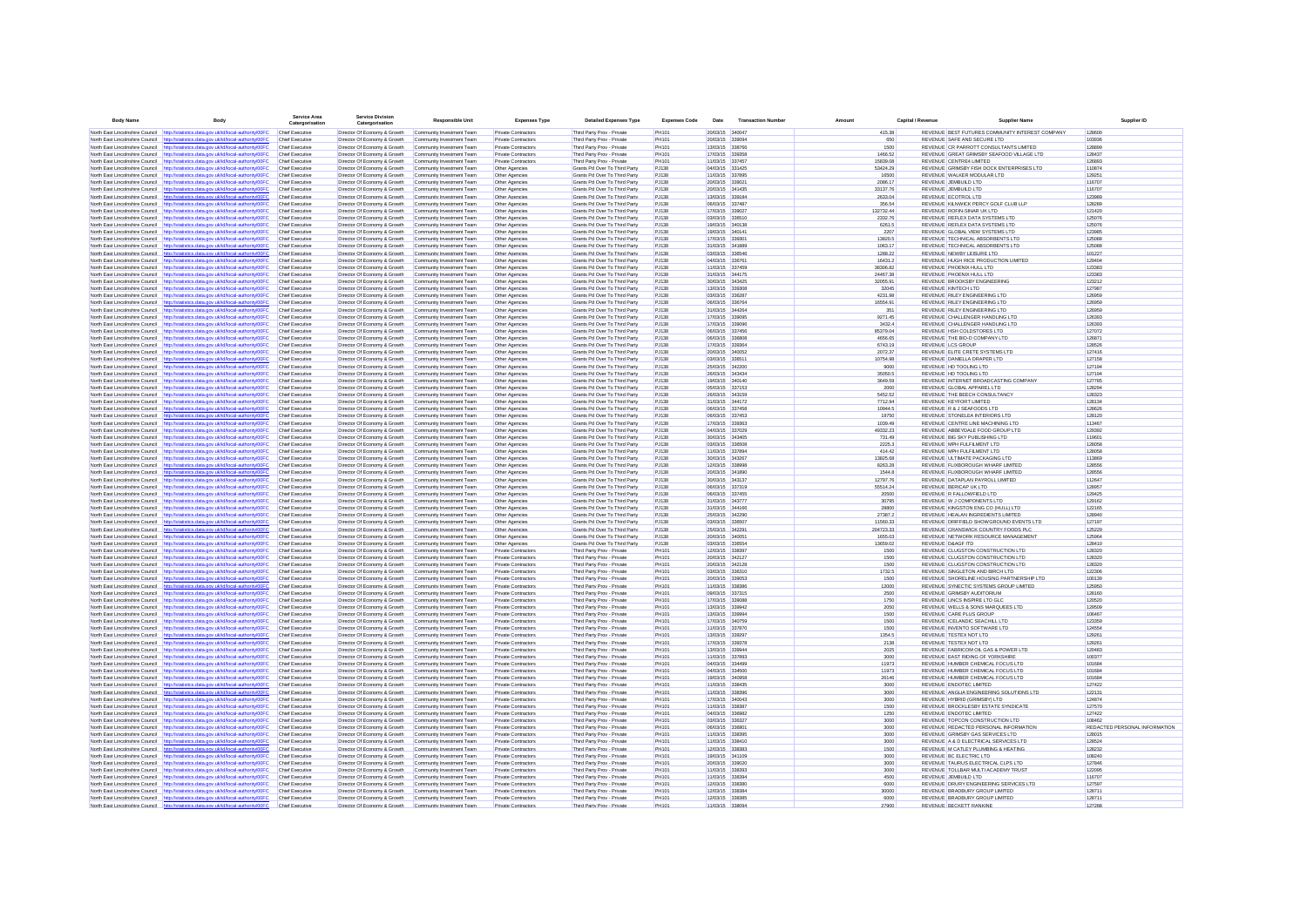| <b>Body Name</b>                         | Body                                                                                                                                                                           | Service Area<br>Catergorisation           | <b>Service Division</b><br>Catergorisation                   | <b>Responsible Unit</b>                                | <b>Expenses Type</b>                       | <b>Detailed Expenses Type</b>                                  | <b>Expenses Code</b> | Date                               | <b>Transaction Numb</b> |                       | Capital / Revenue | <b>Supplier Name</b>                                                           | Supplier ID                   |
|------------------------------------------|--------------------------------------------------------------------------------------------------------------------------------------------------------------------------------|-------------------------------------------|--------------------------------------------------------------|--------------------------------------------------------|--------------------------------------------|----------------------------------------------------------------|----------------------|------------------------------------|-------------------------|-----------------------|-------------------|--------------------------------------------------------------------------------|-------------------------------|
|                                          | North East Lincolnshire Council http://statistics.data.gov.uk/id/local-authority/00FC                                                                                          | Chief Executive                           | Director Of Economy & Growth Community Investment Team       |                                                        | <b>Private Contractors</b>                 | Third Party Prov - Private                                     | PH101                | 20/03/15 340047                    |                         | 415.38                |                   | REVENUE BEST FUTURES COMMUNITY INTEREST COMPANY                                | 128600                        |
|                                          | North East Lincolnshire Council http://statistics.data.gov.uk/id/local-authority/00FC                                                                                          | Chief Executive                           | Director Of Economy & Growth                                 | Community Investment Team                              | <b>Private Contractors</b>                 | Third Party Prov - Private                                     | PH101                | 20/03/15 339094                    |                         | 650                   |                   | REVENUE SAFE AND SECURE LTD                                                    | 103936                        |
|                                          | North East Lincolnshire Council http://statistics.data.gov.uk/id/local-authority/00FC                                                                                          | Chief Executive                           | Director Of Economy & Growth                                 | Community Investment Team                              | Private Contractors                        | Third Party Prov - Private                                     | PH101                | 13/03/15 338766                    |                         | 1500                  |                   | REVENUE CR PARROTT CONSULTANTS LIMITED                                         | 128899                        |
|                                          | North East Lincolnshire Council http://statistics.data.gov.uk/id/local-authority/00FC                                                                                          | Chief Executive                           | Director Of Economy & Growth                                 | Community Investment Team                              | Private Contractors                        | Third Party Prov - Private                                     | PH101                | 17/03/15 339358                    |                         | 1466.52               |                   | REVENUE GREAT GRIMSBY SEAFOOD VILLAGE LTD                                      | 128437                        |
|                                          | North East Lincolnshire Council http://statistics.data.oov.uk/id/local-authority/00EC                                                                                          | Chief Executive<br>Chief Executive        | Director Of Economy & Growth                                 | Community Investment Team<br>Community Investment Team | Private Contractors<br>Other Agencies      | Third Party Prov - Private<br>Grants Pd Over To Third Party    | PH101<br>P.1138      | 11/03/15 337457<br>04/03/15 331425 |                         | 15839.08<br>53424.29  |                   | REVENUE CENTRE41 IMITED<br>REVENUE GRIMSBY FISH DOCK ENTERPRISES LTD           | 126893<br>110874              |
|                                          | North East Lincolnshire Council http://statistics.data.gov.uk/id/local-authority/00FC<br>North East Lincolnshire Council http://statistics.data.oov.uk/id/local-authority/00EC | Chief Executive                           | Director Of Economy & Growth<br>Director Of Economy & Growth | Community Investment Team                              | Other Agencies                             | Grants Pd Over To Third Party                                  | PJ138                | 11/03/15 337895                    |                         | 16500                 |                   | REVENUE WALKER MODULAR LTD                                                     | 129251                        |
|                                          | North East Lincolnshire Council http://statistics.data.gov.uk/id/local-authority/00FC                                                                                          | Chief Executive                           | Director Of Economy & Growth                                 | Community Investment Team                              | Other Agencies                             | Grants Pd Over To Third Party                                  | PJ138                | 20/03/15 339021                    |                         | 2086.17               |                   | REVENUE JEMBUILD LTD                                                           | 116707                        |
|                                          | North East Lincolnshire Council http://statistics.data.gov.uk/id/local-authority/00FC                                                                                          | Chief Executive                           | Director Of Economy & Growth                                 | Community Investment Team                              | Other Agencies                             | Grants Pd Over To Third Party                                  | PJ138                | 20/03/15 341435                    |                         | 33137.76              |                   | REVENUE JEMBUILD LTD                                                           | 116707                        |
| North East Lincolnshire Council          | http://statistics.data.gov.uk/id/local-authority/00FC                                                                                                                          | Chief Executive                           | Director Of Economy & Growth                                 | Community Investment Team                              | Other Agencies                             | Grants Pd Over To Third Party                                  | PJ138                | 13/03/15 339184                    |                         | 2633.04               |                   | REVENUE ECOTROL LTD                                                            | 123989                        |
|                                          | North East Lincolnshire Council http://statistics.data.gov.uk/id/local-authority/00FC                                                                                          | Chief Executive                           | Director Of Economy & Growth                                 | Community Investment Team                              | Other Agencies                             | Grants Pd Over To Third Party                                  | PJ138                | 06/03/15 337487                    |                         | 356.54                |                   | REVENUE KILNWICK PERCY GOLF CLUB LLP                                           | 128289                        |
| North East Lincolnshire Council          | http://statistics.data.oov.uk/id/local-authority/00FC<br>North East Lincolnshire Council http://statistics.data.gov.uk/id/local-authority/00FC                                 | <b>Chief Executive</b><br>Chief Executive | Director Of Economy & Growth<br>Director Of Economy & Growth | Community Investment Team<br>Community Investment Team | Other Agencies<br>Other Agencies           | Grants Pd Over To Third Party<br>Grants Pd Over To Third Party | PJ138<br>PJ138       | 17/03/15 339027<br>03/03/15 336510 |                         | 132732.44<br>2332.76  |                   | <b>REVENUE ROFIN-SINAR UK LTD</b><br>REVENUE REFLEX DATA SYSTEMS LTD           | 121420<br>125076              |
|                                          | North East Lincolnshire Council http://statistics.data.gov.uk/id/local-authority/00F0                                                                                          | <b>Chief Executive</b>                    | Director Of Economy & Growth                                 | Community Investment Team                              | Other Agencies                             | Grants Pd Over To Third Party                                  | PJ138                | 19/03/15 340138                    |                         | 6261.5                |                   | REVENUE REFLEX DATA SYSTEMS LTD                                                | 125076                        |
| North East Lincolnshire Council          | http://statistics.data.gov.uk/id/local-authority/00FC                                                                                                                          | Chief Executive                           | Director Of Economy & Growth                                 | Community Investment Team                              | Other Agencies                             | Grants Pd Over To Third Party                                  | PJ138                | 19/03/15 34014                     |                         | 2207                  |                   | REVENUE GLOBAL VIEW SYSTEMS LTD                                                | 123985                        |
| North East Lincolnshire Council          | http://statistics.data.gov.uk/id/local-authority/00FC                                                                                                                          | Chief Executive                           | Director Of Economy & Growth                                 | Community Investment Team                              | Other Agencies                             | Grants Pd Over To Third Party                                  | PJ138                | 17/03/15 339301                    |                         | 13820.5               |                   | REVENUE TECHNICAL ABSORBENTS LTD                                               | 125088                        |
|                                          | North East Lincolnshire Council http://statistics.data.gov.uk/id/local-authority/00FC                                                                                          | Chief Executive                           | Director Of Economy & Growth                                 | Community Investment Team                              | Other Agencies                             | Grants Pd Over To Third Party                                  | PJ138                | 31/03/15 341889                    |                         | 1063.17               |                   | REVENUE TECHNICAL ABSORBENTS LTD                                               | 125088                        |
|                                          | North East Lincolnshire Council http://statistics.data.gov.uk/id/local-authority/00FC<br>North East Lincolnshire Council http://statistics.data.gov.uk/id/local-authority/00FC | Chief Executive<br>Chief Executive        | Director Of Economy & Growth<br>Director Of Economy & Growth | Community Investment Team<br>Community Investment Team | Other Agencies<br>Other Agencies           | Grants Pd Over To Third Party<br>Grants Pd Over To Third Party | PJ138<br>PJ138       | 03/03/15 336546<br>04/03/15 336761 |                         | 1288.22<br>16431.2    |                   | REVENUE NEWBY LEISURE LTD<br>REVENUE HUGH RICE PRODUCTION LIMITED              | 101227<br>129404              |
|                                          | North East Lincolnshire Council http://statistics.data.gov.uk/id/local-authority/00FC                                                                                          | Chief Executive                           | Director Of Economy & Growth                                 | Community Investment Team                              | Other Agencies                             | Grants Pd Over To Third Party                                  | PJ138                | 11/03/15 337459                    |                         | 38306.82              |                   | REVENUE PHOENIX HULL LTD                                                       | 123383                        |
| North East Lincolnshire Council          | http://statistics.data.gov.uk/id/local-authority/00FC                                                                                                                          | Chief Executive                           | Director Of Economy & Growth                                 | Community Investment Team                              | Other Agencies                             | Grants Pd Over To Third Party                                  | PJ138                | 31/03/15 344175                    |                         | 24467.38              |                   | REVENUE PHOENIX HULL LTD                                                       | 123383                        |
|                                          | North East Lincolnshire Council http://statistics.data.gov.uk/id/local-authority/00FC                                                                                          | Chief Executive                           | Director Of Economy & Growth                                 | Community Investment Team                              | Other Agencies                             | Grants Pd Over To Third Party                                  | PJ138                | 30/03/15 343425                    |                         | 32055.91              |                   | REVENUE BROOKSBY ENGINEERING                                                   | 123212                        |
|                                          | North East Lincolnshire Council http://statistics.data.gov.uk/id/local-authority/00FC                                                                                          | Chief Executive                           | Director Of Economy & Growth                                 | Community Investment Team                              | Other Agencies                             | Grants Pd Over To Third Party                                  | P.1138               | 13/03/15 339308                    |                         | 32045                 |                   | REVENUE KINTECH LTD                                                            | 127987                        |
|                                          | North East Lincolnshire Council http://statistics.data.gov.uk/id/local-authority/00FC<br>North East Lincolnshire Council http://statistics.data.gov.uk/id/local-authority/00FC | Chief Executive<br>Chief Executive        | Director Of Economy & Growth<br>Director Of Economy & Growth | Community Investment Team<br>Community Investment Team | Other Agencies<br>Other Agencies           | Grants Pd Over To Third Party<br>Grants Pd Over To Third Party | P.1138<br>P.1138     | 03/03/15 336287<br>06/03/15 336764 |                         | 4231.98<br>16554.91   |                   | REVENUE RILEY ENGINEERING LTD.<br>REVENUE RILEY ENGINEERING LTD                | 126959<br>126959              |
|                                          | North East Lincolnshire Council http://statistics.data.gov.uk/id/local-authority/00FC                                                                                          | Chief Executive                           | Director Of Economy & Growth                                 | Community Investment Team                              | Other Agencies                             | Grants Pd Over To Third Party                                  | PJ138                | 31/03/15 344264                    |                         | 351                   |                   | REVENUE RILEY ENGINEERING LTD.                                                 | 126959                        |
|                                          | North East Lincolnshire Council http://statistics.data.gov.uk/id/local-authority/00FC                                                                                          | Chief Executive                           | Director Of Economy & Growth                                 | Community Investment Team                              | Other Agencies                             | Grants Pd Over To Third Party                                  | PJ138                | 17/03/15 339095                    |                         | 9271 45               |                   | REVENUE CHALLENGER HANDLING LTD                                                | 126393                        |
|                                          | North East Lincolnshire Council http://statistics.data.gov.uk/id/local-authority/00FC                                                                                          | Chief Executive                           | Director Of Economy & Growth                                 | Community Investment Team                              | Other Agencies                             | Grants Pd Over To Third Party                                  | PJ138                | 17/03/15 339096                    |                         | 3432.4                |                   | REVENUE CHALLENGER HANDLING LTD                                                | 126393                        |
| North East Lincolnshire Council          | http://statistics.data.gov.uk/id/local-authority/00FC                                                                                                                          | <b>Chief Executive</b>                    | Director Of Economy & Growth                                 | Community Investment Team                              | Other Agencies                             | Grants Pd Over To Third Party                                  | PJ138                | 06/03/15 337456                    |                         | 85379.04              |                   | REVENUE HSH COLDSTORES LTD                                                     | 127072                        |
| North East Lincolnshire Council          | North East Lincolnshire Council http://statistics.data.gov.uk/id/local-authority/00FC<br>http://statistics.data.gov.uk/id/local-authority/00FC                                 | Chief Executive<br>Chief Executive        | Director Of Economy & Growth<br>Director Of Economy & Growth | Community Investment Team<br>Community Investment Team | Other Agencies<br>Other Agencies           | Grants Pd Over To Third Party<br>Grants Pd Over To Third Party | PJ138<br>PJ138       | 06/03/15 336806<br>17/03/15 339364 |                         | 4656.65<br>6743.19    |                   | REVENUE THE BIO-D COMPANY LTD<br><b>REVENUE LCS GROUP</b>                      | 126871<br>128526              |
| North East Lincolnshire Council          | http://statistics.data.gov.uk/id/local-authority/00FC                                                                                                                          | Chief Executive                           | Director Of Economy & Growth                                 | Community Investment Team                              | Other Agencies                             | Grants Pd Over To Third Party                                  | PJ138                | 20/03/15 340052                    |                         | 2072.37               |                   | REVENUE ELITE CRETE SYSTEMS LTD                                                | 127416                        |
| North East Lincolnshire Council          | http://statistics.data.gov.uk/id/local-authority/00FC                                                                                                                          | Chief Executive                           | Director Of Economy & Growth                                 | Community Investment Team                              | Other Agencies                             | Grants Pd Over To Third Party                                  | PJ138                | 03/03/15 33651                     |                         | 10754.98              |                   | REVENUE DANIELLA DRAPER LTD                                                    | 127158                        |
|                                          | North East Lincolnshire Council http://statistics.data.gov.uk/id/local-authority/00FC                                                                                          | Chief Executive                           | Director Of Economy & Growth                                 | Community Investment Team                              | Other Agencies                             | Grants Pd Over To Third Party                                  | PJ138                | 25/03/15 342200                    |                         | 9000                  |                   | REVENUE HD TOOLING LTD                                                         | 127194                        |
|                                          | North East Lincolnshire Council http://statistics.data.gov.uk/id/local-authority/00FC                                                                                          | Chief Executive                           | Director Of Economy & Growth                                 | Community Investment Team                              | Other Agencies                             | Grants Pd Over To Third Party                                  | PJ138                | 26/03/15 343434                    |                         | 35050.5               |                   | REVENUE HD TOOLING LTD                                                         | 127194                        |
|                                          | North East Lincolnshire Council http://statistics.data.gov.uk/id/local-authority/00FC                                                                                          | Chief Executive                           | Director Of Economy & Growth                                 | Community Investment Team                              | Other Agencies                             | Grants Pd Over To Third Party                                  | PJ138                | 19/03/15 340140                    |                         | 3649.59               |                   | REVENUE INTERNET BROADCASTING COMPANY                                          | 127785                        |
| North East Lincolnshire Council          | North East Lincolnshire Council http://statistics.data.gov.uk/id/local-authority/00FC<br>http://statistics.data.gov.uk/id/local-authority/00FC                                 | <b>Chief Executive</b><br>Chief Executive | Director Of Economy & Growth<br>Director Of Economy & Growth | Community Investment Team<br>Community Investment Team | Other Agencies<br>Other Agencies           | Grants Pd Over To Third Party<br>Grants Pd Over To Third Party | PJ138<br>PJ138       | 05/03/15 337153<br>26/03/15 343159 |                         | 2000<br>5452.52       |                   | REVENUE GLOBAL APPAREL LTD<br>REVENUE THE BEECH CONSULTANCY                    | 128294<br>128323              |
| North East Lincolnshire Council          | http://statistics.data.gov.uk/id/local-authority/00FC                                                                                                                          | Chief Executive                           | Director Of Economy & Growth                                 | Community Investment Team                              | Other Agencies                             | Grants Pd Over To Third Party                                  | PJ138                | 31/03/15 344172                    |                         | 7712.94               |                   | REVENUE KEYFORT LIMITED                                                        | 128134                        |
|                                          | North East Lincolnshire Council http://statistics.data.gov.uk/id/local-authority/00FC                                                                                          | Chief Executive                           | Director Of Economy & Growth                                 | Community Investment Team                              | Other Agencies                             | Grants Pd Over To Third Party                                  | PJ138                | 06/03/15 337458                    |                         | 10944.5               |                   | REVENUE R & J SEAFOODS LTD                                                     | 128626                        |
|                                          | North East Lincolnshire Council http://statistics.data.gov.uk/id/local-authority/00FC                                                                                          | Chief Executive                           | Director Of Economy & Growth                                 | Community Investment Team                              | Other Agencies                             | Grants Pd Over To Third Party                                  | P.1138               | 06/03/15 337453                    |                         | 19750                 |                   | REVENUE STONELEA INTERIORS LTD.                                                | 128120                        |
|                                          | North East Lincolnshire Council http://statistics.data.oov.uk/id/local-authority/00EC                                                                                          | Chief Executive                           | Director Of Economy & Growth                                 | Community Investment Team                              | Other Agencies                             | Grants Pd Over To Third Party                                  | P.1138               | 17/03/15 339363                    |                         | 1039.49               |                   | REVENUE CENTRE LINE MACHINING LTD                                              | 113467                        |
| North East Lincolnshire Council          | North East Lincolnshire Council http://statistics.data.gov.uk/id/local-authority/00FC<br>http://statistics.data.gov.uk/id/local-authority/00FC                                 | Chief Executive<br>Chief Executive        | Director Of Economy & Growth<br>Director Of Economy & Growth | Community Investment Team<br>Community Investment Team | Other Agencies<br>Other Agencies           | Grants Pd Over To Third Party<br>Grants Pd Over To Third Party | P.1138<br>P.1138     | 04/03/15 337029<br>30/03/15 343405 |                         | 49332.23<br>731.49    |                   | REVENUE ARREYDALE FOOD GROUP LTD.<br>REVENUE BIG SKY PUBLISHING LTD            | 129392<br>119601              |
|                                          | North East Lincolnshire Council http://statistics.data.gov.uk/id/local-authority/00FC                                                                                          | Chief Executive                           | Director Of Economy & Growth                                 | Community Investment Team                              | Other Agencies                             | Grants Pd Over To Third Party                                  | P.1138               | 03/03/15 336508                    |                         | 2225.3                |                   | REVENUE MPH FULFILMENT LTD.                                                    | 128058                        |
| North East Lincolnshire Council          | http://statistics.data.gov.uk/id/local-authority/00FC                                                                                                                          | Chief Executive                           | Director Of Economy & Growth                                 | Community Investment Team                              | Other Agencies                             | Grants Pd Over To Third Party                                  | PJ138                | 11/03/15 337894                    |                         | 414.42                |                   | REVENUE MPH FULFILMENT LTD                                                     | 128058                        |
|                                          | North East Lincolnshire Council http://statistics.data.gov.uk/id/local-authority/00FC                                                                                          | Chief Executive                           | Director Of Economy & Growth                                 | Community Investment Team                              | Other Agencies                             | Grants Pd Over To Third Party                                  | PJ138                | 30/03/15 343267                    |                         | 13825.68              |                   | REVENUE ULTIMATE PACKAGING LTD                                                 | 113869                        |
|                                          | North East Lincolnshire Council http://statistics.data.gov.uk/id/local-authority/00FC                                                                                          | Chief Executive                           | Director Of Economy & Growth                                 | Community Investment Team                              | Other Agencies                             | Grants Pd Over To Third Party                                  | PJ138                | 12/03/15 338998                    |                         | 8263.28               |                   | REVENUE FLIXBOROUGH WHARF LIMITED                                              | 128556                        |
|                                          | North East Lincolnshire Council http://statistics.data.gov.uk/id/local-authority/00FC                                                                                          | Chief Executive                           | Director Of Economy & Growth                                 | Community Investment Team                              | Other Agencies                             | Grants Pd Over To Third Party                                  | PJ138                | 20/03/15 341890                    |                         | 1544.8                |                   | REVENUE FLIXBOROUGH WHARF LIMITED                                              | 128556                        |
| North East Lincolnshire Council          | http://statistics.data.gov.uk/id/local-authority/00FC<br>North East Lincolnshire Council http://statistics.data.gov.uk/id/local-authority/00FC                                 | Chief Executive<br>Chief Executive        | Director Of Economy & Growth<br>Director Of Economy & Growth | Community Investment Team<br>Community Investment Team | Other Agencies<br>Other Agencies           | Grants Pd Over To Third Party<br>Grants Pd Over To Third Party | PJ138<br>PJ138       | 30/03/15 343137<br>06/03/15 337319 |                         | 12797.76<br>55514.24  |                   | REVENUE DATAPLAN PAYROLL LIMITED<br>REVENUE BERICAP UK LTD                     | 112647<br>128957              |
| North East Lincolnshire Council          | http://statistics.data.gov.uk/id/local-authority/00FC                                                                                                                          | Chief Executive                           | Director Of Economy & Growth                                 | Community Investment Team                              | Other Agencies                             | Grants Pd Over To Third Party                                  | PJ138                | 06/03/15 337455                    |                         | 20500                 |                   | REVENUE R FALLOWFIELD LTD                                                      | 129425                        |
|                                          | North East Lincolnshire Council http://statistics.data.gov.uk/id/local-authority/00FC Chief Executive                                                                          |                                           | Director Of Economy & Growth                                 | Community Investment Team                              | Other Agencies                             | Grants Pd Over To Third Party                                  | PJ138                | 31/03/15 343777                    |                         | 30795                 |                   | REVENUE W J COMPONENTS LTD                                                     | 129162                        |
|                                          | North East Lincolnshire Council http://statistics.data.gov.uk/id/local-authority/00FC                                                                                          | <b>Chief Executive</b>                    | Director Of Economy & Growth                                 | Community Investment Team                              | Other Agencies                             | Grants Pd Over To Third Party                                  | PJ138                | 31/03/15 344166                    |                         | 28800                 |                   | REVENUE KINGSTON ENG CO (HULL) LTD                                             | 122165                        |
| North East Lincolnshire Council http://s | stics.data.gov.uk/id/local-authority/00FC                                                                                                                                      | <b>Chief Executive</b>                    | Director Of Economy & Growth                                 | Community Investment Team                              | Other Agencies                             | Grants Pd Over To Third Party                                  | PJ138                | 25/03/15 342290                    |                         | 27387.2               |                   | REVENUE HEALAN INGREDIENTS LIMITED                                             | 128940                        |
| North East Lincolnshire Council          | http://statistics.data.gov.uk/id/local-authority/00FC<br>North East Lincolnshire Council http://statistics.data.gov.uk/id/local-authority/00FC                                 | <b>Chief Executive</b><br>Chief Executive | Director Of Economy & Growth<br>Director Of Economy & Growth | Community Investment Team<br>Community Investment Team | Other Agencies<br>Other Agencies           | Grants Pd Over To Third Party<br>Grants Pd Over To Third Party | PJ138<br>PJ138       | 03/03/15 336507<br>25/03/15 342291 |                         | 11560.33<br>204723.33 |                   | REVENUE DRIFFIELD SHOWGROUND EVENTS LTD<br>REVENUE CRANSWICK COUNTRY FOODS PLC | 127197<br>125229              |
| North East Lincolnshire Council          | http://statistics.data.gov.uk/id/local-authority/00FC                                                                                                                          | Chief Executive                           | Director Of Economy & Growth                                 | Community Investment Team                              | Other Agencies                             | Grants Pd Over To Third Party                                  | PJ138                | 20/03/15 340051                    |                         | 1655.03               |                   | REVENUE NETWORK RESOURCE MANAGEMENT                                            | 125964                        |
|                                          | North East Lincolnshire Council http://statistics.data.gov.uk/id/local-authority/00FC                                                                                          | Chief Executive                           | Director Of Economy & Growth                                 | Community Investment Team                              | Other Agencies                             | Grants Pd Over To Third Party                                  | P.1138               | 03/03/15 336554                    |                         | 13659.02              |                   | REVENUE D&AGE ITD                                                              | 128410                        |
|                                          | North East Lincolnshire Council http://statistics.data.oov.uk/id/local-authority/00EC                                                                                          | Chief Executive                           | Director Of Economy & Growth                                 | Community Investment Team                              | Private Contractors                        | Third Party Prov - Private                                     | PH101                | 12/03/15 338397                    |                         | 1500                  |                   | REVENUE CLUGSTON CONSTRUCTION LTD.                                             | 128320                        |
|                                          | North East Lincolnshire Council http://statistics.data.gov.uk/id/local-authority/00FC<br>North East Lincolnshire Council http://statistics.data.oov.uk/id/local-authority/00EC | Chief Executive<br>Chief Executive        | Director Of Economy & Growth                                 | Community Investment Team                              | Private Contractors<br>Private Contractors | Third Party Prov - Private                                     | PH101                | 20/03/15 342127<br>20/03/15 342128 |                         | 1500<br>1500          |                   | REVENUE CLUGSTON CONSTRUCTION LTD<br>REVENUE CLUGSTON CONSTRUCTION LTD.        | 128320<br>128320              |
| North East Lincolnshire Council          | http://statistics.data.gov.uk/id/local-authority/00FC                                                                                                                          | Chief Executive                           | Director Of Economy & Growth<br>Director Of Economy & Growth | Community Investment Team<br>Community Investment Team | Private Contractors                        | Third Party Prov - Private<br>Third Party Prov - Private       | PH101<br>PH101       | 03/03/15 336310                    |                         | 1732.5                |                   | REVENUE SINGLETON AND BIRCH LTD                                                | 122306                        |
|                                          | North East Lincolnshire Council http://statistics.data.gov.uk/id/local-authority/00FC                                                                                          | Chief Executive                           | Director Of Economy & Growth                                 | Community Investment Team                              | Private Contractors                        | Third Party Prov - Private                                     | PH101                | 20/03/15 339053                    |                         | 1500                  |                   | REVENUE SHORELINE HOUSING PARTNERSHIP LTD                                      | 100139                        |
| North East Lincolnshire Council          | http://statistics.data.gov.uk/id/local-authority/00FC                                                                                                                          | <b>Chief Executive</b>                    | Director Of Economy & Growth                                 | Community Investment Team                              | Private Contractors                        | Third Party Prov - Private                                     | PH101                | 11/03/15 338386                    |                         | 12000                 |                   | REVENUE SYNECTIC SYSTEMS GROUP LIMITED                                         | 125950                        |
|                                          | North East Lincolnshire Council http://statistics.data.gov.uk/id/local-authority/00FC                                                                                          | Chief Executive                           | Director Of Economy & Growth                                 | Community Investment Team                              | Private Contractors                        | Third Party Prov - Private                                     | PH101                | 09/03/15 337315                    |                         | 2500                  |                   | <b>REVENUE GRIMSBY AUDITORIUM</b>                                              | 128160                        |
|                                          | North East Lincolnshire Council http://statistics.data.gov.uk/id/local-authority/00FC                                                                                          | <b>Chief Executive</b>                    | Director Of Economy & Growth                                 | Community Investment Team                              | Private Contractors                        | Third Party Prov - Private                                     | PH101                | 17/03/15 339088                    |                         | 1750                  |                   | REVENUE LINCS INSPIRE LTD GLC                                                  | 120520                        |
| North East Lincolnshire Council          | North East Lincolnshire Council http://statistics.data.gov.uk/id/local-authority/00FC<br>http://statistics.data.gov.uk/id/local-authority/00FC                                 | Chief Executive<br>Chief Executive        | Director Of Economy & Growth<br>Director Of Economy & Growth | Community Investment Team<br>Community Investment Team | Private Contractors<br>Private Contractors | Third Party Prov - Private<br>Third Party Prov - Private       | PH101<br>PH101       | 13/03/15 339942<br>13/03/15 339994 |                         | 2050<br>1500          |                   | REVENUE WELLS & SONS MARQUEES LTD<br>REVENUE CARE PLUS GROUP                   | 129509<br>106467              |
|                                          | North East Lincolnshire Council http://statistics.data.gov.uk/id/local-authority/00FC                                                                                          | Chief Executive                           | Director Of Economy & Growth                                 | Community Investment Team                              | Private Contractors                        | Third Party Prov - Private                                     | PH101                | 17/03/15 340759                    |                         | 1500                  |                   | REVENUE ICELANDIC SEACHILL LTD                                                 | 123359                        |
|                                          | North East Lincolnshire Council http://statistics.data.gov.uk/id/local-authority/00FC                                                                                          | <b>Chief Executive</b>                    | Director Of Economy & Growth                                 | Community Investment Team                              | <b>Private Contractors</b>                 | Third Party Prov - Private                                     | PH101                | 11/03/15 337870                    |                         | 1500                  |                   | REVENUE INVENTO SOFTWARE LTD                                                   | 124554                        |
|                                          | North East Lincolnshire Council http://statistics.data.gov.uk/id/local-authority/00FC                                                                                          | Chief Executive                           | Director Of Economy & Growth                                 | Community Investment Team                              | <b>Private Contractors</b>                 | Third Party Prov - Private                                     | PH101                | 13/03/15 339297                    |                         | 1354.5                |                   | REVENUE TESTEX NDT LTD                                                         | 129261                        |
|                                          | North East Lincolnshire Council http://statistics.data.gov.uk/id/local-authority/00FC                                                                                          | <b>Chief Executive</b>                    | Director Of Economy & Growth                                 | Community Investment Team                              | <b>Private Contractors</b>                 | Third Party Prov - Private                                     | PH101                | 17/03/15 339378                    |                         | 2138                  |                   | REVENUE TESTEX NDT LTD                                                         | 129261                        |
| North East Lincolnshire Council          | North East Lincolnshire Council http://statistics.data.gov.uk/id/local-authority/00FC<br>http://statistics.data.gov.uk/id/local-authority/00FC                                 | Chief Executive<br><b>Chief Executive</b> | Director Of Economy & Growth<br>Director Of Economy & Growth | Community Investment Team<br>Community Investment Team | Private Contractors<br>Private Contractors | Third Party Prov - Private<br>Third Party Prov - Private       | PH101<br>PH101       | 13/03/15 339944<br>11/03/15 337893 |                         | 2025<br>3000          |                   | REVENUE FABRICOM OIL GAS & POWER LTD<br>REVENUE EAST RIDING OF YORKSHIRE       | 120483<br>100377              |
|                                          | North East Lincolnshire Council http://statistics.data.gov.uk/id/local-authority/00FC                                                                                          | Chief Executive                           | Director Of Economy & Growth                                 | Community Investment Team                              | <b>Private Contractors</b>                 | Third Party Prov - Private                                     | PH101                | 04/03/15 334499                    |                         | 11973                 |                   | REVENUE HUMBER CHEMICAL FOCUS LTD                                              | 101684                        |
|                                          | North East Lincolnshire Council http://statistics.data.oov.uk/id/local-authority/00EC                                                                                          | Chief Executive                           | Director Of Economy & Growth                                 | Community Investment Team                              | Private Contractors                        | Third Party Prov - Private                                     | PH101                | 04/03/15 334500                    |                         | 11973                 |                   | REVENUE HUMBER CHEMICAL FOCUS LTD                                              | 101684                        |
|                                          | North East Lincolnshire Council http://statistics.data.oov.uk/id/local-authority/00EC                                                                                          | Chief Executive                           | Director Of Economy & Growth                                 | Community Investment Team                              | Private Contractors                        | Third Party Prov - Private                                     | PH101                | 19/03/15 340958                    |                         | 26146                 |                   | REVENUE HUMBER CHEMICAL FOCUS LTD                                              | 101684                        |
|                                          | North East Lincolnshire Council http://statistics.data.oov.uk/id/local-authority/00EC                                                                                          | Chief Executive                           | Director Of Fronomy & Growth                                 | Community Investment Team                              | Private Contractors                        | Third Party Prov - Private                                     | PH101                | 11/03/15 338435                    |                         | 3000                  |                   | REVENUE ENDOTEC UMITED.                                                        | 127422                        |
| North East Lincolnshire Council          | http://statistics.data.gov.uk/id/local-authority/00FC<br>North East Lincolnshire Council http://statistics.data.gov.uk/id/local-authority/00FC                                 | Chief Executive<br>Chief Executive        | Director Of Economy & Growth<br>Director Of Economy & Growth | Community Investment Team<br>Community Investment Team | Private Contractors<br>Private Contractors | Third Party Prov - Private<br>Third Party Prov - Private       | PH101<br>PH101       | 11/03/15 338396<br>17/03/15 340043 |                         | 3000<br>3000          |                   | REVENUE ANGLIA ENGINEERING SOLUTIONS LTD<br>REVENUE HYBRID (GRIMSBY) I TD      | 122131<br>124874              |
| North East Lincolnshire Council          | http://statistics.data.gov.uk/id/local-authority/00FC                                                                                                                          | <b>Chief Executive</b>                    | Director Of Economy & Growth                                 | Community Investment Team                              | Private Contractors                        | Third Party Prov - Private                                     | PH101                | 11/03/15 338387                    |                         | 1500                  |                   | REVENUE BROCKLESBY ESTATE SYNDICATE                                            | 127570                        |
|                                          | North East Lincolnshire Council http://statistics.data.gov.uk/id/local-authority/00FC                                                                                          | <b>Chief Executive</b>                    | Director Of Economy & Growth                                 | Community Investment Team                              | Private Contractors                        | Third Party Prov - Private                                     | PH101                | 04/03/15 336982                    |                         | 1250                  |                   | REVENUE ENDOTEC LIMITED                                                        | 127422                        |
|                                          | North East Lincolnshire Council http://statistics.data.gov.uk/id/local-authority/00FC                                                                                          | <b>Chief Executive</b>                    | Director Of Economy & Growth                                 | Community Investment Team                              | Private Contractors                        | Third Party Prov - Private                                     | PH101                | 03/03/15 336327                    |                         | 3000                  |                   | REVENUE TOPCON CONSTRUCTION LTD                                                | 108462                        |
|                                          | North East Lincolnshire Council http://statistics.data.gov.uk/id/local-authority/00FC                                                                                          | Chief Executive                           | Director Of Economy & Growth                                 | Community Investment Team                              | Private Contractors                        | Third Party Prov - Private                                     | PH101                | 06/03/15 336801                    |                         | 3000                  |                   | REVENUE REDACTED PERSONAL INFORMATION                                          | REDACTED PERSONAL INFORMATION |
| North East Lincolnshire Council          | http://statistics.data.gov.uk/id/local-authority/00FC<br>North East Lincolnshire Council http://statistics.data.gov.uk/id/local-authority/00FC                                 | Chief Executive<br>Chief Executive        | Director Of Economy & Growth<br>Director Of Economy & Growth | Community Investment Team<br>Community Investment Team | Private Contractors<br>Private Contractors | Third Party Prov - Private<br>Third Party Prov - Private       | PH101<br>PH101       | 11/03/15 338395<br>11/03/15 338410 |                         | 3000<br>3000          |                   | REVENUE GRIMSBY GAS SERVICES LTD<br>REVENUE A & D ELECTRICAL SERVICES LTD      | 128015<br>128524              |
|                                          | North East Lincolnshire Council http://statistics.data.gov.uk/id/local-authority/00FC                                                                                          | Chief Executive                           | Director Of Economy & Growth                                 | Community Investment Team                              | Private Contractors                        | Third Party Prov - Private                                     | PH101                | 12/03/15 338383                    |                         | 1500                  |                   | REVENUE M CATLEY PLUMBING & HEATING                                            | 128232                        |
|                                          | North East Lincolnshire Council http://statistics.data.gov.uk/id/local-authority/00FC                                                                                          | Chief Executive                           | Director Of Economy & Growth Community Investment Team       |                                                        | Private Contractors                        | Third Party Prov - Private                                     | PH101                | 19/03/15 341109                    |                         | 3000                  |                   | REVENUE BC ELECTRIC LTD                                                        | 108240                        |
|                                          | North East Lincolnshire Council http://statistics.data.gov.uk/id/local-authority/00FC                                                                                          | <b>Chief Executive</b>                    | Director Of Economy & Growth                                 | Community Investment Team                              | <b>Private Contractors</b>                 | Third Party Prov - Private                                     | PH101                | 20/03/15 339020                    |                         | 3000                  |                   | REVENUE TAURUS ELECTRICAL CLPS LTD                                             | 127846                        |
|                                          | North East Lincolnshire Council http://statistics.data.gov.uk/id/local-authority/00FC                                                                                          | <b>Chief Executive</b>                    | Director Of Economy & Growth Community Investment Team       |                                                        | <b>Private Contractors</b>                 | Third Party Prov - Private                                     | PH101                | 11/03/15 338393                    |                         | 3000                  |                   | REVENUE TOLLBAR MULTI ACADEMY TRUST                                            | 122095                        |
| North East Lincolnshire Council          | http://statistics.data.gov.uk/id/local-authority/00FC<br>North East Lincolnshire Council http://statistics.data.gov.uk/id/local-authority/00FC                                 | <b>Chief Executive</b><br>Chief Executive | Director Of Economy & Growth<br>Director Of Economy & Growth | Community Investment Team<br>Community Investment Team | Private Contractors<br>Private Contractors | Third Party Prov - Private<br>Third Party Prov - Private       | PH101<br>PH101       | 11/03/15 338394<br>12/03/15 338380 |                         | 4500<br>6000          |                   | REVENUE JEMBUILD LTD<br>REVENUE DRURY ENGINEERING SERVICES LTD                 | 116707<br>127597              |
|                                          | North East Lincolnshire Council http://statistics.data.gov.uk/id/local-authority/00FC                                                                                          | Chief Executive                           | Director Of Economy & Growth Community Investment Team       |                                                        | Private Contractors                        | Third Party Prov - Private                                     | PH101                | 12/03/15 338384                    |                         | 30000                 |                   | REVENUE BRADBURY GROUP LIMITED                                                 | 128711                        |
|                                          | North East Lincolnshire Council http://statistics.data.gov.uk/id/local-authority/00FC Chief Executive                                                                          |                                           | Director Of Economy & Growth Community Investment Team       |                                                        | Private Contractors                        | Third Party Prov - Private                                     | PH101                | 12/03/15 338385                    |                         | 6000                  |                   | REVENUE BRADBURY GROUP LIMITED                                                 | 128711                        |
|                                          | North East Lincolnshire Council http://statistics.data.gov.uk/id/local-authority/00FC                                                                                          | Chief Executive                           | Director Of Economy & Growth                                 | Community Investment Team                              | <b>Private Contractors</b>                 | Third Party Prov - Private                                     | PH101                | 11/03/15 338094                    |                         | 27900                 |                   | <b>REVENUE BECKETT RANKINE</b>                                                 | 127288                        |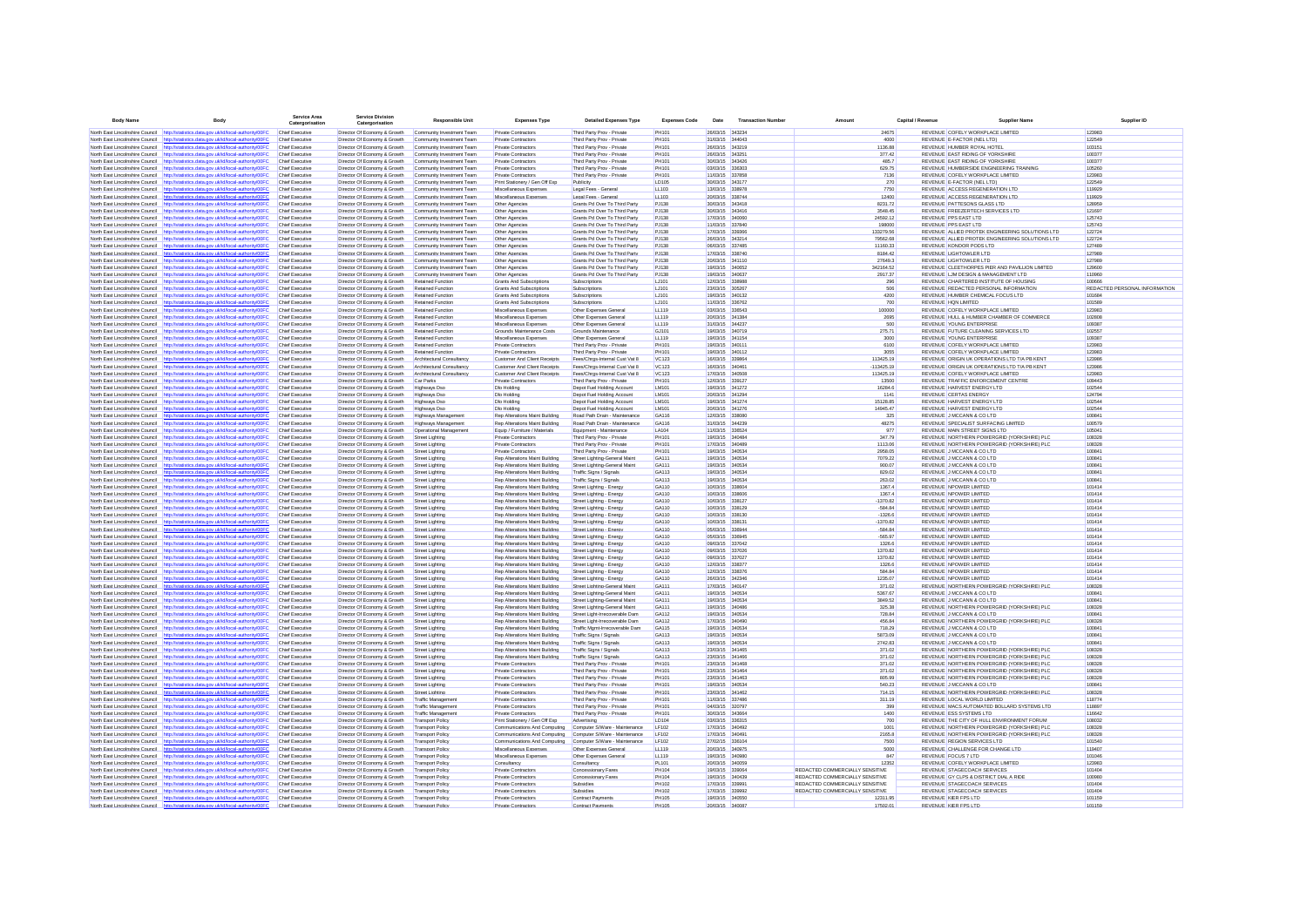| <b>Body Name</b>                                                   | Body                                                                                                                                                                           | Service Area<br>Catergorisation                  | <b>Service Division</b><br>Catergorisation                   | <b>Responsible Unit</b>                                | <b>Expenses Type</b>                                             | <b>Detailed Expenses Type</b>                                   | <b>Expenses Code</b>         | Date                               | <b>Transaction Number</b> |                                 | Capital / Revenue<br>Supplier Name                                             | Supplier ID                   |
|--------------------------------------------------------------------|--------------------------------------------------------------------------------------------------------------------------------------------------------------------------------|--------------------------------------------------|--------------------------------------------------------------|--------------------------------------------------------|------------------------------------------------------------------|-----------------------------------------------------------------|------------------------------|------------------------------------|---------------------------|---------------------------------|--------------------------------------------------------------------------------|-------------------------------|
|                                                                    | North East Lincolnshire Council http://statistics.data.gov.uk/id/local-authority/00FC                                                                                          | Chief Executive                                  | Director Of Economy & Growth                                 | Community Investment Team                              | Private Contractors                                              | Third Party Prov - Private                                      | PH101                        | 26/03/15 343234                    |                           | 24675                           | REVENUE COFELY WORKPLACE LIMITED                                               | 123983                        |
|                                                                    | North East Lincolnshire Council http://statistics.data.gov.uk/id/local-authority/00FC                                                                                          | Chief Executive                                  | Director Of Economy & Growth                                 | Community Investment Team                              | Private Contractors                                              | Third Party Prov - Private                                      | PH101                        | 31/03/15 344043                    |                           | 4000                            | REVENUE E-FACTOR (NEL LTD)                                                     | 122549                        |
| North East Lincolnshire Council                                    | http://statistics.data.gov.uk/id/local-authority/00FC                                                                                                                          | Chief Executive                                  | Director Of Economy & Growth                                 | Community Investment Team                              | Private Contractors                                              | Third Party Prov - Private                                      | PH101                        | 26/03/15 343219                    |                           | 1136.88                         | REVENUE HUMBER ROYAL HOTEL                                                     | 103151                        |
|                                                                    | North East Lincolnshire Council http://statistics.data.gov.uk/id/local-authority/00FC                                                                                          | Chief Executive                                  | Director Of Economy & Growth                                 | Community Investment Team                              | Private Contractors                                              | Third Party Prov - Private                                      | PH101                        | 26/03/15 343251                    |                           | 377.42                          | REVENUE EAST RIDING OF YORKSHIRE                                               | 100377                        |
|                                                                    | North East Lincolnshire Council http://statistics.data.gov.uk/id/local-authority/00FC                                                                                          | Chief Executive                                  | Director Of Economy & Growth                                 | Community Investment Team                              | Private Contractors                                              | Third Party Prov - Private                                      | PH101                        | 3003/15 343426                     |                           | 485.7                           | REVENUE FAST RIDING OF YORKSHIRE                                               | 100377                        |
|                                                                    | North East Lincolnshire Council http://statistics.data.gov.uk/id/local-authority/00FC<br>North East Lincolnshire Council http://statistics.data.gov.uk/id/local-authority/00FC | Chief Executive<br>Chief Executive               | Director Of Economy & Growth                                 | Community Investment Team<br>Community Investment Team | Private Contractors<br>Private Contractors                       | Third Party Prov - Private                                      | PH101<br>PH101               | 03/03/15 336303<br>11/03/15 337858 |                           | 629.75<br>7136                  | REVENUE HUMBERSIDE ENGINEERING TRAINING<br>REVENUE COFELY WORKPLACE LIMITED    | 105260<br>123983              |
| North East Lincolnshire Council                                    | http://statistics.data.oov.uk/id/local-authority/00EC                                                                                                                          | <b>Chief Executive</b>                           | Director Of Economy & Growth<br>Director Of Economy & Growth | Community Investment Team                              | Print Stationery / Gen Off Exp                                   | Third Party Prov - Private<br>Publicity                         | LD105                        | 30/03/15 343177                    |                           | 270                             | REVENUE E-FACTOR (NEL LTD)                                                     | 122549                        |
|                                                                    | North East Lincolnshire Council http://statistics.data.gov.uk/id/local-authority/00FC                                                                                          | Chief Executive                                  | Director Of Economy & Growth                                 | Community Investment Team                              | Miscellaneous Expense                                            | Legal Fees - General                                            | LL103                        | 13/03/15 338978                    |                           | 7750                            | REVENUE ACCESS REGENERATION LTD                                                | 119929                        |
| North East Lincolnshire Council                                    | http://statistics.data.gov.uk/id/local-authority/00FC                                                                                                                          | <b>Chief Executive</b>                           | Director Of Economy & Growth                                 | Community Investment Team                              | Miscellaneous Expenses                                           | Legal Fees - General                                            | LL103                        | 20/03/15 338744                    |                           | 12400                           | REVENUE ACCESS REGENERATION LTD                                                | 119929                        |
|                                                                    | North East Lincolnshire Council http://statistics.data.gov.uk/id/local-authority/00FC                                                                                          | Chief Executive                                  | Director Of Economy & Growth                                 | Community Investment Team                              | Other Agencies                                                   | Grants Pd Over To Third Party                                   | PJ138                        | 30/03/15 343418                    |                           | 8231.72                         | REVENUE PATTESONS GLASS LTD                                                    | 128959                        |
| North East Lincolnshire Council                                    | http://statistics.data.gov.uk/id/local-authority/00FC                                                                                                                          | <b>Chief Executive</b>                           | Director Of Economy & Growth                                 | Community Investment Team                              | Other Agencies                                                   | Grants Pd Over To Third Party                                   | PJ138                        | 30/03/15 343416                    |                           | 3548.45                         | REVENUE FREEZERTECH SERVICES LTD                                               | 121697                        |
|                                                                    | North East Lincolnshire Council http://statistics.data.gov.uk/id/local-authority/00FC                                                                                          | <b>Chief Executive</b>                           | Director Of Economy & Growth                                 | Community Investment Team                              | Other Agencies                                                   | Grants Pd Over To Third Party                                   | PJ138                        | 17/03/15 340060                    |                           | 24592.12                        | <b>REVENUE PPS EAST LTD</b>                                                    | 125743                        |
| North East Lincolnshire Council<br>North East Lincolnshire Council | http://statistics.data.gov.uk/id/local-authority/00FC<br>http://statistics.data.gov.uk/id/local-authority/00FC                                                                 | <b>Chief Executive</b><br>Chief Executive        | Director Of Economy & Growth<br>Director Of Economy & Growth | Community Investment Team<br>Community Investment Team | Other Agencies<br>Other Agencies                                 | Grants Pd Over To Third Party<br>Grants Pd Over To Third Party  | PJ138<br>PJ138               | 11/03/15 337840<br>17/03/15 339366 |                           | 198000<br>133279.56             | <b>REVENUE PPS EAST LTD</b><br>REVENUE ALLIED PROTEK ENGINEERING SOLUTIONS LTD | 125743<br>122724              |
| North East Lincolnshire Council                                    | http://statistics.data.gov.uk/id/local-authority/00FC                                                                                                                          | Chief Executive                                  | Director Of Economy & Growth                                 | Community Investment Team                              | Other Agencies                                                   | Grants Pd Over To Third Party                                   | PJ138                        | 26/03/15 343214                    |                           | 79562.68                        | REVENUE ALLIED PROTEK ENGINEERING SOLUTIONS LTD                                | 122724                        |
|                                                                    | North East Lincolnshire Council http://statistics.data.gov.uk/id/local-authority/00FC                                                                                          | Chief Executive                                  | Director Of Economy & Growth                                 | Community Investment Team                              | Other Agencies                                                   | Grants Pd Over To Third Party                                   | PJ138                        | 06/03/15 337485                    |                           | 11160.33                        | REVENUE KONDOR PODS LTD                                                        | 127489                        |
|                                                                    | North East Lincolnshire Council http://statistics.data.gov.uk/id/local-authority/00FC                                                                                          | Chief Executive                                  | Director Of Economy & Growth                                 | Community Investment Team                              | Other Agencies                                                   | Grants Pd Over To Third Party                                   | PJ138                        | 17/03/15 338740                    |                           | 8184.42                         | REVENUE LIGHTOWLER LTD                                                         | 127989                        |
|                                                                    | North East Lincolnshire Council http://statistics.data.gov.uk/id/local-authority/00FC                                                                                          | Chief Executive                                  | Director Of Economy & Growth                                 | Community Investment Team                              | Other Agencies                                                   | Grants Pd Over To Third Party                                   | PJ138                        | 20/03/15 341110                    |                           | 27649.3                         | REVENUE LIGHTOWLER LTD                                                         | 127989                        |
|                                                                    | North East Lincolnshire Council http://statistics.data.gov.uk/id/local-authority/00FC                                                                                          | Chief Executive                                  | Director Of Economy & Growth                                 | Community Investment Team                              | Other Agencies                                                   | Grants Pd Over To Third Party                                   | PJ138                        | 19/03/15 340652                    |                           | 342164.52                       | REVENUE CLEETHORPES PIER AND PAVILLION LIMITED                                 | 129600                        |
| North East Lincolnshire Council                                    | http://statistics.data.gov.uk/id/local-authority/00FC<br>North East Lincolnshire Council http://statistics.data.gov.uk/id/local-authority/00FC                                 | Chief Executive<br><b>Chief Executive</b>        | Director Of Economy & Growth<br>Director Of Economy & Growth | Community Investment Team<br>Retained Function         | Other Agencies<br>Grants And Subscriptions                       | Grants Pd Over To Third Party<br>Subscriptions                  | PJ138<br>LJ101               | 19/03/15 340637<br>12/03/15 338988 |                           | 2917.37<br>296                  | REVENUE LJM DESIGN & MANAGEMENT LTD<br>REVENUE CHARTERED INSTITUTE OF HOUSING  | 110960<br>100666              |
|                                                                    | North East Lincolnshire Council http://statistics.data.gov.uk/id/local-authority/00FC                                                                                          | Chief Executive                                  | Director Of Economy & Growth                                 | Retained Function                                      | Grants And Subscriptions                                         | Subscriptions                                                   | LJ101                        | 23/03/15 305267                    |                           | 506                             | REVENUE REDACTED PERSONAL INFORMATION                                          | REDACTED PERSONAL INFORMATION |
|                                                                    | North East Lincolnshire Council http://statistics.data.gov.uk/id/local-authority/00FC                                                                                          | <b>Chief Executive</b>                           | Director Of Economy & Growth                                 | Retained Function                                      | Grants And Subscriptions                                         | Subscriptions                                                   | LJ101                        | 19/03/15 340132                    |                           | 4200                            | REVENUE HUMBER CHEMICAL FOCUS LTD                                              | 101684                        |
|                                                                    | North East Lincolnshire Council http://statistics.data.gov.uk/id/local-authority/00FC                                                                                          | <b>Chief Executive</b>                           | Director Of Economy & Growth                                 | <b>Retained Function</b>                               | Grants And Subscriptions                                         | Subscriptions                                                   | LJ101                        | 11/03/15 336762                    |                           | 700                             | REVENUE HON LIMITED                                                            | 101589                        |
|                                                                    | North East Lincolnshire Council http://statistics.data.gov.uk/id/local-authority/00FC                                                                                          | <b>Chief Executive</b>                           | Director Of Economy & Growth                                 | Retained Function                                      | Miscellaneous Expenses                                           | Other Expenses General                                          | LL119                        | 03/03/15 336543                    |                           | 100000                          | REVENUE COFELY WORKPLACE LIMITED                                               | 123983                        |
| North East Lincolnshire Council                                    | http://statistics.data.gov.uk/id/local-authority/00FC                                                                                                                          | Chief Executive                                  | Director Of Economy & Growth                                 | Retained Function                                      | Miscellaneous Expenses                                           | Other Expenses General                                          | LL119                        | 20/03/15 341384                    |                           | 2695                            | REVENUE HULL & HUMBER CHAMBER OF COMMERCE                                      | 102808                        |
|                                                                    | North East Lincolnshire Council http://statistics.data.gov.uk/id/local-authority/00FC                                                                                          | Chief Executive                                  | Director Of Economy & Growth                                 | Retained Function                                      | Miscellaneous Expenses                                           | Other Expenses General                                          | LL119                        | 31/03/15 344237                    |                           | 500                             | <b>REVENUE YOUNG ENTERPRISE</b>                                                | 109387                        |
| North East Lincolnshire Council                                    | http://statistics.data.gov.uk/id/local-authority/00FC                                                                                                                          | <b>Chief Executive</b>                           | Director Of Economy & Growth                                 | Retained Function                                      | Grounds Maintenance Costs                                        | Grounds Maintenance                                             | GJ101                        | 19/03/15 340719                    |                           | 275.71                          | REVENUE FUTURE CLEANING SERVICES LTD                                           | 102557                        |
|                                                                    | North East Lincolnshire Council http://statistics.data.gov.uk/id/local-authority/00FC<br>North East Lincolnshire Council http://statistics.data.gov.uk/id/local-authority/00FC | <b>Chief Executive</b><br>Chief Executive        | Director Of Economy & Growth<br>Director Of Economy & Growth | Retained Function<br>Retained Function                 | Miscellaneous Expenses<br>Private Contractors                    | Other Expenses General<br>Third Party Prov - Private            | LL119<br>PH101               | 19/03/15 341154<br>19/03/15 340111 |                           | 3000<br>6100                    | <b>REVENUE YOUNG ENTERPRISE</b><br>REVENUE COFELY WORKPLACE LIMITED            | 109387<br>123983              |
| North East Lincolnshire Council                                    | http://statistics.data.gov.uk/id/local-authority/00FC                                                                                                                          | Chief Executive                                  | Director Of Economy & Growth                                 | Retained Function                                      | Private Contractors                                              | Third Party Prov - Private                                      | PH101                        | 19/03/15 340112                    |                           | 3055                            | REVENUE COFELY WORKPLACE LIMITED                                               | 123983                        |
| North East Lincolnshire Council                                    | http://statistics.data.gov.uk/id/local-authority/00FC                                                                                                                          | Chief Executive                                  | Director Of Economy & Growth                                 | Architectural Consultancy                              | Customer And Client Receipts                                     | Fees/Chrgs-Internal Cust Vat 8                                  | VC123                        | 16/03/15 339864                    |                           | 113425.19                       | REVENUE ORIGIN UK OPERATIONS LTD T/A PB KENT                                   | 123986                        |
|                                                                    | North East Lincolnshire Council http://statistics.data.gov.uk/id/local-authority/00FC                                                                                          | Chief Executive                                  | Director Of Economy & Growth                                 | Architectural Consultancy                              | Customer And Client Receipts                                     | Fees/Chrgs-Internal Cust Vat 8                                  | <b>VC123</b>                 | 16/03/15 340461                    |                           | $-113425.19$                    | REVENUE ORIGIN UK OPERATIONS LTD T/A PB KENT                                   | 123986                        |
|                                                                    | North East Lincolnshire Council http://statistics.data.gov.uk/id/local-authority/00FC                                                                                          | Chief Executive                                  | Director Of Economy & Growth                                 | Architectural Consultancy                              | <b>Customer And Client Receipts</b>                              | Fees/Chros-Internal Cust Vat 8                                  | <b>VC123</b>                 | 17/03/15 340508                    |                           | 113425.19                       | REVENUE COFELY WORKPLACE LIMITED                                               | 123983                        |
|                                                                    | North East Lincolnshire Council http://statistics.data.gov.uk/id/local-authority/00FC                                                                                          | Chief Executive                                  | Director Of Economy & Growth                                 | Car Parks                                              | Private Contractors                                              | Third Party Prov - Private                                      | PH101                        | 12/03/15 339127                    |                           | 13500                           | REVENUE TRAFFIC ENFORCEMENT CENTRE                                             | 109443                        |
|                                                                    | North East Lincolnshire Council http://statistics.data.gov.uk/id/local-authority/00FC                                                                                          | Chief Executive                                  | Director Of Economy & Growth                                 | Highways Dso                                           | Dlo Holding                                                      | Depot Fuel Holding Account                                      | <b>LM101</b>                 | 19/03/15 341272                    |                           | 16284.6                         | REVENUE HARVEST ENERGY LTD                                                     | 102544                        |
| North East Lincolnshire Council                                    | http://statistics.data.gov.uk/id/local-authority/00FC                                                                                                                          | Chief Executive                                  | Director Of Economy & Growth                                 | Highways Dso                                           | Dlo Holding                                                      | Depot Fuel Holding Account                                      | <b>LM101</b>                 | 20/03/15 341294                    |                           | 1141                            | <b>REVENUE CERTAS ENERGY</b>                                                   | 124794                        |
| North East Lincolnshire Council                                    | http://statistics.data.gov.uk/id/local-authority/00FC                                                                                                                          | <b>Chief Executive</b>                           | Director Of Economy & Growth                                 | <b>Highways Dso</b>                                    | Dlo Holding                                                      | Depot Fuel Holding Account                                      | <b>LM101</b>                 | 19/03/15 341274                    |                           | 15128.85                        | REVENUE HARVEST ENERGY LTD                                                     | 102544                        |
|                                                                    | North East Lincolnshire Council http://statistics.data.gov.uk/id/local-authority/00FC                                                                                          | Chief Executive                                  | Director Of Economy & Growth                                 | Highways Dso                                           | Dlo Holding                                                      | Depot Fuel Holding Account                                      | <b>LM101</b>                 | 20/03/15 341276<br>12/03/15 338080 |                           | 14945.47<br>325                 | REVENUE HARVEST ENERGY LTD                                                     | 102544<br>100841              |
|                                                                    | North East Lincolnshire Council http://statistics.data.gov.uk/id/local-authority/00FC<br>North East Lincolnshire Council http://statistics.data.gov.uk/id/local-authority/00FC | <b>Chief Executive</b><br><b>Chief Executive</b> | Director Of Economy & Growth                                 | Highways Management<br>Highways Management             | Rep Alterations Maint Building<br>Rep Alterations Maint Building | Road Path Drain - Maintenance                                   | GA116<br>GA116               | 31/03/15 344239                    |                           | 48275                           | REVENUE J MCCANN & CO LTD<br>REVENUE SPECIALIST SURFACING LIMITED              | 100579                        |
|                                                                    | North East Lincolnshire Council http://statistics.data.gov.uk/id/local-authority/00FC                                                                                          | <b>Chief Executive</b>                           | Director Of Economy & Growth<br>Director Of Economy & Growth | Operational Management                                 | Equip / Furniture / Materials                                    | Road Path Drain - Maintenance<br>Equipment - Maintenance        | LA104                        | 11/03/15 336524                    |                           | 977                             | REVENUE MAIN STREET SIGNS LTD                                                  | 105041                        |
| North East Lincolnshire Council                                    | http://statistics.data.gov.uk/id/local-authority/00FC                                                                                                                          | <b>Chief Executive</b>                           | Director Of Economy & Growth                                 | Street Lighting                                        | Private Contractors                                              | Third Party Prov - Private                                      | PH101                        | 19/03/15 340484                    |                           | 347.79                          | REVENUE NORTHERN POWERGRID (YORKSHIRE) PLC                                     | 108328                        |
|                                                                    | North East Lincolnshire Council http://statistics.data.gov.uk/id/local-authority/00FC                                                                                          | Chief Executive                                  | Director Of Economy & Growth                                 | <b>Street Lighting</b>                                 | Private Contractors                                              | Third Party Prov - Private                                      | PH101                        | 17/03/15 340489                    |                           | 1113.06                         | REVENUE NORTHERN POWERGRID (YORKSHIRE) PLC                                     | 108328                        |
| North East Lincolnshire Council                                    | http://statistics.data.gov.uk/id/local-authority/00FC                                                                                                                          | Chief Executive                                  | Director Of Economy & Growth                                 | <b>Street Lighting</b>                                 | Private Contractors                                              | Third Party Prov - Private                                      | <b>PH101</b>                 | 19/03/15 340534                    |                           | 2958.05                         | REVENUE J MCCANN & CO LTD                                                      | 100841                        |
|                                                                    | North East Lincolnshire Council http://statistics.data.gov.uk/id/local-authority/00FC                                                                                          | Chief Executive                                  | Director Of Economy & Growth                                 | Street Lighting                                        | Rep Alterations Maint Building                                   | Street Lighting-General Maint                                   | GA111                        | 19/03/15 340534                    |                           | 7079.22                         | REVENUE J MCCANN & CO LTD                                                      | 100841                        |
| North East Lincolnshire Council                                    | atistics.data.gov.uk/id/local-authority/00FC<br>http://st                                                                                                                      | Chief Executive                                  | Director Of Economy & Growth                                 | Street Lighting                                        | Rep Alterations Maint Building                                   | Street Lighting-General Maint                                   | GA111                        | 19/03/15 340534                    |                           | 900.07                          | REVENUE J MCCANN & CO LTD                                                      | 100841                        |
|                                                                    | North East Lincolnshire Council http://statistics.data.gov.uk/id/local-authority/00FC                                                                                          | Chief Executive                                  | Director Of Economy & Growth                                 | Street Lighting                                        | Rep Alterations Maint Building                                   | Traffic Signs / Signals                                         | GA113                        | 19/03/15 340534                    |                           | 829.02                          | REVENUE J MCCANN & CO LTD                                                      | 100841                        |
| North East Lincolnshire Council<br>North East Lincolnshire Council | http://statistics.data.gov.uk/id/local-authority/00FC<br>http://statistics.data.gov.uk/id/local-authority/00FC                                                                 | Chief Executive<br>Chief Executive               | Director Of Economy & Growth<br>Director Of Economy & Growth | Street Lighting                                        | Rep Alterations Maint Building                                   | Traffic Signs / Signals<br>Street Lighting - Energy             | GA113<br>GA110               | 19/03/15 340534<br>10/03/15 338604 |                           | 263.02<br>1367.4                | REVENUE J MCCANN & CO LTD<br>REVENUE NPOWER LIMITED                            | 100841<br>101414              |
| North East Lincolnshire Council                                    | http://statistics.data.gov.uk/id/local-authority/00FC                                                                                                                          | Chief Executive                                  | Director Of Economy & Growth                                 | <b>Street Lighting</b><br>Street Lighting              | Rep Alterations Maint Building<br>Rep Alterations Maint Building | Street Lighting - Energy                                        | GA110                        | 10/03/15 338606                    |                           | 1367.4                          | REVENUE NPOWER LIMITED                                                         | 101414                        |
|                                                                    | North East Lincolnshire Council http://statistics.data.gov.uk/id/local-authority/00FC                                                                                          | Chief Executive                                  | Director Of Economy & Growth                                 | Street Lighting                                        | Rep Alterations Maint Building                                   | Street Lighting - Energy                                        | GA110                        | 10/03/15 338127                    |                           | $-1370.82$                      | REVENUE NPOWER LIMITED                                                         | 101414                        |
|                                                                    | North East Lincolnshire Council http://statistics.data.gov.uk/id/local-authority/00FC                                                                                          | Chief Executive                                  | Director Of Economy & Growth                                 | Street Lighting                                        | Rep Alterations Maint Building                                   | Street Lighting - Energy                                        | GA110                        | 10/03/15 338129                    |                           | $-584.84$                       | REVENUE NPOWER LIMITED                                                         | 101414                        |
| North East Lincolnshire Council                                    | istics.data.gov.uk/id/local-authority/00FC                                                                                                                                     | Chief Executive                                  | Director Of Economy & Growth                                 | Street Lighting                                        | Rep Alterations Maint Building                                   | Street Lighting - Energy                                        | GA110                        | 10/03/15 338130                    |                           | $-1326.6$                       | REVENUE NPOWER LIMITED                                                         | 101414                        |
| North East Lincolnshire Council                                    | http://statistics.data.gov.uk/id/local-authority/00FC                                                                                                                          | Chief Executive                                  | Director Of Economy & Growth                                 | Street Lighting                                        | Rep Alterations Maint Building                                   | Street Lighting - Energy                                        | GA110                        | 10/03/15 338131                    |                           | $-1370.82$                      | REVENUE NPOWER LIMITED                                                         | 101414                        |
| North East Lincolnshire Council                                    | http://statistics.data.gov.uk/id/local-authority/00FC                                                                                                                          | Chief Executive                                  | Director Of Economy & Growth                                 | Street Lighting                                        | Rep Alterations Maint Building                                   | Street Lighting - Energy                                        | GA110                        | 05/03/15 336944                    |                           | $-584.84$                       | REVENUE NPOWER LIMITED                                                         | 101414                        |
|                                                                    | North East Lincolnshire Council http://statistics.data.gov.uk/id/local-authority/00FC                                                                                          | <b>Chief Executive</b>                           | Director Of Economy & Growth                                 | Street Lighting                                        | Rep Alterations Maint Building                                   | Street Lighting - Energy                                        | GA110                        | 05/03/15 336945                    |                           | $-565.97$                       | REVENUE NPOWER LIMITED                                                         | 101414                        |
| North East Lincolnshire Council                                    | http://statistics.data.gov.uk/id/local-authority/00FC                                                                                                                          | <b>Chief Executive</b>                           | Director Of Economy & Growth                                 | Street Lighting                                        | Rep Alterations Maint Building                                   | Street Lighting - Energy                                        | GA110                        | 09/03/15 337042<br>09/03/15 337026 |                           | 1326.6                          | REVENUE NPOWER LIMITED                                                         | 101414                        |
| North East Lincolnshire Council                                    | North East Lincolnshire Council http://statistics.data.gov.uk/id/local-authority/00FC<br>http://statistics.data.gov.uk/id/local-authority/00FC                                 | <b>Chief Executive</b><br><b>Chief Executive</b> | Director Of Economy & Growth<br>Director Of Economy & Growth | <b>Street Lighting</b><br>Street Lighting              | Rep Alterations Maint Building<br>Rep Alterations Maint Building | Street Lighting - Energy<br>Street Lighting - Energy            | GA110<br>GA110               | 09/03/15 337027                    |                           | 1370.82<br>1370.82              | <b>REVENUE NPOWER LIMITED</b><br>REVENUE NPOWER LIMITED                        | 101414<br>101414              |
|                                                                    | North East Lincolnshire Council http://statistics.data.gov.uk/id/local-authority/00FC                                                                                          | Chief Executive                                  | Director Of Economy & Growth                                 | <b>Street Lighting</b>                                 | Rep Alterations Maint Building                                   | Street Lighting - Energy                                        | GA110                        | 12/03/15 338377                    |                           | 1326.6                          | REVENUE NPOWER LIMITED                                                         | 101414                        |
| North East Lincolnshire Council                                    | http://statistics.data.gov.uk/id/local-authority/00FC                                                                                                                          | Chief Executive                                  | Director Of Economy & Growth                                 | <b>Street Lighting</b>                                 | Rep Alterations Maint Building                                   | Street Lighting - Energy                                        | GA110                        | 12/03/15 338376                    |                           | 584.84                          | REVENUE NPOWER LIMITED                                                         | 101414                        |
|                                                                    | North East Lincolnshire Council http://statistics.data.gov.uk/id/local-authority/00FC                                                                                          | Chief Executive                                  | Director Of Economy & Growth                                 | <b>Street Lighting</b>                                 | Rep Alterations Maint Building                                   | Street Lighting - Energy                                        | GA110                        | 26/03/15 342346                    |                           | 1235.07                         | REVENUE NPOWER LIMITED                                                         | 101414                        |
|                                                                    | North East Lincolnshire Council http://statistics.data.gov.uk/id/local-authority/00FC                                                                                          | Chief Executive                                  | Director Of Economy & Growth                                 | Street Lighting                                        | Rep Alterations Maint Building                                   | Street Lighting-General Maint                                   | GA111                        | 17/03/15 340147                    |                           | 371.02                          | REVENUE NORTHERN POWERGRID (YORKSHIRE) PLC                                     | 108328                        |
| North East Lincolnshire Council http://st                          | istics.data.gov.uk/id/local-authority/00FC                                                                                                                                     | Chief Executive                                  | Director Of Economy & Growth                                 | Street Lighting                                        | Rep Alterations Maint Building                                   | Street Lighting-General Maint                                   | GA111                        | 19/03/15 340534                    |                           | 5367.67                         | REVENUE J MCCANN & CO LTD                                                      | 100841                        |
| North East Lincolnshire Council                                    | North East Lincolnshire Council http://statistics.data.gov.uk/id/local-authority/00FC                                                                                          | Chief Executive<br>Chief Executive               | Director Of Economy & Growth                                 | Street Lighting                                        | Rep Alterations Maint Building<br>Rep Alterations Maint Building | Street Lighting-General Maint                                   | GA111<br>GA111               | 19/03/15 340534<br>19/03/15 340486 |                           | 3849.52<br>325.38               | REVENUE J MCCANN & CO LTD                                                      | 100841<br>108328              |
| North East Lincolnshire Council                                    | http://statistics.data.gov.uk/id/local-authority/00FC<br>http://statistics.data.gov.uk/id/local-authority/00FC                                                                 | Chief Executive                                  | Director Of Economy & Growth<br>Director Of Economy & Growth | Street Lighting<br>Street Lighting                     | Rep Alterations Maint Building                                   | Street Lighting-General Maint<br>Street Light-Irrecoverable Dam | GA112                        | 19/03/15 340534                    |                           | 728.84                          | REVENUE NORTHERN POWERGRID (YORKSHIRE) PLC<br>REVENUE J MCCANN & CO LTD        | 100841                        |
|                                                                    | North East Lincolnshire Council http://statistics.data.gov.uk/id/local-authority/00FC                                                                                          | Chief Executive                                  | Director Of Economy & Growth                                 | Street Lighting                                        | Rep Alterations Maint Building                                   | Street Light-Irrecoverable Dam                                  | GA112                        | 17/03/15 340490                    |                           | 456.84                          | REVENUE NORTHERN POWERGRID (YORKSHIRE) PLC                                     | 108328                        |
|                                                                    | North East Lincolnshire Council http://statistics.data.gov.uk/id/local-authority/00FC                                                                                          | Chief Executive                                  | Director Of Economy & Growth                                 | Street Lighting                                        | Rep Alterations Maint Building                                   | Traffic Mgmt-Irrecoverable Dam                                  | GA115                        | 19/03/15 340534                    |                           | 718.29                          | REVENUE J MCCANN & CO LTD                                                      | 100841                        |
|                                                                    | North East Lincolnshire Council http://statistics.data.gov.uk/id/local-authority/00FC                                                                                          | Chief Executive                                  | Director Of Economy & Growth                                 | Street Lighting                                        | Rep Alterations Maint Building                                   | Traffic Signs / Signals                                         | GA113                        | 19/03/15 340534                    |                           | 5873.09                         | REVENUE J MCCANN & CO LTD                                                      | 100841                        |
|                                                                    | North East Lincolnshire Council http://statistics.data.gov.uk/id/local-authority/00FC                                                                                          | Chief Executive                                  | Director Of Economy & Growth                                 | Street Lighting                                        | Rep Alterations Maint Building                                   | Traffic Signs / Signals                                         | GA113                        | 19/03/15 340534                    |                           | 2742.83                         | REVENUE J MCCANN & CO LTD                                                      | 100841                        |
| North East Lincolnshire Council                                    | http://statistics.data.gov.uk/id/local-authority/00FC                                                                                                                          | Chief Executive                                  | Director Of Economy & Growth                                 | Street Lighting                                        | Rep Alterations Maint Building                                   | Traffic Signs / Signals                                         | GA113                        | 23/03/15 341465                    |                           | 371.02                          | REVENUE NORTHERN POWERGRID (YORKSHIRE) PLC                                     | 108328                        |
|                                                                    | North East Lincolnshire Council http://statistics.data.gov.uk/id/local-authority/00FC                                                                                          | <b>Chief Executive</b>                           | Director Of Economy & Growth                                 | Street Lighting                                        | Rep Alterations Maint Building                                   | Traffic Signs / Signals                                         | GA113                        | 23/03/15 341466                    |                           | 371.02                          | REVENUE NORTHERN POWERGRID (YORKSHIRE) PLC                                     | 108328                        |
| North East Lincolnshire Council                                    | http://statistics.data.gov.uk/id/local-authority/00FC                                                                                                                          | <b>Chief Executive</b>                           | Director Of Economy & Growth                                 | Street Lighting                                        | Private Contractors                                              | Third Party Prov - Private                                      | PH101                        | 23/03/15 341468                    |                           | 371.02                          | REVENUE NORTHERN POWERGRID (YORKSHIRE) PLC                                     | 108328                        |
|                                                                    | North East Lincolnshire Council http://statistics.data.gov.uk/id/local-authority/00FC                                                                                          | <b>Chief Executive</b>                           | Director Of Economy & Growth                                 | Street Lighting                                        | Private Contractors                                              | Third Party Prov - Private                                      | <b>PH101</b>                 | 23/03/15 341464                    |                           | 371.02                          | REVENUE NORTHERN POWERGRID (YORKSHIRE) PLC                                     | 108328<br>108328              |
|                                                                    | North East Lincolnshire Council http://statistics.data.gov.uk/id/local-authority/00FC<br>North East Lincolnshire Council http://statistics.data.gov.uk/id/local-authority/00FC | <b>Chief Executive</b><br><b>Chief Executive</b> | Director Of Economy & Growth<br>Director Of Economy & Growth | Street Lighting<br>Street Lighting                     | Private Contractors<br>Private Contractors                       | Third Party Prov - Private<br>Third Party Prov - Private        | <b>PH101</b><br><b>PH101</b> | 23/03/15 341463<br>19/03/15 340534 |                           | 805.99<br>540.23                | REVENUE NORTHERN POWERGRID (YORKSHIRE) PLC<br>REVENUE J MCCANN & CO LTD        | 100841                        |
| North East Lincolnshire Council                                    | http://statistics.data.gov.uk/id/local-authority/00FC                                                                                                                          | <b>Chief Executive</b>                           | Director Of Economy & Growth                                 | Street Lighting                                        | Private Contractors                                              | Third Party Prov - Private                                      | PH101                        | 23/03/15 341462                    |                           | 714.15                          | REVENUE NORTHERN POWERGRID (YORKSHIRE) PLC                                     | 108328                        |
|                                                                    | North East Lincolnshire Council http://statistics.data.gov.uk/id/local-authority/00FC                                                                                          | Chief Executive                                  | Director Of Economy & Growth                                 | Traffic Managemen                                      | Private Contractors                                              | Third Party Prov - Private                                      | PH101                        | 11/03/15 337486                    |                           | 311.19                          | REVENUE LOCAL WORLD LIMITED                                                    | 118774                        |
| North East Lincolnshire Council                                    | http://statistics.data.gov.uk/id/local-authority/00FC                                                                                                                          | Chief Executive                                  | Director Of Economy & Growth                                 | Traffic Management                                     | Private Contractors                                              | Third Party Prov - Private                                      | PH101                        | 04/03/15 320797                    |                           | 399                             | REVENUE MACS AUTOMATED BOLLARD SYSTEMS LTD                                     | 118897                        |
|                                                                    | North East Lincolnshire Council http://statistics.data.gov.uk/id/local-authority/00FC                                                                                          | Chief Executive                                  | Director Of Economy & Growth                                 | Traffic Management                                     | Private Contractors                                              | Third Party Prov - Private                                      | PH101                        | 30/03/15 343664                    |                           | 1400                            | REVENUE ESS SYSTEMS LTD                                                        | 116642                        |
| North East Lincolnshire Council http://sta                         | istics.data.gov.uk/id/local-authority/00FC                                                                                                                                     | Chief Executive                                  | Director Of Economy & Growth                                 | <b>Transport Policy</b>                                | Print Stationery / Gen Off Exp                                   | Advertisina                                                     | LD104                        | 03/03/15 336315                    |                           | 700                             | REVENUE THE CITY OF HULL ENVIRONMENT FORUM                                     | 108032                        |
|                                                                    | North East Lincolnshire Council http://statistics.data.oov.uk/id/local-authority/00FC                                                                                          | Chief Executive                                  | Director Of Economy & Growth                                 | <b>Transport Policy</b>                                | Communications And Computing Computer S/Ware - Maintenance       |                                                                 | LF102                        | 17/03/15 340492                    |                           | 1001                            | REVENUE NORTHERN POWERGRID (YORKSHIRE) PLC                                     | 108328                        |
| North East Lincolnshire Council                                    | http://statistics.data.gov.uk/id/local-authority/00FC                                                                                                                          | Chief Executive                                  | Director Of Economy & Growth                                 | <b>Transport Policy</b>                                | Communications And Computing                                     | Computer S/Ware - Maintenance                                   | LF102<br>LF102               | 17/03/15 340491                    |                           | 2165.8                          | REVENUE NORTHERN POWERGRID (YORKSHIRE) PLC                                     | 108328<br>101540              |
|                                                                    | North East Lincolnshire Council http://statistics.data.gov.uk/id/local-authority/00FC<br>North East Lincolnshire Council http://statistics.data.gov.uk/id/local-authority/00FC | Chief Executive<br>Chief Executive               | Director Of Economy & Growth<br>Director Of Economy & Growth | <b>Transport Policy</b><br><b>Transport Policy</b>     | Communications And Computing<br>Miscellaneous Expenses           | Computer S/Ware - Maintenance<br>Other Expenses General         | LL119                        | 27/02/15 336104<br>20/03/15 340975 |                           | 7500<br>5000                    | REVENUE REGION SERVICES LTD<br>REVENUE CHALLENGE FOR CHANGE LTD                | 119407                        |
|                                                                    | North East Lincolnshire Council http://statistics.data.gov.uk/id/local-authority/00FC                                                                                          | Chief Executive                                  | Director Of Economy & Growth                                 | <b>Transport Policy</b>                                | Miscellaneous Expenses                                           | Other Expenses General                                          | LL119                        | 19/03/15 340980                    |                           | 847                             | REVENUE FOCUS 7 LTD                                                            | 101046                        |
|                                                                    | North East Lincolnshire Council http://statistics.data.gov.uk/id/local-authority/00FC                                                                                          | Chief Executive                                  | Director Of Economy & Growth                                 | <b>Transport Policy</b>                                | Consultancy                                                      | Consultancy                                                     | PL101                        | 20/03/15 340059                    |                           | 12352                           | REVENUE COFELY WORKPLACE LIMITED                                               | 123983                        |
|                                                                    | North East Lincolnshire Council http://statistics.data.gov.uk/id/local-authority/00FC                                                                                          | Chief Executive                                  | Director Of Economy & Growth                                 | <b>Transport Policy</b>                                | Private Contractors                                              | Concessionary Fares                                             | <b>PH104</b>                 | 19/03/15 339064                    |                           | REDACTED COMMERCIALLY SENSITIVE | REVENUE STAGECOACH SERVICES                                                    | 101404                        |
|                                                                    | North East Lincolnshire Council http://statistics.data.gov.uk/id/local-authority/00FC                                                                                          | Chief Executive                                  | Director Of Economy & Growth                                 | <b>Transport Policy</b>                                | <b>Private Contractors</b>                                       | Concessionary Fares                                             | <b>PH104</b>                 | 19/03/15 340439                    |                           | REDACTED COMMERCIALLY SENSITIVE | REVENUE GY CLPS & DISTRICT DIAL A RIDE                                         | 100980                        |
|                                                                    | North East Lincolnshire Council http://statistics.data.gov.uk/id/local-authority/00FC                                                                                          | Chief Executive                                  | Director Of Economy & Growth                                 | <b>Transport Policy</b>                                | <b>Private Contractors</b>                                       | Subsidies                                                       | PH102                        | 17/03/15 339991                    |                           | REDACTED COMMERCIALLY SENSITIVE | REVENUE STAGECOACH SERVICES                                                    | 101404                        |
|                                                                    | North East Lincolnshire Council http://statistics.data.gov.uk/id/local-authority/00FC                                                                                          | <b>Chief Executive</b>                           | Director Of Economy & Growth                                 | <b>Transport Policy</b>                                | Private Contractors                                              | Subsidies                                                       | PH102                        | 17/03/15 339992                    |                           | REDACTED COMMERCIALLY SENSITIVE | REVENUE STAGECOACH SERVICES                                                    | 101404                        |
|                                                                    | North East Lincolnshire Council http://statistics.data.gov.uk/id/local-authority/00FC                                                                                          | <b>Chief Executive</b>                           | Director Of Economy & Growth                                 | <b>Transport Policy</b>                                | Private Contractors                                              | Contract Payments                                               | <b>PH105</b>                 | 19/03/15 340550                    |                           | 12311.95                        | <b>REVENUE KIER FPS LTD</b>                                                    | 101159                        |
| North East Lincolnshire Council htt                                |                                                                                                                                                                                | <b>Chief Executive</b>                           | Director Of Economy & Growth                                 | <b>Transport Policy</b>                                | Private Contractor                                               | Contract Payment                                                | <b>PH105</b>                 | 20/03/15 340087                    |                           | 17502.01                        | <b>REVENUE KIER FPS LTD</b>                                                    | 101159                        |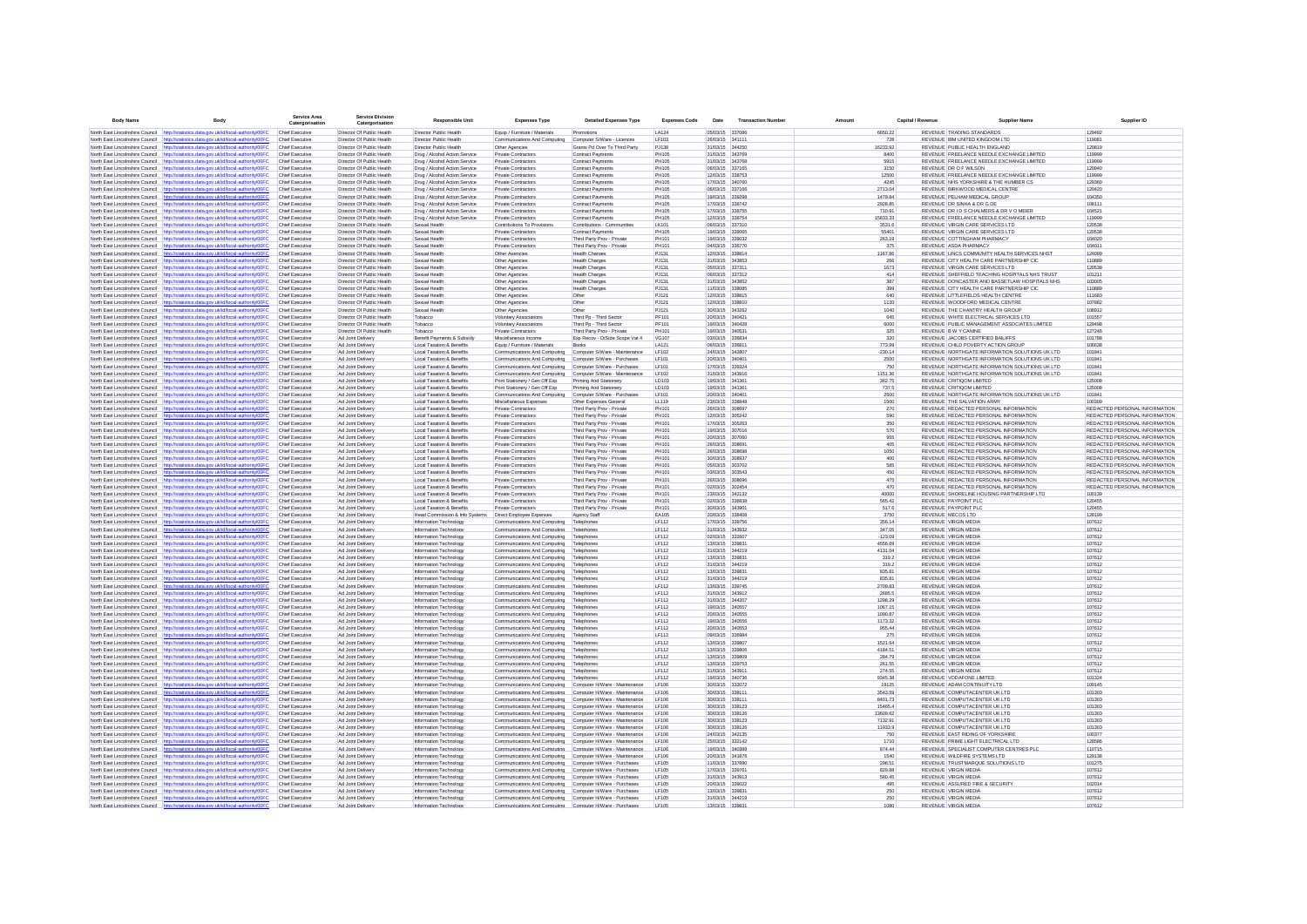| <b>Body Name</b>                                                   | <b>Body</b>                                                                                                                                                                    | Service Area<br>Catergorisation                  | <b>Service Divisio</b><br>Catergorisatio               | <b>Responsible Unit</b>                                        | <b>Expenses Type</b>                                                                                                 | <b>Detailed Expenses Type</b>                                  | <b>Expenses Code</b>         | Date                               | <b>Transaction Number</b> | Amount             | Canital / Revenue | <b>Supplier Name</b>                                                                             | Supplier ID                                                    |
|--------------------------------------------------------------------|--------------------------------------------------------------------------------------------------------------------------------------------------------------------------------|--------------------------------------------------|--------------------------------------------------------|----------------------------------------------------------------|----------------------------------------------------------------------------------------------------------------------|----------------------------------------------------------------|------------------------------|------------------------------------|---------------------------|--------------------|-------------------|--------------------------------------------------------------------------------------------------|----------------------------------------------------------------|
|                                                                    | North East Lincolnshire Council http://statistics.data.gov.uk/id/local-authority/00FC                                                                                          | Chief Executive                                  | Director Of Public Health                              | Director Public Health                                         | Equip / Furniture / Materials                                                                                        | Promotions                                                     | LA124                        | 05/03/15 337086                    |                           | 6650.22            |                   | <b>REVENUE TRADING STANDARDS</b>                                                                 | 129492                                                         |
|                                                                    | North East Lincolnshire Council http://statistics.data.gov.uk/id/local-authority/00FC                                                                                          | Chief Executive                                  | Director Of Public Health                              | Director Public Health                                         | Communications And Computing                                                                                         | Computer S/Ware - Licences                                     | LF103                        | 26/03/15 341111                    |                           | 728                |                   | REVENUE IBM UNITED KINGDOM LTD                                                                   | 119081                                                         |
| North East Lincolnshire Council                                    | http://statistics.data.gov.uk/id/local-authority/00FC                                                                                                                          | Chief Executive                                  | Director Of Public Health                              | Director Public Health                                         | Other Agencies                                                                                                       | Grants Pd Over To Third Party                                  | PJ138                        | 31/03/15 344250                    |                           | 16233.92           |                   | REVENUE PUBLIC HEALTH ENGLAND                                                                    | 120819                                                         |
|                                                                    | North East Lincolnshire Council http://statistics.data.gov.uk/id/local-authority/00FC                                                                                          | Chief Executive                                  | Director Of Public Health                              | Drug / Alcohol Action Service                                  | Private Contractors                                                                                                  | Contract Payments                                              | <b>PH105</b>                 | 31/03/15 343769                    |                           | 8400               |                   | REVENUE FREELANCE NEEDLE EXCHANGE LIMITED                                                        | 119999                                                         |
|                                                                    | North East Lincolnshire Council http://statistics.data.gov.uk/id/local-authority/00FC                                                                                          | Chief Executive                                  | Director Of Public Health                              | Drug / Alcohol Action Service                                  | Private Contractors                                                                                                  | <b>Contract Payments</b>                                       | <b>PH105</b>                 | 31/03/15 343768                    |                           | 5915               |                   | REVENUE FREELANCE NEEDLE EXCHANGE LIMITED                                                        | 119999                                                         |
|                                                                    | North East Lincolnshire Council http://statistics.data.gov.uk/id/local-authority/00FC<br>North East Lincolnshire Council http://statistics.data.gov.uk/id/local-authority/00FC | Chief Executive<br>Chief Executive               | Director Of Public Health<br>Director Of Public Health | Drug / Alcohol Action Service<br>Drug / Alcohol Action Service | Private Contractors<br>Private Contractors                                                                           | Contract Payments<br><b>Contract Payments</b>                  | <b>PH105</b><br><b>PH105</b> | 06/03/15 337165<br>12/03/15 338753 |                           | 3150<br>12500      |                   | REVENUE DR O F WILSON<br>REVENUE FREELANCE NEEDLE EXCHANGE LIMITED                               | 120940<br>119999                                               |
| North East Lincolnshire Council                                    | http://statistics.data.gov.uk/id/local-authority/00FC                                                                                                                          | Chief Executive                                  | Director Of Public Health                              | Drug / Alcohol Action Service                                  | Private Contractors                                                                                                  | <b>Contract Payments</b>                                       | <b>PH105</b>                 | 17/03/15 340760                    |                           | 4245               |                   | REVENUE NHS YORKSHIRE & THE HUMBER CS                                                            | 129360                                                         |
| North East Lincolnshire Council                                    | http://statistics.data.gov.uk/id/local-authority/00FC                                                                                                                          | Chief Executive                                  | Director Of Public Health                              | Drug / Alcohol Action Service                                  | Private Contractors                                                                                                  | <b>Contract Payments</b>                                       | <b>PH105</b>                 | 06/03/15 337166                    |                           | 2713.04            |                   | REVENUE BIRKWOOD MEDICAL CENTRE                                                                  | 120420                                                         |
| North East Lincolnshire Council                                    | http://statistics.data.gov.uk/id/local-authority/00FC                                                                                                                          | Chief Executive                                  | Director Of Public Health                              | Drug / Alcohol Action Service                                  | Private Contractors                                                                                                  | Contract Payments                                              | <b>PH105</b>                 | 19/03/15 339298                    |                           | 1479.84            |                   | REVENUE PELHAM MEDICAL GROUP                                                                     | 104350                                                         |
|                                                                    | North East Lincolnshire Council http://statistics.data.gov.uk/id/local-authority/00FC                                                                                          | <b>Chief Executive</b>                           | Director Of Public Health                              | Drug / Alcohol Action Service                                  | Private Contractors                                                                                                  | <b>Contract Payments</b>                                       | <b>PH105</b>                 | 17/03/15 338742                    |                           | 2928.85            |                   | REVENUE DR SINHA & DR G DE                                                                       | 108111                                                         |
| North East Lincolnshire Council                                    | http://statistics.data.gov.uk/id/local-authority/00FC                                                                                                                          | <b>Chief Executive</b>                           | Director Of Public Health                              | Drug / Alcohol Action Service                                  | Private Contractors                                                                                                  | Contract Payments                                              | <b>PH105</b>                 | 17/03/15 338755<br>12/03/15 338754 |                           | 710.91<br>15833.33 |                   | REVENUE DR I D S CHALMERS & DR V O MEIER<br>REVENUE FREELANCE NEEDLE EXCHANGE LIMITED            | 104521                                                         |
| North East Lincolnshire Council                                    | North East Lincolnshire Council http://statistics.data.gov.uk/id/local-authority/00FC<br>http://statistics.data.gov.uk/id/local-authority/00FC                                 | <b>Chief Executive</b><br><b>Chief Executive</b> | Director Of Public Health<br>Director Of Public Health | Drug / Alcohol Action Service<br>Sexual Health                 | Private Contractors<br>Contributions To Provision                                                                    | Contract Payments<br>Contributions - Communities               | <b>PH105</b><br><b>LK101</b> | 06/03/15 337310                    |                           | 3531.6             |                   | REVENUE VIRGIN CARE SERVICES LTD                                                                 | 119999<br>120538                                               |
|                                                                    | North East Lincolnshire Council http://statistics.data.gov.uk/id/local-authority/00FC                                                                                          | <b>Chief Executive</b>                           | Director Of Public Health                              | Sexual Health                                                  | Private Contractors                                                                                                  | Contract Payments                                              | <b>PH105</b>                 | 19/03/15 339065                    |                           | 55401              |                   | REVENUE VIRGIN CARE SERVICES LTD                                                                 | 120538                                                         |
| North East Lincolnshire Council                                    | http://statistics.data.gov.uk/id/local-authority/00FC                                                                                                                          | Chief Executive                                  | Director Of Public Health                              | Sexual Health                                                  | Private Contractor                                                                                                   | Third Party Prov - Privat                                      | PH101                        | 19/03/15 339032                    |                           | 263.19             |                   | REVENUE COTTINGHAM PHARMACY                                                                      | 104020                                                         |
|                                                                    | North East Lincolnshire Council http://statistics.data.gov.uk/id/local-authority/00FC                                                                                          | Chief Executive                                  | Director Of Public Health                              | Sexual Health                                                  | Private Contractors                                                                                                  | Third Party Prov - Private                                     | PH101                        | 04/03/15 336770                    |                           | 375                |                   | REVENUE ASDA PHARMACY                                                                            | 104011                                                         |
| North East Lincolnshire Council                                    | http://statistics.data.gov.uk/id/local-authority/00FC                                                                                                                          | Chief Executive                                  | Director Of Public Health<br>Director Of Public Health | Sexual Health                                                  | Other Agencies                                                                                                       | <b>Health Charges</b>                                          | PJ131<br>PJ131               | 12/03/15 338814<br>31/03/15 343853 |                           | 1167.86            |                   | REVENUE LINCS COMMUNITY HEALTH SERVICES NHST<br>REVENUE CITY HEALTH CARE PARTNERSHIP CIC         | 124099<br>110889                                               |
| North East Lincolnshire Council                                    | North East Lincolnshire Council http://statistics.data.gov.uk/id/local-authority/00FC<br>http://statistics.data.gov.uk/id/local-authority/00F0                                 | Chief Executive<br>Chief Executive               | Director Of Public Health                              | Sexual Health<br>Sexual Health                                 | Other Agencies<br>Other Agencies                                                                                     | <b>Health Charges</b><br><b>Health Charges</b>                 | PJ131                        | 05/03/15 337311                    |                           | 266<br>1673        |                   | REVENUE VIRGIN CARE SERVICES LTD                                                                 | 120538                                                         |
| North East Lincolnshire Council                                    | http://statistics.data.gov.uk/id/local-authority/00FC                                                                                                                          | <b>Chief Executive</b>                           | Director Of Public Health                              | Sexual Health                                                  | Other Agencies                                                                                                       | <b>Health Charges</b>                                          | PJ131                        | 06/03/15 337312                    |                           | 414                |                   | REVENUE SHEFFIELD TEACHING HOSPITALS NHS TRUST                                                   | 101211                                                         |
| North East Lincolnshire Council                                    | http://statistics.data.gov.uk/id/local-authority/00FC                                                                                                                          | Chief Executive                                  | Director Of Public Health                              | Sexual Health                                                  | Other Agencies                                                                                                       | <b>Health Charges</b>                                          | PJ131                        | 31/03/15 343852                    |                           | 387                |                   | REVENUE DONCASTER AND BASSETLAW HOSPITALS NHS                                                    | 103005                                                         |
|                                                                    | North East Lincolnshire Council http://statistics.data.gov.uk/id/local-authority/00FC                                                                                          | Chief Executive                                  | Director Of Public Health                              | Sexual Health                                                  | Other Agencies                                                                                                       | <b>Health Charges</b>                                          | PJ131                        | 11/03/15 338085                    |                           | 399                |                   | REVENUE CITY HEALTH CARE PARTNERSHIP CIC                                                         | 110889                                                         |
|                                                                    | North East Lincolnshire Council http://statistics.data.gov.uk/id/local-authority/00FC                                                                                          | Chief Executive                                  | Director Of Public Health                              | Sexual Health                                                  | Other Agencies                                                                                                       | Other                                                          | PJ121                        | 12/03/15 338815                    |                           | 640                |                   | REVENUE LITTLEFIELDS HEALTH CENTRE                                                               | 111683                                                         |
| North East Lincolnshire Council                                    | North East Lincolnshire Council http://statistics.data.gov.uk/id/local-authority/00FC<br>http://statistics.data.gov.uk/id/local-authority/00FC                                 | <b>Chief Executive</b><br><b>Chief Executive</b> | Director Of Public Health<br>Director Of Public Health | Sexual Health<br>Sexual Health                                 | Other Agencies<br>Other Agencies                                                                                     | Other<br>Other                                                 | PJ121<br>PJ121               | 12/03/15 338810<br>30/03/15 343262 |                           | 1120<br>1040       |                   | REVENUE WOODFORD MEDICAL CENTRE<br>REVENUE THE CHANTRY HEALTH GROUP                              | 107882<br>108912                                               |
| North East Lincolnshire Council                                    | http://statistics.data.gov.uk/id/local-authority/00FC                                                                                                                          | <b>Chief Executive</b>                           | Director Of Public Health                              | Tobacco                                                        | Voluntary Associations                                                                                               | Third Po - Third Sector                                        | PF101                        | 20/03/15 340421                    |                           | 645                |                   | REVENUE WHITE ELECTRICAL SERVICES LTD                                                            | 101557                                                         |
|                                                                    | North East Lincolnshire Council http://statistics.data.gov.uk/id/local-authority/00FC                                                                                          | <b>Chief Executive</b>                           | Director Of Public Health                              | Tobacco                                                        | Voluntary Associations                                                                                               | Third Pp - Third Sector                                        | PF101                        | 19/03/15 340428                    |                           | 6000               |                   | REVENUE PUBLIC MANAGEMENT ASSOCIATES LIMITED                                                     | 129498                                                         |
| North East Lincolnshire Council                                    | http://statistics.data.gov.uk/id/local-authority/00FC                                                                                                                          | <b>Chief Executive</b>                           | Director Of Public Health                              | Tobacco                                                        | Private Contractors                                                                                                  | Third Party Prov - Private                                     | PH101                        | 19/03/15 340531                    |                           | 325                |                   | REVENUE B W Y CANINE                                                                             | 127246                                                         |
|                                                                    | North East Lincolnshire Council http://statistics.data.gov.uk/id/local-authority/00FC                                                                                          | Chief Executive                                  | Ad Joint Delivery                                      | Benefit Payments & Subsidy                                     | Miscellaneous Income                                                                                                 | Exp Recov - O/Side Scope Vat 4                                 | <b>VG107</b>                 | 03/03/15 336834                    |                           | 320                |                   | REVENUE JACOBS CERTIFIED BAILIFFS                                                                | 101788                                                         |
| North East Lincolnshire Council                                    | http://statistics.data.gov.uk/id/local-authority/00FC                                                                                                                          | <b>Chief Executive</b>                           | Ad Joint Delivery                                      | Local Taxation & Benefits                                      | Equip / Furniture / Materials                                                                                        | Books                                                          | LA121                        | 06/03/15 336811                    |                           | 773.99             |                   | REVENUE CHILD POVERTY ACTION GROUP                                                               | 106638                                                         |
| North East Lincolnshire Council<br>North East Lincolnshire Council | http://statistics.data.gov.uk/id/local-authority/00FC<br>http://statistics.data.gov.uk/id/local-authority/00FC                                                                 | Chief Executive<br>Chief Executive               | Ad Joint Delivery<br>Ad Joint Delivery                 | Local Taxation & Benefits<br>Local Taxation & Benefits         | Communications And Computing<br>Communications And Computing                                                         | Computer S/Ware - Maintenance<br>Computer S/Ware - Purchases   | LF102<br>LF101               | 24/03/15 342807<br>20/03/15 340401 |                           | $-230.14$<br>2500  |                   | REVENUE NORTHGATE INFORMATION SOLUTIONS UK LTD<br>REVENUE NORTHGATE INFORMATION SOLUTIONS UK LTD | 101841<br>101841                                               |
| North East Lincolnshire Council                                    | http://statistics.data.gov.uk/id/local-authority/00FC                                                                                                                          | Chief Executive                                  | Ad Joint Delivery                                      | Local Taxation & Benefit                                       | Communications And Computing                                                                                         | Computer S/Ware - Purchases                                    | LF101                        | 17/03/15 339324                    |                           | 750                |                   | REVENUE NORTHGATE INFORMATION SOLUTIONS UK LTD                                                   | 101841                                                         |
| North East Lincolnshire Council                                    | http://statistics.data.gov.uk/id/local-authority/00FC                                                                                                                          | Chief Executive                                  | Ad Joint Delivery                                      | Local Taxation & Benefits                                      | Communications And Computing                                                                                         | Computer S/Ware - Maintenance                                  | LF102                        | 31/03/15 343916                    |                           | 1151.36            |                   | REVENUE NORTHGATE INFORMATION SOLUTIONS UK LTD                                                   | 101841                                                         |
| North East Lincolnshire Council http://st                          | distics.data.oov.uk/id/local-authority/00FC                                                                                                                                    | Chief Executive                                  | Ad Joint Delivery                                      | Local Taxation & Benefits                                      | Print Stationery / Gen Off Exp                                                                                       | Printing And Stationery                                        | LD103                        | 19/03/15 341361                    |                           | 362.75             |                   | REVENUE CRITIQOM LIMITED                                                                         | 125008                                                         |
|                                                                    | North East Lincolnshire Council http://statistics.data.gov.uk/id/local-authority/00FC                                                                                          | Chief Executive                                  | Ad Joint Delivery                                      | Local Taxation & Benefits                                      | Print Stationery / Gen Off Exp                                                                                       | Printing And Stationery                                        | LD103                        | 19/03/15 341361                    |                           | 737.5              |                   | REVENUE CRITIQOM LIMITED                                                                         | 125008                                                         |
| North East Lincolnshire Council                                    | http://statistics.data.gov.uk/id/local-authority/00FC                                                                                                                          | Chief Executive                                  | Ad Joint Delivery                                      | Local Taxation & Benefits                                      | Communications And Computing                                                                                         | Computer S/Ware - Purchases                                    | LF101                        | 20/03/15 340401                    |                           | 2500               |                   | REVENUE NORTHGATE INFORMATION SOLUTIONS UK LTD                                                   | 101841                                                         |
| North East Lincolnshire Council<br>North East Lincolnshire Council | http://statistics.data.gov.uk/id/local-authority/00FC<br>http://statistics.data.gov.uk/id/local-authority/00FC                                                                 | <b>Chief Executive</b><br>Chief Executive        | Ad Joint Delivery<br>Ad Joint Delivery                 | Local Taxation & Benefits<br>Local Taxation & Benefits         | Miscellaneous Expenses<br>Private Contractors                                                                        | Other Expenses General<br>Third Party Prov - Private           | LL119<br>PH101               | 23/03/15 338848<br>26/03/15 308697 |                           | 1500<br>270        |                   | REVENUE THE SALVATION ARMY<br>REVENUE REDACTED PERSONAL INFORMATION                              | 100309<br>REDACTED PERSONAL INFORMATION                        |
|                                                                    | North East Lincolnshire Council http://statistics.data.gov.uk/id/local-authority/00FC                                                                                          | <b>Chief Executive</b>                           | Ad Joint Delivery                                      | Local Taxation & Benefits                                      | Private Contractors                                                                                                  | Third Party Prov - Private                                     | <b>PH101</b>                 | 12/03/15 305242                    |                           | 590                |                   | REVENUE REDACTED PERSONAL INFORMATION                                                            | REDACTED PERSONAL INFORMATION                                  |
|                                                                    | North East Lincolnshire Council http://statistics.data.gov.uk/id/local-authority/00FC                                                                                          | <b>Chief Executive</b>                           | Ad Joint Delivery                                      | Local Taxation & Benefits                                      | Private Contractors                                                                                                  | Third Party Prov - Private                                     | PH101                        | 17/03/15 305263                    |                           | 350                |                   | REVENUE REDACTED PERSONAL INFORMATION                                                            | REDACTED PERSONAL INFORMATION                                  |
|                                                                    | North East Lincolnshire Council http://statistics.data.gov.uk/id/local-authority/00FC                                                                                          | <b>Chief Executive</b>                           | Ad Joint Delivery                                      | Local Taxation & Benefits                                      | Private Contractors                                                                                                  | Third Party Prov - Private                                     | <b>PH101</b>                 | 19/03/15 307016                    |                           | 570                |                   | REVENUE REDACTED PERSONAL INFORMATION                                                            | REDACTED PERSONAL INFORMATION                                  |
| North East Lincolnshire Council                                    | http://statistics.data.gov.uk/id/local-authority/00FC                                                                                                                          | <b>Chief Executive</b>                           | Ad Joint Delivery                                      | Local Taxation & Benefits                                      | Private Contractors                                                                                                  | Third Party Prov - Private                                     | <b>PH101</b>                 | 20/03/15 307060                    |                           | 955                |                   | REVENUE REDACTED PERSONAL INFORMATION                                                            | REDACTED PERSONAL INFORMATION                                  |
|                                                                    | North East Lincolnshire Council http://statistics.data.gov.uk/id/local-authority/00FC                                                                                          | <b>Chief Executive</b>                           | Ad Joint Delivery                                      | Local Taxation & Benefits                                      | Private Contractors                                                                                                  | Third Party Prov - Private                                     | <b>PH101</b>                 | 26/03/15 308691                    |                           | 405                |                   | REVENUE REDACTED PERSONAL INFORMATION                                                            | REDACTED PERSONAL INFORMATION                                  |
| North East Lincolnshire Council                                    | http://statistics.data.gov.uk/id/local-authority/00FC                                                                                                                          | <b>Chief Executive</b>                           | Ad Joint Delivery                                      | Local Taxation & Benefits                                      | Private Contractors                                                                                                  | Third Party Prov - Private                                     | <b>PH101</b>                 | 26/03/15 308696<br>30/03/15 308937 |                           | 1050               |                   | REVENUE REDACTED PERSONAL INFORMATION<br>REVENUE REDACTED PERSONAL INFORMATION                   | REDACTED PERSONAL INFORMATION                                  |
| North East Lincolnshire Council                                    | North East Lincolnshire Council http://statistics.data.gov.uk/id/local-authority/00FC<br>http://statistics.data.gov.uk/id/local-authority/00FC                                 | Chief Executive<br><b>Chief Executive</b>        | Ad Joint Delivery<br>Ad Joint Delivery                 | Local Taxation & Benefits<br>Local Taxation & Benefits         | Private Contractors<br>Private Contractors                                                                           | Third Party Prov - Private<br>Third Party Prov - Private       | <b>PH101</b><br>PH101        | 05/03/15 303702                    |                           | 400<br>585         |                   | REVENUE REDACTED PERSONAL INFORMATION                                                            | REDACTED PERSONAL INFORMATION<br>REDACTED PERSONAL INFORMATION |
|                                                                    | North East Lincolnshire Council http://statistics.data.gov.uk/id/local-authority/00FC                                                                                          | Chief Executive                                  | Ad Joint Delivery                                      | Local Taxation & Benefits                                      | <b>Private Contractors</b>                                                                                           | Third Party Prov - Private                                     | PH101                        | 03/03/15 303543                    |                           | 450                |                   | REVENUE REDACTED PERSONAL INFORMATION                                                            | REDACTED PERSONAL INFORMATION                                  |
| North East Lincolnshire Council                                    | ttp://statistics.data.gov.uk/id/local-authority/00FC                                                                                                                           | Chief Executive                                  | Ad Joint Delivery                                      | Local Taxation & Benefits                                      | Private Contractors                                                                                                  | Third Party Prov - Private                                     | PH101                        | 26/03/15 308696                    |                           | 475                |                   | REVENUE REDACTED PERSONAL INFORMATION                                                            | REDACTED PERSONAL INFORMATION                                  |
| North East Lincolnshire Council                                    | http://statistics.data.gov.uk/id/local-authority/00FC                                                                                                                          | Chief Executive                                  | Ad Joint Delivery                                      | Local Taxation & Benefit                                       | Private Contractors                                                                                                  | Third Party Prov - Privat                                      | PH101                        | 02/03/15 302454                    |                           | 470                |                   | REVENUE REDACTED PERSONAL INFORMATION                                                            | REDACTED PERSONAL INFORMATION                                  |
| North East Lincolnshire Council                                    | http://statistics.data.gov.uk/id/local-authority/00FC                                                                                                                          | Chief Executiv                                   | Ad Joint Delivery                                      | Local Taxation & Benefit                                       | Private Contractors                                                                                                  | Third Party Prov - Privat                                      | PH101                        | 23/03/15 342132                    |                           | 40000              |                   | REVENUE SHORELINE HOUSING PARTNERSHIP LTD                                                        | 100139                                                         |
| North East Lincolnshire Council http://st                          | North East Lincolnshire Council http://statistics.data.gov.uk/id/local-authority/00FC<br>stics.data.oov.uk/id/local-authority/00FC                                             | Chief Executive<br>Chief Executive               | Ad Joint Delivery<br>Ad Joint Delivery                 | Local Taxation & Benefits<br>Local Taxation & Benefits         | Private Contractors<br>Private Contractors                                                                           | Third Party Prov - Private<br>Third Party Prov - Private       | PH101<br>PH101               | 02/03/15 336838<br>30/03/15 343901 |                           | 565.42<br>517.6    |                   | REVENUE PAYPOINT PLC<br>REVENUE PAYPOINT PLC                                                     | 120455<br>120455                                               |
|                                                                    | North East Lincolnshire Council http://statistics.data.gov.uk/id/local-authority/00FC                                                                                          | Chief Executive                                  | Ad Joint Delivery                                      | Head Commission & Info Systems   Direct Employee Expenses      |                                                                                                                      | Agency Staff                                                   | <b>EA105</b>                 | 20/03/15 338408                    |                           | 3750               |                   | REVENUE MECOS LTD                                                                                | 128199                                                         |
| North East Lincolnshire Council                                    | http://statistics.data.gov.uk/id/local-authority/00FC                                                                                                                          | <b>Chief Executive</b>                           | Ad Joint Delivery                                      | Information Technology                                         | Communications And Computing                                                                                         | Telephones                                                     | <b>LF112</b>                 | 17/03/15 339756                    |                           | 356.14             |                   | <b>REVENUE VIRGIN MEDIA</b>                                                                      | 107612                                                         |
| North East Lincolnshire Council                                    | http://statistics.data.gov.uk/id/local-authority/00FC                                                                                                                          | Chief Executive                                  | Ad Joint Delivery                                      | Information Technology                                         | Communications And Computing                                                                                         | Telephones                                                     | <b>LF112</b>                 | 31/03/15 343932                    |                           | 347.05             |                   | REVENUE VIRGIN MEDIA                                                                             | 107612                                                         |
| North East Lincolnshire Council                                    | http://statistics.data.gov.uk/id/local-authority/00FC                                                                                                                          | <b>Chief Executive</b>                           | Ad Joint Delivery                                      | Information Technology                                         | Communications And Computing                                                                                         | Telephones                                                     | LF112                        | 02/03/15 332607                    |                           | $-123.09$          |                   | <b>REVENUE VIRGIN MEDIA</b>                                                                      | 107612                                                         |
|                                                                    | North East Lincolnshire Council http://statistics.data.gov.uk/id/local-authority/00FC                                                                                          | Chief Executive                                  | Ad Joint Delivery                                      | Information Technology                                         | Communications And Computing                                                                                         | Telephones                                                     | LF112                        | 13/03/15 339831                    |                           | 4556.69            |                   | <b>REVENUE VIRGIN MEDIA</b>                                                                      | 107612                                                         |
| North East Lincolnshire Council                                    | North East Lincolnshire Council http://statistics.data.gov.uk/id/local-authority/00FC<br>http://statistics.data.gov.uk/id/local-authority/00FC                                 | <b>Chief Executive</b><br><b>Chief Executive</b> | Ad Joint Delivery<br>Ad Joint Delivery                 | Information Technology<br>Information Technology               | Communications And Computing<br>Communications And Computing                                                         | Telephones<br>Telephones                                       | LF112<br>LF112               | 31/03/15 344219<br>13/03/15 339831 |                           | 4131.04<br>319.2   |                   | <b>REVENUE VIRGIN MEDIA</b><br><b>REVENUE VIRGIN MEDIA</b>                                       | 107612<br>107612                                               |
| North East Lincolnshire Council                                    | http://statistics.data.gov.uk/id/local-authority/00FC                                                                                                                          | <b>Chief Executive</b>                           | Ad Joint Delivery                                      | Information Technology                                         | Communications And Computing                                                                                         | Telephones                                                     | LF112                        | 31/03/15 344219                    |                           | 319.2              |                   | <b>REVENUE VIRGIN MEDIA</b>                                                                      | 107612                                                         |
| North East Lincolnshire Council                                    | http://statistics.data.gov.uk/id/local-authority/00FC                                                                                                                          | <b>Chief Executive</b>                           | Ad Joint Delivery                                      | Information Technology                                         | Communications And Computing                                                                                         | Telephones                                                     | LF112                        | 13/03/15 339831                    |                           | 835.81             |                   | <b>REVENUE VIRGIN MEDIA</b>                                                                      | 107612                                                         |
|                                                                    | North East Lincolnshire Council http://statistics.data.gov.uk/id/local-authority/00FC                                                                                          | Chief Executive                                  | Ad Joint Delivery                                      | Information Technology                                         | Communications And Computing                                                                                         | Telenhones                                                     | LF112                        | 31/03/15 344219                    |                           | 835 81             |                   | <b>REVENUE VIRGIN MEDIA</b>                                                                      | 107612                                                         |
| North East Lincolnshire Council                                    | http://statistics.data.oov.uk/id/local-authority/00FC                                                                                                                          | Chief Executive                                  | Ad Joint Delivery                                      | Information Technology                                         | Communications And Computing                                                                                         | Telephones                                                     | <b>LF112</b>                 | 13/03/15 339745                    |                           | 2709.83            |                   | <b>REVENUE VIRGIN MEDIA</b>                                                                      | 107612                                                         |
| North East Lincolnshire Council                                    | North East Lincolnshire Council http://statistics.data.gov.uk/id/local-authority/00FC<br>http://statistics.data.gov.uk/id/local-authority/00FC                                 | Chief Executive<br><b>Chief Executive</b>        | Ad Joint Delivery<br>Ad Joint Delivery                 | Information Technology<br>Information Technology               | Communications And Computing<br>Communications And Computing                                                         | Telephones<br>Telephone                                        | LF112<br>LF112               | 31/03/15 343912<br>31/03/15 344207 |                           | 2685.5<br>1298.29  |                   | <b>REVENUE VIRGIN MEDIA</b><br><b>REVENUE VIRGIN MEDIA</b>                                       | 107612<br>107612                                               |
| North East Lincolnshire Council                                    | http://statistics.data.gov.uk/id/local-authority/00FC                                                                                                                          | Chief Executive                                  | Ad Joint Delivery                                      | Information Technology                                         | Communications And Computing                                                                                         | Telephones                                                     | LF112                        | 19/03/15 340557                    |                           | 1067.15            |                   | <b>REVENUE VIRGIN MEDIA</b>                                                                      | 107612                                                         |
| North East Lincolnshire Council                                    | http://statistics.data.gov.uk/id/local-authority/00FC                                                                                                                          | Chief Executiv                                   | Ad Joint Delivery                                      | Information Technology                                         | Communications And Computing                                                                                         | Telephone                                                      | LF112                        | 20/03/15 340555                    |                           | 1090.87            |                   | REVENUE VIRGIN MEDIA                                                                             | 107612                                                         |
| North East Lincolnshire Council                                    | http://statistics.data.gov.uk/id/local-authority/00FC                                                                                                                          | Chief Executive                                  | Ad Joint Delivery                                      | Information Technology                                         | Communications And Computing                                                                                         | Telephones                                                     | LF112                        | 19/03/15 340556                    |                           | 1173.32            |                   | REVENUE VIRGIN MEDIA                                                                             | 107612                                                         |
| North East Lincolnshire Council                                    | http://statistics.data.gov.uk/id/local-authority/00FC                                                                                                                          | Chief Executive                                  | Ad Joint Delivery                                      | Information Technology                                         | Communications And Computing                                                                                         | Telephones                                                     | LF112                        | 20/03/15 340553                    |                           | 955.44             |                   | <b>REVENUE VIRGIN MEDIA</b>                                                                      | 107612                                                         |
| North East Lincolnshire Council http://st                          | dics.data.gov.uk/id/local-authority/00FC<br>North East Lincolnshire Council http://statistics.data.gov.uk/id/local-authority/00FC                                              | Chief Executive<br>Chief Executive               | Ad Joint Delivery<br>Ad Joint Delivery                 | Information Technology<br>Information Technology               | Communications And Computing<br>Communications And Computing                                                         | Telephones<br>Telephones                                       | <b>LF112</b><br>LF112        | 09/03/15 336984<br>13/03/15 339807 |                           | 275<br>1521.64     |                   | <b>REVENUE VIRGIN MEDIA</b><br><b>REVENUE VIRGIN MEDIA</b>                                       | 107612<br>107612                                               |
| North East Lincolnshire Council                                    | http://statistics.data.gov.uk/id/local-authority/00FC                                                                                                                          | Chief Executive                                  | Ad Joint Delivery                                      | Information Technology                                         | Communications And Computing                                                                                         | Telephones                                                     | <b>LF112</b>                 | 13/03/15 339806                    |                           | 4184.51            |                   | REVENUE VIRGIN MEDIA                                                                             | 107612                                                         |
| North East Lincolnshire Council                                    | http://statistics.data.gov.uk/id/local-authority/00FC                                                                                                                          | <b>Chief Executive</b>                           | Ad Joint Delivery                                      | Information Technology                                         | Communications And Computing                                                                                         | Telephones                                                     | LF112                        | 13/03/15 339809                    |                           | 284.79             |                   | REVENUE VIRGIN MEDIA                                                                             | 107612                                                         |
|                                                                    | North East Lincolnshire Council http://statistics.data.gov.uk/id/local-authority/00FC                                                                                          | <b>Chief Executive</b>                           | Ad Joint Delivery                                      | Information Technology                                         | Communications And Computing                                                                                         | Telephones                                                     | LF112                        | 13/03/15 339753                    |                           | 261.55             |                   | <b>REVENUE VIRGIN MEDIA</b>                                                                      | 107612                                                         |
|                                                                    | North East Lincolnshire Council http://statistics.data.gov.uk/id/local-authority/00FC                                                                                          | <b>Chief Executive</b>                           | Ad Joint Delivery                                      | Information Technology                                         | Communications And Computing                                                                                         | Telephones                                                     | LF112                        | 31/03/15 343911                    |                           | 274.55             |                   | <b>REVENUE VIRGIN MEDIA</b>                                                                      | 107612                                                         |
|                                                                    | North East Lincolnshire Council http://statistics.data.gov.uk/id/local-authority/00FC                                                                                          | Chief Executive                                  | Ad Joint Delivery                                      | Information Technology                                         | Communications And Computing                                                                                         | Telephones                                                     | LF112                        | 19/03/15 340736                    |                           | 9345.38            |                   | REVENUE VODAFONE LIMITED                                                                         | 101324                                                         |
| North East Lincolnshire Council                                    | North East Lincolnshire Council http://statistics.data.gov.uk/id/local-authority/00FC<br>http://statistics.data.gov.uk/id/local-authority/00FC                                 | Chief Executive<br>Chief Executive               | Ad Joint Delivery<br>Ad Joint Delivery                 | Information Technology<br>Information Technology               | Communications And Computing<br>Communications And Computing                                                         | Computer H/Ware - Maintenance<br>Computer H/Ware - Maintenance | LF106<br><b>IF106</b>        | 30/03/15 332072<br>3003/15 338111  |                           | 19125<br>3543.59   |                   | REVENUE ADAM CONTINUITY LTD<br>REVENUE COMPUTACENTER UK LTD                                      | 109145<br>101303                                               |
|                                                                    | North East Lincolnshire Council http://statistics.data.oov.uk/id/local-authority/00EC                                                                                          | Chief Executive                                  | Ad Joint Delivery                                      | Information Technology                                         | Communications And Computing                                                                                         | Computer H/Ware - Maintenance                                  | <b>IF106</b>                 | 30/03/15 338111                    |                           | 8401.73            |                   | REVENUE COMPUTACENTER UK LTD                                                                     | 101303                                                         |
| North East Lincolnshire Council                                    | http://statistics.data.gov.uk/id/local-authority/00FC                                                                                                                          | Chief Executive                                  | Ad Joint Delivery                                      | Information Technology                                         | Communications And Computing                                                                                         | Computer H/Ware - Maintenance                                  | LF106                        | 30/03/15 338123                    |                           | 15465.4            |                   | REVENUE COMPUTACENTER UK LTD                                                                     | 101303                                                         |
|                                                                    | North East Lincolnshire Council http://statistics.data.gov.uk/id/local-authority/00FC                                                                                          | Chief Executive                                  | Ad Joint Delivery                                      | Information Technology                                         | Communications And Computing                                                                                         | Computer H/Ware - Maintenance                                  | LF106                        | 30/03/15 338126                    |                           | 13609.62           |                   | REVENUE COMPUTACENTER UK LTD                                                                     | 101303                                                         |
| North East Lincolnshire Council                                    | http://statistics.data.oov.uk/id/local-authority/00FC                                                                                                                          | <b>Chief Executive</b>                           | Ad Joint Delivery                                      | Information Technology                                         | Communications And Computing                                                                                         | Computer H/Ware - Maintenance                                  | LF106                        | 30/03/15 338123                    |                           | 7132.91            |                   | REVENUE COMPUTACENTER UK LTD                                                                     | 101303                                                         |
| North East Lincolnshire Council                                    | North East Lincolnshire Council http://statistics.data.gov.uk/id/local-authority/00FC<br>http://statistics.data.gov.uk/id/local-authority/00FC                                 | <b>Chief Executive</b><br>Chief Executive        | Ad Joint Delivery<br>Ad Joint Delivery                 | Information Technology<br>Information Technology               | Communications And Computing<br>Communications And Computing                                                         | Computer H/Ware - Maintenance<br>Computer H/Ware - Maintenance | LF106<br>LF106               | 30/03/15 338126<br>24/03/15 342135 |                           | 11933.9<br>750     |                   | REVENUE COMPUTACENTER UK LTD<br>REVENUE EAST RIDING OF YORKSHIRE                                 | 101303<br>100377                                               |
|                                                                    | North East Lincolnshire Council http://statistics.data.gov.uk/id/local-authority/00FC                                                                                          | Chief Executive                                  | Ad Joint Delivery                                      | Information Technology                                         | Communications And Computing                                                                                         | Computer H/Ware - Maintenance                                  | LF106                        | 25/03/15 332142                    |                           | 1710               |                   | REVENUE PRIME LIGHT ELECTRICAL LTD                                                               | 128586                                                         |
|                                                                    | North East Lincolnshire Council http://statistics.data.gov.uk/id/local-authority/00FC                                                                                          | Chief Executive                                  | Ad Joint Delivery                                      | Information Technology                                         | Communications And Computing Computer H/Ware - Maintenance                                                           |                                                                | LF106                        | 19/03/15 340389                    |                           | 874.44             |                   | REVENUE SPECIALIST COMPUTER CENTRES PLC                                                          | 110715                                                         |
|                                                                    | North East Lincolnshire Council http://statistics.data.gov.uk/id/local-authority/00FC                                                                                          | Chief Executive                                  | Ad Joint Delivery                                      | Information Technology                                         | Communications And Computing Computer H/Ware - Maintenance                                                           |                                                                | LF106                        | 20/03/15 341876                    |                           | 1540               |                   | REVENUE WILDFIRE SYSTEMS LTD                                                                     | 129138                                                         |
|                                                                    | North East Lincolnshire Council http://statistics.data.gov.uk/id/local-authority/00FC                                                                                          | Chief Executive                                  | Ad Joint Delivery                                      | Information Technology                                         | Communications And Computing Computer H/Ware - Purchases                                                             |                                                                | LF105                        | 11/03/15 337890                    |                           | 298.51             |                   | REVENUE TRUSTMARQUE SOLUTIONS LTD                                                                | 101275                                                         |
|                                                                    | North East Lincolnshire Council http://statistics.data.gov.uk/id/local-authority/00FC                                                                                          | Chief Executive                                  | Ad Joint Delivery                                      | Information Technology                                         | Communications And Computing Computer H/Ware - Purchases                                                             |                                                                | LF105                        | 17/03/15 339761                    |                           | 829.88             |                   | <b>REVENUE VIRGIN MEDIA</b><br><b>REVENUE VIRGIN MEDIA</b>                                       | 107612                                                         |
| North East Lincolnshire Council                                    | http://statistics.data.gov.uk/id/local-authority/00FC<br>North East Lincolnshire Council http://statistics.data.gov.uk/id/local-authority/00FC                                 | <b>Chief Executive</b><br>Chief Executive        | Ad Joint Delivery<br>Ad Joint Delivery                 | Information Technology<br>Information Technology               | Communications And Computing Computer H/Ware - Purchases<br>Communications And Computing Computer H/Ware - Purchases |                                                                | LF105<br>LF105               | 31/03/15 343913<br>20/03/15 339022 |                           | 580.45<br>495      |                   | REVENUE ASSURED FIRE & SECURITY                                                                  | 107612<br>102014                                               |
|                                                                    | North East Lincolnshire Council http://statistics.data.gov.uk/id/local-authority/00FC                                                                                          | Chief Executive                                  | Ad Joint Delivery                                      | Information Technology                                         | Communications And Computing Computer H/Ware - Purchases                                                             |                                                                | LF105                        | 13/03/15 339831                    |                           | 250                |                   | <b>REVENUE VIRGIN MEDIA</b>                                                                      | 107612                                                         |
|                                                                    | North East Lincolnshire Council http://statistics.data.gov.uk/id/local-authority/00FC                                                                                          | Chief Executive                                  | Ad Joint Delivery                                      | Information Technology                                         | Communications And Computing Computer H/Ware - Purchases                                                             |                                                                | LF105                        | 31/03/15 344219                    |                           | 250                |                   | <b>REVENUE VIRGIN MEDIA</b>                                                                      | 107612                                                         |
|                                                                    | North East Lincolnshire Council http://statistics.data.gov.uk/id/local-authority/00FC                                                                                          | Chief Executive                                  | Ad Joint Delivery                                      | Information Technology                                         | Communications And Computing                                                                                         | Computer H/Ware - Purchases                                    | LF105                        | 13/03/15 339831                    |                           | 1080               |                   | <b>REVENUE VIRGIN MEDIA</b>                                                                      | 107612                                                         |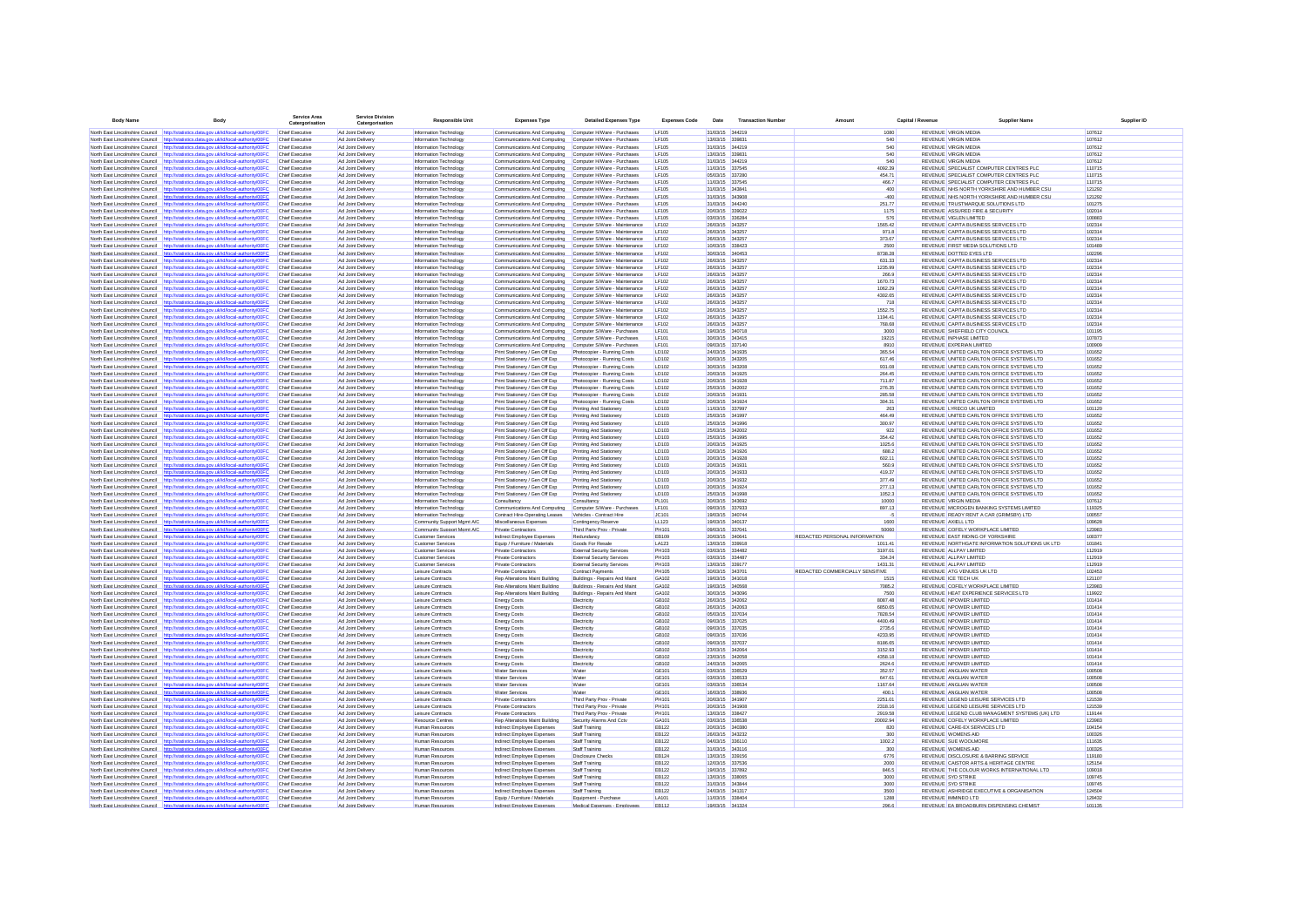| <b>Body Name</b>                                                   | Body                                                                                                                                                                           | <b>Service Area</b><br>Catergorisation           | ervice Division<br>Catergorisatio      | <b>Responsible Unit</b>                                | <b>Expenses Type</b>                                             | <b>Detailed Expenses Type</b>                                  | <b>Expenses Code</b>  | Date                               | <b>Transaction Number</b> | Amount                          | Canital / Revenue |                             | <b>Supplier Name</b>                                                                   | Supplier ID      |  |
|--------------------------------------------------------------------|--------------------------------------------------------------------------------------------------------------------------------------------------------------------------------|--------------------------------------------------|----------------------------------------|--------------------------------------------------------|------------------------------------------------------------------|----------------------------------------------------------------|-----------------------|------------------------------------|---------------------------|---------------------------------|-------------------|-----------------------------|----------------------------------------------------------------------------------------|------------------|--|
|                                                                    | North East Lincolnshire Council http://statistics.data.gov.uk/id/local-authority/00FC                                                                                          | Chief Executive                                  | Ad Joint Delivery                      | Information Technology                                 | Communications And Computing Computer H/Ware - Purchases         |                                                                | <b>LF105</b>          | 31/03/15 344219                    |                           | 1080                            |                   | <b>REVENUE VIRGIN MEDIA</b> |                                                                                        | 107612           |  |
|                                                                    | North East Lincolnshire Council http://statistics.data.gov.uk/id/local-authority/00FC                                                                                          | Chief Executive                                  | Ad Joint Delivery                      | Information Technology                                 | Communications And Computing                                     | Computer H/Ware - Purchases                                    | <b>LF105</b>          | 13/03/15 339831                    |                           | 540                             |                   | <b>REVENUE VIRGIN MEDIA</b> |                                                                                        | 107612           |  |
| North East Lincolnshire Council                                    | stics.data.oov.uk/id/local-authority/00FC<br>http://sta                                                                                                                        | Chief Executive                                  | Ad Joint Delivery                      | Information Technology                                 | Communications And Computing                                     | Computer H/Ware - Purchases                                    | <b>LF105</b>          | 31/03/15 344219                    |                           | 540                             |                   | <b>REVENUE VIRGIN MEDIA</b> |                                                                                        | 107612           |  |
|                                                                    | North East Lincolnshire Council   http://statistics.data.gov.uk/id/local-authority/00FC                                                                                        | Chief Executive                                  | Ad Joint Delivery                      | Information Technology                                 | Communications And Computing                                     | Computer H/Ware - Purchases                                    | <b>LF105</b>          | 13/03/15 339831                    |                           | 540                             |                   | <b>REVENUE VIRGIN MEDIA</b> |                                                                                        | 107612           |  |
|                                                                    | North East Lincolnshire Council http://statistics.data.gov.uk/id/local-authority/00FC                                                                                          | <b>Chief Executive</b>                           | Ad Joint Delivery                      | Information Technology                                 | Communications And Computing                                     | Computer H/Ware - Purchases                                    | LF105                 | 31/03/15 344219                    |                           | 540                             |                   | <b>REVENUE VIRGIN MEDIA</b> |                                                                                        | 107612           |  |
|                                                                    | North East Lincolnshire Council http://statistics.data.gov.uk/id/local-authority/00FC                                                                                          | Chief Executive                                  | Ad Joint Delivery                      | Information Technology                                 | Communications And Computing                                     | Computer H/Ware - Purchases                                    | LF105                 | 11/03/15 337545                    |                           | 4092.39                         |                   |                             | REVENUE SPECIALIST COMPUTER CENTRES PLC                                                | 110715           |  |
|                                                                    | North East Lincolnshire Council http://statistics.data.gov.uk/id/local-authority/00FC                                                                                          | <b>Chief Executive</b>                           | Ad Joint Delivery                      | Information Technology                                 | Communications And Computing                                     | Computer H/Ware - Purchases                                    | LF105                 | 05/03/15 337280                    |                           | 454.71                          |                   |                             | REVENUE SPECIALIST COMPUTER CENTRES PLC                                                | 110715           |  |
|                                                                    | North East Lincolnshire Council http://statistics.data.gov.uk/id/local-authority/00FC                                                                                          | <b>Chief Executive</b>                           | Ad Joint Delivery                      | Information Technology                                 | Communications And Computing                                     | Computer H/Ware - Purchases                                    | LF105                 | 11/03/15 337545                    |                           | 466.7                           |                   |                             | REVENUE SPECIALIST COMPUTER CENTRES PLC                                                | 110715           |  |
| North East Lincolnshire Council                                    | http://statistics.data.gov.uk/id/local-authority/00FC                                                                                                                          | Chief Executive                                  | Ad Joint Delivery                      | Information Technology                                 | Communications And Computing                                     | Computer H/Ware - Purchases                                    | LF105                 | 31/03/15 343841                    |                           | 400                             |                   |                             | REVENUE NHS NORTH YORKSHIRE AND HUMBER CSU                                             | 121292           |  |
| North East Lincolnshire Council                                    | http://statistics.data.gov.uk/id/local-authority/00FC<br>North East Lincolnshire Council http://statistics.data.gov.uk/id/local-authority/00FC                                 | <b>Chief Executive</b><br><b>Chief Executive</b> | Ad Joint Delivery<br>Ad Joint Delivery | Information Technology<br>Information Technology       | Communications And Computing<br>Communications And Computing     | Computer H/Ware - Purchases                                    | LF105<br>LF105        | 31/03/15 343908<br>31/03/15 344240 |                           | $-400$<br>251.77                |                   |                             | REVENUE NHS NORTH YORKSHIRE AND HUMBER CSU<br>REVENUE TRUSTMARQUE SOLUTIONS LTD        | 121292<br>101275 |  |
| North East Lincolnshire Council                                    | http://statistics.data.gov.uk/id/local-authority/00FC                                                                                                                          | Chief Executive                                  | Ad Joint Deliven                       | Information Technology                                 | Communications And Computing                                     | Computer H/Ware - Purchases<br>Computer H/Ware - Purchases     | <b>LF105</b>          | 20/03/15 339022                    |                           | 1175                            |                   |                             | REVENUE ASSURED FIRE & SECURITY                                                        | 102014           |  |
|                                                                    | North East Lincolnshire Council http://statistics.data.gov.uk/id/local-authority/00FC                                                                                          | Chief Executive                                  | Ad Joint Deliven                       | Information Technology                                 | Communications And Computing                                     | Computer H/Ware - Purchases                                    | <b>LF105</b>          | 03/03/15 336284                    |                           | 576                             |                   |                             | REVENUE VIGLEN LIMITED                                                                 | 100883           |  |
| North East Lincolnshire Council                                    | http://statistics.data.gov.uk/id/local-authority/00FC                                                                                                                          | <b>Chief Executive</b>                           | Ad Joint Delivery                      | Information Technology                                 | Communications And Computing                                     | Computer S/Ware - Maintenance                                  | LF102                 | 26/03/15 343257                    |                           | 1565.42                         |                   |                             | REVENUE CAPITA BUSINESS SERVICES LTD                                                   | 102314           |  |
| North East Lincolnshire Council                                    | http://statistics.data.gov.uk/id/local-authority/00FC                                                                                                                          | Chief Executive                                  | Ad Joint Delivery                      | Information Technology                                 | Communications And Computing                                     | Computer S/Ware - Maintenance                                  | LF102                 | 26/03/15 343257                    |                           | 971.8                           |                   |                             | REVENUE CAPITA BUSINESS SERVICES LTD                                                   | 102314           |  |
| North East Lincolnshire Council                                    | http://statistics.data.gov.uk/id/local-authority/00FC                                                                                                                          | Chief Executive                                  | Ad Joint Delivery                      | Information Technology                                 | Communications And Computing                                     | Computer S/Ware - Maintenance                                  | LF102                 | 26/03/15 343257                    |                           | 373.67                          |                   |                             | REVENUE CAPITA BUSINESS SERVICES LTD                                                   | 102314           |  |
|                                                                    | North East Lincolnshire Council http://statistics.data.gov.uk/id/local-authority/00FC Chief Executive                                                                          |                                                  | Ad Joint Delivery                      | Information Technology                                 | Communications And Computing                                     | Computer S/Ware - Maintenance                                  | LF102                 | 10/03/15 338423                    |                           | 2500                            |                   |                             | REVENUE FIRST MEDIA SOLUTIONS LTD                                                      | 101489           |  |
| North East Lincolnshire Council                                    | http://statistics.data.gov.uk/id/local-authority/00FC                                                                                                                          | Chief Executive                                  | Ad Joint Delivery                      | Information Technology                                 | Communications And Computing                                     | Computer S/Ware - Maintenance                                  | LF102                 | 30/03/15 340453                    |                           | 8738.28                         |                   |                             | REVENUE DOTTED EYES LTD                                                                | 102296           |  |
|                                                                    | North East Lincolnshire Council http://statistics.data.gov.uk/id/local-authority/00FC                                                                                          | Chief Executive                                  | Ad Joint Delivery                      | Information Technology                                 | Communications And Computing                                     | Computer S/Ware - Maintenance                                  | LF102                 | 26/03/15 343257                    |                           | 631.33                          |                   |                             | REVENUE CAPITA BUSINESS SERVICES LTD                                                   | 102314           |  |
| North East Lincolnshire Council                                    | North East Lincolnshire Council http://statistics.data.gov.uk/id/local-authority/00F0<br>http://statistics.data.gov.uk/id/local-authority/00FC                                 | Chief Executive<br>Chief Executive               | Ad Joint Delivery<br>Ad Joint Delivery | Information Technology<br>Information Technology       | Communications And Computing<br>Communications And Computing     | Computer S/Ware - Maintenance<br>Computer S/Ware - Maintenance | LF102<br>LF102        | 26/03/15 343257<br>26/03/15 343257 |                           | 1235.99<br>266.9                |                   |                             | REVENUE CAPITA BUSINESS SERVICES LTD<br>REVENUE CAPITA BUSINESS SERVICES LTD           | 102314<br>102314 |  |
| North East Lincolnshire Council                                    | http://statistics.data.gov.uk/id/local-authority/00FC                                                                                                                          | Chief Executive                                  | Ad Joint Delivery                      | Information Technology                                 | Communications And Computing                                     | Computer S/Ware - Maintenance                                  | LF102                 | 26/03/15 343257                    |                           | 1670.73                         |                   |                             | REVENUE CAPITA BUSINESS SERVICES LTD                                                   | 102314           |  |
|                                                                    | North East Lincolnshire Council http://statistics.data.gov.uk/id/local-authority/00FC                                                                                          | <b>Chief Executive</b>                           | Ad Joint Delivery                      | Information Technology                                 | Communications And Computing                                     | Computer S/Ware - Maintenance                                  | LF102                 | 26/03/15 343257                    |                           | 1062.29                         |                   |                             | REVENUE CAPITA BUSINESS SERVICES LTD                                                   | 102314           |  |
|                                                                    | North East Lincolnshire Council http://statistics.data.gov.uk/id/local-authority/00FC                                                                                          | <b>Chief Executive</b>                           | Ad Joint Delivery                      | Information Technology                                 | Communications And Computing                                     | Computer S/Ware - Maintenance                                  | LF102                 | 26/03/15 343257                    |                           | 4302.65                         |                   |                             | REVENUE CAPITA BUSINESS SERVICES LTD                                                   | 102314           |  |
|                                                                    | North East Lincolnshire Council http://statistics.data.gov.uk/id/local-authority/00FC                                                                                          | <b>Chief Executive</b>                           | Ad Joint Delivery                      | Information Technology                                 | Communications And Computing                                     | Computer S/Ware - Maintenance                                  | LF102                 | 26/03/15 343257                    |                           | 718                             |                   |                             | REVENUE CAPITA BUSINESS SERVICES LTD                                                   | 102314           |  |
| North East Lincolnshire Council                                    | http://statistics.data.gov.uk/id/local-authority/00FC                                                                                                                          | Chief Executive                                  | Ad Joint Delivery                      | Information Technology                                 | Communications And Computing                                     | Computer S/Ware - Maintenance                                  | LF102                 | 26/03/15 343257                    |                           | 1552.75                         |                   |                             | REVENUE CAPITA BUSINESS SERVICES LTD                                                   | 102314           |  |
| North East Lincolnshire Council                                    | http://statistics.data.gov.uk/id/local-authority/00FC                                                                                                                          | <b>Chief Executive</b>                           | Ad Joint Delivery                      | Information Technology                                 | Communications And Computing                                     | Computer S/Ware - Maintenance                                  | LF102                 | 26/03/15 343257                    |                           | 1194.41                         |                   |                             | REVENUE CAPITA BUSINESS SERVICES LTD                                                   | 102314           |  |
|                                                                    | North East Lincolnshire Council http://statistics.data.gov.uk/id/local-authority/00FC                                                                                          | <b>Chief Executive</b>                           | Ad Joint Delivery                      | Information Technology                                 | Communications And Computing                                     | Computer S/Ware - Maintenance                                  | LF102                 | 26/03/15 343257                    |                           | 768.68                          |                   |                             | REVENUE CAPITA BUSINESS SERVICES LTD                                                   | 102314           |  |
| North East Lincolnshire Council                                    | http://statistics.data.gov.uk/id/local-authority/00FC                                                                                                                          | Chief Executive                                  | Ad Joint Deliven                       | Information Technology                                 | Communications And Computing                                     | Computer S/Ware - Purchases                                    | LF101                 | 19/03/15 340718                    |                           | 3000                            |                   |                             | REVENUE SHEFFIELD CITY COUNCIL                                                         | 101195           |  |
|                                                                    | North East Lincolnshire Council http://statistics.data.oov.uk/id/local-authority/00FC                                                                                          | <b>Chief Executive</b>                           | Ad Joint Delivery                      | Information Technology                                 | Communications And Computing                                     | Computer S/Ware - Purchases                                    | LF101                 | 30/03/15 343415                    |                           | 19215                           |                   |                             | REVENUE INPHASE LIMITED                                                                | 107873           |  |
| North East Lincolnshire Council                                    | http://statistics.data.gov.uk/id/local-authority/00FC                                                                                                                          | <b>Chief Executive</b>                           | Ad Joint Deliven                       | Information Technology                                 | Communications And Computing                                     | Computer S/Ware - Purchases                                    | LF101                 | 09/03/15 337140                    |                           | 8910                            |                   |                             | REVENUE EXPERIAN LIMITED                                                               | 100909           |  |
| North East Lincolnshire Council                                    | http://statistics.data.gov.uk/id/local-authority/00FC                                                                                                                          | Chief Executive                                  | Ad Joint Delivery                      | Information Technology                                 | Print Stationery / Gen Off Exp                                   | Photocopier - Running Costs                                    | LD102                 | 24/03/15 341935<br>30/03/15 343205 |                           | 365.54                          |                   |                             | REVENUE UNITED CARLTON OFFICE SYSTEMS LTD                                              | 101652<br>101652 |  |
| North East Lincolnshire Counci<br>North East Lincolnshire Council  | http://statistics.data.gov.uk/id/local-authority/00FC<br>http://statistics.data.gov.uk/id/local-authority/00FC                                                                 | Chief Executive<br>Chief Executive               | Ad Joint Delivery<br>Ad Joint Delivery | Information Technology<br>Information Technology       | Print Stationery / Gen Off Exp<br>Print Stationery / Gen Off Exp | Photocopier - Running Costs<br>Photocopier - Running Costs     | LD102<br>LD102        | 30/03/15 343206                    |                           | 617.46<br>931.08                |                   |                             | REVENUE UNITED CARLTON OFFICE SYSTEMS LTD<br>REVENUE UNITED CARLTON OFFICE SYSTEMS LTD | 101652           |  |
| North East Lincolnshire Council                                    | http://statistics.data.gov.uk/id/local-authority/00FC                                                                                                                          | Chief Executive                                  | Ad Joint Delivery                      | Information Technology                                 | Print Stationery / Gen Off Exp                                   | Photocopier - Running Costs                                    | LD102                 | 20/03/15 341925                    |                           | 264.45                          |                   |                             | REVENUE UNITED CARLTON OFFICE SYSTEMS LTD                                              | 101652           |  |
| North East Lincolnshire Council http://st                          | ics.data.gov.uk/id/local-authority/00FC                                                                                                                                        | Chief Executive                                  | Ad Joint Delivery                      | Information Technology                                 | Print Stationery / Gen Off Exp                                   | Photocopier - Running Costs                                    | LD102                 | 20/03/15 341928                    |                           | 711.87                          |                   |                             | REVENUE UNITED CARLTON OFFICE SYSTEMS LTD                                              | 101652           |  |
| North East Lincolnshire Council http://s                           | distics.data.oov.uk/id/local-authority/00FC                                                                                                                                    | <b>Chief Executive</b>                           | Ad Joint Delivery                      | Information Technology                                 | Print Stationery / Gen Off Exp.                                  | Photocopier - Running Costs                                    | LD102                 | 25/03/15 342002                    |                           | 276.35                          |                   |                             | REVENUE UNITED CARLTON OFFICE SYSTEMS LTD                                              | 101652           |  |
| North East Lincolnshire Council                                    | http://statistics.data.gov.uk/id/local-authority/00FC                                                                                                                          | Chief Executive                                  | Ad Joint Delivery                      | Information Technology                                 | Print Stationery / Gen Off Exp                                   | Photocopier - Running Costs                                    | LD102                 | 20/03/15 341931                    |                           | 285.58                          |                   |                             | REVENUE UNITED CARLTON OFFICE SYSTEMS LTD                                              | 101652           |  |
| North East Lincolnshire Council                                    | http://statistics.data.gov.uk/id/local-authority/00FC                                                                                                                          | Chief Executive                                  | Ad Joint Delivery                      | Information Technology                                 | Print Stationery / Gen Off Exp                                   | Photocopier - Running Costs                                    | LD102                 | 20/03/15 341924                    |                           | 304.31                          |                   |                             | REVENUE UNITED CARLTON OFFICE SYSTEMS LTD                                              | 101652           |  |
|                                                                    | North East Lincolnshire Council http://statistics.data.gov.uk/id/local-authority/00FC                                                                                          | <b>Chief Executive</b>                           | Ad Joint Delivery                      | Information Technology                                 | Print Stationery / Gen Off Exp                                   | Printing And Stationery                                        | LD103                 | 11/03/15 337997                    |                           | 263                             |                   |                             | REVENUE LYRECO UK LIMITED                                                              | 101120           |  |
|                                                                    | North East Lincolnshire Council http://statistics.data.gov.uk/id/local-authority/00FC                                                                                          | <b>Chief Executive</b>                           | Ad Joint Delivery                      | Information Technology                                 | Print Stationery / Gen Off Exp                                   | Printing And Stationery                                        | LD103                 | 25/03/15 341997                    |                           | 464.49                          |                   |                             | REVENUE UNITED CARLTON OFFICE SYSTEMS LTD                                              | 101652           |  |
|                                                                    | North East Lincolnshire Council http://statistics.data.gov.uk/id/local-authority/00FC                                                                                          | <b>Chief Executive</b>                           | Ad Joint Delivery                      | Information Technology                                 | Print Stationery / Gen Off Exp                                   | Printing And Stationery                                        | LD103                 | 25/03/15 341996                    |                           | 300.97                          |                   |                             | REVENUE UNITED CARLTON OFFICE SYSTEMS LTD                                              | 101652           |  |
|                                                                    | North East Lincolnshire Council http://statistics.data.gov.uk/id/local-authority/00F                                                                                           | Chief Executive                                  | Ad Joint Delivery                      | Information Technology                                 | Print Stationery / Gen Off Exp                                   | Printing And Stationery                                        | LD103                 | 25/03/15 342002                    |                           | 922                             |                   |                             | REVENUE UNITED CARLTON OFFICE SYSTEMS LTD                                              | 101652           |  |
| North East Lincolnshire Council                                    | http://statistics.data.gov.uk/id/local-authority/00FC                                                                                                                          | <b>Chief Executive</b>                           | Ad Joint Delivery                      | Information Technology                                 | Print Stationery / Gen Off Exp                                   | Printing And Stationery                                        | LD103                 | 25/03/15 341995                    |                           | 354.42                          |                   |                             | REVENUE UNITED CARLTON OFFICE SYSTEMS LTD                                              | 101652           |  |
| North East Lincolnshire Council<br>North East Lincolnshire Council | http://statistics.data.gov.uk/id/local-authority/00FC<br>http://statistics.data.gov.uk/id/local-authority/00FC                                                                 | Chief Executive<br><b>Chief Executive</b>        | Ad Joint Delivery<br>Ad Joint Delivery | Information Technology<br>Information Technology       | Print Stationery / Gen Off Exp<br>Print Stationery / Gen Off Exp | Printing And Stationery<br>Printing And Stationery             | LD103<br>LD103        | 20/03/15 341925<br>20/03/15 341926 |                           | 1025.6<br>688.2                 |                   |                             | REVENUE UNITED CARLTON OFFICE SYSTEMS LTD<br>REVENUE UNITED CARLTON OFFICE SYSTEMS LTD | 101652<br>101652 |  |
|                                                                    | North East Lincolnshire Council http://statistics.data.gov.uk/id/local-authority/00FC                                                                                          | Chief Executive                                  | Ad Joint Delivery                      | Information Technology                                 | Print Stationery / Gen Off Exp                                   | Printing And Stationery                                        | LD103                 | 20/03/15 341928                    |                           | 602.11                          |                   |                             | REVENUE UNITED CARLTON OFFICE SYSTEMS LTD                                              | 101652           |  |
| North East Lincolnshire Council                                    | http://statistics.data.gov.uk/id/local-authority/00FC                                                                                                                          | Chief Executive                                  | Ad Joint Deliven                       | Information Technology                                 | Print Stationery / Gen Off Exp                                   | Printing And Stationery                                        | LD103                 | 20/03/15 341931                    |                           | 560.9                           |                   |                             | REVENUE UNITED CARLTON OFFICE SYSTEMS LTD                                              | 101652           |  |
|                                                                    | North East Lincolnshire Council http://statistics.data.gov.uk/id/local-authority/00FC                                                                                          | Chief Executive                                  | Ad Joint Delivery                      | Information Technology                                 | Print Stationery / Gen Off Exp                                   | Printing And Stationery                                        | LD103                 | 20/03/15 341933                    |                           | 419.37                          |                   |                             | REVENUE UNITED CARLTON OFFICE SYSTEMS LTD                                              | 101652           |  |
| North East Lincolnshire Council                                    | http://statistics.data.gov.uk/id/local-authority/00FC                                                                                                                          | Chief Executive                                  | Ad Joint Delivery                      | Information Technology                                 | Print Stationery / Gen Off Exp                                   | Printing And Stationery                                        | LD103                 | 20/03/15 341932                    |                           | 377.49                          |                   |                             | REVENUE UNITED CARLTON OFFICE SYSTEMS LTD                                              | 101652           |  |
| North East Lincolnshire Council                                    | http://statistics.data.gov.uk/id/local-authority/00FC                                                                                                                          | Chief Executive                                  | Ad Joint Delivery                      | Information Technology                                 | Print Stationery / Gen Off Exp                                   | Printing And Stationery                                        | LD103                 | 20/03/15 341924                    |                           | 277.13                          |                   |                             | REVENUE UNITED CARLTON OFFICE SYSTEMS LTD                                              | 101652           |  |
| North East Lincolnshire Council                                    | http://statistics.data.gov.uk/id/local-authority/00FC                                                                                                                          | Chief Executive                                  | Ad Joint Delivery                      | Information Technology                                 | Print Stationery / Gen Off Exp                                   | Printing And Stationery                                        | LD103                 | 25/03/15 341998                    |                           | 1052.3                          |                   |                             | REVENUE UNITED CARLTON OFFICE SYSTEMS LTD                                              | 101652           |  |
|                                                                    | North East Lincolnshire Council http://statistics.data.gov.uk/id/local-authority/00FC Chief Executive                                                                          |                                                  | Ad Joint Delivery                      | Information Technology                                 | Consultancy                                                      | Consultancy                                                    | <b>PL101</b>          | 30/03/15 343692                    |                           | 10000                           |                   | <b>REVENUE VIRGIN MEDIA</b> |                                                                                        | 107612           |  |
|                                                                    | North East Lincolnshire Council http://statistics.data.gov.uk/id/local-authority/00FC                                                                                          | Chief Executive                                  | Ad Joint Delivery                      | Information Technology                                 | Communications And Computing                                     | Computer S/Ware - Purchases                                    | LF101                 | 09/03/15 337933                    |                           | 897.13                          |                   |                             | REVENUE MICROGEN BANKING SYSTEMS LIMITED                                               | 119325           |  |
| North East Lincolnshire Council http://                            | ics.data.gov.uk/id/local-authority/00FC                                                                                                                                        | <b>Chief Executive</b>                           | Ad Joint Delivery                      | Information Technology                                 | Contract Hire-Operating Leases                                   | Vehicles - Contract Hire                                       | JC101                 | 19/03/15 340744                    |                           | -5<br>1600                      |                   |                             | REVENUE READY RENT A CAR (GRIMSBY) LTD                                                 | 100557           |  |
| North East Lincolnshire Council                                    | http://statistics.data.gov.uk/id/local-authority/00FC<br>http://statistics.data.gov.uk/id/local-authority/00FC                                                                 | Chief Executive<br>Chief Executive               | Ad Joint Delivery                      | Community Support Mgmt A/C                             | Miscellaneous Expenses                                           | Contingency Reserve<br>Third Party Prov - Private              | LL123<br>PH101        | 19/03/15 340137<br>09/03/15 337041 |                           | 50060                           |                   | REVENUE AXIELL LTD          | REVENUE COFELY WORKPLACE LIMITED                                                       | 109628<br>123983 |  |
| North East Lincolnshire Council<br>North East Lincolnshire Council | http://statistics.data.gov.uk/id/local-authority/00FC                                                                                                                          | <b>Chief Executive</b>                           | Ad Joint Delivery<br>Ad Joint Delivery | Community Support Mgmt A/C<br><b>Customer Services</b> | Private Contractors<br>Indirect Employee Expenses                | Redundancy                                                     | EB109                 | 20/03/15 340641                    |                           | REDACTED PERSONAL INFORMATION   |                   |                             | REVENUE EAST RIDING OF YORKSHIRE                                                       | 100377           |  |
|                                                                    | North East Lincolnshire Council http://statistics.data.gov.uk/id/local-authority/00FC                                                                                          | <b>Chief Executive</b>                           | Ad Joint Delivery                      | <b>Customer Services</b>                               | Equip / Furniture / Materials                                    | Goods For Resale                                               | LA123                 | 13/03/15 339918                    |                           | 1011.41                         |                   |                             | REVENUE NORTHGATE INFORMATION SOLUTIONS UK LTD                                         | 101841           |  |
|                                                                    | North East Lincolnshire Council http://statistics.data.gov.uk/id/local-authority/00FC                                                                                          | <b>Chief Executive</b>                           | Ad Joint Delivery                      | <b>Customer Services</b>                               | <b>Private Contractors</b>                                       | <b>External Security Services</b>                              | PH103                 | 03/03/15 334482                    |                           | 3197.01                         |                   |                             | REVENUE ALLPAY LIMITED                                                                 | 112919           |  |
|                                                                    | North East Lincolnshire Council http://statistics.data.gov.uk/id/local-authority/00FC                                                                                          | <b>Chief Executive</b>                           | Ad Joint Delivery                      | <b>Customer Services</b>                               | <b>Private Contractors</b>                                       | <b>External Security Services</b>                              | PH103                 | 03/03/15 334487                    |                           | 334.24                          |                   |                             | REVENUE ALLPAY LIMITED                                                                 | 112919           |  |
| North East Lincolnshire Council                                    | http://statistics.data.gov.uk/id/local-authority/00FC                                                                                                                          | Chief Executive                                  | Ad Joint Delivery                      | <b>Customer Services</b>                               | <b>Private Contractors</b>                                       | <b>External Security Services</b>                              | PH103                 | 13/03/15 339177                    |                           | 1431.31                         |                   |                             | REVENUE ALLPAY LIMITED                                                                 | 112919           |  |
| North East Lincolnshire Council                                    | http://statistics.data.gov.uk/id/local-authority/00FC                                                                                                                          | <b>Chief Executive</b>                           | Ad Joint Delivery                      | Leisure Contracts                                      | Private Contractors                                              | Contract Payments                                              | <b>PH105</b>          | 30/03/15 343701                    |                           | REDACTED COMMERCIALLY SENSITIVE |                   |                             | REVENUE ATG VENUES UK LTD                                                              | 102453           |  |
|                                                                    | North East Lincolnshire Council http://statistics.data.gov.uk/id/local-authority/00FC                                                                                          | Chief Executive                                  | Ad Joint Delivery                      | Leisure Contracts                                      | Ren Alterations Maint Building                                   | Buildings - Repairs And Maint                                  | GA102                 | 19/03/15 341018                    |                           | 1515                            |                   | REVENUE ICE TECH UK         |                                                                                        | 121107           |  |
| North East Lincolnshire Council                                    | http://statistics.data.gov.uk/id/local-authority/00FC                                                                                                                          | Chief Executive                                  | Ad Joint Deliven                       | Leisure Contract                                       | Rep Alterations Maint Building                                   | Buildings - Repairs And Main                                   | GA102                 | 19/03/15 340568                    |                           | 7085.2                          |                   |                             | REVENUE COFELY WORKPLACE LIMITED                                                       | 123983           |  |
|                                                                    | North East Lincolnshire Council http://statistics.data.oov.uk/id/local-authority/00FC                                                                                          | Chief Executive                                  | Ad Joint Delivery                      | Leisure Contract                                       | Rep Alterations Maint Building                                   | Buildings - Repairs And Maint                                  | GA102                 | 30/03/15 343096                    |                           | 7500                            |                   |                             | REVENUE HEAT EXPERIENCE SERVICES LTD                                                   | 119922           |  |
| North East Lincolnshire Council<br>North East Lincolnshire Council | http://statistics.data.gov.uk/id/local-authority/00F0<br>http://statistics.data.gov.uk/id/local-authority/00FC                                                                 | Chief Executive<br>Chief Executive               | Ad Joint Deliven<br>Ad Joint Delivery  | Leisure Contract<br>Leisure Contract                   | <b>Energy Costs</b><br><b>Energy Costs</b>                       | Electricity<br>Electricity                                     | GB102<br>GB102        | 26/03/15 342062<br>26/03/15 342063 |                           | 8087.48<br>6850.65              |                   |                             | REVENUE NPOWER LIMITED<br>REVENUE NPOWER LIMITED                                       | 101414<br>101414 |  |
| North East Lincolnshire Council                                    | http://statistics.data.gov.uk/id/local-authority/00FC                                                                                                                          | Chief Executive                                  | Ad Joint Delivery                      | Leisure Contract                                       | Energy Cost                                                      | Electricity                                                    | GB102                 | 05/03/15 337034                    |                           | 7828.54                         |                   |                             | REVENUE NPOWER LIMITED                                                                 | 101414           |  |
| North East Lincolnshire Council                                    | http://statistics.data.gov.uk/id/local-authority/00FC                                                                                                                          | Chief Executive                                  | Ad Joint Delivery                      | Leisure Contract                                       | <b>Energy Costs</b>                                              | Electricity                                                    | GB102                 | 09/03/15 337025                    |                           | 4400.49                         |                   |                             | REVENUE NPOWER LIMITED                                                                 | 101414           |  |
|                                                                    | North East Lincolnshire Council http://statistics.data.gov.uk/id/local-authority/00FC                                                                                          | <b>Chief Executive</b>                           | Ad Joint Delivery                      | Leisure Contracts                                      | <b>Energy Costs</b>                                              | Electricity                                                    | GB102                 | 09/03/15 337035                    |                           | 2735.6                          |                   |                             | REVENUE NPOWER LIMITED                                                                 | 101414           |  |
|                                                                    | North East Lincolnshire Council http://statistics.data.gov.uk/id/local-authority/00FC                                                                                          | <b>Chief Executive</b>                           | Ad Joint Delivery                      | Leisure Contracts                                      | <b>Energy Costs</b>                                              | Electricity                                                    | GB102                 | 09/03/15 337036                    |                           | 4233.95                         |                   |                             | REVENUE NPOWER LIMITED                                                                 | 101414           |  |
|                                                                    | North East Lincolnshire Council http://statistics.data.gov.uk/id/local-authority/00FC                                                                                          | <b>Chief Executive</b>                           | Ad Joint Delivery                      | Leisure Contracts                                      | <b>Energy Costs</b>                                              | Electricity                                                    | GB102                 | 09/03/15 337037                    |                           | 8186.65                         |                   |                             | REVENUE NPOWER LIMITED                                                                 | 101414           |  |
| North East Lincolnshire Council                                    | http://statistics.data.gov.uk/id/local-authority/00FC                                                                                                                          | <b>Chief Executive</b>                           | Ad Joint Delivery                      | Leisure Contracts                                      | <b>Energy Costs</b>                                              | Electricity                                                    | GB102                 | 23/03/15 342064                    |                           | 3152.93                         |                   |                             | REVENUE NPOWER LIMITED                                                                 | 101414           |  |
| North East Lincolnshire Council                                    | http://statistics.data.gov.uk/id/local-authority/00FC                                                                                                                          | <b>Chief Executive</b>                           | Ad Joint Delivery                      | Leisure Contracts                                      | <b>Energy Costs</b>                                              | Electricity                                                    | GB102                 | 23/03/15 342058                    |                           | 4358.18                         |                   |                             | REVENUE NPOWER LIMITED                                                                 | 101414           |  |
|                                                                    | North East Lincolnshire Council http://statistics.data.gov.uk/id/local-authority/00FC                                                                                          | <b>Chief Executive</b>                           | Ad Joint Delivery                      | Leisure Contracts                                      | <b>Energy Costs</b>                                              | Electricity                                                    | GB102                 | 24/03/15 342065                    |                           | 2624.6                          |                   |                             | REVENUE NPOWER LIMITED                                                                 | 101414           |  |
|                                                                    | North East Lincolnshire Council http://statistics.data.gov.uk/id/local-authority/00FC                                                                                          | <b>Chief Executive</b>                           | Ad Joint Delivery                      | Leisure Contracts                                      | <b>Water Services</b>                                            | Water                                                          | GE101                 | 03/03/15 336529                    |                           | 352.57                          |                   |                             | <b>REVENUE ANGLIAN WATER</b>                                                           | 100508           |  |
|                                                                    | North East Lincolnshire Council http://statistics.data.gov.uk/id/local-authority/00FC                                                                                          | <b>Chief Executive</b>                           | Ad Joint Delivery                      | Leisure Contracts                                      | <b>Water Services</b>                                            | Water                                                          | GE101                 | 03/03/15 336533                    |                           | 647.61                          |                   |                             | <b>REVENUE ANGLIAN WATER</b>                                                           | 100508           |  |
| North East Lincolnshire Council                                    | North East Lincolnshire Council http://statistics.data.gov.uk/id/local-authority/00F<br>http://statistics.data.oov.uk/id/local-authority/00EC                                  | Chief Executive<br>Chief Executive               | Ad Joint Delivery<br>Ad Joint Delivery | Leisure Contracts<br>Leisure Contracts                 | <b>Water Services</b><br><b>Water Services</b>                   | Water<br>Water                                                 | GE101<br>GF101        | 03/03/15 336534<br>16/03/15 338936 |                           | 1167.64<br>400.1                |                   |                             | <b>REVENUE ANGLIAN WATER</b><br>REVENUE ANGUAN WATER                                   | 100508<br>100508 |  |
|                                                                    | North East Lincolnshire Council http://statistics.data.gov.uk/id/local-authority/00FC                                                                                          | Chief Executive                                  | Ad Joint Delivery                      | Leisure Contracts                                      | Private Contractors                                              | Third Party Prov - Private                                     | PH101                 | 20/03/15 341907                    |                           | 2251.01                         |                   |                             | REVENUE LEGEND LEISURE SERVICES LTD                                                    | 121539           |  |
| North East Lincolnshire Council                                    | http://statistics.data.gov.uk/id/local-authority/00FC                                                                                                                          | Chief Executive                                  | Ad Joint Deliven                       | Leisure Contract                                       | Private Contractors                                              | Third Party Prov - Private                                     | PH101                 | 20/03/15 341906                    |                           | 2318.16                         |                   |                             | REVENUE LEGEND LEISURE SERVICES LTD                                                    | 121539           |  |
|                                                                    | North East Lincolnshire Council http://statistics.data.gov.uk/id/local-authority/00FC                                                                                          | Chief Executive                                  | Ad Joint Delivery                      | Leisure Contract                                       | Private Contractors                                              | Third Party Prov - Private                                     | PH101                 | 13/03/15 338427                    |                           | 2919.58                         |                   |                             | REVENUE LEGEND CLUB MANAGMENT SYSTEMS (UK) LTD                                         | 119144           |  |
| North East Lincolnshire Council                                    | http://statistics.data.gov.uk/id/local-authority/00FC                                                                                                                          | Chief Executive                                  | Ad Joint Deliven                       | <b>Resource Centres</b>                                | Rep Alterations Maint Building                                   | Security Alarms And Cctv                                       | GA101                 | 03/03/15 336538                    |                           | 20002.94                        |                   |                             | REVENUE COFELY WORKPLACE LIMITED                                                       | 123983           |  |
|                                                                    | North East Lincolnshire Council http://statistics.data.gov.uk/id/local-authority/00FC                                                                                          | Chief Executive                                  | Ad Joint Delivery                      | Human Resources                                        | Indirect Employee Expenses                                       | Staff Training                                                 | EB122                 | 20/03/15 340380                    |                           | 820                             |                   |                             | REVENUE CARE-EX SERVICES LTD                                                           | 104154           |  |
| North East Lincolnshire Council                                    | http://statistics.data.gov.uk/id/local-authority/00FC                                                                                                                          | Chief Executive                                  | Ad Joint Delivery                      | Human Resources                                        | Indirect Employee Expenses                                       | Staff Training                                                 | EB122                 | 26/03/15 343232                    |                           | 300                             |                   | REVENUE WOMENS AID          |                                                                                        | 100326           |  |
|                                                                    | North East Lincolnshire Council http://statistics.data.gov.uk/id/local-authority/00FC                                                                                          | Chief Executive                                  | Ad Joint Delivery                      | Human Resources                                        | Indirect Employee Expenses                                       | Staff Training                                                 | EB122                 | 04/03/15 336110                    |                           | 1002.2                          |                   |                             | REVENUE SUE WOOLMORE                                                                   | 111635           |  |
|                                                                    | North East Lincolnshire Council http://statistics.data.gov.uk/id/local-authority/00FC                                                                                          | <b>Chief Executive</b>                           | Ad Joint Delivery                      | Human Resources                                        | Indirect Employee Expenses                                       | Staff Training                                                 | EB122                 | 31/03/15 343116                    |                           | 300                             |                   | REVENUE WOMENS AID          |                                                                                        | 100326           |  |
|                                                                    | North East Lincolnshire Council http://statistics.data.gov.uk/id/local-authority/00FC                                                                                          | <b>Chief Executive</b>                           | Ad Joint Delivery                      | Human Resources                                        | Indirect Employee Expenses                                       | <b>Disclosure Checks</b>                                       | <b>EB124</b>          | 13/03/15 339156                    |                           | 6776                            |                   |                             | REVENUE DISCLOSURE & BARRING SERVICE                                                   | 119180           |  |
|                                                                    | North East Lincolnshire Council http://statistics.data.oov.uk/id/local-authority/00FC<br>North East Lincolnshire Council http://statistics.data.gov.uk/id/local-authority/00FC | <b>Chief Executive</b>                           | Ad Joint Delivery                      | Human Resources                                        | Indirect Employee Expenses                                       | Staff Training                                                 | EB122                 | 12/03/15 337536                    |                           | 2000                            |                   |                             | REVENUE CAISTOR ARTS & HERITAGE CENTRE                                                 | 125154<br>109018 |  |
|                                                                    | North East Lincolnshire Council http://statistics.data.gov.uk/id/local-authority/00FC                                                                                          | <b>Chief Executive</b><br><b>Chief Executive</b> | Ad Joint Delivery<br>Ad Joint Delivery | Human Resources<br>Human Resources                     | Indirect Employee Expenses                                       | Staff Training<br>Staff Training                               | <b>EB122</b><br>EB122 | 19/03/15 337892<br>13/03/15 338065 |                           | 846.5<br>3000                   |                   | <b>REVENUE SYD STRIKE</b>   | REVENUE THE COLOUR WORKS INTERNATIONAL LTD                                             | 109745           |  |
|                                                                    | North East Lincolnshire Council http://statistics.data.gov.uk/id/local-authority/00FC                                                                                          | Chief Executive                                  | Ad Joint Delivery                      | Human Resources                                        | Indirect Employee Expenses<br>Indirect Employee Expenses         | Staff Training                                                 | <b>EB122</b>          | 31/03/15 343844                    |                           | 3000                            |                   | <b>REVENUE SYD STRIKE</b>   |                                                                                        | 109745           |  |
|                                                                    | North East Lincolnshire Council http://statistics.data.gov.uk/id/local-authority/00FC Chief Executive                                                                          |                                                  | Ad Joint Delivery                      | Human Resources                                        | Indirect Employee Expenses                                       | Staff Training                                                 | EB122                 | 24/03/15 341317                    |                           | 3500                            |                   |                             | REVENUE ASHRIDGE EXECUTIVE & ORGANISATION                                              | 124504           |  |
|                                                                    | North East Lincolnshire Council http://statistics.data.gov.uk/id/local-authority/00FC Chief Executive                                                                          |                                                  | Ad Joint Delivery                      | Human Resources                                        | Equip / Furniture / Materials                                    | Equipment - Purchase                                           | LA101                 | 11/03/15 338404                    |                           | 1288                            |                   | REVENUE IMMINEO LTD         |                                                                                        | 129432           |  |
|                                                                    | North East Lincolnshire Council http://statistics.data.gov.uk/id/local-authority/00FC                                                                                          | <b>Chief Executive</b>                           | Ad Joint Deliven                       | Human Resources                                        | Indirect Employee Expenses                                       | Medical Expenses - Employees                                   | <b>EB112</b>          | 19/03/15 341324                    |                           | 296.6                           |                   |                             | REVENUE EA BROADBURN DISPENSING CHEMIST                                                | 101135           |  |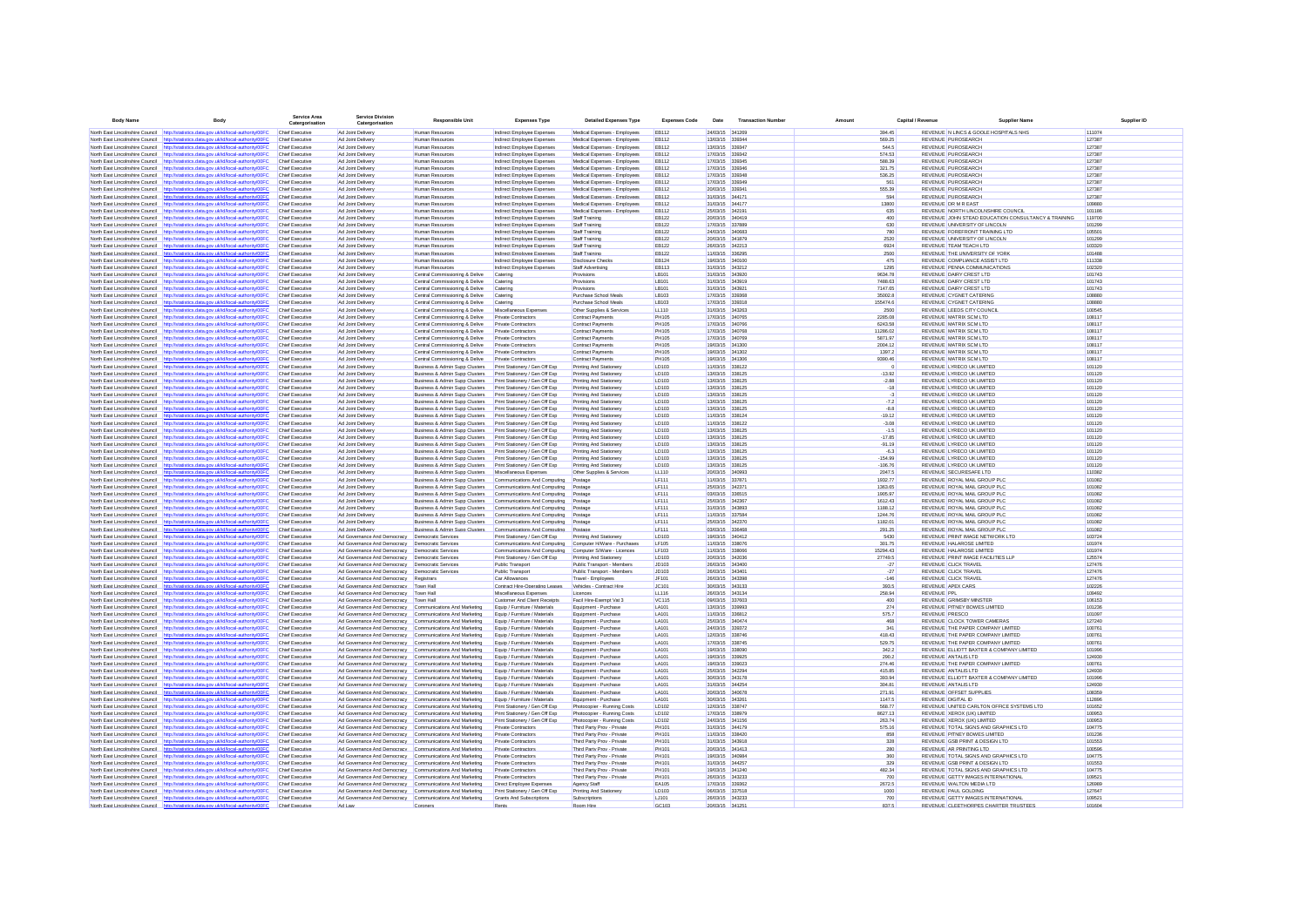| <b>Body Name</b>                                                   | <b>Body</b>                                                                                                                                                                     | Service Area<br>Catergorisation                  | <b>Service Divisio</b><br>Catergorisatio                                                                             | <b>Responsible Unit</b>                                                                                    | <b>Expenses Type</b>                                             | <b>Detailed Expenses Type</b>                                | <b>Expenses Code</b>         | <b>Date</b>                        | <b>Transaction Number</b> | Amount                 | Canital / Revenue | <b>Supplier Name</b>                                                                 | Supplier ID      |
|--------------------------------------------------------------------|---------------------------------------------------------------------------------------------------------------------------------------------------------------------------------|--------------------------------------------------|----------------------------------------------------------------------------------------------------------------------|------------------------------------------------------------------------------------------------------------|------------------------------------------------------------------|--------------------------------------------------------------|------------------------------|------------------------------------|---------------------------|------------------------|-------------------|--------------------------------------------------------------------------------------|------------------|
|                                                                    | North East Lincolnshire Council http://statistics.data.gov.uk/id/local-authority/00FC                                                                                           | Chief Executive                                  | Ad Joint Delivery                                                                                                    | Human Resources                                                                                            | Indirect Employee Expenses                                       | Medical Expenses - Employees                                 | <b>EB112</b>                 | 24/03/15 341269                    |                           | 394.45                 |                   | REVENUE N LINCS & GOOLE HOSPITALS NHS                                                | 111074           |
|                                                                    | North East Lincolnshire Council http://statistics.data.gov.uk/id/local-authority/00FC                                                                                           | Chief Executive                                  | Ad Joint Delivery                                                                                                    | Human Resources                                                                                            | Indirect Employee Expenses                                       | Medical Expenses - Employees                                 | <b>EB112</b>                 | 13/03/15 339344                    |                           | 569.25                 |                   | <b>REVENUE PUROSEARCH</b>                                                            | 127387           |
| North East Lincolnshire Council                                    | http://statistics.data.gov.uk/id/local-authority/00FC                                                                                                                           | Chief Executive                                  | Ad Joint Delivery                                                                                                    | Human Resources                                                                                            | Indirect Employee Expenses                                       | Medical Expenses - Employees                                 | <b>EB112</b>                 | 13/03/15 339347                    |                           | 544.5                  |                   | <b>REVENUE PUROSEARCH</b>                                                            | 127387           |
|                                                                    | North East Lincolnshire Council http://statistics.data.gov.uk/id/local-authority/00FC                                                                                           | Chief Executive                                  | Ad Joint Delivery                                                                                                    | Human Resources                                                                                            | Indirect Employee Expenses                                       | Medical Expenses - Employees                                 | <b>EB112</b>                 | 17/03/15 339342                    |                           | 574.53                 |                   | REVENUE PUROSEARCH                                                                   | 127387           |
|                                                                    | North East Lincolnshire Council http://statistics.data.gov.uk/id/local-authority/00FC<br>North East Lincolnshire Council http://statistics.data.gov.uk/id/local-authority/00FC  | <b>Chief Executive</b><br>Chief Executive        | Ad Joint Delivery<br>Ad Joint Delivery                                                                               | Human Resources<br><b>Human Resources</b>                                                                  | Indirect Employee Expenses<br>Indirect Employee Expenses         | Medical Expenses - Employees<br>Medical Expenses - Employees | <b>EB112</b><br><b>EB112</b> | 17/03/15 339345<br>17/03/15 339346 |                           | 588.39<br>321.75       |                   | <b>REVENUE PUROSEARCH</b><br>REVENUE PUROSEARCH                                      | 127387<br>127387 |
|                                                                    | North East Lincolnshire Council http://statistics.data.gov.uk/id/local-authority/00FC                                                                                           | <b>Chief Executive</b>                           | Ad Joint Delivery                                                                                                    | <b>Human Resources</b>                                                                                     | Indirect Employee Expenses                                       | Medical Expenses - Employees                                 | <b>EB112</b>                 | 17/03/15 339348                    |                           | 536.25                 |                   | <b>REVENUE PUROSEARCH</b>                                                            | 127387           |
|                                                                    | North East Lincolnshire Council http://statistics.data.gov.uk/id/local-authority/00FC                                                                                           | <b>Chief Executive</b>                           | Ad Joint Delivery                                                                                                    | <b>Human Resources</b>                                                                                     | Indirect Employee Expenses                                       | Medical Expenses - Employees                                 | <b>EB112</b>                 | 17/03/15 339349                    |                           | 561                    |                   | REVENUE PUROSEARCH                                                                   | 127387           |
| North East Lincolnshire Council                                    | http://statistics.data.gov.uk/id/local-authority/00FC                                                                                                                           | <b>Chief Executive</b>                           | Ad Joint Delivery                                                                                                    | <b>Human Resources</b>                                                                                     | Indirect Employee Expenses                                       | Medical Expenses - Employees                                 | <b>EB112</b>                 | 20/03/15 339341                    |                           | 555.39                 |                   | REVENUE PUROSEARCH                                                                   | 127387           |
|                                                                    | North East Lincolnshire Council http://statistics.data.gov.uk/id/local-authority/00FC                                                                                           | <b>Chief Executive</b>                           | Ad Joint Delivery                                                                                                    | Human Resources                                                                                            | Indirect Employee Expenses                                       | Medical Expenses - Employees                                 | <b>EB112</b>                 | 31/03/15 344171                    |                           | 594                    |                   | REVENUE PUROSEARCH                                                                   | 127387           |
|                                                                    | North East Lincolnshire Council http://statistics.data.gov.uk/id/local-authority/00FC                                                                                           | Chief Executive                                  | Ad Joint Delivery                                                                                                    | Human Resources                                                                                            | Indirect Employee Expenses                                       | Medical Expenses - Employees                                 | <b>FR112</b>                 | 31/03/15 344177                    |                           | 13800                  |                   | REVENUE DR M R FAST                                                                  | 109880           |
|                                                                    | North East Lincolnshire Council http://statistics.data.gov.uk/id/local-authority/00FC                                                                                           | Chief Executive                                  | Ad Joint Delivery                                                                                                    | Human Resources                                                                                            | Indirect Employee Expenses                                       | Medical Expenses - Employees                                 | <b>EB112</b>                 | 25/03/15 342191                    |                           | 635                    |                   | REVENUE NORTH LINCOLNSHIRE COUNCIL                                                   | 101186           |
|                                                                    | North East Lincolnshire Council http://statistics.data.gov.uk/id/local-authority/00FC<br>North East Lincolnshire Council http://statistics.data.gov.uk/id/local-authority/00FC  | <b>Chief Executive</b><br><b>Chief Executive</b> | Ad Joint Delivery<br>Ad Joint Delivery                                                                               | <b>Human Resources</b><br><b>Human Resources</b>                                                           | Indirect Employee Expenses<br>Indirect Employee Expenses         | Staff Training<br>Staff Training                             | FR122<br><b>EB122</b>        | 2003/15 340419<br>17/03/15 337889  |                           | 400                    | 630               | REVENUE JOHN STEAD EDUCATION CONSULTANCY & TRAINING<br>REVENUE UNIVERSITY OF LINCOLN | 119700<br>101299 |
|                                                                    | North East Lincolnshire Council http://statistics.data.gov.uk/id/local-authority/00FC                                                                                           | <b>Chief Executive</b>                           | Ad Joint Delivery                                                                                                    | <b>Human Resources</b>                                                                                     | Indirect Employee Expenses                                       | Staff Training                                               | <b>EB122</b>                 | 24/03/15 340683                    |                           | 780                    |                   | REVENUE FOREFRONT TRAINING LTD                                                       | 105501           |
| North East Lincolnshire Council                                    | http://statistics.data.gov.uk/id/local-authority/00FC                                                                                                                           | Chief Executive                                  | Ad Joint Deliver                                                                                                     | Human Resourcer                                                                                            | Indirect Employee Expenses                                       | Staff Training                                               | EB122                        | 20/03/15 341879                    |                           | 2520                   |                   | REVENUE UNIVERSITY OF LINCOLN                                                        | 101299           |
|                                                                    | North East Lincolnshire Council http://statistics.data.gov.uk/id/local-authority/00FC                                                                                           | <b>Chief Executive</b>                           | Ad Joint Delivery                                                                                                    | <b>Human Resources</b>                                                                                     | Indirect Employee Expenses                                       | Staff Training                                               | EB122                        | 26/03/15 342213                    |                           | 6924                   |                   | <b>REVENUE TEAM TEACH LTD</b>                                                        | 103320           |
| North East Lincolnshire Council                                    | http://statistics.data.oov.uk/id/local-authority/00FC                                                                                                                           | <b>Chief Executive</b>                           | Ad Joint Delivery                                                                                                    | <b>Human Resources</b>                                                                                     | Indirect Employee Expenses                                       | Staff Training                                               | EB122                        | 11/03/15 336296                    |                           | 2500                   |                   | REVENUE THE UNIVERSITY OF YORK                                                       | 101488           |
|                                                                    | North East Lincolnshire Council http://statistics.data.gov.uk/id/local-authority/00FC                                                                                           | Chief Executive                                  | Ad Joint Delivery                                                                                                    | Human Resources                                                                                            | Indirect Employee Expenses                                       | <b>Disclosure Checks</b>                                     | EB124                        | 19/03/15 340100                    |                           | 475                    |                   | REVENUE COMPLIANCE ASSIST LTD                                                        | 111338           |
| North East Lincolnshire Council                                    | North East Lincolnshire Council http://statistics.data.gov.uk/id/local-authority/00F0<br>http://statistics.data.gov.uk/id/local-authority/00FC                                  | <b>Chief Executive</b><br>Chief Executive        | Ad Joint Delivery<br>Ad Joint Delivery                                                                               | Human Resources                                                                                            | Indirect Employee Expenses                                       | Staff Advertising                                            | <b>EB113</b><br>LB101        | 31/03/15 343212<br>31/03/15 343920 |                           | 1295<br>9634.78        |                   | REVENUE PENNA COMMUNICATIONS<br>REVENUE DAIRY CREST LTD                              | 102320<br>101743 |
| North East Lincolnshire Council                                    | http://statistics.data.gov.uk/id/local-authority/00FC                                                                                                                           | Chief Executive                                  | Ad Joint Delivery                                                                                                    | Central Commissioning & Delive<br>Central Commissioning & Delive                                           | Catering<br>Catering                                             | Provisions<br>Provisions                                     | LB101                        | 31/03/15 343919                    |                           | 7488.63                |                   | REVENUE DAIRY CREST LTD                                                              | 101743           |
|                                                                    | North East Lincolnshire Council http://statistics.data.gov.uk/id/local-authority/00FC                                                                                           | Chief Executive                                  | Ad Joint Delivery                                                                                                    | Central Commissioning & Delive                                                                             | Catering                                                         | Provisions                                                   | LB101                        | 31/03/15 343921                    |                           | 7147.65                |                   | REVENUE DAIRY CREST LTD                                                              | 101743           |
|                                                                    | North East Lincolnshire Council http://statistics.data.gov.uk/id/local-authority/00FC                                                                                           | <b>Chief Executive</b>                           | Ad Joint Delivery                                                                                                    | Central Commissioning & Delive                                                                             | Catering                                                         | Purchase School Meals                                        | LB103                        | 17/03/15 339368                    |                           | 35002.8                |                   | <b>REVENUE CYGNET CATERING</b>                                                       | 108880           |
|                                                                    | North East Lincolnshire Council http://statistics.data.gov.uk/id/local-authority/00FC                                                                                           | <b>Chief Executive</b>                           | Ad Joint Delivery                                                                                                    | Central Commissioning & Delive                                                                             | Catering                                                         | Purchase School Meals                                        | LB103                        | 17/03/15 339318                    |                           | 155474.6               |                   | REVENUE CYGNET CATERING                                                              | 108880           |
| North East Lincolnshire Council                                    | http://statistics.data.gov.uk/id/local-authority/00FC                                                                                                                           | <b>Chief Executive</b>                           | Ad Joint Delivery                                                                                                    | Central Commissioning & Delive                                                                             | Miscellaneous Expenses                                           | Other Supplies & Services                                    | LL110                        | 31/03/15 343263                    |                           | 2500                   |                   | REVENUE LEEDS CITY COUNCIL                                                           | 100545           |
|                                                                    | North East Lincolnshire Council http://statistics.data.gov.uk/id/local-authority/00FC                                                                                           | Chief Executive                                  | Ad Joint Delivery                                                                                                    | Central Commissioning & Delive                                                                             | Private Contractors                                              | <b>Contract Payments</b>                                     | <b>PH105</b>                 | 17/03/15 340765                    |                           | 2285.08                |                   | REVENUE MATRIX SCM LTD                                                               | 108117           |
|                                                                    | North East Lincolnshire Council http://statistics.data.gov.uk/id/local-authority/00FC                                                                                           | <b>Chief Executive</b>                           | Ad Joint Delivery                                                                                                    | Central Commissioning & Delive                                                                             | Private Contractors                                              | <b>Contract Payments</b>                                     | <b>PH105</b>                 | 17/03/15 340766                    |                           | 6243.58                |                   | <b>REVENUE MATRIX SCM LTD</b>                                                        | 108117           |
|                                                                    | North East Lincolnshire Council http://statistics.data.gov.uk/id/local-authority/00FC<br>North East Lincolnshire Council http://statistics.data.gov.uk/id/local-authority/00FC  | Chief Executive<br>Chief Executive               | Ad Joint Delivery<br>Ad Joint Delivery                                                                               | Central Commissioning & Delive<br>Central Commissioning & Delive                                           | Private Contractors<br>Private Contractors                       | Contract Payments<br><b>Contract Payments</b>                | <b>PH105</b><br><b>PH105</b> | 17/03/15 340768<br>17/03/15 340769 |                           | 11286.02<br>5871.97    |                   | <b>REVENUE MATRIX SCM LTD</b><br>REVENUE MATRIX SCM LTD                              | 108117<br>108117 |
| North Fast Lincolnshire Council                                    | http://statistics.data.oov.uk/id/local-authority/00FC.                                                                                                                          | Chief Executive                                  | Ad Joint Delivery                                                                                                    | Central Commissioning & Delive                                                                             | Private Contractors                                              | <b>Contract Payments</b>                                     | <b>PH105</b>                 | 19/03/15 341300                    |                           | 2004 12                |                   | <b>REVENUE MATRIX SCM LTD</b>                                                        | 108117           |
| North East Lincolnshire Council                                    | http://statistics.data.gov.uk/id/local-authority/00FC                                                                                                                           | Chief Executive                                  | Ad Joint Delivery                                                                                                    | Central Commissioning & Delive                                                                             | Private Contractors                                              | Contract Payments                                            | <b>PH105</b>                 | 19/03/15 341302                    |                           | 1397.2                 |                   | REVENUE MATRIX SCM LTD                                                               | 108117           |
| North East Lincolnshire Council                                    | http://statistics.data.gov.uk/id/local-authority/00FC                                                                                                                           | Chief Executive                                  | Ad Joint Delivery                                                                                                    | Central Commissioning & Delive                                                                             | Private Contractors                                              | <b>Contract Payments</b>                                     | <b>PH105</b>                 | 19/03/15 341306                    |                           | 9390.46                |                   | <b>REVENUE MATRIX SCM LTD</b>                                                        | 108117           |
|                                                                    | North East Lincolnshire Council http://statistics.data.gov.uk/id/local-authority/00FC                                                                                           | <b>Chief Executive</b>                           | Ad Joint Delivery                                                                                                    | Business & Admin Supp Clusters                                                                             | Print Stationery / Gen Off Exp                                   | Printing And Stationery                                      | LD103                        | 11/03/15 338122                    |                           |                        |                   | REVENUE LYRECO UK LIMITED                                                            | 101120           |
| North East Lincolnshire Council                                    | http://statistics.data.gov.uk/id/local-authority/00FC                                                                                                                           | Chief Executive                                  | Ad Joint Delivery                                                                                                    | Business & Admin Supp Clusters                                                                             | Print Stationery / Gen Off Exp                                   | Printing And Stationery                                      | LD103                        | 13/03/15 338125                    |                           | $-13.92$               |                   | REVENUE LYRECO UK LIMITED                                                            | 101120           |
|                                                                    | North East Lincolnshire Council http://statistics.data.gov.uk/id/local-authority/00FC                                                                                           | <b>Chief Executive</b>                           | Ad Joint Delivery                                                                                                    | Business & Admin Supp Clusters                                                                             | Print Stationery / Gen Off Exp                                   | Printing And Stationery                                      | LD103                        | 13/03/15 338125                    |                           | $-2.88$                |                   | REVENUE LYRECO UK LIMITED                                                            | 101120           |
| North East Lincolnshire Council                                    | http://statistics.data.gov.uk/id/local-authority/00FC                                                                                                                           | Chief Executive                                  | Ad Joint Delivery                                                                                                    | Business & Admin Supp Clusters                                                                             | Print Stationery / Gen Off Exp                                   | Printing And Stationery                                      | LD103                        | 13/03/15 338125                    |                           |                        | $-18$             | REVENUE LYRECO UK LIMITED                                                            | 101120           |
| North East Lincolnshire Council                                    | http://statistics.data.gov.uk/id/local-authority/00FC                                                                                                                           | Chief Executive                                  | Ad Joint Delivery                                                                                                    | Business & Admin Supp Clusters                                                                             | Print Stationery / Gen Off Exp                                   | Printing And Stationery                                      | LD103                        | 13/03/15 338125                    |                           |                        | $-3$              | REVENUE LYRECO UK LIMITED                                                            | 101120           |
| North East Lincolnshire Council                                    | http://statistics.data.gov.uk/id/local-authority/00FC<br>North East Lincolnshire Council http://statistics.data.gov.uk/id/local-authority/00FC                                  | Chief Executive<br>Chief Executive               | Ad Joint Delivery<br>Ad Joint Delivery                                                                               | Business & Admin Supp Clusters<br>Business & Admin Supp Clusters                                           | Print Stationery / Gen Off Exp<br>Print Stationery / Gen Off Exp | Printing And Stationery<br>Printing And Stationery           | LD103<br>LD103               | 13/03/15 338125<br>13/03/15 338125 |                           | $-8.8$                 | $-7.2$            | REVENUE LYRECO UK LIMITED<br>REVENUE LYRECO UK LIMITED                               | 101120<br>101120 |
|                                                                    | North East Lincolnshire Council http://statistics.data.gov.uk/id/local-authority/00FC                                                                                           | Chief Executive                                  | Ad Joint Delivery                                                                                                    | Business & Admin Supp Clusters                                                                             | Print Stationery / Gen Off Exp                                   | Printing And Stationery                                      | LD103                        | 11/03/15 338124                    |                           | $-19.12$               |                   | REVENUE LYRECO UK LIMITED                                                            | 101120           |
| North East Lincolnshire Council http://sta                         | istics.data.gov.uk/id/local-authority/00FC                                                                                                                                      | <b>Chief Executive</b>                           | Ad Joint Delivery                                                                                                    | Business & Admin Supp Clusters Print Stationery / Gen Off Exp                                              |                                                                  | Printing And Stationery                                      | LD103                        | 11/03/15 338122                    |                           | $-3.08$                |                   | REVENUE LYRECO UK LIMITED                                                            | 101120           |
|                                                                    | North East Lincolnshire Council http://statistics.data.gov.uk/id/local-authority/00FC                                                                                           | <b>Chief Executive</b>                           | Ad Joint Delivery                                                                                                    | Business & Admin Supp Clusters                                                                             | Print Stationery / Gen Off Exp                                   | Printing And Stationery                                      | LD103                        | 13/03/15 338125                    |                           | $-1.5$                 |                   | REVENUE LYRECO UK LIMITED                                                            | 101120           |
| North East Lincolnshire Council                                    | http://statistics.data.gov.uk/id/local-authority/00FC                                                                                                                           | Chief Executive                                  | Ad Joint Delivery                                                                                                    | Business & Admin Supp Clusters                                                                             | Print Stationery / Gen Off Exp                                   | Printing And Stationery                                      | LD103                        | 13/03/15 338125                    |                           | $-17.85$               |                   | REVENUE LYRECO UK LIMITED                                                            | 101120           |
| North East Lincolnshire Council                                    | http://statistics.data.gov.uk/id/local-authority/00FC                                                                                                                           | <b>Chief Executive</b>                           | Ad Joint Delivery                                                                                                    | Business & Admin Supp Clusters                                                                             | Print Stationery / Gen Off Exp                                   | Printing And Stationery                                      | LD103                        | 13/03/15 338125                    |                           | $-91.19$               |                   | REVENUE LYRECO UK LIMITED                                                            | 101120           |
|                                                                    | North East Lincolnshire Council http://statistics.data.gov.uk/id/local-authority/00FC                                                                                           | Chief Executive                                  | Ad Joint Delivery                                                                                                    | Business & Admin Supp Clusters                                                                             | Print Stationery / Gen Off Exp                                   | Printing And Stationery                                      | LD103                        | 13/03/15 338125                    |                           | $-6.3$                 |                   | REVENUE LYRECO UK LIMITED                                                            | 101120           |
|                                                                    | North East Lincolnshire Council http://statistics.data.gov.uk/id/local-authority/00FC<br>North East Lincolnshire Council http://statistics.data.oov.uk/id/local-authority/00EC. | <b>Chief Executive</b><br>Chief Executive        | Ad Joint Delivery<br>Ad Joint Delivery                                                                               | Business & Admin Supp Clusters                                                                             | Print Stationery / Gen Off Exp                                   | Printing And Stationery<br>Printing And Stationery           | LD103<br><b>ID103</b>        | 13/03/15 338125<br>13/03/15 338125 |                           | $-154.99$<br>$-108.76$ |                   | REVENUE LYRECO UK LIMITED<br>REVENUE LYRECO UK LIMITED                               | 101120<br>101120 |
|                                                                    | North East Lincolnshire Council http://statistics.data.oov.uk/id/local-authority/00EC                                                                                           | Chief Executive                                  | Ad Joint Delivery                                                                                                    | Business & Admin Supp Clusters Print Stationery / Gen Off Exp<br><b>Business &amp; Admin Sunn Clusters</b> | Miscellaneous Expenses                                           | Other Sunnlies & Services                                    | 11110                        | 2003/15 340993                     |                           | 2047.5                 |                   | REVENUE SECURESAEE LTD.                                                              | 110382           |
| North Fast Lincolnshire Council                                    | http://statistics.data.gov.uk/id/local-authority/00FC                                                                                                                           | Chief Executive                                  | Ad Joint Delivery                                                                                                    | Business & Admin Supp Clusters                                                                             | Communications And Computing                                     | Postage                                                      | IF111                        | 11/03/15 337871                    |                           | 1932 77                |                   | REVENUE ROYAL MAIL GROUP PLC                                                         | 101082           |
|                                                                    | North East Lincolnshire Council http://statistics.data.oov.uk/id/local-authority/00EC                                                                                           | Chief Executive                                  | Ad Joint Delivery                                                                                                    | Business & Admin Supp Clusters                                                                             | Communications And Computing                                     | Postage                                                      | IF111                        | 25/03/15 342371                    |                           | 1363.65                |                   | REVENUE ROYAL MAIL GROUP PLC                                                         | 101082           |
| North East Lincolnshire Council                                    | http://statistics.data.gov.uk/id/local-authority/00FC                                                                                                                           | Chief Executive                                  | Ad Joint Delivery                                                                                                    | Business & Admin Supp Clusters                                                                             | Communications And Computing                                     | Postage                                                      | IF111                        | 03/03/15 336515                    |                           | 1905.97                |                   | REVENUE ROYAL MAIL GROUP PLC                                                         | 101082           |
|                                                                    | North East Lincolnshire Council http://statistics.data.gov.uk/id/local-authority/00FC                                                                                           | Chief Executive                                  | Ad Joint Delivery                                                                                                    | Business & Admin Supp Clusters                                                                             | Communications And Computing                                     | Postage                                                      | LF111                        | 25/03/15 342367                    |                           | 1612.43                |                   | REVENUE ROYAL MAIL GROUP PLC                                                         | 101082           |
|                                                                    | North East Lincolnshire Council http://statistics.data.gov.uk/id/local-authority/00FC                                                                                           | <b>Chief Executive</b>                           | Ad Joint Delivery                                                                                                    | Business & Admin Supp Clusters                                                                             | Communications And Computing                                     | Postage                                                      | <b>LF111</b>                 | 31/03/15 343893                    |                           | 1188.12                |                   | REVENUE ROYAL MAIL GROUP PLC                                                         | 101082           |
|                                                                    | North East Lincolnshire Council http://statistics.data.gov.uk/id/local-authority/00FC                                                                                           | <b>Chief Executive</b>                           | Ad Joint Delivery                                                                                                    | Business & Admin Supp Clusters                                                                             | Communications And Computing                                     | Postage                                                      | LF111                        | 11/03/15 337584                    |                           | 1244.76                |                   | REVENUE ROYAL MAIL GROUP PLC                                                         | 101082           |
| North East Lincolnshire Council<br>North East Lincolnshire Council | http://statistics.data.gov.uk/id/local-authority/00FC<br>http://statistics.data.gov.uk/id/local-authority/00FC                                                                  | Chief Executive<br>Chief Executive               | Ad Joint Delivery<br>Ad Joint Delivery                                                                               | Business & Admin Supp Clusters<br>Business & Admin Supp Clusters                                           | Communications And Computing<br>Communications And Computing     | Postage<br>Postage                                           | LF111<br>LF111               | 25/03/15 342370<br>03/03/15 336468 |                           | 1182.01<br>291.25      |                   | REVENUE ROYAL MAIL GROUP PLC<br>REVENUE ROYAL MAIL GROUP PLC                         | 101082<br>101082 |
| North East Lincolnshire Council                                    | http://statistics.data.gov.uk/id/local-authority/00FC                                                                                                                           | Chief Executive                                  | Ad Governance And Democracy                                                                                          | Democratic Services                                                                                        | Print Stationery / Gen Off Exp                                   | Printing And Stationery                                      | LD103                        | 19/03/15 340412                    |                           | 5430                   |                   | REVENUE PRINT IMAGE NETWORK LTD                                                      | 103724           |
|                                                                    | North East Lincolnshire Council http://statistics.data.gov.uk/id/local-authority/00FC                                                                                           | Chief Executive                                  | Ad Governance And Democracy Democratic Services                                                                      |                                                                                                            | Communications And Computing Computer H/Ware - Purchases         |                                                              | LF105                        | 11/03/15 338076                    |                           | 301.75                 |                   | REVENUE HALAROSE LIMITED                                                             | 101974           |
| North East Lincolnshire Council http://sta                         | dics.data.gov.uk/id/local-authority/00FC                                                                                                                                        | <b>Chief Executive</b>                           | Ad Governance And Democracy  Democratic Services                                                                     |                                                                                                            | Communications And Computing                                     | Computer S/Ware - Licences                                   | LF103                        | 11/03/15 338066                    |                           | 15294.43               |                   | REVENUE HALAROSE LIMITED                                                             | 101974           |
|                                                                    | North East Lincolnshire Council http://statistics.data.gov.uk/id/local-authority/00FC                                                                                           | Chief Executive                                  | Ad Governance And Democracy Democratic Services                                                                      |                                                                                                            | Print Stationery / Gen Off Exp                                   | Printing And Stationery                                      | LD103                        | 20/03/15 342036                    |                           | 27749.5                |                   | REVENUE PRINT IMAGE FACILITIES LLP                                                   | 125574           |
| North East Lincolnshire Council                                    | http://statistics.data.gov.uk/id/local-authority/00FC                                                                                                                           | <b>Chief Executive</b>                           | Ad Governance And Democracy  Democratic Services                                                                     |                                                                                                            | Public Transport                                                 | Public Transport - Members                                   | JD103                        | 26/03/15 343400                    |                           | $-27$                  |                   | REVENUE CLICK TRAVEL                                                                 | 127476           |
| North East Lincolnshire Council                                    | http://statistics.data.gov.uk/id/local-authority/00FC                                                                                                                           | Chief Executive                                  | Ad Governance And Democracy   Democratic Services                                                                    |                                                                                                            | Public Transport                                                 | Public Transport - Members                                   | JD103                        | 26/03/15 343401                    |                           | $-27$                  |                   | REVENUE CLICK TRAVEL                                                                 | 127476           |
| North East Lincolnshire Council                                    | http://statistics.data.gov.uk/id/local-authority/00FC                                                                                                                           | <b>Chief Executive</b>                           | Ad Governance And Democracy Registrars                                                                               |                                                                                                            | Car Allowances                                                   | Travel - Employees                                           | JF101                        | 26/03/15 343396                    |                           | $-146$                 |                   | REVENUE CLICK TRAVEL                                                                 | 127476           |
|                                                                    | North East Lincolnshire Council http://statistics.data.gov.uk/id/local-authority/00FC<br>North East Lincolnshire Council http://statistics.data.gov.uk/id/local-authority/00FC  | Chief Executive<br><b>Chief Executive</b>        | Ad Governance And Democracy Town Hall<br>Ad Governance And Democracy Town Hall                                       |                                                                                                            | Contract Hire-Operating Leases<br>Miscellaneous Expenses         | Vehicles - Contract Hire<br>Licences                         | JC101<br>LL116               | 30/03/15 343133<br>26/03/15 343134 |                           | 393.5<br>258.94        |                   | <b>REVENUE APEX CARS</b><br><b>REVENUE PPL</b>                                       | 102226<br>109492 |
| North East Lincolnshire Council                                    | http://statistics.data.gov.uk/id/local-authority/00FC                                                                                                                           | <b>Chief Executive</b>                           | Ad Governance And Democracy Town Hall                                                                                |                                                                                                            | <b>Customer And Client Receipts</b>                              | Facil Hire-Exempt Vat 3                                      | <b>VC115</b>                 | 09/03/15 337603                    |                           | 400                    |                   | <b>REVENUE GRIMSBY MINSTER</b>                                                       | 106153           |
| North East Lincolnshire Council                                    | http://statistics.data.gov.uk/id/local-authority/00FC                                                                                                                           | <b>Chief Executive</b>                           | Ad Governance And Democracy                                                                                          | Communications And Marketing                                                                               | Equip / Furniture / Materials                                    | Equipment - Purchase                                         | LA101                        | 13/03/15 339993                    |                           | 274                    |                   | REVENUE PITNEY BOWES LIMITED                                                         | 101236           |
| North East Lincolnshire Council                                    | http://statistics.data.gov.uk/id/local-authority/00FC                                                                                                                           | <b>Chief Executive</b>                           | Ad Governance And Democracy                                                                                          | Communications And Marketing                                                                               | Equip / Furniture / Materials                                    | Equipment - Purchase                                         | LA101                        | 11/03/15 336812                    |                           | 575.7                  |                   | <b>REVENUE PRESCO</b>                                                                | 101097           |
|                                                                    | North East Lincolnshire Council http://statistics.data.gov.uk/id/local-authority/00FC                                                                                           | <b>Chief Executive</b>                           | Ad Governance And Democracy Communications And Marketing                                                             |                                                                                                            | Equip / Furniture / Materials                                    | Equipment - Purchase                                         | LA101                        | 25/03/15 340474                    |                           | 468                    |                   | REVENUE CLOCK TOWER CAMERAS                                                          | 127240           |
| North East Lincolnshire Council                                    | http://statistics.data.gov.uk/id/local-authority/00FC                                                                                                                           | <b>Chief Executive</b>                           | Ad Governance And Democracy                                                                                          | Communications And Marketing                                                                               | Equip / Furniture / Materials                                    | Equipment - Purchase                                         | <b>LA101</b>                 | 24/03/15 339372                    |                           | 341                    |                   | REVENUE THE PAPER COMPANY LIMITED                                                    | 100761           |
| North East Lincolnshire Council                                    | North East Lincolnshire Council http://statistics.data.gov.uk/id/local-authority/00FC<br>http://statistics.data.gov.uk/id/local-authority/00FC                                  | <b>Chief Executive</b><br>Chief Executive        | Ad Governance And Democracy<br>Ad Governance And Democracy                                                           | Communications And Marketing<br>Communications And Marketing                                               | Equip / Furniture / Materials<br>Equip / Furniture / Materials   | Equipment - Purchase<br>Equipment - Purchase                 | <b>LA101</b><br>LA101        | 12/03/15 338746<br>17/03/15 338745 |                           | 418.43<br>529.75       |                   | REVENUE THE PAPER COMPANY LIMITED<br>REVENUE THE PAPER COMPANY LIMITED               | 100761<br>100761 |
|                                                                    | North East Lincolnshire Council http://statistics.data.gov.uk/id/local-authority/00FC                                                                                           | Chief Executive                                  | Ad Governance And Democracy                                                                                          | Communications And Marketing                                                                               | Equip / Furniture / Materials                                    | Equipment - Purchase                                         | LA101                        | 19/03/15 338090                    |                           | 342.2                  |                   | REVENUE ELLIOTT BAXTER & COMPANY LIMITED                                             | 101996           |
| North East Lincolnshire Council                                    | http://statistics.data.gov.uk/id/local-authority/00FC                                                                                                                           | Chief Executive                                  | Ad Governance And Democracy                                                                                          | Communications And Marketing                                                                               | Equip / Furniture / Materials                                    | Equipment - Purchase                                         | LA101                        | 19/03/15 339925                    |                           | 290.2                  |                   | REVENUE ANTALIS LTD                                                                  | 124930           |
|                                                                    | North East Lincolnshire Council http://statistics.data.gov.uk/id/local-authority/00FC                                                                                           | Chief Executive                                  |                                                                                                                      | Ad Governance And Democracy Communications And Marketing                                                   | Equip / Furniture / Materials                                    | Equipment - Purchase                                         | LA101                        | 19/03/15 339023                    |                           | 274.46                 |                   | REVENUE THE PAPER COMPANY LIMITED                                                    | 100761           |
| North East Lincolnshire Council                                    | http://statistics.data.gov.uk/id/local-authority/00FC                                                                                                                           | Chief Executive                                  | Ad Governance And Democracy Communications And Marketing                                                             |                                                                                                            | Equip / Furniture / Materials                                    | Equipment - Purchase                                         | LA101                        | 25/03/15 342294                    |                           | 415.85                 |                   | REVENUE ANTALIS LTD                                                                  | 124930           |
| North East Lincolnshire Council http://s                           | stics.data.gov.uk/id/local-authority/00FC                                                                                                                                       | Chief Executive                                  | Ad Governance And Democracy Communications And Marketing                                                             |                                                                                                            | Equip / Furniture / Materials                                    | Equipment - Purchase                                         | LA101                        | 30/03/15 343178                    |                           | 393.94                 |                   | REVENUE ELLIOTT BAXTER & COMPANY LIMITED                                             | 101996           |
|                                                                    | North East Lincolnshire Council http://statistics.data.gov.uk/id/local-authority/00FC                                                                                           | Chief Executive                                  | Ad Governance And Democracy Communications And Marketing                                                             |                                                                                                            | Equip / Furniture / Materials                                    | Equipment - Purchase                                         | LA101                        | 31/03/15 344254                    |                           | 304.81                 |                   | REVENUE ANTALIS LTD                                                                  | 124930           |
| North East Lincolnshire Council                                    | http://statistics.data.gov.uk/id/local-authority/00FC                                                                                                                           | Chief Executive<br>Chief Executive               | Ad Governance And Democracy Communications And Marketing                                                             |                                                                                                            | Equip / Furniture / Materials                                    | Equipment - Purchase                                         | LA101<br>LA101               | 20/03/15 340678<br>30/03/15 343261 |                           | 271.91                 |                   | REVENUE OFFSET SUPPLIES<br>REVENUE DIGITAL ID                                        | 108359           |
| North East Lincolnshire Council                                    | http://statistics.data.gov.uk/id/local-authority/00FC<br>North East Lincolnshire Council http://statistics.data.gov.uk/id/local-authority/00FC                                  | Chief Executive                                  | Ad Governance And Democracy Communications And Marketing<br>Ad Governance And Democracy Communications And Marketing |                                                                                                            | Equip / Furniture / Materials<br>Print Stationery / Gen Off Exp  | Equipment - Purchase<br>Photocopier - Running Costs          | LD102                        | 12/03/15 338747                    |                           | 1147.5<br>568.77       |                   | REVENUE UNITED CARLTON OFFICE SYSTEMS LTD                                            | 112896<br>101652 |
|                                                                    | North East Lincolnshire Council http://statistics.data.gov.uk/id/local-authority/00FC                                                                                           | <b>Chief Executive</b>                           | Ad Governance And Democracy Communications And Marketing                                                             |                                                                                                            | Print Stationery / Gen Off Exp                                   | Photocopier - Running Costs                                  | LD102                        | 17/03/15 338979                    |                           | 8627.13                |                   | REVENUE XEROX (UK) LIMITED                                                           | 100953           |
|                                                                    | North East Lincolnshire Council http://statistics.data.gov.uk/id/local-authority/00FC                                                                                           | <b>Chief Executive</b>                           | Ad Governance And Democracy Communications And Marketing                                                             |                                                                                                            | Print Stationery / Gen Off Exp                                   | Photocopier - Running Costs                                  | LD102                        | 24/03/15 341156                    |                           | 263.74                 |                   | REVENUE XEROX (UK) LIMITED                                                           | 100953           |
|                                                                    | North East Lincolnshire Council http://statistics.data.gov.uk/id/local-authority/00FC                                                                                           | <b>Chief Executive</b>                           | Ad Governance And Democracy Communications And Marketing                                                             |                                                                                                            | Private Contractors                                              | Third Party Prov - Private                                   | <b>PH101</b>                 | 31/03/15 344179                    |                           | 575.16                 |                   | REVENUE TOTAL SIGNS AND GRAPHICS LTD                                                 | 104775           |
| North East Lincolnshire Council                                    | http://statistics.data.gov.uk/id/local-authority/00FC                                                                                                                           | <b>Chief Executive</b>                           | Ad Governance And Democracy Communications And Marketing                                                             |                                                                                                            | Private Contractors                                              | Third Party Prov - Private                                   | <b>PH101</b>                 | 11/03/15 338420                    |                           | 858                    |                   | REVENUE PITNEY BOWES LIMITED                                                         | 101236           |
|                                                                    | North East Lincolnshire Council http://statistics.data.gov.uk/id/local-authority/00FC                                                                                           | <b>Chief Executive</b>                           | Ad Governance And Democracy Communications And Marketing                                                             |                                                                                                            | <b>Private Contractors</b>                                       | Third Party Prov - Private                                   | <b>PH101</b>                 | 31/03/15 343918                    |                           |                        | 328               | REVENUE GSB PRINT & DESIGN LTD                                                       | 101553           |
|                                                                    | North East Lincolnshire Council http://statistics.data.gov.uk/id/local-authority/00FC                                                                                           | <b>Chief Executive</b>                           | Ad Governance And Democracy Communications And Marketing                                                             |                                                                                                            | Private Contractors                                              | Third Party Prov - Private                                   | PH101                        | 20/03/15 341413                    |                           |                        | 280               | REVENUE AR PRINTING LTD                                                              | 100596           |
|                                                                    | North East Lincolnshire Council http://statistics.data.oov.uk/id/local-authority/00FC<br>North East Lincolnshire Council http://statistics.data.gov.uk/id/local-authority/00FC  | <b>Chief Executive</b><br><b>Chief Executive</b> | Ad Governance And Democracy Communications And Marketing                                                             |                                                                                                            | Private Contractors<br>Private Contractors                       | Third Party Prov - Private<br>Third Party Prov - Private     | <b>PH101</b><br><b>PH101</b> | 19/03/15 340984<br>31/03/15 344257 |                           | 360<br>329             |                   | REVENUE TOTAL SIGNS AND GRAPHICS LTD<br>REVENUE GSB PRINT & DESIGN LTD               | 104775<br>101553 |
|                                                                    | North East Lincolnshire Council http://statistics.data.gov.uk/id/local-authority/00FC                                                                                           | <b>Chief Executive</b>                           | Ad Governance And Democracy Communications And Marketing<br>Ad Governance And Democracy Communications And Marketing |                                                                                                            | Private Contractors                                              | Third Party Prov - Private                                   | <b>PH101</b>                 | 19/03/15 341240                    |                           | 482.34                 |                   | REVENUE TOTAL SIGNS AND GRAPHICS LTD                                                 | 104775           |
| North East Lincolnshire Council                                    | http://statistics.data.gov.uk/id/local-authority/00FC                                                                                                                           | Chief Executive                                  | Ad Governance And Democracy Communications And Marketing                                                             |                                                                                                            | Private Contractors                                              | Third Party Prov - Privat                                    | PH101                        | 26/03/15 343233                    |                           | 700                    |                   | REVENUE GETTY IMAGES INTERNATIONAL                                                   | 109521           |
|                                                                    | North East Lincolnshire Council http://statistics.data.gov.uk/id/local-authority/00FC                                                                                           | Chief Executive                                  | Ad Governance And Democracy Communications And Marketing                                                             |                                                                                                            | Direct Employee Expenses                                         | Agency Staff                                                 | <b>EA105</b>                 | 17/03/15 339362                    |                           | 2672.5                 |                   | REVENUE WALTON MEDIA LTD                                                             | 126989           |
|                                                                    | North East Lincolnshire Council http://statistics.data.gov.uk/id/local-authority/00FC                                                                                           | <b>Chief Executive</b>                           | Ad Governance And Democracy Communications And Marketing                                                             |                                                                                                            | Print Stationery / Gen Off Exp                                   | Printing And Stationery                                      | LD103                        | 06/03/15 337518                    |                           | 1000                   |                   | REVENUE PAUL GOLDING                                                                 | 127647           |
|                                                                    | North East Lincolnshire Council http://statistics.data.gov.uk/id/local-authority/00FC Chief Executive                                                                           |                                                  |                                                                                                                      | Ad Governance And Democracy Communications And Marketing                                                   | Grants And Subscriptions                                         | <b>Subscriptions</b>                                         | LJ101                        | 26/03/15 343233                    |                           | 700                    |                   | REVENUE GETTY IMAGES INTERNATIONAL                                                   | 109521           |
|                                                                    | North East Lincolnshire Council http://statistics.data.gov.uk/id/local-authority/00FC                                                                                           | Chief Executive                                  | Ad Law                                                                                                               | Coroners                                                                                                   |                                                                  | Room Hire                                                    | GC103                        | 20/03/15 341251                    |                           | 837.5                  |                   | REVENUE CLEETHORPES CHARTER TRUSTEES                                                 | 101604           |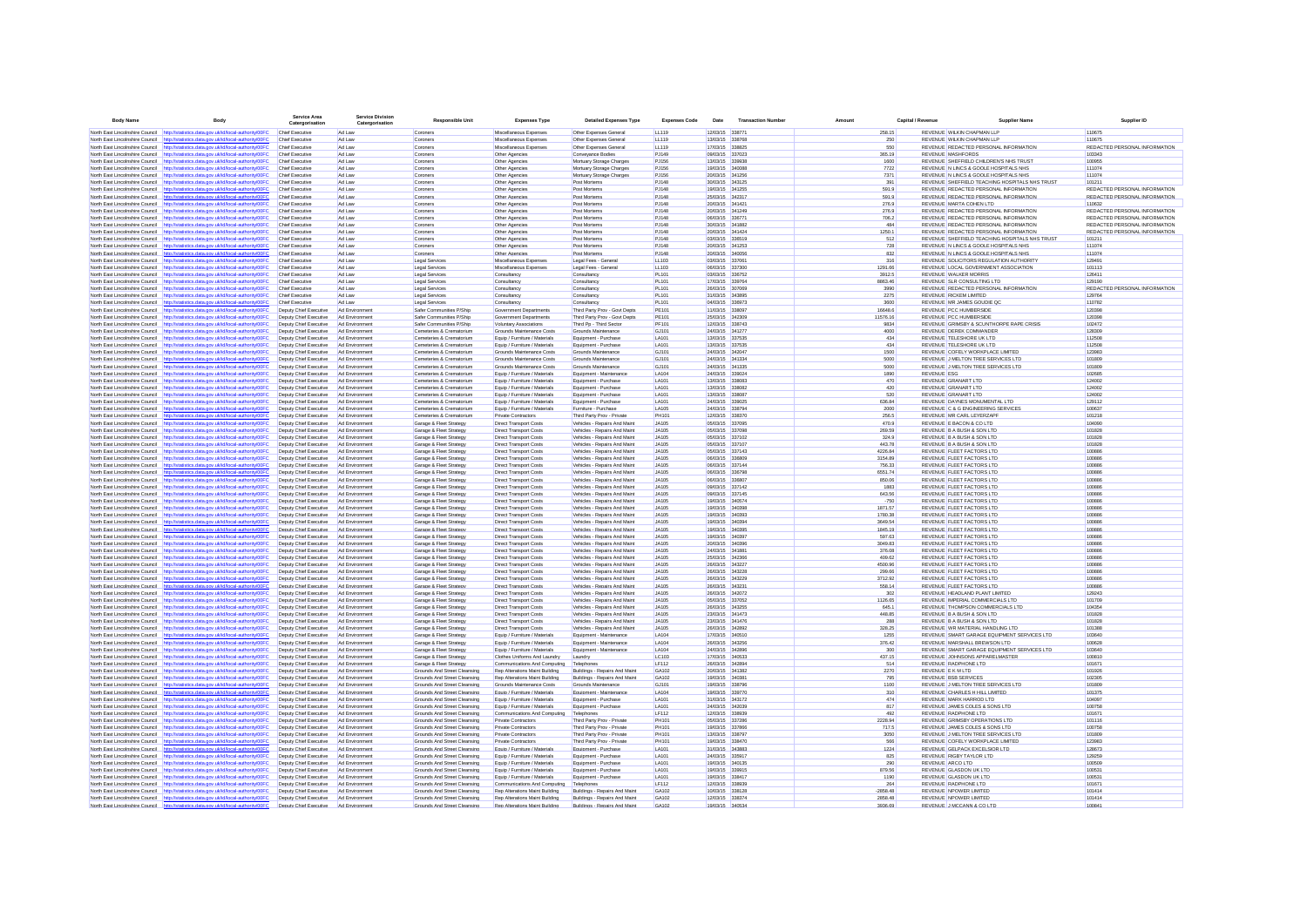| <b>Body Name</b>                                                        | Body                                                                                                                                                                                                  | <b>Service Area</b><br>Catergorisation           | Service Divisio<br>Catergorisation | <b>Responsible Unit</b>                                             | <b>Expenses Type</b>                                             | <b>Detailed Expenses Type</b>                                  | <b>Expenses Code</b>         | Date                               | <b>Transaction Number</b> | Amount                | Capital / Revenue | <b>Supplier Name</b>                                                            | Supplier ID                             |
|-------------------------------------------------------------------------|-------------------------------------------------------------------------------------------------------------------------------------------------------------------------------------------------------|--------------------------------------------------|------------------------------------|---------------------------------------------------------------------|------------------------------------------------------------------|----------------------------------------------------------------|------------------------------|------------------------------------|---------------------------|-----------------------|-------------------|---------------------------------------------------------------------------------|-----------------------------------------|
|                                                                         | North East Lincolnshire Council http://statistics.data.gov.uk/id/local-authority/00FC                                                                                                                 | Chief Executive                                  | Ad I aw                            | Coroners                                                            | Miscellaneous Expenses                                           | Other Expenses General                                         | 11119                        | 12/03/15 338771                    |                           | 258.15                |                   | REVENUE WILKIN CHAPMAN LLP                                                      | 110675                                  |
|                                                                         | North East Lincolnshire Council http://statistics.data.oov.uk/id/local-authority/00EC                                                                                                                 | Chief Executive                                  | Ad Law                             | Coroners                                                            | Miscellaneous Expenses                                           | Other Expenses General                                         | LL119                        | 13/03/15 338768                    |                           |                       | 250               | REVENUE WILKIN CHAPMAN LLP                                                      | 110675                                  |
| North Fast Lincolnshire Council                                         | http://statistics.data.gov.uk/id/local-authority/00FC                                                                                                                                                 | Chief Executive                                  | Ad Law                             | Coroners                                                            | Miscellaneous Expenses                                           | Other Expenses General                                         | LL119                        | 17/03/15 338825                    |                           |                       | 550               | REVENUE REDACTED PERSONAL INFORMATION                                           | REDACTED PERSONAL INFORMATION           |
|                                                                         | North East Lincolnshire Council http://statistics.data.gov.uk/id/local-authority/00FC                                                                                                                 | <b>Chief Executive</b>                           | Ad Law                             | Coroners                                                            | Other Agencies                                                   | Conveyance Bodies                                              | PJ149                        | 09/03/15 337023                    |                           |                       | 365.19            | <b>REVENUE MASHFORDS</b>                                                        | 103343                                  |
| North East Lincolnshire Council                                         | http://statistics.data.gov.uk/id/local-authority/00FC<br>North East Lincolnshire Council http://statistics.data.gov.uk/id/local-authority/00FC                                                        | Chief Executive<br><b>Chief Executive</b>        | Ad Law<br>Ad Law                   | Coroners<br>Coroners                                                | Other Agencies<br>Other Agencies                                 | Mortuary Storage Charges<br>Mortuary Storage Charges           | PJ156<br>PJ156               | 13/03/15 339938<br>19/03/15 340088 |                           |                       | 1600<br>7722      | REVENUE SHEFFIELD CHILDREN'S NHS TRUST<br>REVENUE N LINCS & GOOLE HOSPITALS NHS | 100955<br>111074                        |
|                                                                         | North East Lincolnshire Council http://statistics.data.gov.uk/id/local-authority/00FC                                                                                                                 | <b>Chief Executive</b>                           | Ad Law                             | Coroners                                                            | Other Agencies                                                   | Mortuary Storage Charges                                       | PJ156                        | 20/03/15 341256                    |                           |                       | 7371              | REVENUE N LINCS & GOOLE HOSPITALS NHS                                           | 111074                                  |
|                                                                         | North East Lincolnshire Council http://statistics.data.gov.uk/id/local-authority/00FC                                                                                                                 | <b>Chief Executive</b>                           | Ad Law                             | Coroners                                                            | Other Agencies                                                   | Post Mortems                                                   | PJ148                        | 30/03/15 343125                    |                           |                       | 391               | REVENUE SHEFFIELD TEACHING HOSPITALS NHS TRUST                                  | 101211                                  |
| North East Lincolnshire Council                                         | http://statistics.data.gov.uk/id/local-authority/00FC                                                                                                                                                 | Chief Executive                                  | Ad Law                             | Coroners                                                            | Other Agencies                                                   | Post Mortems                                                   | PJ148                        | 19/03/15 341255                    |                           |                       | 591.9             | REVENUE REDACTED PERSONAL INFORMATION                                           | REDACTED PERSONAL INFORMATION           |
|                                                                         | North East Lincolnshire Council http://statistics.data.gov.uk/id/local-authority/00FC                                                                                                                 | Chief Executive                                  | Ad Law                             | Coroners                                                            | Other Agencies                                                   | Post Mortems                                                   | PJ148                        | 25/03/15 34231                     |                           |                       | 591.9             | REVENUE REDACTED PERSONAL INFORMATION                                           | REDACTED PERSONAL INFORMATION           |
|                                                                         | North East Lincolnshire Council http://statistics.data.gov.uk/id/local-authority/00FC                                                                                                                 | Chief Executive                                  | Ad Law                             | Coroners                                                            | Other Agencies                                                   | Post Mortems                                                   | PJ148                        | 20/03/15 341421                    |                           |                       | 276.9             | REVENUE MARTA COHEN LTD                                                         | 110632<br>REDACTED PERSONAL INFORMATION |
|                                                                         | North East Lincolnshire Council http://statistics.data.gov.uk/id/local-authority/00FC<br>North East Lincolnshire Council http://statistics.data.gov.uk/id/local-authority/00FC                        | Chief Executive<br><b>Chief Executive</b>        | Ad Law<br>Ad Law                   | Coroners<br>Coroners                                                | Other Agencies<br>Other Agencies                                 | Post Mortems<br>Post Mortems                                   | PJ148<br>PJ148               | 20/03/15 341249<br>06/03/15 336771 |                           |                       | 276.9<br>706.2    | REVENUE REDACTED PERSONAL INFORMATION<br>REVENUE REDACTED PERSONAL INFORMATION  | REDACTED PERSONAL INFORMATION           |
|                                                                         | North East Lincolnshire Council http://statistics.data.gov.uk/id/local-authority/00FC                                                                                                                 | <b>Chief Executive</b>                           | Ad Law                             | Coroners                                                            | Other Agencies                                                   | Post Mortems                                                   | PJ148                        | 30/03/15 341882                    |                           |                       | 484               | REVENUE REDACTED PERSONAL INFORMATION                                           | REDACTED PERSONAL INFORMATION           |
| North East Lincolnshire Council                                         | http://statistics.data.gov.uk/id/local-authority/00FC                                                                                                                                                 | <b>Chief Executive</b>                           | Ad Law                             | Coroners                                                            | Other Agencies                                                   | Post Mortems                                                   | PJ148                        | 20/03/15 341424                    |                           | 1250.1                |                   | REVENUE REDACTED PERSONAL INFORMATION                                           | REDACTED PERSONAL INFORMATION           |
| North East Lincolnshire Council                                         | http://statistics.data.gov.uk/id/local-authority/00FC                                                                                                                                                 | <b>Chief Executive</b>                           | Ad Law                             | Coroners                                                            | Other Agencies                                                   | Post Mortems                                                   | PJ148                        | 03/03/15 336519                    |                           |                       | 512               | REVENUE SHEFFIELD TEACHING HOSPITALS NHS TRUST                                  | 101211                                  |
|                                                                         | North East Lincolnshire Council http://statistics.data.gov.uk/id/local-authority/00FC                                                                                                                 | <b>Chief Executive</b>                           | Ad Law                             | Coroners                                                            | Other Agencies                                                   | Post Mortems                                                   | P.1148                       | 20/03/15 341253                    |                           |                       | 728               | REVENUE N LINCS & GOOLE HOSPITALS NHS                                           | 111074                                  |
|                                                                         | North East Lincolnshire Council http://statistics.data.gov.uk/id/local-authority/00FC                                                                                                                 | Chief Executive                                  | Ad Law                             | Coroners                                                            | Other Agencies                                                   | Post Mortems                                                   | PJ148                        | 20/03/15 340056                    |                           |                       | 832               | REVENUE N LINCS & GOOLE HOSPITALS NHS                                           | 111074                                  |
| North East Lincolnshire Council                                         | North East Lincolnshire Council http://statistics.data.gov.uk/id/local-authority/00FC<br>http://statistics.data.gov.uk/id/local-authority/00FC                                                        | <b>Chief Executive</b><br><b>Chief Executive</b> | Ad Law<br>Ad Law                   | Legal Services<br>Legal Services                                    | Miscellaneous Expenses<br>Miscellaneous Expenses                 | Legal Fees - General                                           | LL103<br>LL103               | 03/03/15 337061<br>06/03/15 337300 |                           | 1291.66               | 316               | REVENUE SOLICITORS REGULATION AUTHORITY<br>REVENUE LOCAL GOVERNMENT ASSOCIATION | 129491<br>101113                        |
|                                                                         | North East Lincolnshire Council http://statistics.data.gov.uk/id/local-authority/00FC                                                                                                                 | Chief Executive                                  | Ad Law                             | Legal Services                                                      | Consultancy                                                      | Legal Fees - General<br>Consultancy                            | PL101                        | 03/03/15 336752                    |                           | 3912.5                |                   | REVENUE WALKER MORRIS                                                           | 126411                                  |
| North East Lincolnshire Council                                         | http://statistics.data.gov.uk/id/local-authority/00FC                                                                                                                                                 | Chief Executive                                  | Ad Law                             | Legal Service                                                       | Consultance                                                      | Consultancy                                                    | PL101                        | 17/03/15 339764                    |                           | 8863.46               |                   | REVENUE SLR CONSULTING LTD                                                      | 129190                                  |
|                                                                         | North East Lincolnshire Council http://statistics.data.gov.uk/id/local-authority/00FC                                                                                                                 | Chief Executive                                  | Ad Law                             | Legal Services                                                      | Consultancy                                                      | Consultancy                                                    | <b>PL101</b>                 | 26/03/15 307069                    |                           |                       | 3990              | REVENUE REDACTED PERSONAL INFORMATION                                           | REDACTED PERSONAL INFORMATION           |
| North East Lincolnshire Council                                         | http://statistics.data.gov.uk/id/local-authority/00FC                                                                                                                                                 | Chief Executive                                  | Ad Law                             | Legal Services                                                      | Consultancy                                                      | Consultancy                                                    | PL101                        | 31/03/15 343895                    |                           |                       | 2275              | <b>REVENUE RICKEM LIMITED</b>                                                   | 129764                                  |
| North East Lincolnshire Council http://s                                | stics.data.oov.uk/id/local-authority/00FC                                                                                                                                                             | Chief Executive                                  | Ad Law                             | Legal Services                                                      | Consultancy                                                      | Consultancy                                                    | <b>PL101</b>                 | 04/03/15 336973                    |                           |                       | 3600              | REVENUE MR JAMES GOUDIE QC                                                      | 110782                                  |
| North East Lincolnshire Council<br>North East Lincolnshire Council      | http://statistics.data.gov.uk/id/local-authority/00FC<br>http://statistics.data.gov.uk/id/local-authority/00FC                                                                                        | Deputy Chief Executive<br>Deputy Chief Executive | Ad Environmen<br>Ad Environment    | Safer Communities P/Ship<br>Safer Communities P/Ship                | Government Departments<br>Government Departments                 | Third Party Prov - Govt Depts<br>Third Party Prov - Govt Depts | PE101<br>PE101               | 11/03/15 338097<br>25/03/15 342309 |                           | 16648.6<br>11576.16   |                   | REVENUE PCC HUMBERSIDE<br>REVENUE PCC HUMBERSIDE                                | 120398<br>120398                        |
| North East Lincolnshire Council                                         | http://statistics.data.gov.uk/id/local-authority/00FC                                                                                                                                                 | Deputy Chief Executive                           | Ad Environmen                      | Safer Communities P/Ship                                            | Voluntary Associations                                           | Third Pp - Third Sector                                        | PF101                        | 12/03/15 338743                    |                           |                       | 9834              | REVENUE GRIMSBY & SCUNTHORPE RAPE CRISIS                                        | 102472                                  |
|                                                                         | North East Lincolnshire Council http://statistics.data.gov.uk/id/local-authority/00FC                                                                                                                 | Deputy Chief Executive                           | Ad Environment                     | Cemeteries & Crematorium                                            | Grounds Maintenance Costs                                        | Grounds Maintenance                                            | GJ101                        | 24/03/15 341277                    |                           |                       | 4000              | REVENUE DEREK COMMANDER                                                         | 128309                                  |
|                                                                         | North East Lincolnshire Council http://statistics.data.gov.uk/id/local-authority/00FC                                                                                                                 | Deputy Chief Executive                           | Ad Environment                     | Cemeteries & Crematorium                                            | Equip / Furniture / Materials                                    | Equipment - Purchase                                           | LA101                        | 13/03/15 337535                    |                           |                       | 434               | REVENUE TELESHORE UK LTD                                                        | 112508                                  |
| North East Lincolnshire Council                                         | http://statistics.data.gov.uk/id/local-authority/00FC                                                                                                                                                 | Deputy Chief Executive                           | Ad Environment                     | Cemeteries & Crematorium                                            | Equip / Furniture / Materials                                    | Equipment - Purchase                                           | LA101                        | 13/03/15 337535                    |                           |                       | 434               | REVENUE TELESHORE UK LTD                                                        | 112508                                  |
| North East Lincolnshire Council                                         | http://statistics.data.gov.uk/id/local-authority/00FC                                                                                                                                                 | Deputy Chief Executive                           | Ad Environmen                      | Cemeteries & Crematorium                                            | Grounds Maintenance Costs                                        | Grounds Maintenance                                            | GJ101                        | 24/03/15 342047                    |                           |                       | 1500              | REVENUE COFELY WORKPLACE LIMITED                                                | 123983                                  |
| North East Lincolnshire Council                                         | http://statistics.data.gov.uk/id/local-authority/00FC                                                                                                                                                 | Deputy Chief Executive                           | Ad Environmen                      | Cemeteries & Crematorium                                            | Grounds Maintenance Costs                                        | Grounds Maintenance                                            | GJ101                        | 24/03/15 341334                    |                           |                       | 5000              | REVENUE J MELTON TREE SERVICES LTD                                              | 101809                                  |
| North East Lincolnshire Council                                         | North East Lincolnshire Council http://statistics.data.gov.uk/id/local-authority/00FC<br>http://statistics.data.gov.uk/id/local-authority/00FC                                                        | Deputy Chief Executive<br>Deputy Chief Executive | Ad Environmen<br>Ad Environmen     | Cemeteries & Crematorium<br>Cemeteries & Crematorium                | Grounds Maintenance Costs<br>Equip / Furniture / Materials       | Grounds Maintenance<br>Equipment - Maintenanc                  | GJ101<br>LA104               | 24/03/15 341335<br>24/03/15 339024 |                           |                       | 5000<br>1890      | REVENUE J MELTON TREE SERVICES LTD<br><b>REVENUE ESG</b>                        | 101809<br>102685                        |
|                                                                         | North East Lincolnshire Council http://statistics.data.gov.uk/id/local-authority/00FC                                                                                                                 | Deputy Chief Executive                           | Ad Environmen                      | Cemeteries & Crematorium                                            | Equip / Furniture / Materials                                    | Equipment - Purchase                                           | <b>LA101</b>                 | 13/03/15 338083                    |                           |                       | 470               | REVENUE GRANART LTD                                                             | 124002                                  |
| North East Lincolnshire Council                                         | http://statistics.data.gov.uk/id/local-authority/00F0                                                                                                                                                 | Deputy Chief Executive                           | Ad Environmen                      | Cemeteries & Crematorium                                            | Equip / Furniture / Materials                                    | Equipment - Purchase                                           | <b>LA101</b>                 | 13/03/15 338082                    |                           |                       | 420               | REVENUE GRANART LTD                                                             | 124002                                  |
| North East Lincolnshire Council                                         | http://statistics.data.gov.uk/id/local-authority/00FC                                                                                                                                                 | Deputy Chief Executive                           | Ad Environmen                      | Cemeteries & Crematorium                                            | Equip / Furniture / Materials                                    | Equipment - Purchase                                           | LA101                        | 13/03/15 338087                    |                           |                       | 520               | REVENUE GRANART LTD                                                             | 124002                                  |
| North East Lincolnshire Council                                         | http://statistics.data.gov.uk/id/local-authority/00FC                                                                                                                                                 | Deputy Chief Executive                           | Ad Environmen                      | Cemeteries & Crematorium                                            | Equip / Furniture / Materials                                    | Equipment - Purchase                                           | LA101                        | 24/03/15 339025                    |                           | 636.84                |                   | REVENUE DAYNES MONUMENTAL LTD                                                   | 129112                                  |
|                                                                         | North East Lincolnshire Council http://statistics.data.gov.uk/id/local-authority/00FC                                                                                                                 | Deputy Chief Executive                           | Ad Environmen                      | Cemeteries & Crematorium                                            | Equip / Furniture / Materials                                    | Furniture - Purchase                                           | <b>LA105</b>                 | 24/03/15 338794                    |                           |                       | 2000              | REVENUE C & G ENGINEERING SERVICES                                              | 100637                                  |
|                                                                         | North East Lincolnshire Council http://statistics.data.gov.uk/id/local-authority/00FC<br>North East Lincolnshire Council http://statistics.data.gov.uk/id/local-authority/00FC                        | Deputy Chief Executive<br>Deputy Chief Executive | Ad Environmen                      | Cemeteries & Crematorium<br>Garage & Fleet Strategy                 | Private Contractors<br><b>Direct Transport Costs</b>             | Third Party Prov - Private<br>Vehicles - Repairs And Maint     | PH101                        | 12/03/15 338370<br>05/03/15 337095 |                           |                       | 256.5<br>470.9    | REVENUE MR CARL LEYERZAPP<br>REVENUE E BACON & CO LTD                           | 101218<br>104090                        |
| North East Lincolnshire Council                                         | http://statistics.data.gov.uk/id/local-authority/00F0                                                                                                                                                 | <b>Deputy Chief Executive</b>                    | Ad Environment<br>Ad Environmen    | Garage & Fleet Strategy                                             | <b>Direct Transport Costs</b>                                    | Vehicles - Repairs And Maint                                   | <b>JA105</b><br><b>JA105</b> | 05/03/15 337096                    |                           | 269.59                |                   | REVENUE B A BUSH & SON LTD                                                      | 101828                                  |
| North East Lincolnshire Council                                         | http://statistics.data.gov.uk/id/local-authority/00FC                                                                                                                                                 | Deputy Chief Executive                           | Ad Environment                     | Garage & Fleet Strategy                                             | <b>Direct Transport Costs</b>                                    | Vehicles - Repairs And Maint                                   | <b>JA105</b>                 | 05/03/15 337102                    |                           |                       | 324.9             | REVENUE B A BUSH & SON LTD                                                      | 101828                                  |
| North East Lincolnshire Council                                         | http://statistics.data.gov.uk/id/local-authority/00FC                                                                                                                                                 | Deputy Chief Executive                           | Ad Environmen                      | Garage & Fleet Strategy                                             | <b>Direct Transport Costs</b>                                    | Vehicles - Repairs And Maint                                   | JA105                        | 05/03/15 337107                    |                           | 443.78                |                   | REVENUE B A BUSH & SON LTD                                                      | 101828                                  |
| North East Lincolnshire Council                                         | http://statistics.data.gov.uk/id/local-authority/00FC                                                                                                                                                 | Deputy Chief Executive                           | Ad Environment                     | Garage & Fleet Strategy                                             | <b>Direct Transport Costs</b>                                    | Vehicles - Repairs And Maint                                   | <b>JA105</b>                 | 05/03/15 337143                    |                           | 4226.84               |                   | REVENUE FLEET FACTORS LTD                                                       | 100886                                  |
|                                                                         | North East Lincolnshire Council http://statistics.data.gov.uk/id/local-authority/00FC                                                                                                                 | Deputy Chief Executive                           | Ad Environment                     | Garage & Fleet Strategy                                             | <b>Direct Transport Costs</b>                                    | Vehicles - Repairs And Maint                                   | <b>JA105</b>                 | 06/03/15 336809                    |                           | 3154.89               |                   | REVENUE FLEET FACTORS LTD                                                       | 100886                                  |
|                                                                         | North East Lincolnshire Council http://statistics.data.oov.uk/id/local-authority/00EC<br>North Fast Lincolnshire Council http://statistics.data.oov.uk/id/local-authority/00FC                        | Deputy Chief Executive                           | Ad Environment<br>Ad Environment   | Garage & Fleet Strategy                                             | Direct Transport Costs<br>Direct Transport Costs                 | Vehicles - Renairs And Maint<br>Vehicles - Renairs And Maint   | <b>JA105</b><br><b>JA105</b> | 06/03/15 337144<br>06/03/15 336798 |                           | 756.33<br>6551.74     |                   | REVENUE ELEFT FACTORS LTD<br>REVENUE ELEFT FACTORS LTD                          | 100886<br>100886                        |
| North East Lincolnshire Council                                         | http://statistics.data.oov.uk/id/local-authority/00EC                                                                                                                                                 | Deputy Chief Executive<br>Deputy Chief Executive | Ad Environmen                      | Garage & Fleet Strategy<br>Garage & Fleet Strategy                  | <b>Direct Transport Costs</b>                                    | Vehicles - Repairs And Maint                                   | <b>JA105</b>                 | 06/03/15 336807                    |                           | 850.06                |                   | REVENUE ELEFT FACTORS LTD                                                       | 100886                                  |
| North East Lincolnshire Council                                         | http://statistics.data.gov.uk/id/local-authority/00FC                                                                                                                                                 | Deputy Chief Executive                           | Ad Environment                     | Garage & Fleet Strategy                                             | <b>Direct Transport Costs</b>                                    | Vehicles - Repairs And Maint                                   | <b>JA105</b>                 | 09/03/15 337142                    |                           |                       | 1883              | REVENUE ELEFT FACTORS LTD                                                       | 100886                                  |
| North East Lincolnshire Council                                         | http://statistics.data.gov.uk/id/local-authority/00FC                                                                                                                                                 | Deputy Chief Executive                           | Ad Environmen                      | Garage & Fleet Strategy                                             | <b>Direct Transport Costs</b>                                    | Vehicles - Repairs And Maint                                   | <b>JA105</b>                 | 09/03/15 337145                    |                           | 643.56                |                   | REVENUE FLEET FACTORS LTD                                                       | 100886                                  |
| North East Lincolnshire Council                                         | http://statistics.data.oov.uk/id/local-authority/00FC                                                                                                                                                 | Deputy Chief Executive                           | Ad Environmen                      | Garage & Fleet Strategy                                             | Direct Transport Costs                                           | Vehicles - Repairs And Maint                                   | <b>JA105</b>                 | 19/03/15 340574                    |                           |                       | $-750$            | REVENUE FLEET FACTORS LTD                                                       | 100886                                  |
| North East Lincolnshire Council                                         | http://statistics.data.gov.uk/id/local-authority/00F0                                                                                                                                                 | Deputy Chief Executive                           | Ad Environmen                      | Sarage & Fleet Strategy                                             | <b>Direct Transport Cost</b>                                     | Vehicles - Repairs And Maint                                   | <b>JA105</b>                 | 19/03/15 340396                    |                           | 1871.57               |                   | REVENUE FLEET FACTORS LTD                                                       | 100886                                  |
|                                                                         | North East Lincolnshire Council http://statistics.data.gov.uk/id/local-authority/00FC                                                                                                                 | Deputy Chief Executive                           | Ad Environmen                      | Garage & Fleet Strategy                                             | Direct Transport Costs                                           | Vehicles - Repairs And Maint                                   | <b>JA105</b>                 | 19/03/15 340393                    |                           | 1780.38               |                   | REVENUE FLEET FACTORS LTD                                                       | 100886                                  |
| North East Lincolnshire Council<br>North East Lincolnshire Council      | http://statistics.data.gov.uk/id/local-authority/00FC<br>tistics.data.gov.uk/id/local-authority/00FC                                                                                                  | Deputy Chief Executive<br>Deputy Chief Executive | Ad Environmen<br>Ad Environmen     | <b>Garage &amp; Fleet Strategy</b><br>Garage & Fleet Strategy       | Direct Transport Cost<br>Direct Transport Costs                  | Vehicles - Repairs And Main<br>Vehicles - Repairs And Main     | <b>JA105</b><br><b>JA105</b> | 19/03/15 340394<br>19/03/15 34039  |                           | 3649.54<br>1845.19    |                   | REVENUE FLEET FACTORS LTD<br>REVENUE FLEET FACTORS LTD                          | 100886<br>100886                        |
| North East Lincolnshire Council                                         | http://statistics.data.gov.uk/id/local-authority/00FC                                                                                                                                                 | Deputy Chief Executive                           | Ad Environmen                      | Garage & Fleet Strategy                                             | Direct Transport Costs                                           | Vehicles - Repairs And Main                                    | <b>JA105</b>                 | 19/03/15 340397                    |                           | 597.63                |                   | REVENUE FLEET FACTORS LTD                                                       | 100886                                  |
|                                                                         | North East Lincolnshire Council http://statistics.data.gov.uk/id/local-authority/00FC                                                                                                                 | Deputy Chief Executive                           | Ad Environment                     | Garage & Fleet Strategy                                             | <b>Direct Transport Costs</b>                                    | Vehicles - Repairs And Maint                                   | <b>JA105</b>                 | 20/03/15 340396                    |                           | 3049.83               |                   | REVENUE FLEET FACTORS LTD                                                       | 100886                                  |
|                                                                         | North East Lincolnshire Council http://statistics.data.gov.uk/id/local-authority/00FC                                                                                                                 | Deputy Chief Executive                           | Ad Environment                     | Garage & Fleet Strategy                                             | <b>Direct Transport Costs</b>                                    | Vehicles - Repairs And Maint                                   | <b>JA105</b>                 | 24/03/15 341881                    |                           | 376.08                |                   | REVENUE FLEET FACTORS LTD                                                       | 100886                                  |
| North East Lincolnshire Council http://st                               | istics.data.gov.uk/id/local-authority/00FC                                                                                                                                                            | Deputy Chief Executive                           | Ad Environment                     | Garage & Fleet Strategy                                             | <b>Direct Transport Costs</b>                                    | Vehicles - Repairs And Maint                                   | <b>JA105</b>                 | 25/03/15 342366                    |                           | 409.62                |                   | REVENUE FLEET FACTORS LTD                                                       | 100886                                  |
| North East Lincolnshire Council                                         | http://statistics.data.gov.uk/id/local-authority/00FC                                                                                                                                                 | Deputy Chief Executive                           | Ad Environmen                      | Garage & Fleet Strategy                                             | <b>Direct Transport Costs</b>                                    | Vehicles - Repairs And Maint                                   | <b>JA105</b>                 | 26/03/15 343227                    |                           | 4500.96               |                   | REVENUE FLEET FACTORS LTD                                                       | 100886                                  |
| North East Lincolnshire Council<br>North East Lincolnshire Council      | http://statistics.data.gov.uk/id/local-authority/00FC<br>http://statistics.data.gov.uk/id/local-authority/00FC                                                                                        | Deputy Chief Executive<br>Deputy Chief Executive | Ad Environment<br>Ad Environmen    | Garage & Fleet Strategy<br>Garage & Fleet Strategy                  | <b>Direct Transport Costs</b><br><b>Direct Transport Costs</b>   | Vehicles - Repairs And Maint<br>Vehicles - Repairs And Maint   | <b>JA105</b><br><b>JA105</b> | 26/03/15 343228<br>26/03/15 343229 |                           | 299.66<br>3712.92     |                   | REVENUE FLEET FACTORS LTD<br>REVENUE FLEET FACTORS LTD                          | 100886<br>100886                        |
|                                                                         | North East Lincolnshire Council http://statistics.data.gov.uk/id/local-authority/00FC                                                                                                                 | Deouty Chief Executive                           | Ad Environmen                      | Garage & Fleet Strategy                                             | <b>Direct Transport Costs</b>                                    | Vehicles - Repairs And Maint                                   | <b>JA105</b>                 | 26/03/15 343231                    |                           | 558.14                |                   | REVENUE FLEET FACTORS LTD                                                       | 100886                                  |
|                                                                         | North East Lincolnshire Council http://statistics.data.gov.uk/id/local-authority/00FC                                                                                                                 | Deputy Chief Executive                           | Ad Environmen                      | Garage & Fleet Strategy                                             | <b>Direct Transport Costs</b>                                    | Vehicles - Repairs And Maint                                   | <b>JA105</b>                 | 26/03/15 342072                    |                           |                       | 302               | REVENUE HEADLAND PLANT LIMITED                                                  | 129243                                  |
| North East Lincolnshire Council                                         | http://statistics.data.oov.uk/id/local-authority/00EC                                                                                                                                                 | Deputy Chief Executive                           | Ad Environmen                      | Garage & Fleet Strategy                                             | Direct Transport Costs                                           | Vehicles - Repairs And Maint                                   | <b>JA105</b>                 | 05/03/15 337052                    |                           | 1126.65               |                   | REVENUE IMPERIAL COMMERCIALS LTD                                                | 101709                                  |
|                                                                         | North East Lincolnshire Council http://statistics.data.gov.uk/id/local-authority/00FC                                                                                                                 | Deputy Chief Executive                           | Ad Environmen                      | Garage & Fleet Strategy                                             | <b>Direct Transport Costs</b>                                    | Vehicles - Repairs And Maint                                   | <b>JA105</b>                 | 26/03/15 343255                    |                           | 645.1                 |                   | REVENUE THOMPSON COMMERCIALS LTD                                                | 104354                                  |
| North East Lincolnshire Council                                         | http://statistics.data.gov.uk/id/local-authority/00FC                                                                                                                                                 | Deputy Chief Executive                           | Ad Environmen                      | Garage & Fleet Strategy                                             | <b>Direct Transport Costs</b>                                    | Vehicles - Repairs And Maint                                   | <b>JA105</b>                 | 23/03/15 341473                    |                           | 448.85                |                   | REVENUE B A BUSH & SON LTD                                                      | 101828                                  |
|                                                                         | North East Lincolnshire Council http://statistics.data.gov.uk/id/local-authority/00FC                                                                                                                 | Deputy Chief Executive                           | Ad Environmen                      | Garage & Fleet Strategy                                             | <b>Direct Transport Costs</b>                                    | Vehicles - Repairs And Maint                                   | <b>JA105</b>                 | 23/03/15 341476                    |                           |                       | 288               | REVENUE B A BUSH & SON LTD                                                      | 101828                                  |
| North East Lincolnshire Council<br>North East Lincolnshire Council http | http://statistics.data.gov.uk/id/local-authority/00FC<br>tistics.data.oov.uk/id/local-authority/00FC                                                                                                  | Deputy Chief Executive<br>Deputy Chief Executive | Ad Environmen<br>Ad Environmen     | Garage & Fleet Strategy<br>Garage & Fleet Strategy                  | <b>Direct Transport Costs</b><br>Equip / Furniture / Materials   | Vehicles - Repairs And Maint<br>Equipment - Maintenance        | <b>JA105</b><br>LA104        | 26/03/15 342892<br>17/03/15 340510 |                           | 328.25                | 1255              | REVENUE WR MATERIAL HANDLING LTD<br>REVENUE SMART GARAGE EQUIPMENT SERVICES LTD | 101388<br>103640                        |
| North East Lincolnshire Council                                         | http://statistics.data.gov.uk/id/local-authority/00FC                                                                                                                                                 | Deputy Chief Executive                           | Ad Environmen                      | Garage & Fleet Strategy                                             | Equip / Furniture / Materials                                    | Equipment - Maintenance                                        | LA104                        | 26/03/15 343256                    |                           | 376.42                |                   | REVENUE MARSHALL BREWSON LTD                                                    | 100628                                  |
| North East Lincolnshire Council                                         | http://statistics.data.gov.uk/id/local-authority/00FC                                                                                                                                                 | Deputy Chief Executive                           | Ad Environmen                      | Garage & Fleet Strategy                                             | Equip / Furniture / Materials                                    | Equipment - Maintenance                                        | LA104                        | 24/03/15 342896                    |                           |                       | 300               | REVENUE SMART GARAGE EQUIPMENT SERVICES LTD                                     | 103640                                  |
| North East Lincolnshire Council                                         | http://statistics.data.gov.uk/id/local-authority/00FC                                                                                                                                                 | Deputy Chief Executive                           | Ad Environmen                      | Garage & Fleet Strategy                                             | Clothes Uniforms And Laundry                                     | Laundry                                                        | LC103                        | 17/03/15 340533                    |                           |                       | 437.15            | REVENUE JOHNSONS APPARELMASTER                                                  | 100810                                  |
|                                                                         | North East Lincolnshire Council http://statistics.data.gov.uk/id/local-authority/00FC                                                                                                                 | Deputy Chief Executive                           | Ad Environment                     | Garage & Fleet Strategy                                             | Communications And Computing                                     | Telephones                                                     | LF112                        | 26/03/15 342894                    |                           |                       | 514               | REVENUE RADPHONE LTD                                                            | 101671                                  |
|                                                                         | North East Lincolnshire Council http://statistics.data.gov.uk/id/local-authority/00FC                                                                                                                 | Deputy Chief Executive                           | Ad Environment                     | Grounds And Street Cleansing                                        | Rep Alterations Maint Building                                   | Buildings - Repairs And Maint                                  | GA102                        | 20/03/15 341382                    |                           |                       | 2270              | REVENUE E K M LTD                                                               | 101926                                  |
|                                                                         | North East Lincolnshire Council http://statistics.data.gov.uk/id/local-authority/00FC                                                                                                                 | Deputy Chief Executive                           | Ad Environment                     | Grounds And Street Cleansing                                        | Rep Alterations Maint Building                                   | Buildings - Repairs And Maint                                  | GA102                        | 19/03/15 340381                    |                           |                       | 795               | <b>REVENUE BSB SERVICES</b><br>REVENUE J MELTON TREE SERVICES LTD               | 102305                                  |
| North East Lincolnshire Council                                         | North East Lincolnshire Council http://statistics.data.gov.uk/id/local-authority/00F0<br>http://statistics.data.gov.uk/id/local-authority/00FC                                                        | Deputy Chief Executive<br>Deputy Chief Executive | Ad Environment<br>Ad Environment   | Grounds And Street Cleansing<br>Grounds And Street Cleansing        | Grounds Maintenance Costs<br>Equip / Furniture / Materials       | Grounds Maintenance<br>Equipment - Maintenance                 | GJ101<br>LA104               | 19/03/15 338796<br>19/03/15 339770 |                           |                       | 1100<br>310       | REVENUE CHARLES H HILL LIMITED                                                  | 101809<br>101375                        |
|                                                                         | North East Lincolnshire Council http://statistics.data.gov.uk/id/local-authority/00FC                                                                                                                 | Deputy Chief Executive                           | Ad Environmen                      | Grounds And Street Cleansing                                        | Equip / Furniture / Materials                                    | Equipment - Purchase                                           | LA101                        | 31/03/15 343172                    |                           |                       | 474               | REVENUE MARK HARROD LTD                                                         | 104097                                  |
| North East Lincolnshire Council                                         | http://statistics.data.gov.uk/id/local-authority/00FC                                                                                                                                                 | Deouty Chief Executive                           | Ad Environmen                      | Grounds And Street Cleansing                                        | Equip / Furniture / Materials                                    | Equipment - Purchase                                           | <b>LA101</b>                 | 24/03/15 342039                    |                           |                       | 817               | REVENUE JAMES COLES & SONS LTD                                                  | 100758                                  |
|                                                                         | North East Lincolnshire Council http://statistics.data.gov.uk/id/local-authority/00FC                                                                                                                 | Deputy Chief Executive                           | Ad Environmen                      | Grounds And Street Cleansing                                        | Communications And Computing                                     | Telephone                                                      | <b>LF112</b>                 | 12/03/15 338939                    |                           |                       | 492               | REVENUE RADPHONE LTD                                                            | 101671                                  |
| North East Lincolnshire Council                                         | http://statistics.data.gov.uk/id/local-authority/00FC                                                                                                                                                 | <b>Deputy Chief Executive</b>                    | Ad Environmen                      | Grounds And Street Cleansing                                        | <b>Private Contractors</b>                                       | Third Party Prov - Private                                     | <b>PH101</b>                 | 05/03/15 337286                    |                           | 2228.94               |                   | REVENUE GRIMSBY OPERATIONS LTD                                                  | 101116                                  |
|                                                                         | North East Lincolnshire Council http://statistics.data.gov.uk/id/local-authority/00FC                                                                                                                 | Deputy Chief Executive                           | Ad Environmen                      | Grounds And Street Cleansing                                        | Private Contractors                                              | Third Party Prov - Private                                     | PH101                        | 19/03/15 337866                    |                           |                       | 717.5             | REVENUE JAMES COLES & SONS LTD                                                  | 100758                                  |
| North East Lincolnshire Council                                         | http://statistics.data.gov.uk/id/local-authority/00FC<br>North East Lincolnshire Council http://statistics.data.gov.uk/id/local-authority/00FC                                                        | Deputy Chief Executive<br>Deputy Chief Executive | Ad Environmen<br>Ad Environmen     | <b>Srounds And Street Cleansing</b><br>Grounds And Street Cleansing | Private Contractors<br>Private Contractors                       | Third Party Prov - Private<br>Third Party Prov - Privat        | PH101<br>PH101               | 13/03/15 338797<br>19/03/15 338470 |                           |                       | 3050<br>566       | REVENUE J MELTON TREE SERVICES LTD<br>REVENUE COFELY WORKPLACE LIMITED          | 101809<br>123983                        |
|                                                                         | North East Lincolnshire Council http://statistics.data.gov.uk/id/local-authority/00FC                                                                                                                 | Deputy Chief Executive                           | Ad Environmen                      | Grounds And Street Cleansing                                        | Equip / Furniture / Materials                                    | Equipment - Purchase                                           | LA101                        | 31/03/15 343883                    |                           |                       | 1224              | REVENUE GELPACK EXCELSIOR LTD                                                   | 128673                                  |
|                                                                         | North East Lincolnshire Council http://statistics.data.gov.uk/id/local-authority/00FC                                                                                                                 | Deputy Chief Executive                           | Ad Environment                     | Grounds And Street Cleansing                                        | Equip / Furniture / Materials                                    | Equipment - Purchase                                           | LA101                        | 24/03/15 335917                    |                           |                       | 825               | REVENUE RIGBY TAYLOR LTD                                                        | 129259                                  |
| North East Lincolnshire Council http://sta                              | dics.data.gov.uk/id/local-authority/00FC                                                                                                                                                              | Deputy Chief Executive                           | Ad Environmen                      | Grounds And Street Cleansing                                        | Equip / Furniture / Materials                                    | Equipment - Purchase                                           | LA101                        | 19/03/15 340135                    |                           |                       | 290               | REVENUE ARCO LTD                                                                | 100509                                  |
|                                                                         | North East Lincolnshire Council http://statistics.data.gov.uk/id/local-authority/00FC                                                                                                                 | Deputy Chief Executive                           | Ad Environment                     | Grounds And Street Cleansing                                        | Equip / Furniture / Materials                                    | Equipment - Purchase                                           | LA101                        | 19/03/15 339915                    |                           | 879.56                |                   | REVENUE GLASDON UK LTD                                                          | 100531                                  |
| North East Lincolnshire Council                                         | http://statistics.data.gov.uk/id/local-authority/00FC                                                                                                                                                 | Deputy Chief Executive                           | Ad Environmen                      | Grounds And Street Cleansing                                        | Equip / Furniture / Materials                                    | Equipment - Purchase                                           | LA101                        | 19/03/15 338417                    |                           |                       | 1190              | REVENUE GLASDON UK LTD                                                          | 100531                                  |
|                                                                         | North East Lincolnshire Council http://statistics.data.gov.uk/id/local-authority/00FC                                                                                                                 | Deputy Chief Executive                           | Ad Environment                     | Grounds And Street Cleansing                                        | Communications And Computing                                     | Telephones                                                     | LF112                        | 12/03/15 338939                    |                           |                       | 264               | REVENUE RADPHONE LTD                                                            | 101671                                  |
|                                                                         | North East Lincolnshire Council http://statistics.data.gov.uk/id/local-authority/00FC<br>North East Lincolnshire Council http://statistics.data.gov.uk/id/local-authority/00FC Deputy Chief Executive | Deputy Chief Executive                           | Ad Environment<br>Ad Environment   | Grounds And Street Cleansing<br>Grounds And Street Cleansing        | Rep Alterations Maint Building<br>Rep Alterations Maint Building | Buildings - Repairs And Maint<br>Buildings - Repairs And Maint | GA102<br>GA102               | 10/03/15 338128<br>12/03/15 338374 |                           | $-2858.48$<br>2858.48 |                   | REVENUE NPOWER LIMITED<br>REVENUE NPOWER LIMITED                                | 101414<br>101414                        |
| North East Lincolnshire Council                                         | http://statistics.data.gov.uk/id/local-authority/00FC                                                                                                                                                 | Deputy Chief Executive                           | Ad Environmen                      | Grounds And Street Cleansing                                        | Rep Alterations Maint Building                                   | Buildings - Repairs And Maint                                  | GA102                        | 19/03/15 340534                    |                           | 3936.69               |                   | REVENUE J MCCANN & CO LTD                                                       | 100841                                  |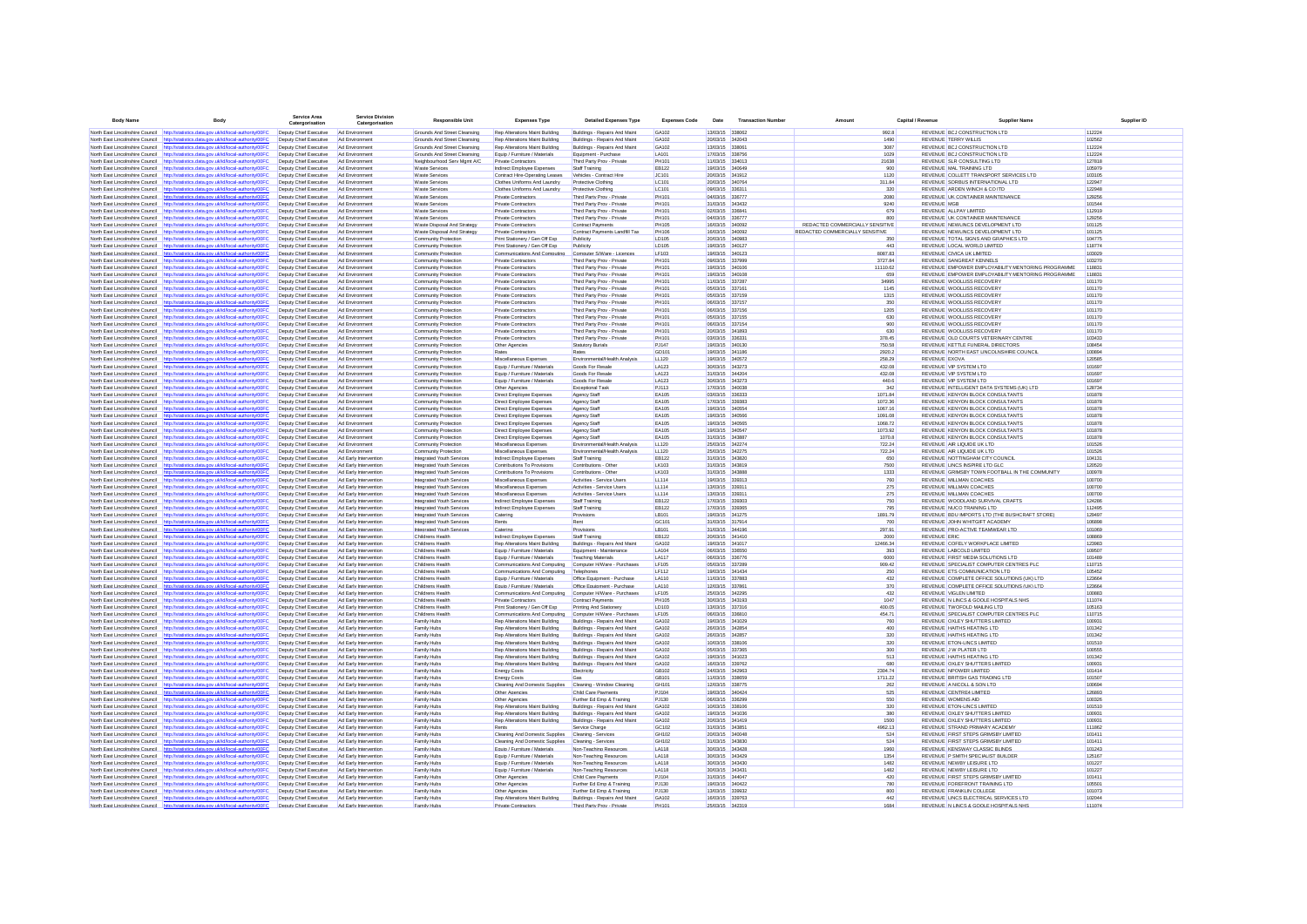| <b>Body Name</b>                                                   | Body                                                                                                                                                                           | <b>Service Area</b><br>Catero                    | ervice Division<br>Catergorisation             | <b>Responsible Unit</b>                                | <b>Expenses Type</b>                                         | <b>Detailed Expenses Type</b>                               | <b>Expenses Code</b>         | Date                               | <b>Transaction Number</b> | Amount                                 | Canital / Revenue | <b>Supplier Name</b>                                                            |                  | Supplier ID |
|--------------------------------------------------------------------|--------------------------------------------------------------------------------------------------------------------------------------------------------------------------------|--------------------------------------------------|------------------------------------------------|--------------------------------------------------------|--------------------------------------------------------------|-------------------------------------------------------------|------------------------------|------------------------------------|---------------------------|----------------------------------------|-------------------|---------------------------------------------------------------------------------|------------------|-------------|
|                                                                    | North East Lincolnshire Council http://statistics.data.gov.uk/id/local-authority/00FC                                                                                          | Deputy Chief Executive                           | Ad Environment                                 | Grounds And Street Cleansing                           | Rep Alterations Maint Building                               | Buildings - Repairs And Maint                               | GA102                        | 13/03/15 338062                    |                           | 992.8                                  |                   | REVENUE BCJ CONSTRUCTION LTD                                                    | 112224           |             |
|                                                                    | North East Lincolnshire Council http://statistics.data.gov.uk/id/local-authority/00FC                                                                                          | Deputy Chief Executive                           | Ad Environment                                 | Grounds And Street Cleansing                           | Rep Alterations Maint Building                               | Buildings - Repairs And Maint                               | GA102                        | 20/03/15 342043                    |                           | 1490                                   |                   | <b>REVENUE TERRY WILLIS</b>                                                     | 102562           |             |
| North East Lincolnshire Council                                    | stics.data.gov.uk/id/local-authority/00FC<br>http://sta                                                                                                                        | Deputy Chief Executive                           | Ad Environmen                                  | Grounds And Street Cleansing                           | Rep Alterations Maint Building                               | Buildings - Repairs And Maint                               | GA102                        | 13/03/15 338061                    |                           | 3087                                   |                   | REVENUE BCJ CONSTRUCTION LTD                                                    | 112224           |             |
|                                                                    | North East Lincolnshire Council http://statistics.data.gov.uk/id/local-authority/00FC                                                                                          | Deputy Chief Executive                           | Ad Environment                                 | Grounds And Street Cleansing                           | Equip / Furniture / Materials                                | Equipment - Purchase                                        | LA101                        | 17/03/15 338756                    |                           | 1029                                   |                   | REVENUE BCJ CONSTRUCTION LTD                                                    | 112224           |             |
|                                                                    | North East Lincolnshire Council http://statistics.data.gov.uk/id/local-authority/00FC                                                                                          | Deputy Chief Executive                           | Ad Environment                                 | Neighbourhood Serv Mamt A/C                            | <b>Private Contractors</b>                                   | Third Party Prov - Private                                  | PH101                        | 11/03/15 334013                    |                           | 21638                                  |                   | REVENUE SLR CONSULTING LTD                                                      | 127818           |             |
|                                                                    | North East Lincolnshire Council http://statistics.data.gov.uk/id/local-authority/00FC<br>North East Lincolnshire Council http://statistics.data.gov.uk/id/local-authority/00FC | Deputy Chief Executive<br>Deputy Chief Executive | Ad Environment<br>Ad Environment               | <b>Waste Services</b><br><b>Waste Services</b>         | Indirect Employee Expenses<br>Contract Hire-Operating Leases | Staff Training<br>Vehicles - Contract Hire                  | EB122<br>JC101               | 19/03/15 340649<br>20/03/15 341912 |                           | 900<br>1120                            |                   | REVENUE MAL TRAINING LTD<br>REVENUE COLLETT TRANSPORT SERVICES LTD              | 105979<br>103105 |             |
| North East Lincolnshire Council                                    | http://statistics.data.gov.uk/id/local-authority/00FC                                                                                                                          | Deputy Chief Executive                           | Ad Environment                                 | <b>Waste Services</b>                                  | Clothes Uniforms And Laundry                                 | Protective Clothing                                         | LC101                        | 20/03/15 340764                    |                           | 311.84                                 |                   | REVENUE SORBUS INTERNATIONAL LTD                                                | 122947           |             |
| North East Lincolnshire Council                                    | http://statistics.data.gov.uk/id/local-authority/00FC                                                                                                                          | Deputy Chief Executive                           | Ad Environment                                 | <b>Waste Services</b>                                  | Clothes Uniforms And Laundry                                 | Protective Clothing                                         | LC101                        | 09/03/15 336311                    |                           | 320                                    |                   | REVENUE ARDEN WINCH & CO ITD                                                    | 122948           |             |
| North East Lincolnshire Council                                    | http://statistics.data.gov.uk/id/local-authority/00FC                                                                                                                          | Deputy Chief Executive                           | Ad Environment                                 | <b>Waste Services</b>                                  | <b>Private Contractors</b>                                   | Third Party Prov - Private                                  | PH101                        | 04/03/15 336777                    |                           | 2080                                   |                   | REVENUE UK CONTAINER MAINTENANCE                                                | 129256           |             |
|                                                                    | North East Lincolnshire Council http://statistics.data.gov.uk/id/local-authority/00FC                                                                                          | Deputy Chief Executive                           | Ad Environmen                                  | <b>Waste Services</b>                                  | Private Contractors                                          | Third Party Prov - Private                                  | PH101                        | 31/03/15 343432                    |                           | 9240                                   |                   | <b>REVENUE MGB</b>                                                              | 101544           |             |
| North East Lincolnshire Council                                    | http://statistics.data.gov.uk/id/local-authority/00FC                                                                                                                          | Deputy Chief Executive                           | Ad Environmen                                  | <b>Waste Services</b>                                  | Private Contractors                                          | Third Party Prov - Private                                  | PH101                        | 02/03/15 336841                    |                           | 679                                    |                   | REVENUE ALLPAY LIMITED                                                          | 112919           |             |
| North East Lincolnshire Council                                    | North East Lincolnshire Council http://statistics.data.oov.uk/id/local-authority/00FC<br>http://statistics.data.gov.uk/id/local-authority/00FC                                 | Deputy Chief Executive<br>Deputy Chief Executive | Ad Environmen<br>Ad Environmen                 | <b>Waste Services</b><br>Waste Disposal And Strategy   | Private Contractors<br>Private Contractors                   | Third Party Prov - Private<br><b>Contract Payments</b>      | PH101<br>PH105               | 04/03/15 336777<br>16/03/15 340092 |                           | 800<br>REDACTED COMMERCIALLY SENSITIVE |                   | REVENUE UK CONTAINER MAINTENANCE<br>REVENUE NEWLINGS DEVELOPMENT LTD            | 129256<br>101125 |             |
| North East Lincolnshire Council                                    | http://statistics.data.gov.uk/id/local-authority/00FC                                                                                                                          | Deputy Chief Executive                           | Ad Environmen                                  | Waste Disposal And Strategy                            | Private Contractors                                          | Contract Payments Landfill Tax                              | PH106                        | 16/03/15 340092                    |                           | REDACTED COMMERCIALLY SENSITIVE        |                   | REVENUE NEWLINGS DEVELOPMENT LTD                                                | 101125           |             |
| North East Lincolnshire Council                                    | http://statistics.data.gov.uk/id/local-authority/00FC                                                                                                                          | Deputy Chief Executive                           | Ad Environmen                                  | Community Protectio                                    | Print Stationery / Gen Off Exp                               | Publicity                                                   | LD105                        | 20/03/15                           | 340983                    | 350                                    |                   | REVENUE TOTAL SIGNS AND GRAPHICS LTD                                            | 104775           |             |
|                                                                    | North East Lincolnshire Council http://statistics.data.gov.uk/id/local-authority/00FC                                                                                          | Deputy Chief Executive                           | Ad Environment                                 | Community Protection                                   | Print Stationery / Gen Off Exp                               | Publicity                                                   | LD105                        | 19/03/15 340127                    |                           | 443                                    |                   | REVENUE LOCAL WORLD LIMITED                                                     | 118774           |             |
|                                                                    | North East Lincolnshire Council http://statistics.data.gov.uk/id/local-authority/00FC                                                                                          | Deputy Chief Executive                           | Ad Environment                                 | Community Protection                                   | Communications And Computing                                 | Computer S/Ware - Licences                                  | LF103                        | 19/03/15 340123                    |                           | 8087.83                                |                   | REVENUE CIVICA UK LIMITED                                                       | 103029           |             |
|                                                                    | North East Lincolnshire Council http://statistics.data.gov.uk/id/local-authority/00FC                                                                                          | Deputy Chief Executive                           | Ad Environment                                 | Community Protection                                   | Private Contractors                                          | Third Party Prov - Private                                  | PH101                        | 09/03/15 337999                    |                           | 3727.84                                |                   | REVENUE SANGREAT KENNELS                                                        | 103270           |             |
|                                                                    | North East Lincolnshire Council http://statistics.data.gov.uk/id/local-authority/00F                                                                                           | Deputy Chief Executive                           | Ad Environment                                 | Community Protection                                   | <b>Private Contractors</b>                                   | Third Party Prov - Private                                  | PH101                        | 19/03/15 340106                    |                           | 11110.62                               |                   | REVENUE EMPOWER EMPLOYABILITY MENTORING PROGRAMME                               | 118831           |             |
| North East Lincolnshire Council<br>North East Lincolnshire Council | http://statistics.data.gov.uk/id/local-authority/00FC<br>http://statistics.data.gov.uk/id/local-authority/00FC                                                                 | Deputy Chief Executive<br>Deputy Chief Executive | Ad Environment<br>Ad Environmen                | Community Protection<br>Community Protection           | Private Contractors<br>Private Contractors                   | Third Party Prov - Private<br>Third Party Prov - Private    | PH101<br>PH101               | 19/03/15 340106<br>11/03/15 337287 |                           | 659<br>34995                           |                   | REVENUE EMPOWER EMPLOYABILITY MENTORING PROGRAMME<br>REVENUE WOOLLISS RECOVERY  | 118831<br>101170 |             |
|                                                                    | North East Lincolnshire Council http://statistics.data.gov.uk/id/local-authority/00FC                                                                                          | Deputy Chief Executive                           | Ad Environment                                 | Community Protection                                   | <b>Private Contractors</b>                                   | Third Party Prov - Private                                  | PH101                        | 05/03/15 337161                    |                           | 1145                                   |                   | REVENUE WOOLLISS RECOVERY                                                       | 101170           |             |
|                                                                    | North East Lincolnshire Council http://statistics.data.gov.uk/id/local-authority/00FC                                                                                          | Deputy Chief Executive                           | Ad Environment                                 | Community Protection                                   | <b>Private Contractors</b>                                   | Third Party Prov - Private                                  | PH101                        | 05/03/15 337159                    |                           | 1315                                   |                   | REVENUE WOOLLISS RECOVERY                                                       | 101170           |             |
|                                                                    | North East Lincolnshire Council http://statistics.data.gov.uk/id/local-authority/00FC                                                                                          | Deputy Chief Executive                           | Ad Environment                                 | Community Protection                                   | <b>Private Contractors</b>                                   | Third Party Prov - Private                                  | PH101                        | 06/03/15 337157                    |                           | 350                                    |                   | REVENUE WOOLLISS RECOVERY                                                       | 101170           |             |
| North East Lincolnshire Council                                    | http://statistics.data.gov.uk/id/local-authority/00FC                                                                                                                          | Deputy Chief Executive                           | Ad Environment                                 | Community Protection                                   | <b>Private Contractors</b>                                   | Third Party Prov - Private                                  | PH101                        | 06/03/15 337156                    |                           | 1205                                   |                   | REVENUE WOOLLISS RECOVERY                                                       | 101170           |             |
| North Fast Lincolnshire Council                                    | http://statistics.data.gov.uk/id/local-authority/00FC                                                                                                                          | Deputy Chief Executive                           | Ad Fovironment                                 | Community Protection                                   | Private Contractors                                          | Third Party Prov - Private                                  | PH101                        | 05/03/15 337155                    |                           | 630                                    |                   | REVENUE WOOLLISS RECOVERY                                                       | 101170           |             |
| North East Lincolnshire Council                                    | http://statistics.data.gov.uk/id/local-authority/00FC                                                                                                                          | Deputy Chief Executive                           | Ad Environmen                                  | Community Protection                                   | Private Contractors                                          | Third Party Prov - Private                                  | PH101                        | 06/03/15 337154                    |                           | 900                                    |                   | REVENUE WOOLLISS RECOVERY                                                       | 101170           |             |
| North East Lincolnshire Council                                    | http://statistics.data.gov.uk/id/local-authority/00FC                                                                                                                          | Deputy Chief Executive                           | Ad Environmen                                  | Community Protection                                   | Private Contractors                                          | Third Party Prov - Private                                  | PH101<br>PH101               | 20/03/15 341893                    |                           | 630                                    |                   | REVENUE WOOLLISS RECOVERY                                                       | 101170<br>103433 |             |
| North East Lincolnshire Council                                    | North East Lincolnshire Council http://statistics.data.gov.uk/id/local-authority/00FC<br>http://statistics.data.gov.uk/id/local-authority/00FC                                 | Deputy Chief Executive<br>Deputy Chief Executive | Ad Environmen<br>Ad Environmen                 | Community Protection<br>Community Protection           | Private Contractors<br>Other Agencies                        | Third Party Prov - Private<br><b>Statutory Burials</b>      | PJ147                        | 03/03/15 336331<br>19/03/15 340130 |                           | 378.45<br>750.58                       |                   | REVENUE OLD COURTS VETERINARY CENTRE<br>REVENUE KETTLE FUNERAL DIRECTORS        | 108454           |             |
| North East Lincolnshire Council                                    | http://statistics.data.gov.uk/id/local-authority/00FC                                                                                                                          | Deputy Chief Executive                           | Ad Environmen                                  | Community Protection                                   |                                                              | Rates                                                       | GD101                        | 19/03/15 341186                    |                           | 2920.2                                 |                   | REVENUE NORTH EAST LINCOLNSHIRE COUNCIL                                         | 100894           |             |
| North East Lincolnshire Council                                    | http://statistics.data.gov.uk/id/local-authority/00FC                                                                                                                          | Deputy Chief Executive                           | Ad Environmen                                  | Community Protection                                   | Miscellaneous Expenses                                       | Environmental/Health Analysis                               | LL120                        | 19/03/15 340572                    |                           | 258.29                                 |                   | REVENUE EXOVA                                                                   | 120585           |             |
|                                                                    | North East Lincolnshire Council http://statistics.data.gov.uk/id/local-authority/00FC                                                                                          | Deputy Chief Executive                           | Ad Environmen                                  | Community Protection                                   | Equip / Furniture / Materials                                | Goods For Resale                                            | LA123                        | 30/03/15 343273                    |                           | 432.08                                 |                   | REVENUE VIP SYSTEM LTD                                                          | 101697           |             |
| North East Lincolnshire Council                                    | http://statistics.data.gov.uk/id/local-authority/00FC                                                                                                                          | Deputy Chief Executive                           | Ad Environment                                 | Community Protection                                   | Equip / Furniture / Materials                                | Goods For Resale                                            | LA123                        | 31/03/15 344204                    |                           | 432.08                                 |                   | REVENUE VIP SYSTEM LTD                                                          | 101697           |             |
| North East Lincolnshire Council http://st                          | tics.data.gov.uk/id/local-authority/00FC                                                                                                                                       | Deputy Chief Executive                           | Ad Environment                                 | Community Protection                                   | Equip / Furniture / Materials                                | Goods For Resale                                            | LA123                        | 30/03/15 343273                    |                           | 440.6                                  |                   | REVENUE VIP SYSTEM LTD                                                          | 101697           |             |
|                                                                    | North East Lincolnshire Council http://statistics.data.gov.uk/id/local-authority/00F0                                                                                          | Deputy Chief Executive                           | Ad Environment                                 | Community Protection                                   | Other Agencies                                               | <b>Exceptional Task</b>                                     | PJ113                        | 17/03/15 340038                    |                           | 342                                    |                   | REVENUE INTELLIGENT DATA SYSTEMS (UK) LTD                                       | 128734           |             |
| North East Lincolnshire Council                                    | http://statistics.data.gov.uk/id/local-authority/00FC                                                                                                                          | Deputy Chief Executive                           | Ad Environment                                 | Community Protection                                   | Direct Employee Expenses                                     | Agency Staff                                                | EA105                        | 03/03/15 336333                    |                           | 1071.84                                |                   | REVENUE KENYON BLOCK CONSULTANTS                                                | 101878           |             |
| North East Lincolnshire Council                                    | http://statistics.data.gov.uk/id/local-authority/00FC                                                                                                                          | Deputy Chief Executive                           | Ad Environment                                 | Community Protection                                   | Direct Employee Expenses                                     | Agency Staff                                                | EA105                        | 17/03/15 339383                    |                           | 1072.36                                |                   | REVENUE KENYON BLOCK CONSULTANTS<br>REVENUE KENYON BLOCK CONSULTANTS            | 101878           |             |
|                                                                    | North East Lincolnshire Council http://statistics.data.gov.uk/id/local-authority/00FC<br>North East Lincolnshire Council http://statistics.data.oov.uk/id/local-authority/00EC | Deputy Chief Executive<br>Denuty Chief Executive | Ad Environment<br>Ad Fovironment               | Community Protection<br>Community Protection           | Direct Employee Expenses<br>Direct Employee Expenses         | Agency Staff<br>Agency Staff                                | EA105<br><b>FA105</b>        | 19/03/15 340554<br>19/03/15 340566 |                           | 1067.16<br>1091.08                     |                   | REVENUE KENYON BLOCK CONSULTANTS                                                | 101878<br>101878 |             |
|                                                                    | North East Lincolnshire Council http://statistics.data.gov.uk/id/local-authority/00FC                                                                                          | Deputy Chief Executive                           | Ad Environment                                 | Community Protection                                   | Direct Employee Expenses                                     | Agency Staff                                                | <b>FA105</b>                 | 19/03/15 340565                    |                           | 1068.72                                |                   | REVENUE KENYON BLOCK CONSULTANTS                                                | 101878           |             |
|                                                                    | North Fast Lincolnshire Council http://statistics.data.oov.uk/id/local-authority/00F0                                                                                          | Deputy Chief Executive                           | Ad Fovironment                                 | Community Protection                                   | Direct Employee Expenses                                     | Agency Staff                                                | <b>FA105</b>                 | 19/03/15 340547                    |                           | 1073.92                                |                   | REVENUE KENYON BLOCK CONSULTANTS                                                | 101878           |             |
| North East Lincolnshire Council                                    | http://statistics.data.gov.uk/id/local-authority/00FC                                                                                                                          | Deputy Chief Executive                           | Ad Environment                                 | Community Protection                                   | Direct Employee Expenses                                     | Agency Staff                                                | <b>FA105</b>                 | 31/03/15 343887                    |                           | 1070.8                                 |                   | REVENUE KENYON BLOCK CONSULTANTS                                                | 101878           |             |
| North East Lincolnshire Council                                    | http://statistics.data.gov.uk/id/local-authority/00FC                                                                                                                          | Deputy Chief Executive                           | Ad Environment                                 | Community Protection                                   | Miscellaneous Expenses                                       | Environmental/Health Analysis                               | LL120                        | 25/03/15 342274                    |                           | 722.24                                 |                   | REVENUE AIR LIQUIDE UK LTD                                                      | 101526           |             |
| North East Lincolnshire Council                                    | http://statistics.data.gov.uk/id/local-authority/00FC                                                                                                                          | Deputy Chief Executive                           | Ad Environmen                                  | Community Protection                                   | Miscellaneous Expenses                                       | Frwironmental/Health Analysis                               | LL120                        | 25/03/15 342275                    |                           | 722.24                                 |                   | REVENUE AIR LIQUIDE UK LTD                                                      | 101526           |             |
|                                                                    | North East Lincolnshire Council http://statistics.data.gov.uk/id/local-authority/00FC                                                                                          | Deputy Chief Executive                           | Ad Early Intervention                          | Integrated Youth Services                              | Indirect Employee Expenses                                   | Staff Training                                              | EB122                        | 31/03/15 343820                    |                           | 650                                    |                   | REVENUE NOTTINGHAM CITY COUNCIL                                                 | 104131           |             |
|                                                                    | North East Lincolnshire Council http://statistics.data.gov.uk/id/local-authority/00FC                                                                                          | Deputy Chief Executive                           | Ad Early Intervention                          | Integrated Youth Services                              | Contributions To Provisions                                  | Contributions - Othe                                        | <b>LK103</b>                 | 31/03/15 343819                    |                           | 7500                                   |                   | REVENUE LINCS INSPIRE LTD GLC                                                   | 120520           |             |
| North East Lincolnshire Council                                    | North East Lincolnshire Council http://statistics.data.gov.uk/id/local-authority/00F0<br>atistics.data.gov.uk/id/local-authority/00F0                                          | Deputy Chief Executive<br>Deputy Chief Executive | Ad Early Intervention<br>Ad Early Intervention | Integrated Youth Services<br>Integrated Youth Services | Contributions To Provisions<br>Miscellaneous Expenses        | Contributions - Other<br>Activities - Service Users         | <b>LK103</b><br>LL114        | 31/03/15 343888<br>19/03/15 339313 |                           | 1333<br>760                            |                   | REVENUE GRIMSBY TOWN FOOTBALL IN THE COMMUNITY<br>REVENUE MILLMAN COACHES       | 100978<br>100700 |             |
| North East Lincolnshire Council                                    | http://statistics.data.gov.uk/id/local-authority/00FC                                                                                                                          | Deputy Chief Executive                           | Ad Early Intervention                          | Integrated Youth Services                              | Miscellaneous Expenses                                       | Activities - Service Users                                  | LL114                        | 13/03/15 33931                     |                           | 275                                    |                   | REVENUE MILLMAN COACHES                                                         | 100700           |             |
| North East Lincolnshire Council                                    | http://statistics.data.gov.uk/id/local-authority/00FC                                                                                                                          | Deputy Chief Executive                           | Ad Early Intervention                          | Integrated Youth Services                              | Miscellaneous Expenses                                       | Activities - Service Users                                  | LL114                        | 13/03/15 33931                     |                           | 275                                    |                   | REVENUE MILLMAN COACHES                                                         | 100700           |             |
|                                                                    | North East Lincolnshire Council http://statistics.data.gov.uk/id/local-authority/00FC                                                                                          | Deputy Chief Executive                           | Ad Early Intervention                          | Integrated Youth Services                              | Indirect Employee Expenses                                   | Staff Training                                              | EB122                        | 17/03/15 339303                    |                           | 750                                    |                   | REVENUE WOODLAND SURVIVAL CRAFTS                                                | 124286           |             |
|                                                                    | North East Lincolnshire Council http://statistics.data.gov.uk/id/local-authority/00FC                                                                                          | Deputy Chief Executive                           | Ad Early Intervention                          | Integrated Youth Services                              | Indirect Employee Expenses                                   | Staff Training                                              | EB122                        | 17/03/15 339365                    |                           | 795                                    |                   | REVENUE NUCO TRAINING LTD                                                       | 112495           |             |
|                                                                    | North East Lincolnshire Council http://statistics.data.gov.uk/id/local-authority/00FC                                                                                          | Deputy Chief Executive                           | Ad Early Intervention                          | Integrated Youth Services                              | Catering                                                     | Provisions                                                  | LB101                        | 19/03/15 341275                    |                           | 1891.79                                |                   | REVENUE BDU IMPORTS LTD (THE BUSHCRAFT STORE)                                   | 129497           |             |
| North East Lincolnshire Council                                    | http://statistics.data.gov.uk/id/local-authority/00FC                                                                                                                          | Deputy Chief Executive                           | Ad Early Intervention                          | Integrated Youth Services                              | Rents                                                        | Rent                                                        | GC101                        | 31/03/15 317914                    |                           | 700                                    |                   | REVENUE JOHN WHITGIFT ACADEMY                                                   | 106898           |             |
| North East Lincolnshire Council<br>North East Lincolnshire Council | http://statistics.data.gov.uk/id/local-authority/00FC<br>http://statistics.data.gov.uk/id/local-authority/00FC                                                                 | Deputy Chief Executive<br>Deputy Chief Executive | Ad Early Intervention<br>Ad Early Intervention | Integrated Youth Services<br>Childrens Health          | Catering<br>Indirect Employee Expenses                       | Provisions<br>Staff Training                                | LB101<br>EB122               | 31/03/15 344196<br>20/03/15 341410 |                           | 297.91<br>2000                         |                   | REVENUE PRO-ACTIVE TEAMWEAR LTD<br><b>REVENUE ERIC</b>                          | 101069<br>108869 |             |
|                                                                    | North East Lincolnshire Council http://statistics.data.gov.uk/id/local-authority/00FC                                                                                          | Deputy Chief Executive                           | Ad Early Intervention                          | Childrens Health                                       | Rep Alterations Maint Building                               | Buildings - Repairs And Maint                               | GA102                        | 19/03/15 341017                    |                           | 12466.34                               |                   | REVENUE COFELY WORKPLACE LIMITED                                                | 123983           |             |
|                                                                    | North East Lincolnshire Council http://statistics.data.gov.uk/id/local-authority/00FC                                                                                          | Deputy Chief Executive                           | Ad Early Intervention                          | Childrens Health                                       | Equip / Furniture / Materials                                | Equipment - Maintenance                                     | <b>1 A104</b>                | 06/03/15 336550                    |                           | 393                                    |                   | REVENUE LABCOLD LIMITED                                                         | 109507           |             |
|                                                                    | North East Lincolnshire Council http://statistics.data.gov.uk/id/local-authority/00FC                                                                                          | Deputy Chief Executive                           | Ad Early Intervention                          | Childrens Health                                       | Equip / Furniture / Materials                                | Teaching Materials                                          | <b>I</b> A117                | 06/03/15 336776                    |                           | 6000                                   |                   | REVENUE FIRST MEDIA SOLUTIONS LTD                                               | 101489           |             |
| North East Lincolnshire Council                                    | http://statistics.data.gov.uk/id/local-authority/00F0                                                                                                                          | Deputy Chief Executive                           | Ad Early Intervention                          | Childrens Health                                       | Communications And Computing                                 | Computer H/Ware - Purchases                                 | LF105                        | 05/03/15 337289                    |                           | 909.42                                 |                   | REVENUE SPECIALIST COMPUTER CENTRES PLC                                         | 110715           |             |
| North East Lincolnshire Council                                    | http://statistics.data.gov.uk/id/local-authority/00FC                                                                                                                          | Deputy Chief Executive                           | Ad Early Intervention                          | Childrens Health                                       | Communications And Computing                                 | Telephones                                                  | <b>LF112</b>                 | 19/03/15 341434                    |                           | 250                                    |                   | REVENUE ETS COMMUNICATION LTD                                                   | 105452           |             |
|                                                                    | North East Lincolnshire Council http://statistics.data.gov.uk/id/local-authority/00FC                                                                                          | Deputy Chief Executive                           | Ad Early Intervention                          | Childrens Health                                       | Equip / Furniture / Materials                                | Office Equipment - Purchase                                 | LA110                        | 11/03/15 337883                    |                           | 432                                    |                   | REVENUE COMPLETE OFFICE SOLUTIONS (UK) LTD                                      | 123664           |             |
| North East Lincolnshire Council                                    | http://statistics.data.gov.uk/id/local-authority/00FC                                                                                                                          | Deputy Chief Executive                           | Ad Early Intervention                          | Childrens Healt                                        | Equip / Furniture / Materials                                | Office Equipment - Purchase                                 | <b>LA110</b>                 | 12/03/15 337861                    |                           | 370                                    |                   | REVENUE COMPLETE OFFICE SOLUTIONS (UK) LTD                                      | 123664           |             |
|                                                                    | North East Lincolnshire Council http://statistics.data.gov.uk/id/local-authority/00FC<br>North East Lincolnshire Council http://statistics.data.gov.uk/id/local-authority/00F  | Deputy Chief Executive<br>Deputy Chief Executive | Ad Early Intervention<br>Ad Early Intervention | Childrens Health<br>Childrens Healt                    | Communications And Computing<br>Private Contractors          | Computer H/Ware - Purchases                                 | <b>LF105</b><br><b>PH105</b> | 25/03/15 342295<br>30/03/15 343193 |                           | 432<br>1047                            |                   | REVENUE VIGLEN LIMITED<br>REVENUE N LINCS & GOOLE HOSPITALS NHS                 | 100883<br>111074 |             |
| North East Lincolnshire Council                                    | http://statistics.data.gov.uk/id/local-authority/00FC                                                                                                                          | Deputy Chief Executive                           | Ad Early Intervention                          | Childrens Health                                       | Print Stationery / Gen Off Exp                               | <b>Contract Payments</b><br>Printing And Stationery         | LD103                        | 13/03/15 337316                    |                           | 400.05                                 |                   | REVENUE TWOFOLD MAILING LTD                                                     | 105163           |             |
| North East Lincolnshire Council                                    | http://statistics.data.gov.uk/id/local-authority/00FC                                                                                                                          | Deputy Chief Executive                           | Ad Early Intervention                          | Childrens Healt                                        | Communications And Computing                                 | Computer H/Ware - Purchases                                 | <b>LF105</b>                 | 06/03/15 336810                    |                           | 454.71                                 |                   | REVENUE SPECIALIST COMPUTER CENTRES PLC                                         | 110715           |             |
|                                                                    | North East Lincolnshire Council http://statistics.data.gov.uk/id/local-authority/00FC                                                                                          | Deputy Chief Executive                           | Ad Early Intervention                          | Family Hubs                                            | Rep Alterations Maint Building                               | Buildings - Repairs And Maint                               | GA102                        | 19/03/15 341029                    |                           | 760                                    |                   | REVENUE OXLEY SHUTTERS LIMITED                                                  | 100931           |             |
|                                                                    | North East Lincolnshire Council http://statistics.data.gov.uk/id/local-authority/00FC                                                                                          | Deputy Chief Executive                           | Ad Early Intervention                          | Family Hubs                                            | Rep Alterations Maint Building                               | Buildings - Repairs And Maint                               | GA102                        | 26/03/15 342854                    |                           | 400                                    |                   | REVENUE HAITHS HEATING LTD                                                      | 101342           |             |
|                                                                    | North East Lincolnshire Council http://statistics.data.gov.uk/id/local-authority/00FC                                                                                          | Deputy Chief Executive                           | Ad Early Intervention                          | Family Hubs                                            | Rep Alterations Maint Building                               | Buildings - Repairs And Maint                               | GA102                        | 26/03/15 342857                    |                           | 320                                    |                   | REVENUE HAITHS HEATING LTD                                                      | 101342           |             |
|                                                                    | North East Lincolnshire Council http://statistics.data.gov.uk/id/local-authority/00F                                                                                           | Deputy Chief Executive                           | Ad Early Intervention                          | Family Hubs                                            | Rep Alterations Maint Building                               | Buildings - Repairs And Maint                               | GA102                        | 10/03/15 338106                    |                           | 320                                    |                   | REVENUE ETON-LINCS LIMITED                                                      | 101510           |             |
| North East Lincolnshire Council                                    | http://statistics.data.gov.uk/id/local-authority/00FC                                                                                                                          | Deputy Chief Executive                           | Ad Early Intervention                          | Family Hubs                                            | Rep Alterations Maint Building                               | Buildings - Repairs And Maint                               | GA102                        | 05/03/15 337365                    |                           | 300                                    |                   | REVENUE J W PLATER LTD                                                          | 100555           |             |
| North East Lincolnshire Council                                    | http://statistics.data.gov.uk/id/local-authority/00FC                                                                                                                          | Deputy Chief Executive                           | Ad Early Intervention                          | Family Hubs                                            | Rep Alterations Maint Building                               | Buildings - Repairs And Maint                               | GA102<br>GA102               | 19/03/15 341023                    |                           | 513<br>680                             |                   | REVENUE HAITHS HEATING LTD                                                      | 101342<br>100931 |             |
| North East Lincolnshire Council                                    | http://statistics.data.gov.uk/id/local-authority/00FC<br>North East Lincolnshire Council http://statistics.data.gov.uk/id/local-authority/00FC                                 | Deputy Chief Executive<br>Deputy Chief Executive | Ad Early Intervention<br>Ad Early Intervention | Family Hubs<br>Family Hubs                             | Rep Alterations Maint Building                               | Buildings - Repairs And Maint<br>Electricity                | GR102                        | 16/03/15 339762<br>24/03/15 342963 |                           | 2304.74                                |                   | REVENUE OXLEY SHUTTERS LIMITED<br>REVENUE NPOWER LIMITED                        | 101414           |             |
|                                                                    | North East Lincolnshire Council http://statistics.data.gov.uk/id/local-authority/00FC                                                                                          | Deputy Chief Executive                           | Ad Early Intervention                          | Family Hubs                                            | <b>Energy Costs</b><br><b>Energy Costs</b>                   | Gas                                                         | GR <sub>101</sub>            | 11/03/15 338659                    |                           | 1711.22                                |                   | REVENUE BRITISH GAS TRADING LTD                                                 | 101507           |             |
|                                                                    | North East Lincolnshire Council http://statistics.data.gov.uk/id/local-authority/00F0                                                                                          | Deputy Chief Executive                           | Ad Early Intervention                          | Family Hubs                                            | Cleaning And Domestic Supplies                               | Cleaning - Window Cleaning                                  | GH101                        | 12/03/15 338775                    |                           | 262                                    |                   | REVENUE A NICOLL & SON LTD                                                      | 100694           |             |
| North East Lincolnshire Council                                    | http://statistics.data.gov.uk/id/local-authority/00F0                                                                                                                          | Deputy Chief Executive                           | Ad Early Intervention                          | Family Hubs                                            | Other Agencies                                               | Child Care Payments                                         | PJ104                        | 19/03/15 340424                    |                           | 525                                    |                   | REVENUE CENTRE4 LIMITED                                                         | 126893           |             |
|                                                                    | North East Lincolnshire Council http://statistics.data.gov.uk/id/local-authority/00FC                                                                                          | Deputy Chief Executive                           | Ad Early Intervention                          | Family Hubs                                            | Other Agencies                                               | Further Ed Emp & Training                                   | PJ130                        | 06/03/15 336299                    |                           | 550                                    |                   | REVENUE WOMENS AID                                                              | 100326           |             |
| North East Lincolnshire Council                                    | http://statistics.data.gov.uk/id/local-authority/00FC                                                                                                                          | Deputy Chief Executive                           | Ad Early Intervention                          | Family Hubs                                            | Rep Alterations Maint Building                               | Buildings - Repairs And Maint                               | GA102                        | 10/03/15 338106                    |                           | 320                                    |                   | <b>REVENUE ETON-LINCS LIMITED</b>                                               | 101510           |             |
|                                                                    | North East Lincolnshire Council http://statistics.data.gov.uk/id/local-authority/00FC                                                                                          | Deputy Chief Executive                           | Ad Early Intervention                          | Family Hubs                                            | Rep Alterations Maint Building                               | Buildings - Repairs And Maint                               | GA102                        | 19/03/15 341036                    |                           | 380                                    |                   | REVENUE OXLEY SHUTTERS LIMITED                                                  | 100931           |             |
| North East Lincolnshire Council http://st                          | distics.data.oov.uk/id/local-authority/00F<br>North East Lincolnshire Council http://statistics.data.gov.uk/id/local-authority/00FC                                            | Deputy Chief Executive                           | Ad Early Intervention                          | Family Hubs                                            | Rep Alterations Maint Building                               | Buildings - Repairs And Maint                               | GA102<br>GC102               | 20/03/15 341419<br>31/03/15 343851 |                           | 1500<br>4962.13                        |                   | REVENUE OXLEY SHUTTERS LIMITED<br>REVENUE STRAND PRIMARY ACADEMY                | 100931<br>111862 |             |
| North East Lincolnshire Council                                    | http://statistics.data.gov.uk/id/local-authority/00FC                                                                                                                          | Deputy Chief Executive<br>Deputy Chief Executive | Ad Early Intervention<br>Ad Early Intervention | Family Hubs<br>Family Hubs                             | Rents<br>Cleaning And Domestic Supplies                      | Service Charge<br>Cleaning - Services                       | GH102                        | 20/03/15 340048                    |                           | 524                                    |                   | REVENUE FIRST STEPS GRIMSBY LIMITED                                             | 101411           |             |
|                                                                    | North East Lincolnshire Council   http://statistics.data.gov.uk/id/local-authority/00FC                                                                                        | Deputy Chief Executive                           | Ad Early Intervention                          | Family Hubs                                            | Cleaning And Domestic Supplies                               | Cleaning - Services                                         | GH102                        | 31/03/15 343830                    |                           | 524                                    |                   | REVENUE FIRST STEPS GRIMSBY LIMITED                                             | 101411           |             |
|                                                                    | North East Lincolnshire Council http://statistics.data.gov.uk/id/local-authority/00FC                                                                                          | Deputy Chief Executive                           | Ad Early Intervention                          | Family Hubs                                            | Equip / Furniture / Materials                                | Non-Teaching Resources                                      | <b>LA118</b>                 | 30/03/15 343428                    |                           | 1960                                   |                   | REVENUE KENSWAY CLASSIC BLINDS                                                  | 101243           |             |
|                                                                    | North East Lincolnshire Council http://statistics.data.gov.uk/id/local-authority/00FC                                                                                          | Deputy Chief Executive                           | Ad Early Intervention                          | Family Hubs                                            | Equip / Furniture / Materials                                | Non-Teaching Resources                                      | LA118                        | 30/03/15 343429                    |                           | 1354                                   |                   | REVENUE P SMITH SPECIALIST BUILDER                                              | 125167           |             |
|                                                                    | North East Lincolnshire Council http://statistics.data.gov.uk/id/local-authority/00FC                                                                                          | Deputy Chief Executive                           | Ad Early Intervention                          | Family Hubs                                            | Equip / Furniture / Materials                                | Non-Teaching Resources                                      | <b>LA118</b>                 | 30/03/15 343430                    |                           | 1482                                   |                   | REVENUE NEWBY LEISURE LTD                                                       | 101227           |             |
|                                                                    | North East Lincolnshire Council http://statistics.data.gov.uk/id/local-authority/00FC                                                                                          | Deputy Chief Executive                           | Ad Early Intervention                          | Family Hubs                                            | Equip / Furniture / Materials                                | Non-Teaching Resources                                      | LA118                        | 30/03/15 343431                    |                           | 1482                                   |                   | REVENUE NEWBY LEISURE LTD                                                       | 101227           |             |
|                                                                    | North East Lincolnshire Council http://statistics.data.gov.uk/id/local-authority/00FC                                                                                          | Deputy Chief Executive                           | Ad Early Intervention                          | Family Hubs                                            | Other Agencies                                               | Child Care Payments                                         | PJ104                        | 31/03/15 344047                    |                           | 420                                    |                   | REVENUE FIRST STEPS GRIMSBY LIMITED                                             | 101411           |             |
|                                                                    | North East Lincolnshire Council http://statistics.data.gov.uk/id/local-authority/00FC                                                                                          | Deputy Chief Executive                           | Ad Early Intervention                          | Family Hubs                                            | Other Agencies                                               | Further Ed Emp & Training                                   | PJ130                        | 19/03/15 340422                    |                           | 780                                    |                   | REVENUE FOREFRONT TRAINING LTD                                                  | 105501           |             |
|                                                                    | North East Lincolnshire Council http://statistics.data.gov.uk/id/local-authority/00FC Deputy Chief Executive                                                                   |                                                  | Ad Early Intervention                          | Family Hubs                                            | Other Agencies                                               | Further Ed Emp & Training                                   | PJ130                        | 13/03/15 339932                    |                           | 800                                    |                   | REVENUE FRANKLIN COLLEGE                                                        | 101073<br>102044 |             |
| North East Lincolnshire Council htt                                | North East Lincolnshire Council http://statistics.data.gov.uk/id/local-authority/00FC Deputy Chief Executive                                                                   | Deputy Chief Executive                           | Ad Early Intervention<br>Ad Early Intervention | Family Hubs<br>Family Hubs                             | Rep Alterations Maint Building<br>Private Contractors        | Buildings - Repairs And Maint<br>Third Party Prov - Private | GA102<br>PH101               | 16/03/15 339763<br>25/03/15 342319 |                           | 442<br>1684                            |                   | REVENUE LINCS ELECTRICAL SERVICES LTD<br>REVENUE IN LINCS & GOOLE HOSPITALS NHS | 111074           |             |
|                                                                    |                                                                                                                                                                                |                                                  |                                                |                                                        |                                                              |                                                             |                              |                                    |                           |                                        |                   |                                                                                 |                  |             |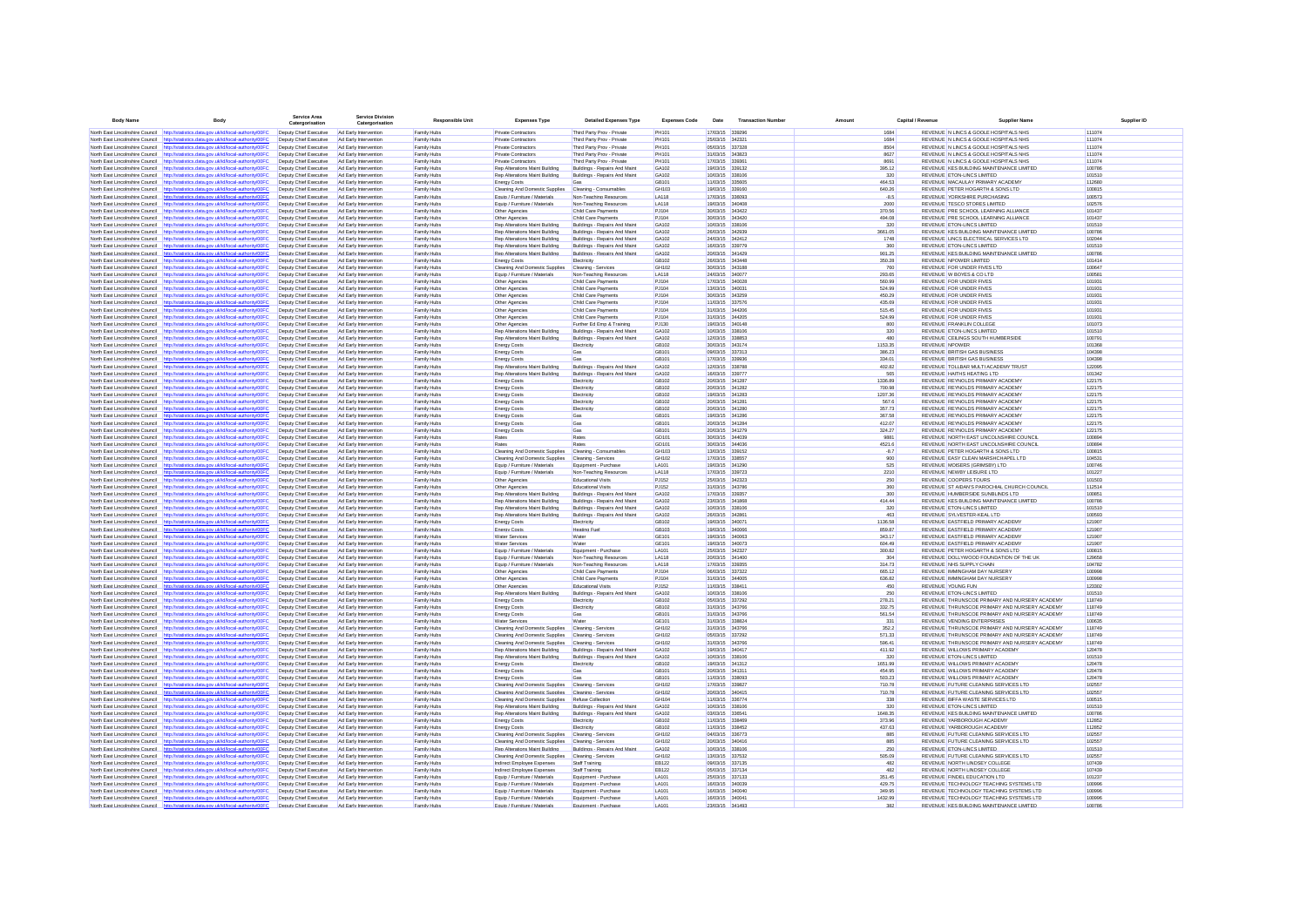| <b>Body Name</b>                                                   | Rody                                                                                                                                           | <b>Service Area</b><br>risatio                   | <b>Service Divisio</b><br>Catergorisatio       | <b>Responsible Unit</b>    | <b>Expenses Type</b>                                             | <b>Detailed Expenses Type</b>                                  | <b>Expenses Code</b> | Date                               | <b>Transaction Number</b> | Amount           | Canital / Revenue |                       | <b>Supplier Name</b>                                                            | Supplier ID      |
|--------------------------------------------------------------------|------------------------------------------------------------------------------------------------------------------------------------------------|--------------------------------------------------|------------------------------------------------|----------------------------|------------------------------------------------------------------|----------------------------------------------------------------|----------------------|------------------------------------|---------------------------|------------------|-------------------|-----------------------|---------------------------------------------------------------------------------|------------------|
|                                                                    | North East Lincolnshire Council http://statistics.data.gov.uk/id/local-authority/00FC                                                          | Deputy Chief Executive                           | Ad Early Intervention                          | Family Hubs                | Private Contractors                                              | Third Party Prov - Private                                     | PH101                | 17/03/15 339296                    |                           |                  | 1684              |                       | REVENUE N LINCS & GOOLE HOSPITALS NHS                                           | 111074           |
|                                                                    | North East Lincolnshire Council http://statistics.data.gov.uk/id/local-authority/00FC                                                          | Deputy Chief Executive                           | Ad Early Intervention                          | Family Hubs                | Private Contractors                                              | Third Party Prov - Private                                     | PH101                | 25/03/15 342321                    |                           |                  | 1684              |                       | REVENUE N LINCS & GOOLE HOSPITALS NHS                                           | 111074           |
| North East Lincolnshire Council                                    | istics.data.oov.uk/id/local-authority/00FC<br>http://sta                                                                                       | Deputy Chief Executive                           | Ad Early Intervention                          | Family Hubs                | Private Contractors                                              | Third Party Prov - Private                                     | PH101                | 05/03/15 337328                    |                           |                  | 8504              |                       | REVENUE N LINCS & GOOLE HOSPITALS NHS                                           | 111074           |
| North East Lincolnshire Council                                    | http://statistics.data.gov.uk/id/local-authority/00FC                                                                                          | Deputy Chief Executive                           | Ad Early Intervention                          | Family Hubs                | Private Contractors                                              | Third Party Prov - Private                                     | PH101                | 31/03/15 343823                    |                           |                  | 8627              |                       | REVENUE N LINCS & GOOLE HOSPITALS NHS                                           | 111074           |
| North East Lincolnshire Council                                    | http://statistics.data.gov.uk/id/local-authority/00FC                                                                                          | Deputy Chief Executive                           | Ad Early Intervention                          | Family Hubs                | Private Contractors                                              | Third Party Prov - Private                                     | PH101                | 17/03/15 339361                    |                           | 8691             |                   |                       | REVENUE N LINCS & GOOLE HOSPITALS NHS                                           | 111074           |
|                                                                    | North East Lincolnshire Council http://statistics.data.gov.uk/id/local-authority/00FC                                                          | Deputy Chief Executive                           | Ad Early Intervention                          | Family Hubs                | Rep Alterations Maint Building                                   | Buildings - Repairs And Maint                                  | GA102                | 19/03/15 339132                    |                           | 395.12           |                   |                       | REVENUE KES BUILDING MAINTENANCE LIMITED                                        | 100786           |
|                                                                    | North East Lincolnshire Council http://statistics.data.gov.uk/id/local-authority/00FC                                                          | Deputy Chief Executive                           | Ad Early Intervention                          | Family Hubs                | Rep Alterations Maint Building                                   | Buildings - Repairs And Maint                                  | GA102                | 10/03/15 338106                    |                           |                  | 320               |                       | REVENUE ETON-LINCS LIMITED                                                      | 101510           |
| North East Lincolnshire Council<br>North East Lincolnshire Council | http://statistics.data.gov.uk/id/local-authority/00FC<br>http://statistics.data.gov.uk/id/local-authority/00FC                                 | Deputy Chief Executive<br>Deputy Chief Executive | Ad Early Intervention<br>Ad Early Intervention | Family Hubs<br>Family Hubs | <b>Energy Costs</b><br>Cleaning And Domestic Supplies            | Cleaning - Consumables                                         | GB101<br>GH103       | 11/03/15 335605<br>19/03/15 339160 |                           | 464.53<br>640.26 |                   |                       | REVENUE MACAULAY PRIMARY ACADEMY<br>REVENUE PETER HOGARTH & SONS LTD            | 112680<br>100815 |
| North East Lincolnshire Council                                    | http://statistics.data.gov.uk/id/local-authority/00FC                                                                                          | Deputy Chief Executive                           | Ad Early Intervention                          | Family Hubs                | Equip / Furniture / Materials                                    | Non-Teaching Resources                                         | LA118                | 17/03/15 336093                    |                           |                  | $-8.5$            |                       | REVENUE YORKSHIRE PURCHASING                                                    | 100573           |
|                                                                    | North East Lincolnshire Council http://statistics.data.gov.uk/id/local-authority/00FC                                                          | Deputy Chief Executive                           | Ad Early Intervention                          | Family Hubs                | Equip / Furniture / Materials                                    | Non-Teaching Resources                                         | LA118                | 19/03/15 340406                    |                           |                  | 2000              |                       | REVENUE TESCO STORES LIMITED                                                    | 102576           |
| North East Lincolnshire Council                                    | http://statistics.data.gov.uk/id/local-authority/00FC                                                                                          | Deputy Chief Executive                           | Ad Early Intervention                          | Family Hubs                | Other Agencies                                                   | Child Care Payments                                            | PJ104                | 30/03/15 343422                    |                           | 370.56           |                   |                       | REVENUE PRE SCHOOL LEARNING ALLIANCE                                            | 101437           |
|                                                                    | North East Lincolnshire Council http://statistics.data.gov.uk/id/local-authority/00FC                                                          | Deputy Chief Executive                           | Ad Early Intervention                          | Family Hubs                | Other Agencies                                                   | Child Care Payments                                            | PJ104                | 30/03/15 343420                    |                           | 494.08           |                   |                       | REVENUE PRE SCHOOL LEARNING ALLIANCE                                            | 101437           |
| North East Lincolnshire Council                                    | http://statistics.data.gov.uk/id/local-authority/00FC                                                                                          | Deputy Chief Executive                           | Ad Early Intervention                          | Family Hubs                | Rep Alterations Maint Building                                   | Buildings - Repairs And Main                                   | GA102                | 10/03/15 338106                    |                           |                  | 320               |                       | REVENUE ETON-LINCS LIMITED                                                      | 101510           |
|                                                                    | North East Lincolnshire Council http://statistics.data.gov.uk/id/local-authority/00FC                                                          | Deputy Chief Executive                           | Ad Early Intervention                          | Family Hubs                | Rep Alterations Maint Building                                   | Buildings - Repairs And Maint                                  | GA102                | 26/03/15 342939                    |                           | 3661.05          |                   |                       | REVENUE KES BUILDING MAINTENANCE LIMITED                                        | 100786           |
| North East Lincolnshire Council                                    | http://statistics.data.gov.uk/id/local-authority/00FC                                                                                          | Deputy Chief Executive                           | Ad Early Intervention                          | Family Hubs                | Rep Alterations Maint Building                                   | Buildings - Repairs And Main                                   | GA102                | 24/03/15 342412                    |                           |                  | 1748              |                       | REVENUE LINCS ELECTRICAL SERVICES LTD                                           | 102044           |
|                                                                    | North East Lincolnshire Council http://statistics.data.gov.uk/id/local-authority/00FC                                                          | Deputy Chief Executive                           | Ad Early Intervention                          | Family Hubs                | Rep Alterations Maint Building                                   | Buildings - Repairs And Maint                                  | GA102                | 16/03/15 339779                    |                           |                  | 360               |                       | REVENUE ETON-LINCS LIMITED                                                      | 101510           |
| North East Lincolnshire Council                                    | http://statistics.data.gov.uk/id/local-authority/00FC<br>North East Lincolnshire Council http://statistics.data.gov.uk/id/local-authority/00FC | Deputy Chief Executive                           | Ad Early Intervention<br>Ad Early Intervention | Family Hubs                | Rep Alterations Maint Building                                   | Buildings - Repairs And Maint                                  | GA102<br>GB102       | 20/03/15 341429<br>26/03/15 343448 |                           | 901.25<br>350.28 |                   |                       | REVENUE KES BUILDING MAINTENANCE LIMITED<br>REVENUE NPOWER LIMITED              | 100786<br>101414 |
|                                                                    | North East Lincolnshire Council http://statistics.data.gov.uk/id/local-authority/00F                                                           | Deputy Chief Executive<br>Deputy Chief Executive | Ad Early Intervention                          | Family Hubs<br>Family Hubs | <b>Energy Costs</b><br>Cleaning And Domestic Supplies            | Electricity<br>Cleaning - Services                             | GH102                | 30/03/15 343188                    |                           |                  | 760               |                       | REVENUE FOR UNDER FIVES LTD                                                     | 100647           |
| North East Lincolnshire Council                                    | http://statistics.data.gov.uk/id/local-authority/00FC                                                                                          | Deputy Chief Executive                           | Ad Early Intervention                          | Family Hubs                | Equip / Furniture / Materials                                    | Non-Teaching Resources                                         | LA118                | 24/03/15 340077                    |                           | 293.65           |                   |                       | REVENUE W BOYES & CO LTD                                                        | 100581           |
| North East Lincolnshire Council                                    | http://statistics.data.gov.uk/id/local-authority/00FC                                                                                          | Deputy Chief Executive                           | Ad Early Intervention                          | Family Hubs                | Other Agencies                                                   | Child Care Payments                                            | PJ104                | 17/03/15                           | 340028                    | 560.99           |                   |                       | REVENUE FOR UNDER FIVES                                                         | 101931           |
|                                                                    | North East Lincolnshire Council http://statistics.data.gov.uk/id/local-authority/00FC                                                          | Deputy Chief Executive                           | Ad Early Intervention                          | Family Hubs                | Other Agencies                                                   | Child Care Payments                                            | PJ104                | 13/03/15 340031                    |                           | 524.99           |                   |                       | <b>REVENUE FOR UNDER FIVES</b>                                                  | 101931           |
| North East Lincolnshire Council                                    | http://statistics.data.gov.uk/id/local-authority/00FC                                                                                          | Deputy Chief Executive                           | Ad Early Intervention                          | Family Hubs                | Other Agencies                                                   | Child Care Payments                                            | PJ104                | 30/03/15 343259                    |                           | 450.29           |                   |                       | <b>REVENUE FOR UNDER FIVES</b>                                                  | 101931           |
|                                                                    | North East Lincolnshire Council http://statistics.data.gov.uk/id/local-authority/00FC                                                          | Deputy Chief Executive                           | Ad Early Intervention                          | Family Hubs                | Other Agencies                                                   | Child Care Payments                                            | PJ104                | 11/03/15 337576                    |                           | 435.69           |                   |                       | <b>REVENUE FOR UNDER FIVES</b>                                                  | 101931           |
| North East Lincolnshire Council                                    | http://statistics.data.gov.uk/id/local-authority/00FC                                                                                          | Deputy Chief Executive                           | Ad Early Intervention                          | Family Hubs                | Other Agencies                                                   | Child Care Payments                                            | PJ104                | 31/03/15 344206                    |                           | 515.45           |                   |                       | <b>REVENUE FOR UNDER FIVES</b>                                                  | 101931           |
| North East Lincolnshire Council                                    | http://statistics.data.gov.uk/id/local-authority/00FC                                                                                          | Deputy Chief Executive                           | Ad Early Intervention                          | Family Hubs                | Other Agencies                                                   | Child Care Payments                                            | PJ104                | 31/03/15 344205                    |                           | 524.99           |                   |                       | <b>REVENUE FOR UNDER FIVES</b>                                                  | 101931           |
| North East Lincolnshire Council                                    | http://statistics.data.gov.uk/id/local-authority/00FC                                                                                          | Deputy Chief Executive                           | Ad Early Intervention                          | Family Hubs                | Other Agencies                                                   | Further Ed Emp & Training                                      | PJ130                | 19/03/15 340148<br>10/03/15 338106 |                           |                  | 800<br>320        |                       | REVENUE FRANKLIN COLLEGE                                                        | 101073<br>101510 |
| North East Lincolnshire Council                                    | http://statistics.data.gov.uk/id/local-authority/00FC<br>North East Lincolnshire Council http://statistics.data.gov.uk/id/local-authority/00FC | Deputy Chief Executive<br>Deputy Chief Executive | Ad Early Intervention<br>Ad Early Intervention | Family Hubs<br>Family Hubs | Rep Alterations Maint Building<br>Rep Alterations Maint Building | Buildings - Repairs And Maint<br>Buildings - Repairs And Maint | GA102<br>GA102       | 12/03/15 338853                    |                           |                  | 480               |                       | <b>REVENUE ETON-LINCS LIMITED</b><br>REVENUE CELINGS SOUTH HUMBERSIDE           | 100791           |
| North East Lincolnshire Council                                    | http://statistics.data.gov.uk/id/local-authority/00FC                                                                                          | Deputy Chief Executive                           | Ad Early Intervention                          | Family Hubs                | <b>Energy Costs</b>                                              | Electricity                                                    | GR102                | 30/03/15 343174                    |                           | 1153.35          |                   | <b>REVENUE NPOWER</b> |                                                                                 | 101368           |
|                                                                    | North East Lincolnshire Council http://statistics.data.gov.uk/id/local-authority/00FC                                                          | Deputy Chief Executive                           | Ad Early Intervention                          | Family Hubs                | <b>Energy Costs</b>                                              | Ga                                                             | GB101                | 09/03/15 337313                    |                           | 386.23           |                   |                       | <b>REVENUE BRITISH GAS BUSINESS</b>                                             | 104398           |
| North East Lincolnshire Council                                    | http://statistics.data.gov.uk/id/local-authority/00FC                                                                                          | Deputy Chief Executive                           | Ad Early Intervention                          | Family Hubs                | Energy Costs                                                     |                                                                | GB101                | 17/03/15 339936                    |                           | 334.01           |                   |                       | REVENUE BRITISH GAS BUSINESS                                                    | 104398           |
|                                                                    | North East Lincolnshire Council http://statistics.data.gov.uk/id/local-authority/00FC                                                          | Deputy Chief Executive                           | Ad Early Intervention                          | Family Hubs                | Rep Alterations Maint Building                                   | Buildings - Repairs And Maint                                  | GA102                | 12/03/15 338788                    |                           | 402.82           |                   |                       | REVENUE TOLLBAR MULTI ACADEMY TRUST                                             | 122095           |
| North East Lincolnshire Council                                    | http://statistics.data.gov.uk/id/local-authority/00FC                                                                                          | Deputy Chief Executive                           | Ad Early Intervention                          | Family Hubs                | Rep Alterations Maint Building                                   | Buildings - Repairs And Maint                                  | GA102                | 16/03/15 339777                    |                           |                  | 565               |                       | REVENUE HAITHS HEATING LTD                                                      | 101342           |
| North East Lincolnshire Council http://sta                         | tics.data.gov.uk/id/local-authority/00FC                                                                                                       | Deputy Chief Executive                           | Ad Early Intervention                          | Family Hubs                | <b>Energy Costs</b>                                              | Electricity                                                    | GB102                | 20/03/15 341287                    |                           | 1336.89          |                   |                       | REVENUE REYNOLDS PRIMARY ACADEMY                                                | 122175           |
| North East Lincolnshire Council http://sta                         | istics.data.gov.uk/id/local-authority/00F0                                                                                                     | Deputy Chief Executive                           | Ad Early Intervention                          | Family Hubs                | <b>Energy Costs</b>                                              | Electricity                                                    | GB102                | 20/03/15 341282                    |                           | 700.98           |                   |                       | REVENUE REYNOLDS PRIMARY ACADEMY                                                | 122175           |
| North East Lincolnshire Council                                    | http://statistics.data.gov.uk/id/local-authority/00FC                                                                                          | Deputy Chief Executive                           | Ad Early Intervention                          | Family Hubs                | <b>Energy Costs</b>                                              | Electricity                                                    | GB102                | 19/03/15 341283                    |                           | 1207.36          |                   |                       | REVENUE REYNOLDS PRIMARY ACADEMY                                                | 122175           |
| North East Lincolnshire Council                                    | http://statistics.data.gov.uk/id/local-authority/00FC                                                                                          | Deputy Chief Executive                           | Ad Early Intervention                          | Family Hubs                | <b>Energy Costs</b>                                              | Electricity                                                    | GB102                | 20/03/15 341281                    |                           | 567.6            |                   |                       | REVENUE REYNOLDS PRIMARY ACADEMY                                                | 122175           |
|                                                                    | North East Lincolnshire Council http://statistics.data.gov.uk/id/local-authority/00FC                                                          | Deputy Chief Executive                           | Ad Early Intervention                          | Family Hubs                | <b>Energy Costs</b>                                              | Electricity                                                    | GB102                | 20/03/15 341280                    |                           | 357.73           |                   |                       | REVENUE REYNOLDS PRIMARY ACADEMY<br>REVENUE REYNOLDS PRIMARY ACADEMY            | 122175           |
| North East Lincolnshire Council                                    | http://statistics.data.gov.uk/id/local-authority/00FC<br>North East Lincolnshire Council http://statistics.data.gov.uk/id/local-authority/00FC | Deputy Chief Executive<br>Deputy Chief Executive | Ad Early Intervention<br>Ad Early Intervention | Family Hubs<br>Family Hubs | <b>Energy Costs</b><br><b>Energy Costs</b>                       | Gas<br>Gas                                                     | GB101<br>GB101       | 19/03/15 341286<br>20/03/15 341284 |                           | 367.58<br>412.07 |                   |                       | REVENUE REYNOLDS PRIMARY ACADEMY                                                | 122175<br>122175 |
| North East Lincolnshire Council                                    | http://statistics.data.gov.uk/id/local-authority/00F0                                                                                          | Deputy Chief Executive                           | Ad Early Intervention                          | Family Hubs                | <b>Energy Costs</b>                                              | Gas                                                            | GB101                | 20/03/15 341279                    |                           | 324.27           |                   |                       | REVENUE REYNOLDS PRIMARY ACADEMY                                                | 122175           |
| North East Lincolnshire Council                                    | http://statistics.data.gov.uk/id/local-authority/00FC                                                                                          | Deputy Chief Executive                           | Ad Early Intervention                          | Family Hubs                | Rates                                                            | Rates                                                          | GD <sub>101</sub>    | 30/03/15 344039                    |                           | 9881             |                   |                       | REVENUE NORTH EAST LINCOLNSHIRE COUNCIL                                         | 100894           |
| North East Lincolnshire Council                                    | http://statistics.data.gov.uk/id/local-authority/00FC                                                                                          | Deputy Chief Executive                           | Ad Early Intervention                          | Family Hubs                | Rates                                                            | Rates                                                          | GD <sub>101</sub>    | 30/03/15 344036                    |                           | 4521.6           |                   |                       | REVENUE NORTH EAST LINCOLNSHIRE COUNCIL                                         | 100894           |
| North East Lincolnshire Council                                    | http://statistics.data.gov.uk/id/local-authority/00FC                                                                                          | Deputy Chief Executive                           | Ad Early Intervention                          | Family Hubs                | Cleaning And Domestic Supplies                                   | Cleaning - Consumables                                         | GH103                | 13/03/15 339152                    |                           |                  | $-8.7$            |                       | REVENUE PETER HOGARTH & SONS LTD                                                | 100815           |
|                                                                    | North East Lincolnshire Council http://statistics.data.gov.uk/id/local-authority/00FC                                                          | Deputy Chief Executive                           | Ad Early Intervention                          | Family Hubs                | Cleaning And Domestic Supplies                                   | Cleaning - Services                                            | GH102                | 17/03/15 338557                    |                           |                  | 900               |                       | REVENUE EASY CLEAN MARSHCHAPEL LTD                                              | 104531           |
| North East Lincolnshire Council                                    | http://statistics.data.gov.uk/id/local-authority/00FC                                                                                          | Deputy Chief Executive                           | Ad Early Intervention                          | Family Hubs                | Equip / Furniture / Materials                                    | Equipment - Purchase                                           | LA101                | 19/03/15 341290                    |                           |                  | 525               |                       | REVENUE MOISERS (GRIMSBY) LTD                                                   | 100746           |
|                                                                    | North East Lincolnshire Council http://statistics.data.gov.uk/id/local-authority/00FC                                                          | Deputy Chief Executive                           | Ad Early Intervention                          | Family Hubs                | Equip / Furniture / Materials                                    | Non-Teaching Resources                                         | LA118                | 17/03/15 339723                    |                           |                  | 2210              |                       | REVENUE NEWBY LEISURE LTD                                                       | 101227           |
| North East Lincolnshire Council                                    | http://statistics.data.gov.uk/id/local-authority/00FC                                                                                          | Deputy Chief Executive                           | Ad Early Intervention                          | Family Hubs                | Other Agencies                                                   | Educational Visits                                             | PJ152                | 25/03/15 342323                    |                           |                  | 250<br>360        |                       | REVENUE COOPERS TOURS                                                           | 101503           |
| North East Lincolnshire Council<br>North East Lincolnshire Council | http://statistics.data.gov.uk/id/local-authority/00FC<br>http://statistics.data.gov.uk/id/local-authority/00FC                                 | Deputy Chief Executive<br>Deputy Chief Executive | Ad Early Intervention<br>Ad Early Intervention | Family Hubs<br>Family Hubs | Other Agencies<br>Rep Alterations Maint Building                 | Educational Visits<br>Buildings - Repairs And Main             | PJ152<br>GA102       | 31/03/15 343786<br>17/03/15 339357 |                           |                  | 300               |                       | REVENUE ST AIDAN'S PAROCHIAL CHURCH COUNCIL<br>REVENUE HUMBERSIDE SUNBLINDS LTD | 112514<br>100851 |
|                                                                    | North East Lincolnshire Council http://statistics.data.gov.uk/id/local-authority/00FC                                                          | Deputy Chief Executive                           | Ad Early Intervention                          | Family Hubs                | Rep Alterations Maint Building                                   | Buildings - Repairs And Maint                                  | GA102                | 23/03/15 341868                    |                           | 414.44           |                   |                       | REVENUE KES BUILDING MAINTENANCE LIMITED                                        | 100786           |
|                                                                    | North East Lincolnshire Council http://statistics.data.gov.uk/id/local-authority/00FC                                                          | Deputy Chief Executive                           | Ad Early Intervention                          | Family Hubs                | Rep Alterations Maint Building                                   | Buildings - Repairs And Maint                                  | GA102                | 10/03/15 338106                    |                           |                  | 320               |                       | REVENUE ETON-LINCS LIMITED                                                      | 101510           |
| North East Lincolnshire Council http://s                           | ics.data.gov.uk/id/local-authority/00FC                                                                                                        | Deputy Chief Executive                           | Ad Early Intervention                          | Family Hubs                | Rep Alterations Maint Building                                   | Buildings - Repairs And Maint                                  | GA102                | 26/03/15 342861                    |                           |                  | 463               |                       | REVENUE SYLVESTER-KEAL LTD                                                      | 100593           |
| North East Lincolnshire Council                                    | http://statistics.data.gov.uk/id/local-authority/00FC                                                                                          | Deputy Chief Executive                           | Ad Early Intervention                          | Family Hubs                | <b>Energy Costs</b>                                              | Electricity                                                    | GB102                | 19/03/15 340071                    |                           | 1136.58          |                   |                       | REVENUE EASTFIELD PRIMARY ACADEMY                                               | 121907           |
| North East Lincolnshire Council                                    | http://statistics.data.gov.uk/id/local-authority/00FC                                                                                          | Deputy Chief Executive                           | Ad Early Intervention                          | Family Hubs                | Energy Costs                                                     | <b>Heating Fue</b>                                             | GB103                | 19/03/15 340066                    |                           | 859.87           |                   |                       | REVENUE EASTFIELD PRIMARY ACADEMY                                               | 121907           |
| North East Lincolnshire Council                                    | http://statistics.data.gov.uk/id/local-authority/00FC                                                                                          | Deputy Chief Executive                           | Ad Early Intervention                          | Family Hubs                | <b>Water Services</b>                                            | Water                                                          | GE101                | 19/03/15 340063                    |                           | 343.17           |                   |                       | REVENUE EASTFIELD PRIMARY ACADEMY                                               | 121907           |
|                                                                    | North East Lincolnshire Council http://statistics.data.gov.uk/id/local-authority/00FC                                                          | Deputy Chief Executive                           | Ad Early Intervention                          | Family Hubs                | <b>Water Services</b>                                            | Water                                                          | GE101                | 19/03/15 340073                    |                           | 604.49           |                   |                       | REVENUE EASTFIELD PRIMARY ACADEMY                                               | 121907           |
|                                                                    | North East Lincolnshire Council http://statistics.data.gov.uk/id/local-authority/00FC                                                          | Deputy Chief Executive                           | Ad Early Intervention                          | Family Hubs                | Equip / Furniture / Materials                                    | Equipment - Purchase                                           | LA101                | 25/03/15 342327                    |                           | 300.82           |                   |                       | REVENUE PETER HOGARTH & SONS LTD                                                | 100815           |
| North East Lincolnshire Council                                    | North East Lincolnshire Council http://statistics.data.gov.uk/id/local-authority/00FC<br>http://statistics.data.gov.uk/id/local-authority/00FC | Deputy Chief Executive<br>Deputy Chief Executive | Ad Early Intervention<br>Ad Early Intervention | Family Hubs<br>Family Hubs | Equip / Furniture / Materials<br>Equip / Furniture / Materials   | Non-Teaching Resources<br>Non-Teaching Resources               | LA118<br>LA118       | 20/03/15 341400<br>17/03/15 339355 |                           | 314.73           | 304               |                       | REVENUE DOLLYWOOD FOUNDATION OF THE UK<br>REVENUE NHS SUPPLY CHAIN              | 129658<br>104782 |
| North East Lincolnshire Council                                    | http://statistics.data.gov.uk/id/local-authority/00FC                                                                                          | Deputy Chief Executive                           | Ad Early Intervention                          | Family Hubs                | Other Agencies                                                   | Child Care Payments                                            | PJ104                | 06/03/15 337322                    |                           | 665.12           |                   |                       | REVENUE IMMINGHAM DAY NURSERY                                                   | 100998           |
|                                                                    | North East Lincolnshire Council http://statistics.data.gov.uk/id/local-authority/00FC                                                          | Deputy Chief Executive                           | Ad Farly Intervention                          | Family Hubs                | Other Agencies                                                   | Child Care Payments                                            | P.1104               | 31/03/15 344005                    |                           | 636.82           |                   |                       | REVENUE IMMINGHAM DAY NURSERY                                                   | 100998           |
| North East Lincolnshire Council                                    | http://statistics.data.gov.uk/id/local-authority/00FC                                                                                          | Deputy Chief Executive                           | Ad Early Intervention                          | Family Hubs                | Other Agencies                                                   | Educational Visits                                             | PJ152                | 11/03/15 338411                    |                           |                  | 450               |                       | REVENUE YOUNG FUN                                                               | 123302           |
|                                                                    | North East Lincolnshire Council http://statistics.data.gov.uk/id/local-authority/00FC                                                          | Deputy Chief Executive                           | Ad Early Intervention                          | Family Hubs                | Rep Alterations Maint Building                                   | Buildings - Repairs And Maint                                  | GA102                | 10/03/15 338106                    |                           |                  | 250               |                       | REVENUE ETON-LINCS LIMITED                                                      | 101510           |
| North East Lincolnshire Council                                    | http://statistics.data.gov.uk/id/local-authority/00F                                                                                           | Deputy Chief Executive                           | Ad Early Intervention                          | Family Hubs                | <b>Energy Costs</b>                                              | Electricity                                                    | GB102                | 05/03/15 337292                    |                           | 278.21           |                   |                       | REVENUE THRUNSCOE PRIMARY AND NURSERY ACADEMY                                   | 118749           |
| North East Lincolnshire Council                                    | http://statistics.data.gov.uk/id/local-authority/00FC                                                                                          | Deputy Chief Executive                           | Ad Early Intervention                          | Family Hubs                | Energy Costs                                                     | Electricity                                                    | GB102                | 31/03/15 343766                    |                           | 332.75           |                   |                       | REVENUE THRUNSCOE PRIMARY AND NURSERY ACADEMY                                   | 118749           |
| North East Lincolnshire Council                                    | http://statistics.data.gov.uk/id/local-authority/00FC                                                                                          | Deputy Chief Executive                           | Ad Early Intervention                          | Family Hubs                | <b>Energy Costs</b>                                              | Gas                                                            | GB101                | 31/03/15 343766                    |                           | 561.54           |                   |                       | REVENUE THRUNSCOE PRIMARY AND NURSERY ACADEMY                                   | 118749           |
| North East Lincolnshire Council                                    | http://statistics.data.gov.uk/id/local-authority/00FC                                                                                          | Deputy Chief Executive                           | Ad Early Intervention                          | Family Hubs                | Water Services                                                   | Water                                                          | GE101<br>GH102       | 31/03/15 338824<br>31/03/15 343766 |                           |                  | 331<br>352.2      |                       | REVENUE VENDING ENTERPRISES<br>REVENUE THRUNSCOE PRIMARY AND NURSERY ACADEMY    | 100635<br>118749 |
| North East Lincolnshire Council                                    | http://statistics.data.gov.uk/id/local-authority/00FC<br>North East Lincolnshire Council http://statistics.data.gov.uk/id/local-authority/00FC | Deputy Chief Executive<br>Deputy Chief Executive | Ad Early Intervention<br>Ad Early Intervention | Family Hubs<br>Family Hubs | Cleaning And Domestic Supplies<br>Cleaning And Domestic Supplies | Cleaning - Services<br>Cleaning - Services                     | GH102                | 05/03/15 337292                    |                           | 571.33           |                   |                       | REVENUE THRUNSCOE PRIMARY AND NURSERY ACADEMY                                   | 118749           |
| North East Lincolnshire Council                                    | http://statistics.data.gov.uk/id/local-authority/00F0                                                                                          | Deputy Chief Executive                           | Ad Early Intervention                          | Family Hubs                | Cleaning And Domestic Supplies                                   | Cleaning - Services                                            | GH102                | 31/03/15 343766                    |                           | 596.41           |                   |                       | REVENUE THRUNSCOE PRIMARY AND NURSERY ACADEMY                                   | 118749           |
| North East Lincolnshire Council                                    | http://statistics.data.gov.uk/id/local-authority/00FC                                                                                          | Deputy Chief Executive                           | Ad Early Intervention                          | Family Hubs                | Rep Alterations Maint Building                                   | Buildings - Repairs And Maint                                  | GA102                | 19/03/15 340417                    |                           | 411.92           |                   |                       | REVENUE WILLOWS PRIMARY ACADEMY                                                 | 120478           |
| North East Lincolnshire Council                                    | http://statistics.data.gov.uk/id/local-authority/00FC                                                                                          | Deputy Chief Executive                           | Ad Early Intervention                          | Family Hubs                | Rep Alterations Maint Building                                   | Buildings - Repairs And Maint                                  | GA102                | 10/03/15 338106                    |                           |                  | 320               |                       | REVENUE ETON-LINCS LIMITED                                                      | 101510           |
|                                                                    | North East Lincolnshire Council http://statistics.data.gov.uk/id/local-authority/00FC                                                          | Deputy Chief Executive                           | Ad Early Intervention                          | Family Hubs                | <b>Energy Costs</b>                                              | Electricity                                                    | GB102                | 19/03/15 341312                    |                           | 1651.99          |                   |                       | REVENUE WILLOWS PRIMARY ACADEMY                                                 | 120478           |
|                                                                    | North East Lincolnshire Council http://statistics.data.gov.uk/id/local-authority/00FC                                                          | Deputy Chief Executive                           | Ad Early Intervention                          | Family Hubs                | <b>Energy Costs</b>                                              | Gas                                                            | GB101                | 20/03/15 341311                    |                           | 454.95           |                   |                       | REVENUE WILLOWS PRIMARY ACADEMY                                                 | 120478           |
|                                                                    | North East Lincolnshire Council http://statistics.data.gov.uk/id/local-authority/00FC                                                          | Deputy Chief Executive                           | Ad Early Intervention                          | Family Hubs                | <b>Energy Costs</b>                                              | Gas                                                            | GB101                | 11/03/15 338093                    |                           | 503.23           |                   |                       | REVENUE WILLOWS PRIMARY ACADEMY                                                 | 120478           |
|                                                                    | North East Lincolnshire Council http://statistics.data.gov.uk/id/local-authority/00F0                                                          | Deputy Chief Executive                           | Ad Early Intervention                          | Family Hubs                | Cleaning And Domestic Supplies                                   | Cleaning - Services                                            | GH102                | 17/03/15 339827                    |                           | 710.78           |                   |                       | REVENUE FUTURE CLEANING SERVICES LTD                                            | 102557           |
| North East Lincolnshire Council                                    | http://statistics.data.oov.uk/id/local-authority/00EC                                                                                          | Deputy Chief Executive                           | Ad Farly Intervention<br>Ad Farly Intervention | Family Hubs                | Cleaning And Domestic Supplies                                   | Cleaning - Services<br>Refuse Collection                       | GH102<br>GH104       | 20/03/15 340415<br>11/03/15 336774 |                           | 710.78           | 338               |                       | REVENUE FUTURE CLEANING SERVICES LTD<br>REVENUE BIFFA WASTE SERVICES LTD.       | 102557<br>100515 |
|                                                                    | North East Lincolnshire Council http://statistics.data.gov.uk/id/local-authority/00FC                                                          | Deputy Chief Executive                           |                                                | Family Hubs                | Cleaning And Domestic Supplies                                   |                                                                | GA102                | 10/03/15 338106                    |                           |                  | 320               |                       |                                                                                 | 101510           |
| North East Lincolnshire Council                                    | http://statistics.data.gov.uk/id/local-authority/00FC<br>North East Lincolnshire Council http://statistics.data.gov.uk/id/local-authority/00FC | Deouty Chief Executive<br>Deputy Chief Executive | Ad Early Intervention<br>Ad Early Intervention | Family Hubs<br>Family Hubs | Rep Alterations Maint Building<br>Rep Alterations Maint Building | Buildings - Repairs And Maint<br>Buildings - Repairs And Maint | GA102                | 03/03/15 336541                    |                           | 1648.35          |                   |                       | REVENUE ETON-LINCS LIMITED<br>REVENUE KES BUILDING MAINTENANCE LIMITED          | 100786           |
| North East Lincolnshire Council                                    | http://statistics.data.gov.uk/id/local-authority/00FC                                                                                          | Deputy Chief Executive                           | Ad Early Intervention                          | Family Hubs                | <b>Energy Costs</b>                                              | Electricit                                                     | GB102                | 11/03/15 338469                    |                           | 373.96           |                   |                       | REVENUE YARBOROUGH ACADEMY                                                      | 112852           |
|                                                                    | North East Lincolnshire Council http://statistics.data.gov.uk/id/local-authority/00FC                                                          | Deputy Chief Executive                           | Ad Early Intervention                          | Family Hubs                | <b>Energy Costs</b>                                              | Electricity                                                    | GB102                | 11/03/15 338452                    |                           | 437.63           |                   |                       | REVENUE YARBOROUGH ACADEMY                                                      | 112852           |
| North East Lincolnshire Council                                    | http://statistics.data.gov.uk/id/local-authority/00FC                                                                                          | Deputy Chief Executive                           | Ad Early Intervention                          | Family Hubs                | Cleaning And Domestic Supplies                                   | Cleaning - Services                                            | GH102                | 04/03/15 336773                    |                           |                  | 885               |                       | REVENUE FUTURE CLEANING SERVICES LTD                                            | 102557           |
| North East Lincolnshire Council                                    | http://statistics.data.gov.uk/id/local-authority/00FC                                                                                          | Deputy Chief Executive                           | Ad Early Intervention                          | Family Hubs                | Cleaning And Domestic Supplies                                   | Cleaning - Services                                            | GH102                | 20/03/15 340416                    |                           |                  | 885               |                       | REVENUE FUTURE CLEANING SERVICES LTD                                            | 102557           |
|                                                                    | North East Lincolnshire Council http://statistics.data.gov.uk/id/local-authority/00FC                                                          | Deputy Chief Executive                           | Ad Early Intervention                          | Family Hubs                | Rep Alterations Maint Building                                   | Buildings - Repairs And Maint                                  | GA102                | 10/03/15 338106                    |                           |                  | 250               |                       | REVENUE ETON-LINCS LIMITED                                                      | 101510           |
|                                                                    | North East Lincolnshire Council http://statistics.data.gov.uk/id/local-authority/00FC                                                          | Deputy Chief Executive                           | Ad Early Intervention                          | Family Hubs                | Cleaning And Domestic Supplies                                   | Cleaning - Services                                            | GH102                | 13/03/15 337532                    |                           | 505.09           |                   |                       | REVENUE FUTURE CLEANING SERVICES LTD                                            | 102557           |
|                                                                    | North East Lincolnshire Council http://statistics.data.gov.uk/id/local-authority/00FC                                                          | Deputy Chief Executive                           | Ad Early Intervention                          | Family Hubs                | Indirect Employee Expenses                                       | Staff Training                                                 | <b>EB122</b>         | 09/03/15 337135                    |                           |                  | 482               |                       | REVENUE NORTH LINDSEY COLLEGE                                                   | 107439           |
|                                                                    | North East Lincolnshire Council http://statistics.data.gov.uk/id/local-authority/00FC<br>http://statistics.data.gov.uk/id/local-authority/00FC | Deputy Chief Executive                           | Ad Early Intervention                          | Family Hubs                | Indirect Employee Expenses                                       | Staff Training                                                 | <b>EB122</b>         | 05/03/15 337134<br>25/03/15 337133 |                           | 351.45           | 482               |                       | REVENUE NORTH LINDSEY COLLEGE<br>REVENUE FINDEL EDUCATION LTD                   | 107439<br>101237 |
| North East Lincolnshire Council                                    | North East Lincolnshire Council http://statistics.data.gov.uk/id/local-authority/00FC                                                          | Deputy Chief Executive<br>Deputy Chief Executive | Ad Early Intervention<br>Ad Early Intervention | Family Hubs<br>Family Hubs | Equip / Furniture / Materials<br>Equip / Furniture / Materials   | Equipment - Purchase<br>Equipment - Purchase                   | LA101<br>LA101       | 16/03/15 340039                    |                           | 429.75           |                   |                       | REVENUE TECHNOLOGY TEACHING SYSTEMS LTD                                         | 100996           |
|                                                                    | North East Lincolnshire Council http://statistics.data.gov.uk/id/local-authority/00FC                                                          | Deputy Chief Executive                           | Ad Early Intervention                          | Family Hubs                | Equip / Furniture / Materials                                    | Equipment - Purchase                                           | LA101                | 16/03/15 340040                    |                           | 349.95           |                   |                       | REVENUE TECHNOLOGY TEACHING SYSTEMS LTD                                         | 100996           |
|                                                                    | North East Lincolnshire Council http://statistics.data.gov.uk/id/local-authority/00FC                                                          | Deputy Chief Executive                           | Ad Early Intervention                          | Family Hubs                | Equip / Furniture / Materials                                    | Equipment - Purchase                                           | LA101                | 16/03/15 340041                    |                           | 1432.99          |                   |                       | REVENUE TECHNOLOGY TEACHING SYSTEMS LTD                                         | 100996           |
| North East Lincolnshire Council                                    |                                                                                                                                                | Deputy Chief Executive                           | Ad Early Intervention                          | Family Hubs                | Equip / Furniture / Materials                                    | Equipment - Purchase                                           | LA101                | 23/03/15 341493                    |                           |                  | 382               |                       | REVENUE KES BUILDING MAINTENANCE LIMITED                                        | 100786           |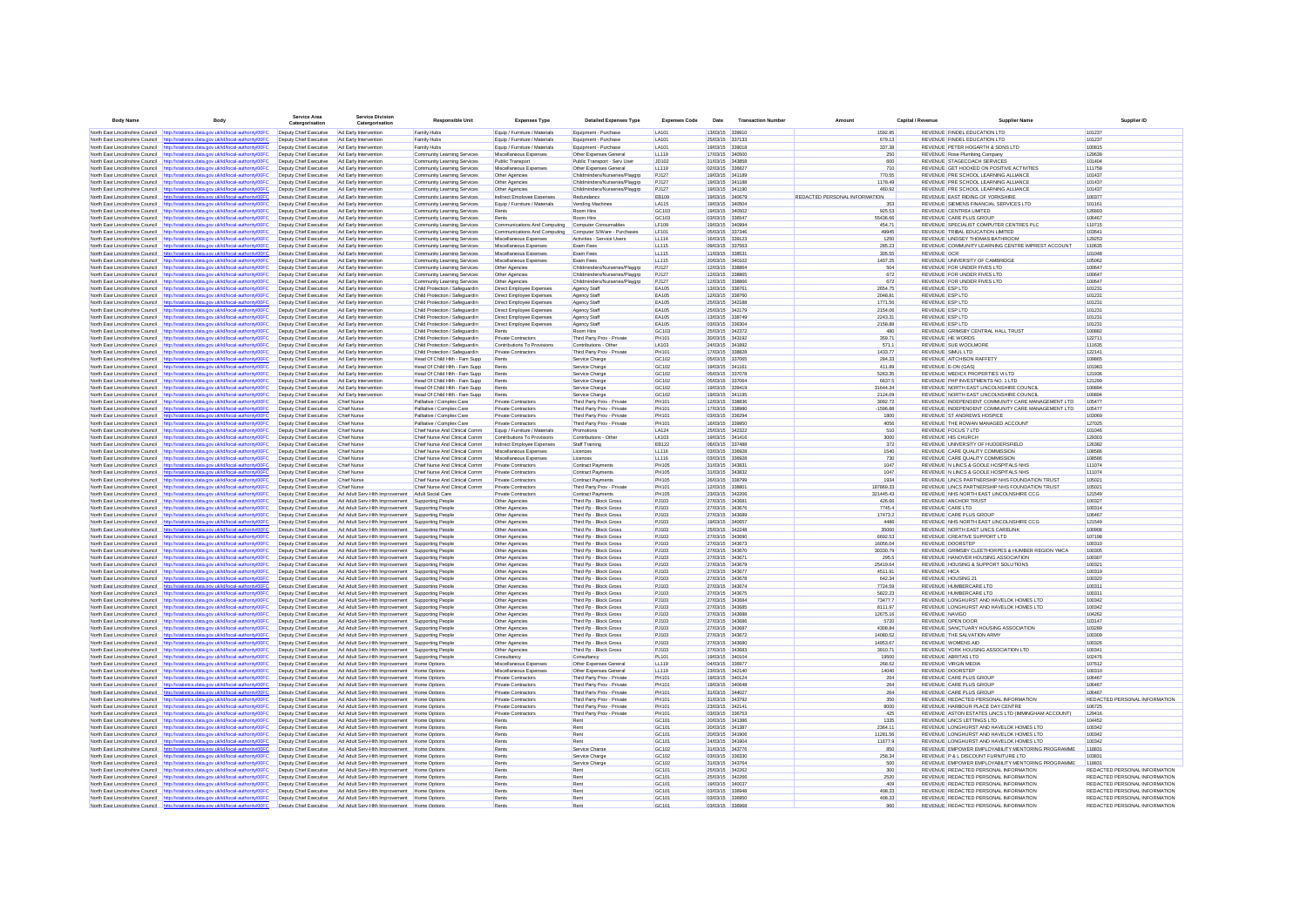| Body Nam                                                           | Body                                                                                                                                                                           | Service Area<br>Catergorisation                  | <b>Service Division</b><br>Catergorisation                                                 | <b>Responsible Unit</b>                                          | <b>Expenses Type</b>                                      | <b>Detailed Expenses Type</b>                            | <b>Expenses Code</b>         | Date                               | <b>Transaction Numb</b> |                               | Capital / Revenu | Supplier Nam                                                                                     |                                                                |
|--------------------------------------------------------------------|--------------------------------------------------------------------------------------------------------------------------------------------------------------------------------|--------------------------------------------------|--------------------------------------------------------------------------------------------|------------------------------------------------------------------|-----------------------------------------------------------|----------------------------------------------------------|------------------------------|------------------------------------|-------------------------|-------------------------------|------------------|--------------------------------------------------------------------------------------------------|----------------------------------------------------------------|
|                                                                    | North East Lincolnshire Council http://statistics.data.gov.uk/id/local-authority/00FC                                                                                          | Deputy Chief Executive                           | Ad Early Intervention                                                                      | Family Hubs                                                      | Equip / Furniture / Materials                             | Equipment - Purchase                                     | LA101                        | 13/03/15 339910                    |                         | 1592.95                       |                  | REVENUE FINDEL EDUCATION LTD                                                                     | 101237                                                         |
|                                                                    | North East Lincolnshire Council http://statistics.data.gov.uk/id/local-authority/00FC                                                                                          | Deputy Chief Executive                           | Ad Early Intervention                                                                      | Family Hubs                                                      | Equip / Furniture / Materials                             | Equipment - Purchase                                     | LA101                        | 25/03/15 337133                    |                         | 679.13                        |                  | REVENUE FINDEL EDUCATION LTD                                                                     | 101237                                                         |
| North East Lincolnshire Council                                    | http://statistics.data.gov.uk/id/local-authority/00FC                                                                                                                          | Deputy Chief Executive                           | Ad Early Intervention                                                                      | Family Hubs                                                      | Equip / Furniture / Materials                             | Equipment - Purchase                                     | LA101                        | 19/03/15 339018                    |                         | 337.38                        |                  | REVENUE PETER HOGARTH & SONS LTD                                                                 | 100815                                                         |
| North East Lincolnshire Council                                    | http://statistics.data.gov.uk/id/local-authority/00FC                                                                                                                          | Deputy Chief Executive                           | Ad Early Intervention                                                                      | Community Learning Services                                      | Miscellaneous Expenses                                    | Other Expenses General                                   | LL119                        | 17/03/15 340500                    |                         | 250                           |                  | REVENUE Rose Plumbing Company                                                                    | 129639                                                         |
|                                                                    | North East Lincolnshire Council http://statistics.data.gov.uk/id/local-authority/00FC<br>North East Lincolnshire Council http://statistics.data.gov.uk/id/local-authority/00FC | Deputy Chief Executive                           | Ad Farly Intervention                                                                      | Community Learning Services                                      | Public Transport<br>Miscellaneous Expenses                | Public Transport - Serv User                             | .1D102<br>LL119              | 31/03/15 343858<br>02/03/15 336827 |                         | 600<br>710                    |                  | REVENUE STAGECOACH SERVICES                                                                      | 101404<br>111758                                               |
|                                                                    | North East Lincolnshire Council http://statistics.data.gov.uk/id/local-authority/00FC                                                                                          | Deputy Chief Executive<br>Deputy Chief Executive | Ad Early Intervention<br>Ad Early Intervention                                             | Community Learning Services<br>Community Learning Services       | Other Agencies                                            | Other Expenses General<br>Childminders/Nurseries/Plavoro | PJ127                        | 19/03/15 341189                    |                         | 770.55                        |                  | REVENUE GET HOOKED ON POSITIVE ACTIVITIES<br>REVENUE PRE SCHOOL LEARNING ALLIANCE                | 101437                                                         |
| North East Lincolnshire Council                                    | http://statistics.data.gov.uk/id/local-authority/00FC                                                                                                                          | Deputy Chief Executive                           | Ad Early Intervention                                                                      | Community Learning Services                                      | Other Agencies                                            | Childminders/Nurseries/Playgro                           | PJ127                        | 19/03/15 341188                    |                         | 1178.49                       |                  | REVENUE PRE SCHOOL LEARNING ALLIANCE                                                             | 101437                                                         |
| North East Lincolnshire Council                                    | http://statistics.data.gov.uk/id/local-authority/00F0                                                                                                                          | Deputy Chief Executive                           | Ad Early Intervention                                                                      | Community Learning Services                                      | Other Agencies                                            | Childminders/Nurseries/Playgrp                           | PJ127                        | 19/03/15 341190                    |                         | 460.92                        |                  | REVENUE PRE SCHOOL LEARNING ALLIANCE                                                             | 101437                                                         |
| North East Lincolnshire Council                                    | http://statistics.data.gov.uk/id/local-authority/00FC                                                                                                                          | Deputy Chief Executive                           | Ad Early Intervention                                                                      | Community Learning Services                                      | Indirect Employee Expenses                                | Redundancy                                               | <b>EB109</b>                 | 19/03/15 340679                    |                         | REDACTED PERSONAL INFORMATION |                  | REVENUE EAST RIDING OF YORKSHIRE                                                                 | 100377                                                         |
|                                                                    | North East Lincolnshire Council http://statistics.data.gov.uk/id/local-authority/00FC                                                                                          | Deputy Chief Executive                           | Ad Early Intervention                                                                      | Community Learning Services                                      | Equip / Furniture / Materials                             | Vending Machines                                         | <b>LA115</b>                 | 19/03/15 340504                    |                         |                               |                  | REVENUE SIEMENS FINANCIAL SERVICES LTD                                                           | 101161                                                         |
| North East Lincolnshire Council                                    | http://statistics.data.gov.uk/id/local-authority/00FC<br>North East Lincolnshire Council http://statistics.data.gov.uk/id/local-authority/00FC                                 | Deputy Chief Executive<br>Deputy Chief Executive | Ad Early Intervention<br>Ad Early Intervention                                             | Community Learning Services<br>Community Learning Services       | Rents                                                     | Room Hire<br>Room Hire                                   | GC103<br>GC103               | 19/03/15 340502<br>03/03/15 336547 |                         | 925.53<br>55436.66            |                  | REVENUE CENTRE4 LIMITED<br>REVENUE CARE PLUS GROUI                                               | 126893<br>106467                                               |
|                                                                    | North East Lincolnshire Council http://statistics.data.gov.uk/id/local-authority/00F0                                                                                          | Deputy Chief Executive                           | Ad Early Intervention                                                                      | Community Learning Services                                      | Communications And Computing                              | Computer Consumables                                     | LF109                        | 19/03/15 340994                    |                         | 454.71                        |                  | REVENUE SPECIALIST COMPUTER CENTRES PLC                                                          | 110715                                                         |
| North East Lincolnshire Council                                    | http://statistics.data.gov.uk/id/local-authority/00F0                                                                                                                          | Deputy Chief Executive                           | Ad Early Intervention                                                                      | Community Learning Services                                      | Communications And Computing                              | Computer S/Ware - Purchases                              | LF101                        | 05/03/15 337346                    |                         | 49945                         |                  | REVENUE TRIBAL EDUCATION LIMITED                                                                 | 103641                                                         |
| North East Lincolnshire Council                                    | http://statistics.data.gov.uk/id/local-authority/00FC                                                                                                                          | Deputy Chief Executive                           | Ad Early Intervention                                                                      | Community Learning Services                                      | Miscellaneous Expenses                                    | Activities - Service Users                               | LL114                        | 16/03/15 339123                    |                         | 1250                          |                  | REVENUE LINDSEY THOMAS BATHROOD                                                                  | 129253                                                         |
|                                                                    | North East Lincolnshire Council http://statistics.data.gov.uk/id/local-authority/00FC                                                                                          | Deputy Chief Executive                           | Ad Early Intervention                                                                      | Community Learning Services                                      | Miscellaneous Expenses                                    | Exam Fees                                                | LL115                        | 09/03/15 337563                    |                         | 285.23                        |                  | REVENUE COMMUNITY LEARNING CENTRE IMPREST ACCOUNT                                                | 110635                                                         |
|                                                                    | North East Lincolnshire Council http://statistics.data.gov.uk/id/local-authority/00FC<br>North East Lincolnshire Council http://statistics.data.gov.uk/id/local-authority/00FC | Deputy Chief Executive<br>Deputy Chief Executive | Ad Early Intervention<br>Ad Early Intervention                                             | Community Learning Services<br>Community Learning Services       | Miscellaneous Expenses<br>Miscellaneous Expenses          | Exam Fees<br>Exam Fees                                   | LL115<br>LL115               | 11/03/15 338531<br>20/03/15 340102 |                         | 305.55<br>1407.25             |                  | REVENUE OCR<br>REVENUE UNIVERSITY OF CAMBRIDGE                                                   | 101048<br>105062                                               |
|                                                                    | North East Lincolnshire Council http://statistics.data.gov.uk/id/local-authority/00F                                                                                           | Deputy Chief Executive                           | Ad Early Intervention                                                                      | Community Learning Services                                      | Other Agencies                                            | Childminders/Nurseries/Playarp                           | PJ127                        | 12/03/15 338864                    |                         | 504                           |                  | REVENUE FOR UNDER FIVES LTD                                                                      | 100647                                                         |
| North East Lincolnshire Council                                    | http://statistics.data.gov.uk/id/local-authority/00FC                                                                                                                          | Deputy Chief Executive                           | Ad Early Intervention                                                                      | Community Learning Services                                      | Other Agencies                                            | Childminders/Nurseries/Playarp                           | PJ127                        | 12/03/15 338865                    |                         | 672                           |                  | REVENUE FOR UNDER FIVES LTD                                                                      | 100647                                                         |
| North East Lincolnshire Council                                    | http://statistics.data.gov.uk/id/local-authority/00FC                                                                                                                          | Deputy Chief Executive                           | Ad Early Intervention                                                                      | Community Learning Services                                      | Other Agencies                                            | Childminders/Nurseries/Playarp                           | PJ127                        | 12/03/15 338866                    |                         | 672                           |                  | REVENUE FOR UNDER FIVES LTD                                                                      | 100647                                                         |
| North East Lincolnshire Council                                    | http://statistics.data.gov.uk/id/local-authority/00FC                                                                                                                          | Deputy Chief Executive                           | Ad Early Intervention                                                                      | Child Protection / Safeguardin                                   | Direct Employee Expenses                                  | Agency Staff                                             | <b>FA105</b>                 | 13/03/15 338761                    |                         | 2654.75                       |                  | <b>REVENUE ESP LTD</b>                                                                           | 101231                                                         |
|                                                                    | North East Lincolnshire Council http://statistics.data.gov.uk/id/local-authority/00FC<br>North East Lincolnshire Council http://statistics.data.gov.uk/id/local-authority/00FC | Deputy Chief Executive<br>Deputy Chief Executive | Ad Early Intervention<br>Ad Early Intervention                                             | Child Protection / Safequardin<br>Child Protection / Safequardin | Direct Employee Expenses<br>Direct Employee Expenses      | Agency Staff<br>Agency Staff                             | <b>FA105</b><br><b>EA105</b> | 12/03/15 338760<br>25/03/15 342188 |                         | 2048 81<br>1771.56            |                  | <b>REVENUE ESP LTD</b><br><b>REVENUE ESP LTD</b>                                                 | 101231<br>101231                                               |
|                                                                    | North East Lincolnshire Council http://statistics.data.gov.uk/id/local-authority/00FC                                                                                          | Deputy Chief Executive                           | Ad Early Intervention                                                                      | Child Protection / Safeguardin                                   | Direct Employee Expenses                                  | Agency Staff                                             | <b>EA105</b>                 | 25/03/15 342179                    |                         | 2154.06                       |                  | <b>REVENUE ESP LTD</b>                                                                           | 101231                                                         |
| North East Lincolnshire Council                                    | http://statistics.data.gov.uk/id/local-authority/00FC                                                                                                                          | Deputy Chief Executive                           | Ad Early Intervention                                                                      | Child Protection / Safeguardin                                   | Direct Employee Expenses                                  | Agency Staff                                             | <b>EA105</b>                 | 13/03/15 338749                    |                         | 2243.31                       |                  | REVENUE ESP LTD                                                                                  | 101231                                                         |
| North East Lincolnshire Council                                    | http://statistics.data.gov.uk/id/local-authority/00FC                                                                                                                          | Deputy Chief Executive                           | Ad Early Intervention                                                                      | Child Protection / Safeguardin                                   | Direct Employee Expenses                                  | Agency Staff                                             | <b>EA105</b>                 | 03/03/15 336304                    |                         | 2158.88                       |                  | <b>REVENUE ESP LTD</b>                                                                           | 101231                                                         |
| North East Lincolnshire Council                                    | http://statistics.data.gov.uk/id/local-authority/00FC                                                                                                                          | Deputy Chief Executive                           | Ad Early Intervention                                                                      | Child Protection / Safequardin                                   | Rents                                                     | Room Hire                                                | GC103                        | 25/03/15 342372                    |                         | 480                           |                  | REVENUE GRIMSBY CENTRAL HALL TRUST                                                               | 100882                                                         |
| North East Lincolnshire Council                                    | North East Lincolnshire Council http://statistics.data.gov.uk/id/local-authority/00FC<br>http://statistics.data.gov.uk/id/local-authority/00F                                  | Deputy Chief Executive<br>Deputy Chief Executive | Ad Early Intervention<br>Ad Early Intervention                                             | Child Protection / Safeguardin<br>Child Protection / Safeguardin | Private Contractors<br>Contributions To Provisions        | Third Party Prov - Private<br>Contributions - Other      | PH101<br>LK103               | 30/03/15 343192<br>24/03/15 341892 |                         | 359.71<br>571.1               |                  | <b>REVENUE HE WORDS</b><br><b>REVENUE SUE WOOLMORE</b>                                           | 122711<br>111635                                               |
| North East Lincolnshire Council                                    | dics.data.gov.uk/id/local-authority/00F0                                                                                                                                       | Deputy Chief Executive                           | Ad Early Intervention                                                                      | Child Protection / Safeguardin                                   | Private Contractors                                       | Third Party Prov - Private                               | PH101                        | 17/03/15 338828                    |                         | 1433.77                       |                  | REVENUE SIMUL LTD                                                                                | 122141                                                         |
| North East Lincolnshire Council                                    | http://statistics.data.gov.uk/id/local-authority/00FC                                                                                                                          | Deputy Chief Executive                           | Ad Early Intervention                                                                      | Head Of Child Hith - Fam Supp                                    | Rents                                                     | Service Charge                                           | GC102                        | 05/03/15 337065                    |                         | 284.33                        |                  | REVENUE AITCHISON RAFFETY                                                                        | 109865                                                         |
| North East Lincolnshire Council                                    | http://statistics.data.gov.uk/id/local-authority/00FC                                                                                                                          | Deputy Chief Executive                           | Ad Early Intervention                                                                      | Head Of Child Hith - Fam Supp                                    | Rents                                                     | Service Charge                                           | GC102                        | 19/03/15 341161                    |                         | 411.89                        |                  | REVENUE E-ON (GAS)                                                                               | 101983                                                         |
| North East Lincolnshire Council                                    | http://statistics.data.gov.uk/id/local-authority/00FC                                                                                                                          | Deputy Chief Executive                           | Ad Early Intervention                                                                      | Head Of Child Hith - Fam Supp                                    | Rents                                                     | Service Charge                                           | GC102                        | 05/03/15 337078                    |                         | 5263.35                       |                  | REVENUE MEDICX PROPERTIES VI LTD                                                                 | 121936                                                         |
|                                                                    | North East Lincolnshire Council http://statistics.data.gov.uk/id/local-authority/00FC                                                                                          | Deputy Chief Executive                           | Ad Early Intervention                                                                      | Head Of Child Hith - Fam Supp                                    | Rents                                                     | Service Charge                                           | GC102                        | 05/03/15 337064                    |                         | 6637.5                        |                  | REVENUE PHP INVESTMENTS NO. 1 LTD                                                                | 121299                                                         |
| North East Lincolnshire Council                                    | North East Lincolnshire Council http://statistics.data.gov.uk/id/local-authority/00F<br>http://statistics.data.gov.uk/id/local-authority/00FC                                  | Deputy Chief Executive<br>Deputy Chief Executive | Ad Early Intervention<br>Ad Early Intervention                                             | Head Of Child Hith - Fam Supp                                    | Rents<br>Rents                                            | Service Charge<br>Service Charge                         | GC102<br>GC102               | 19/03/15 339419<br>19/03/15 341195 |                         | 31644.34<br>2124.09           |                  | REVENUE NORTH EAST LINCOLNSHIRE COUNCIL<br>REVENUE NORTH EAST LINCOLNSHIRE COUNCIL               | 100894<br>100894                                               |
| North East Lincolnshire Council                                    | http://statistics.data.gov.uk/id/local-authority/00FC                                                                                                                          | Deputy Chief Executive                           | <b>Chief Nurse</b>                                                                         | Head Of Child Hith - Fam Supp<br>Palliative / Complex Care       | Private Contractors                                       | Third Party Prov - Private                               | PH101                        | 12/03/15 338836                    |                         | 3092.72                       |                  | REVENUE INDEPENDENT COMMUNITY CARE MANAGEMENT LTD                                                | 105477                                                         |
| North East Lincolnshire Council                                    | http://statistics.data.gov.uk/id/local-authority/00FC                                                                                                                          | Deputy Chief Executive                           | Chief Nurse                                                                                | Palliative / Complex Care                                        | Private Contractors                                       | Third Party Prov - Private                               | PH101                        | 17/03/15 338980                    |                         | $-1596.88$                    |                  | REVENUE INDEPENDENT COMMUNITY CARE MANAGEMENT LTD                                                | 105477                                                         |
|                                                                    | North East Lincolnshire Council http://statistics.data.gov.uk/id/local-authority/00FC                                                                                          | Deputy Chief Executive                           | Chief Nurse                                                                                | Palliative / Complex Care                                        | Private Contractors                                       | Third Party Prov - Private                               | PH101                        | 03/03/15 336294                    |                         | 1800                          |                  | <b>REVENUE ST ANDREWS HOSPICE</b>                                                                | 103069                                                         |
| North East Lincolnshire Council                                    | http://statistics.data.gov.uk/id/local-authority/00FC                                                                                                                          | Deputy Chief Executive                           | Chief Nurse                                                                                | Palliative / Complex Care                                        | Private Contractors                                       | Third Party Prov - Private                               | PH101                        | 16/03/15 339950                    |                         | 4056                          |                  | REVENUE THE ROWAN MANAGED ACCOUNT                                                                | 127025                                                         |
|                                                                    | North East Lincolnshire Council http://statistics.data.gov.uk/id/local-authority/00F0                                                                                          | Deputy Chief Executive                           | <b>Chief Nurse</b>                                                                         | Chief Nurse And Clinical Comm                                    | Equip / Furniture / Materials                             | Promotions                                               | LA124                        | 25/03/15 342322                    |                         | 510                           |                  | REVENUE FOCUS 7 LTD                                                                              | 101046                                                         |
| North East Lincolnshire Council<br>North East Lincolnshire Council | http://statistics.data.gov.uk/id/local-authority/00FC<br>http://statistics.data.gov.uk/id/local-authority/00FC                                                                 | Deputy Chief Executive<br>Deputy Chief Executive | <b>Chief Nurse</b><br><b>Chief Nurse</b>                                                   | Chief Nurse And Clinical Comm<br>Chief Nurse And Clinical Comm   | Contributions To Provisions<br>Indirect Employee Expenses | Contributions - Othe<br>Staff Training                   | LK103<br><b>EB122</b>        | 19/03/15 341416<br>06/03/15 337488 |                         | 3000<br>372                   |                  | REVENUE HIS CHURCH<br>REVENUE UNIVERSITY OF HUDDERSFIELD                                         | 129303<br>126382                                               |
| North East Lincolnshire Council                                    | http://statistics.data.gov.uk/id/local-authority/00FC                                                                                                                          | Deputy Chief Executive                           | <b>Chief Nurse</b>                                                                         | Chief Nurse And Clinical Comn                                    | Miscellaneous Expenses                                    | Licences                                                 | LL116                        | 03/03/15 336928                    |                         | 1540                          |                  | REVENUE CARE QUALITY COMMISSION                                                                  | 108586                                                         |
|                                                                    | North East Lincolnshire Council http://statistics.data.gov.uk/id/local-authority/00FC                                                                                          | Deputy Chief Executive                           | <b>Chief Nurse</b>                                                                         | Chief Nurse And Clinical Comm                                    | Miscellaneous Expenses                                    | Licences                                                 | LL116                        | 03/03/15 336928                    |                         | 730                           |                  | REVENUE CARE QUALITY COMMISSION                                                                  | 108586                                                         |
|                                                                    | North East Lincolnshire Council http://statistics.data.gov.uk/id/local-authority/00FC                                                                                          | Deputy Chief Executive                           | <b>Chief Nurse</b>                                                                         | Chief Nurse And Clinical Comm                                    | Private Contractors                                       | Contract Payments                                        | <b>PH105</b>                 | 31/03/15 343831                    |                         | 1047                          |                  | REVENUE N LINCS & GOOLE HOSPITALS NHS                                                            | 111074                                                         |
|                                                                    | North East Lincolnshire Council http://statistics.data.gov.uk/id/local-authority/00F                                                                                           | Deputy Chief Executive                           | Chief Nurse                                                                                | Chief Nurse And Clinical Comm                                    | Private Contractors                                       | Contract Payments                                        | <b>PH105</b>                 | 31/03/15 343832                    |                         | 1047                          |                  | REVENUE N LINCS & GOOLE HOSPITALS NHS                                                            | 111074                                                         |
| North East Lincolnshire Council<br>North East Lincolnshire Council | http://statistics.data.gov.uk/id/local-authority/00F0<br>http://statistics.data.gov.uk/id/local-authority/00FC                                                                 | Deputy Chief Executive<br>Deputy Chief Executive | <b>Chief Nurse</b><br>Chief Nurse                                                          | Chief Nurse And Clinical Comm<br>Chief Nurse And Clinical Comm   | Private Contractors<br>Private Contractors                | Contract Payments<br>Third Party Prov - Private          | <b>PH105</b><br>PH101        | 26/03/15 338799<br>12/03/15 33880  |                         | 1934<br>187869.33             |                  | REVENUE LINCS PARTNERSHIP NHS FOUNDATION TRUST<br>REVENUE LINCS PARTNERSHIP NHS FOUNDATION TRUST | 105021<br>105021                                               |
| North East Lincolnshire Council                                    | http://statistics.data.gov.uk/id/local-authority/00FC                                                                                                                          | Deputy Chief Executive                           | Ad Adult Serv-Hith Improvement                                                             | Adult Social Care                                                | Private Contractors                                       | <b>Contract Payments</b>                                 | <b>PH105</b>                 | 23/03/15 342206                    |                         | 321445.43                     |                  | REVENUE NHS NORTH EAST LINCOLNSHIRE CCG                                                          | 121549                                                         |
|                                                                    | North East Lincolnshire Council http://statistics.data.gov.uk/id/local-authority/00FC                                                                                          | Deputy Chief Executive                           | Ad Adult Serv-Hith Improvement Supporting People                                           |                                                                  | Other Agencies                                            | Third Pp - Block Gross                                   | PJ103                        | 27/03/15 343681                    |                         | 426.66                        |                  | <b>REVENUE ANCHOR TRUST</b>                                                                      | 100327                                                         |
|                                                                    | North East Lincolnshire Council http://statistics.data.gov.uk/id/local-authority/00F0                                                                                          | Deputy Chief Executive                           | Ad Adult Serv-Hith Improvement                                                             | Supporting People                                                | Other Agencies                                            | Third Pp - Block Gross                                   | PJ103                        | 27/03/15 343676                    |                         | 7745.4                        |                  | <b>REVENUE CARE LTD</b>                                                                          | 100314                                                         |
|                                                                    | North East Lincolnshire Council http://statistics.data.gov.uk/id/local-authority/00F0                                                                                          | Deputy Chief Executive                           | Ad Adult Serv-Hith Improvement                                                             | Supporting People                                                | Other Agencies                                            | Third Pp - Block Gross                                   | PJ103                        | 27/03/15 343689                    |                         | 17473.2                       |                  | REVENUE CARE PLUS GROUP                                                                          | 106467                                                         |
| North East Lincolnshire Council<br>North East Lincolnshire Council | http://statistics.data.gov.uk/id/local-authority/00FC<br>http://statistics.data.gov.uk/id/local-authority/00FC                                                                 | Deputy Chief Executive<br>Deputy Chief Executive | Ad Adult Serv-Hith Improvement<br>Ad Adult Serv-Hith Improvement                           | Supporting People<br>Supporting People                           | Other Agencies<br>Other Agencies                          | Third Pp - Block Gross<br>Third Pp - Block Gross         | PJ103<br>PJ103               | 19/03/15 340657<br>25/03/15 342248 |                         | 4486<br>35000                 |                  | REVENUE NHS NORTH EAST LINCOLNSHIRE CCG<br>REVENUE NORTH EAST LINCS CARELINK                     | 121549<br>100908                                               |
| North East Lincolnshire Council                                    | http://statistics.data.gov.uk/id/local-authority/00FC                                                                                                                          | Deputy Chief Executive                           | Ad Adult Serv-Hith Improvement                                                             | Supporting People                                                | Other Agencies                                            | Third Pp - Block Gross                                   | PJ103                        | 27/03/15 343690                    |                         | 6692.53                       |                  | REVENUE CREATIVE SUPPORT LTD                                                                     | 107198                                                         |
| North East Lincolnshire Council                                    | http://statistics.data.gov.uk/id/local-authority/00FC                                                                                                                          | Deputy Chief Executive                           | Ad Adult Serv-Hith Improvement                                                             | Supporting People                                                | Other Agencies                                            | Third Po - Block Gross                                   | PJ103                        | 27/03/15 343673                    |                         | 16056.04                      |                  | <b>REVENUE DOORSTEP</b>                                                                          | 100310                                                         |
|                                                                    | North East Lincolnshire Council http://statistics.data.gov.uk/id/local-authority/00FC                                                                                          | Deputy Chief Executive                           | Ad Adult Serv-Hith Improvement                                                             | Supporting People                                                | Other Agencies                                            | Third Po - Block Gross                                   | PJ103                        | 27/03/15 343670                    |                         | 30330.79                      |                  | REVENUE GRIMSBY CLEETHORPES & HUMBER REGION YMCA                                                 | 100305                                                         |
| North East Lincolnshire Council                                    | http://statistics.data.gov.uk/id/local-authority/00FC                                                                                                                          | Deputy Chief Executive                           | Ad Adult Serv-Hith Improvement                                                             | Supporting People                                                | Other Agencies                                            | Third Po - Block Gross                                   | PJ103                        | 27/03/15 343671                    |                         | 295.5                         |                  | REVENUE HANOVER HOUSING ASSOCIATION                                                              | 100307                                                         |
| North East Lincolnshire Council                                    | http://statistics.data.gov.uk/id/local-authority/00F0                                                                                                                          | Deputy Chief Executive                           | Ad Adult Serv-Hith Improvement                                                             | Supporting People                                                | Other Agencies                                            | Third Pp - Block Gross                                   | PJ103                        | 27/03/15 343679                    |                         | 25419.64                      |                  | REVENUE HOUSING & SUPPORT SOLUTIONS                                                              | 100321<br>100319                                               |
| North East Lincolnshire Council<br>North East Lincolnshire Council | http://statistics.data.gov.uk/id/local-authority/00FC<br>http://statistics.data.gov.uk/id/local-authority/00FC                                                                 | Deputy Chief Executive<br>Deputy Chief Executive | Ad Adult Serv-Hith Improvement<br>Ad Adult Serv-Hith Improvement                           | Supporting Peopl<br>Supporting Peopl                             | Other Agencies<br>Other Agencies                          | Third Pp - Block Gross<br>Third Pp - Block Gross         | PJ103<br>PJ103               | 27/03/15 343677<br>27/03/15 343678 |                         | 4511.91<br>642.34             |                  | <b>REVENUE HICA</b><br>REVENUE HOUSING 21                                                        | 100320                                                         |
| North East Lincolnshire Council                                    | http://statistics.data.gov.uk/id/local-authority/00FC                                                                                                                          | Deputy Chief Executive                           | Ad Adult Serv-Hith Improvement                                                             | Supporting People                                                | Other Agencies                                            | Third Pp - Block Gross                                   | PJ103                        | 27/03/15 343674                    |                         | 7724.59                       |                  | REVENUE HUMBERCARE LTD                                                                           | 100311                                                         |
| North East Lincolnshire Council http://statis                      | ics.data.gov.uk/id/local-authority/00FC                                                                                                                                        | Deputy Chief Executive                           | Ad Adult Serv-Hith Improvement Supporting People                                           |                                                                  | Other Agencies                                            | Third Pp - Block Gross                                   | PJ103                        | 27/03/15 343675                    |                         | 5822.23                       |                  | REVENUE HUMBERCARE LTD                                                                           | 100311                                                         |
|                                                                    | North East Lincolnshire Council http://statistics.data.gov.uk/id/local-authority/00F                                                                                           | Deputy Chief Executive                           | Ad Adult Serv-Hith Improvement                                                             | Supporting People                                                | Other Agencies                                            | Third Po - Block Gross                                   | PJ103                        | 27/03/15 343684                    |                         | 73477.7                       |                  | REVENUE LONGHURST AND HAVELOK HOMES LTD                                                          | 100342                                                         |
| North East Lincolnshire Council                                    | http://statistics.data.gov.uk/id/local-authority/00FC<br>http://statistics.data.gov.uk/id/local-authority/00F0                                                                 | Deputy Chief Executive                           | Ad Adult Serv-Hith Improvement                                                             | Supporting People                                                | Other Agencies                                            | Third Pp - Block Gross                                   | PJ103<br>PJ103               | 27/03/15 343685<br>27/03/15 343688 |                         | 8111.97                       |                  | REVENUE LONGHURST AND HAVELOK HOMES LTD<br>REVENUE NAVIGO                                        | 100342<br>104262                                               |
| North East Lincolnshire Council<br>North East Lincolnshire Council | http://statistics.data.gov.uk/id/local-authority/00FC                                                                                                                          | Deputy Chief Executive<br>Deputy Chief Executive | Ad Adult Serv-Hith Improvement<br>Ad Adult Serv-Hith Improvement                           | Supporting People<br>Supporting People                           | Other Agencies<br>Other Agencies                          | Third Pp - Block Gross<br>Third Pp - Block Gross         | PJ103                        | 27/03/15 343686                    |                         | 12675.16<br>5720              |                  | REVENUE OPEN DOOR                                                                                | 103147                                                         |
|                                                                    | North East Lincolnshire Council http://statistics.data.gov.uk/id/local-authority/00FC                                                                                          | Deputy Chief Executive                           | Ad Adult Serv-Hith Improvement                                                             | Supporting People                                                | Other Agencies                                            | Third Pp - Block Gross                                   | PJ103                        | 27/03/15 343687                    |                         | 4308.84                       |                  | REVENUE SANCTUARY HOUSING ASSOCIATION                                                            | 103289                                                         |
|                                                                    | North East Lincolnshire Council http://statistics.data.gov.uk/id/local-authority/00FC                                                                                          | Deputy Chief Executive                           | Ad Adult Serv-Hith Improvement Supporting People                                           |                                                                  | Other Agencies                                            | Third Pp - Block Gross                                   | PJ103                        | 27/03/15 343672                    |                         | 14080.52                      |                  | REVENUE THE SALVATION ARMY                                                                       | 100309                                                         |
|                                                                    | North East Lincolnshire Council http://statistics.data.gov.uk/id/local-authority/00F                                                                                           | Deputy Chief Executive                           | Ad Adult Serv-Hith Improvement                                                             | Supporting People                                                | Other Agencies                                            | Third Pp - Block Gross                                   | PJ103                        | 27/03/15 343680                    |                         | 14953.67                      |                  | <b>REVENUE WOMENS AID</b>                                                                        | 100326                                                         |
| North East Lincolnshire Council                                    | http://statistics.data.gov.uk/id/local-authority/00FC                                                                                                                          | Deputy Chief Executive                           | Ad Adult Serv-Hith Improvement                                                             | Supporting People                                                | Other Agencies                                            | Third Pp - Block Gross                                   | PJ103                        | 27/03/15 343683                    |                         | 3910.71                       |                  | REVENUE YORK HOUSING ASSOCIATION LTD                                                             | 100341                                                         |
| North East Lincolnshire Council                                    | http://statistics.data.gov.uk/id/local-authority/00FC                                                                                                                          | Deputy Chief Executive<br>Deputy Chief Executive | Ad Adult Serv-Hith Improvement                                                             | Supporting People                                                | Consultancy<br>Miscellaneous Expenses                     | Consultancy                                              | PL101<br>LL119               | 19/03/15 340104<br>04/03/15 336977 |                         | 19500<br>268.52               |                  | REVENUE ABRITAS LTD<br><b>REVENUE VIRGIN MEDIA</b>                                               | 102476<br>107612                                               |
| North East Lincolnshire Council                                    | http://statistics.data.gov.uk/id/local-authority/00FC<br>North East Lincolnshire Council http://statistics.data.gov.uk/id/local-authority/00FC                                 | Deputy Chief Executive                           | Ad Adult Serv-Hith Improvement<br>Ad Adult Serv-Hith Improvement                           | <b>Home Options</b><br><b>Home Options</b>                       | Miscellaneous Expenses                                    | Other Expenses General<br>Other Expenses General         | LL119                        | 23/03/15 342140                    |                         | 14040                         |                  | <b>REVENUE DOORSTEP</b>                                                                          | 100310                                                         |
|                                                                    | North East Lincolnshire Council http://statistics.data.gov.uk/id/local-authority/00FC                                                                                          | Deputy Chief Executive                           | Ad Adult Serv-Hith Improvement                                                             | <b>Home Options</b>                                              | Private Contractors                                       | Third Party Prov - Private                               | <b>PH101</b>                 | 19/03/15 340124                    |                         | 264                           |                  | REVENUE CARE PLUS GROUP                                                                          | 106467                                                         |
|                                                                    | North East Lincolnshire Council http://statistics.data.gov.uk/id/local-authority/00F0                                                                                          | Deputy Chief Executive                           | Ad Adult Serv-Hith Improvement                                                             | <b>Home Options</b>                                              | Private Contractors                                       | Third Party Prov - Private                               | <b>PH101</b>                 | 19/03/15 340648                    |                         | 264                           |                  | <b>REVENUE CARE PLUS GROUP</b>                                                                   | 106467                                                         |
| North East Lincolnshire Council                                    | http://statistics.data.gov.uk/id/local-authority/00F                                                                                                                           | Deputy Chief Executive                           | Ad Adult Serv-Hith Improvement                                                             | Home Options                                                     | Private Contractor                                        | Third Party Prov - Privat                                | <b>PH101</b>                 | 31/03/15 344027                    |                         | 264                           |                  | REVENUE CARE PLUS GROUP                                                                          | 106467                                                         |
| North East Lincolnshire Council<br>North East Lincolnshire Council | http://statistics.data.gov.uk/id/local-authority/00FC<br>http://statistics.data.gov.uk/id/local-authority/00FC                                                                 | Deputy Chief Executive<br>Deputy Chief Executive | Ad Adult Serv-Hith Improvement<br>Ad Adult Serv-Hith Improvement                           | Home Options                                                     | Private Contractors<br>Private Contractors                | Third Party Prov - Privat<br>Third Party Prov - Private  | PH101<br>PH101               | 31/03/15 343792<br>23/03/15 342141 |                         | 350<br>8000                   |                  | REVENUE REDACTED PERSONAL INFORMATION<br>REVENUE HARBOUR PLACE DAY CENTRE                        | REDACTED PERSONAL INFORMATION<br>106725                        |
|                                                                    | North East Lincolnshire Council http://statistics.data.gov.uk/id/local-authority/00FC                                                                                          | Deputy Chief Executive                           | Ad Adult Serv-Hith Improvement Home Options                                                | Home Options                                                     | Private Contractors                                       | Third Party Prov - Private                               | PH101                        | 03/03/15 336753                    |                         | 425                           |                  | REVENUE ASTON ESTATES LINCS LTD (IMMINGHAM ACCOUNT)                                              | 129416                                                         |
| North East Lincolnshire Council http://s                           | ics.data.gov.uk/id/local-authority/00F                                                                                                                                         | Deputy Chief Executive                           | Ad Adult Serv-Hith Improvement                                                             | <b>Home Options</b>                                              | Rents                                                     | Rent                                                     | GC101                        | 20/03/15 341386                    |                         | 1335                          |                  | REVENUE LINCS LETTINGS LTD                                                                       | 104452                                                         |
| North East Lincolnshire Council http://s                           | ics.data.gov.uk/id/local-authority/00FC                                                                                                                                        | Deputy Chief Executive                           | Ad Adult Serv-Hith Improvement Home Options                                                |                                                                  | Rents                                                     | Rent                                                     | GC101                        | 20/03/15 341387                    |                         | 2364.11                       |                  | REVENUE LONGHURST AND HAVELOK HOMES LTD                                                          | 100342                                                         |
| North East Lincolnshire Council                                    | http://statistics.data.gov.uk/id/local-authority/00FC                                                                                                                          | Deputy Chief Executive                           | Ad Adult Serv-Hith Improvement                                                             | <b>Home Options</b>                                              | Rents                                                     | Rent                                                     | GC101                        | 20/03/15 341906                    |                         | 11281.56                      |                  | REVENUE LONGHURST AND HAVELOK HOMES LTD                                                          | 100342                                                         |
|                                                                    | North East Lincolnshire Council http://statistics.data.gov.uk/id/local-authority/00FC                                                                                          | Deputy Chief Executive                           | Ad Adult Serv-Hith Improvement Home Options                                                |                                                                  | Rents                                                     | Rent                                                     | GC101                        | 24/03/15 341904                    |                         | 11677.9                       |                  | REVENUE LONGHURST AND HAVELOK HOMES LTD                                                          | 100342                                                         |
|                                                                    | North East Lincolnshire Council http://statistics.data.gov.uk/id/local-authority/00FC<br>North East Lincolnshire Council http://statistics.data.gov.uk/id/local-authority/00FC | Deputy Chief Executive<br>Deputy Chief Executive | Ad Adult Serv-Hith Improvement Home Options<br>Ad Adult Serv-Hith Improvement Home Options |                                                                  | Rents<br>Rents                                            | Service Charge<br>Service Charge                         | GC102<br>GC102               | 31/03/15 343776<br>03/03/15 336330 |                         | 850<br>258.34                 |                  | REVENUE EMPOWER EMPLOYABILITY MENTORING PROGRAMME<br>REVENUE P & L DISCOUNT FURNITURE LTD        | 118831<br>103831                                               |
|                                                                    | North East Lincolnshire Council http://statistics.data.gov.uk/id/local-authority/00FC                                                                                          | Deputy Chief Executive                           | Ad Adult Serv-Hith Improvement Home Options                                                |                                                                  | Rents                                                     | Service Charge                                           | GC102                        | 31/03/15 343764                    |                         | 500                           |                  | REVENUE EMPOWER EMPLOYABILITY MENTORING PROGRAMME                                                | 118831                                                         |
|                                                                    | North East Lincolnshire Council http://statistics.data.gov.uk/id/local-authority/00FC                                                                                          | Deputy Chief Executive                           | Ad Adult Serv-Hith Improvement Home Options                                                |                                                                  | Rents                                                     | Rent                                                     | GC101                        | 25/03/15 342262                    |                         | 300                           |                  | REVENUE REDACTED PERSONAL INFORMATION                                                            | REDACTED PERSONAL INFORMATION                                  |
| North East Lincolnshire Council                                    | http://statistics.data.gov.uk/id/local-authority/00F                                                                                                                           | Deputy Chief Executive                           | Ad Adult Serv-Hith Improvement                                                             | <b>Home Options</b>                                              | Rents                                                     | Rent                                                     | GC101                        | 25/03/15 342266                    |                         | 2520                          |                  | REVENUE REDACTED PERSONAL INFORMATION                                                            | REDACTED PERSONAL INFORMATION                                  |
| North East Lincolnshire Council                                    | http://statistics.data.gov.uk/id/local-authority/00FC                                                                                                                          | Deputy Chief Executive                           | Ad Adult Serv-Hith Improvement Home Options                                                |                                                                  | Rents                                                     | Rent                                                     | GC101                        | 19/03/15 340037                    |                         | 409                           |                  | REVENUE REDACTED PERSONAL INFORMATION                                                            | REDACTED PERSONAL INFORMATION                                  |
|                                                                    | North East Lincolnshire Council http://statistics.data.oov.uk/id/local-authority/00FC<br>North East Lincolnshire Council http://statistics.data.gov.uk/id/local-authority/00FC | Deputy Chief Executive<br>Deputy Chief Executive | Ad Adult Serv-Hith Improvement Home Options<br>Ad Adult Serv-Hith Improvement Home Options |                                                                  | Rents<br>Rents                                            | Rent<br>Rent                                             | GC101<br>GC101               | 03/03/15 336948<br>03/03/15 336950 |                         | 408.33<br>408.33              |                  | REVENUE REDACTED PERSONAL INFORMATION<br>REVENUE REDACTED PERSONAL INFORMATION                   | REDACTED PERSONAL INFORMATION<br>REDACTED PERSONAL INFORMATION |
| North East Lincolnshire Council                                    |                                                                                                                                                                                | Deputy Chief Executive                           | Ad Adult Serv-Hith Improvement                                                             |                                                                  | Rents                                                     | Rent                                                     | GC101                        | 03/03/15                           | 336968                  |                               |                  | REVENUE REDACTED PERSONAL INFORMATION                                                            | REDACTED PERSONAL INFORMATION                                  |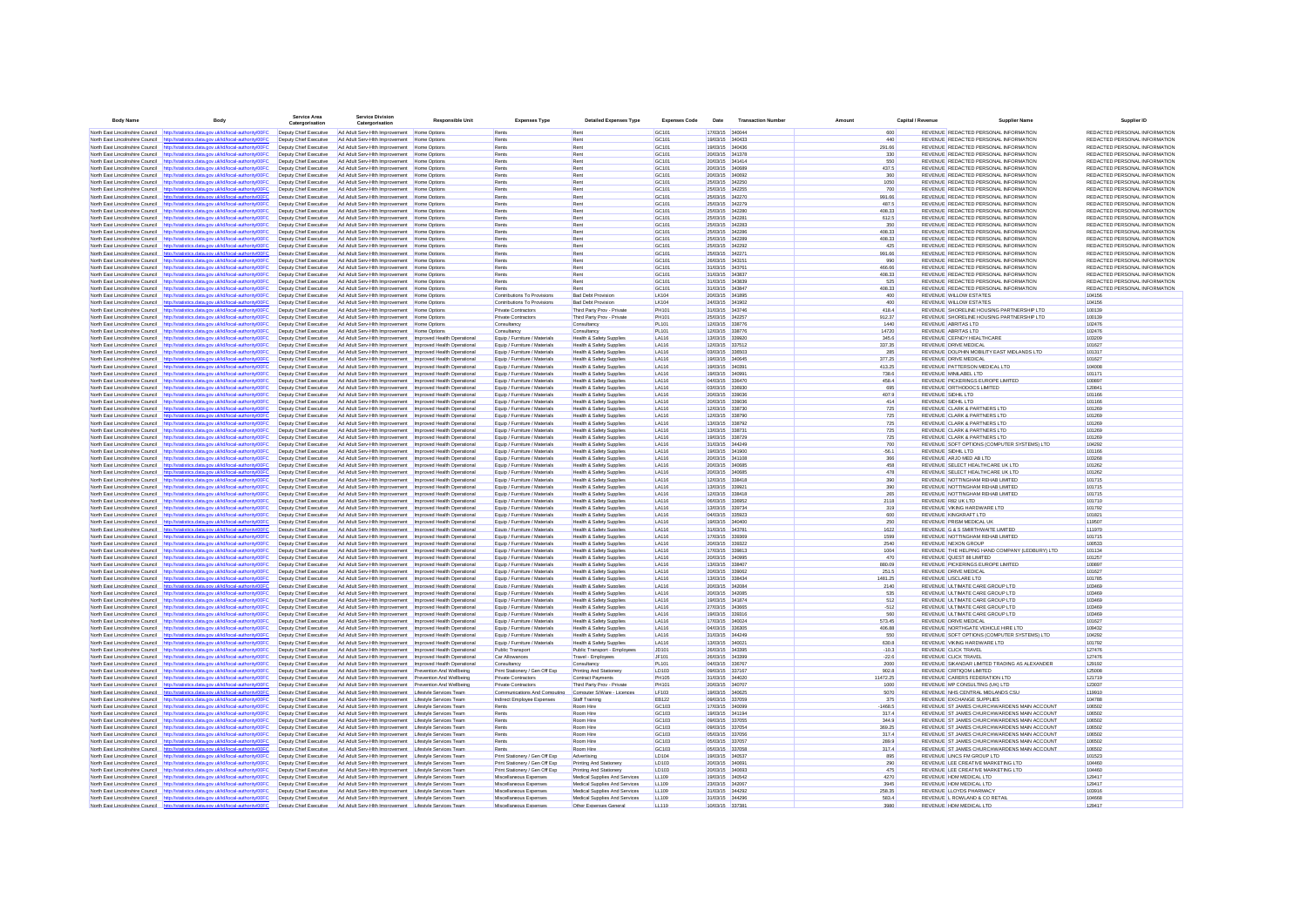| <b>Body Name</b>                                                   | <b>Body</b>                                                                                                                                                                    | Service Area<br>Catergo<br>orisation             | <b>Service Divisio</b><br>Catergorisatio                                                                                    | <b>Responsible Unit</b>     | <b>Expenses Type</b>                                           | <b>Detailed Expenses Type</b>                                   | <b>Expenses Code</b>           | <b>Date</b>                        | <b>Transaction Number</b> | Amount | Canital / Revenue | <b>Supplier Name</b>                                                                       | Supplier ID                                                    |
|--------------------------------------------------------------------|--------------------------------------------------------------------------------------------------------------------------------------------------------------------------------|--------------------------------------------------|-----------------------------------------------------------------------------------------------------------------------------|-----------------------------|----------------------------------------------------------------|-----------------------------------------------------------------|--------------------------------|------------------------------------|---------------------------|--------|-------------------|--------------------------------------------------------------------------------------------|----------------------------------------------------------------|
|                                                                    | North East Lincolnshire Council http://statistics.data.gov.uk/id/local-authority/00FC                                                                                          | Deputy Chief Executive                           | Ad Adult Serv-Hith Improvement Home Options                                                                                 |                             | Rents                                                          | Rent                                                            | GC101                          | 17/03/15 340044                    |                           |        | 600               | REVENUE REDACTED PERSONAL INFORMATION                                                      | REDACTED PERSONAL INFORMATION                                  |
|                                                                    | North East Lincolnshire Council http://statistics.data.gov.uk/id/local-authority/00FC                                                                                          | Deputy Chief Executive                           | Ad Adult Serv-Hith Improvement Home Options                                                                                 |                             | Rents                                                          | Rent                                                            | GC101                          | 19/03/15 340433                    |                           |        | 440               | REVENUE REDACTED PERSONAL INFORMATION                                                      | REDACTED PERSONAL INFORMATION                                  |
| North East Lincolnshire Council                                    | http://statistics.data.gov.uk/id/local-authority/00FC                                                                                                                          | Deputy Chief Executive                           | Ad Adult Serv-Hith Improvement                                                                                              | Home Options                | Rents                                                          | Rent                                                            | GC101                          | 19/03/15 340436                    |                           |        | 291.66            | REVENUE REDACTED PERSONAL INFORMATION                                                      | REDACTED PERSONAL INFORMATION                                  |
|                                                                    | North East Lincolnshire Council http://statistics.data.gov.uk/id/local-authority/00FC                                                                                          | Deputy Chief Executive                           | Ad Adult Serv-Hith Improvement Home Options                                                                                 |                             | Rents                                                          | Rent                                                            | GC101                          | 20/03/15 341378                    |                           |        | 330               | REVENUE REDACTED PERSONAL INFORMATION                                                      | REDACTED PERSONAL INFORMATION                                  |
|                                                                    | North East Lincolnshire Council http://statistics.data.gov.uk/id/local-authority/00FC                                                                                          | Deputy Chief Executive                           | Ad Adult Serv-Hith Improvement Home Options                                                                                 |                             | Rents                                                          | Rent                                                            | GC101                          | 20/03/15 341414                    |                           |        | 550               | REVENUE REDACTED PERSONAL INFORMATION                                                      | REDACTED PERSONAL INFORMATION                                  |
|                                                                    | North East Lincolnshire Council http://statistics.data.gov.uk/id/local-authority/00FC                                                                                          | Deputy Chief Executive                           | Ad Adult Serv-Hith Improvement Home Options                                                                                 |                             | Rents                                                          | Rent                                                            | GC101                          | 20/03/15 340689                    |                           |        | 437.5             | REVENUE REDACTED PERSONAL INFORMATION                                                      | REDACTED PERSONAL INFORMATION<br>REDACTED PERSONAL INFORMATION |
| North East Lincolnshire Council                                    | North East Lincolnshire Council http://statistics.data.gov.uk/id/local-authority/00FC<br>http://statistics.data.gov.uk/id/local-authority/00FC                                 | Deputy Chief Executive<br>Deputy Chief Executive | Ad Adult Serv-Hith Improvement Home Options<br>Ad Adult Serv-Hith Improvement Home Options                                  |                             | Rents<br>Rents                                                 | Rent<br>Rent                                                    | GC101<br>GC101                 | 20/03/15 340692<br>25/03/15 342250 |                           |        | 360<br>1050       | REVENUE REDACTED PERSONAL INFORMATION<br>REVENUE REDACTED PERSONAL INFORMATION             | REDACTED PERSONAL INFORMATION                                  |
|                                                                    | North East Lincolnshire Council http://statistics.data.gov.uk/id/local-authority/00FC                                                                                          | Deputy Chief Executive                           | Ad Adult Serv-Hith Improvement Home Options                                                                                 |                             | Rents                                                          | Rent                                                            | GC101                          | 25/03/15 342255                    |                           |        | 700               | REVENUE REDACTED PERSONAL INFORMATION                                                      | REDACTED PERSONAL INFORMATION                                  |
| North East Lincolnshire Council                                    | http://statistics.data.gov.uk/id/local-authority/00FC                                                                                                                          | Deputy Chief Executive                           | Ad Adult Serv-Hith Improvement Home Options                                                                                 |                             | Rents                                                          | Rent                                                            | GC101                          | 25/03/15 342270                    |                           |        | 991.66            | REVENUE REDACTED PERSONAL INFORMATION                                                      | REDACTED PERSONAL INFORMATION                                  |
|                                                                    | North East Lincolnshire Council http://statistics.data.gov.uk/id/local-authority/00FC                                                                                          | Deputy Chief Executive                           | Ad Adult Serv-Hith Improvement Home Options                                                                                 |                             | Rents                                                          | Rent                                                            | GC101                          | 25/03/15 342279                    |                           |        | 487.5             | REVENUE REDACTED PERSONAL INFORMATION                                                      | REDACTED PERSONAL INFORMATION                                  |
| North East Lincolnshire Council                                    | http://statistics.data.gov.uk/id/local-authority/00FC                                                                                                                          | Deputy Chief Executive                           | Ad Adult Serv-Hith Improvement Home Options                                                                                 |                             | Rents                                                          | Rent                                                            | GC101                          | 25/03/15 342280                    |                           |        | 408.33            | REVENUE REDACTED PERSONAL INFORMATION                                                      | REDACTED PERSONAL INFORMATION                                  |
|                                                                    | North East Lincolnshire Council http://statistics.data.gov.uk/id/local-authority/00FC                                                                                          | Deputy Chief Executive                           | Ad Adult Serv-Hith Improvement Home Options                                                                                 |                             | Rents                                                          | Rent                                                            | GC101                          | 25/03/15 342281                    |                           |        | 612.5             | REVENUE REDACTED PERSONAL INFORMATION<br>REVENUE REDACTED PERSONAL INFORMATION             | REDACTED PERSONAL INFORMATION                                  |
| North East Lincolnshire Council                                    | http://statistics.data.gov.uk/id/local-authority/00FC<br>North East Lincolnshire Council http://statistics.data.gov.uk/id/local-authority/00FC                                 | Deputy Chief Executive<br>Deputy Chief Executive | Ad Adult Serv-Hith Improvement Home Options<br>Ad Adult Serv-Hith Improvement                                               | Home Options                | Rents<br>Rents                                                 | Rent<br>Ren                                                     | GC101<br>GC101                 | 25/03/15 342283<br>25/03/15 342286 |                           |        | 350<br>408.33     | REVENUE REDACTED PERSONAL INFORMATION                                                      | REDACTED PERSONAL INFORMATION<br>REDACTED PERSONAL INFORMATION |
| North East Lincolnshire Council                                    | http://statistics.data.gov.uk/id/local-authority/00FC                                                                                                                          | Deputy Chief Executive                           | Ad Adult Serv-Hith Improvement                                                                                              | <b>Home Options</b>         | Rents                                                          | Rent                                                            | GC101                          | 25/03/15 342289                    |                           |        | 408.33            | REVENUE REDACTED PERSONAL INFORMATION                                                      | REDACTED PERSONAL INFORMATION                                  |
|                                                                    | North East Lincolnshire Council http://statistics.data.gov.uk/id/local-authority/00FC                                                                                          | Deputy Chief Executive                           | Ad Adult Serv-Hith Improvement Home Options                                                                                 |                             | Rents                                                          | Rent                                                            | GC101                          | 25/03/15 342292                    |                           |        | 425               | REVENUE REDACTED PERSONAL INFORMATION                                                      | REDACTED PERSONAL INFORMATION                                  |
|                                                                    | North East Lincolnshire Council http://statistics.data.gov.uk/id/local-authority/00FC                                                                                          | Deputy Chief Executive                           | Ad Adult Serv-Hith Improvement Home Options                                                                                 |                             | Rents                                                          | Rent                                                            | GC101                          | 25/03/15 342271                    |                           |        | 991.66            | REVENUE REDACTED PERSONAL INFORMATION                                                      | REDACTED PERSONAL INFORMATION                                  |
|                                                                    | North East Lincolnshire Council http://statistics.data.gov.uk/id/local-authority/00FC                                                                                          | Deputy Chief Executive                           | Ad Adult Serv-Hith Improvement Home Options                                                                                 |                             | Rents                                                          | Rent                                                            | GC101                          | 26/03/15 343151                    |                           |        | 990               | REVENUE REDACTED PERSONAL INFORMATION                                                      | REDACTED PERSONAL INFORMATION                                  |
|                                                                    | North East Lincolnshire Council http://statistics.data.gov.uk/id/local-authority/00FC                                                                                          | Deputy Chief Executive                           | Ad Adult Serv-Hith Improvement Home Options                                                                                 |                             | Rents                                                          | Rent                                                            | GC101                          | 31/03/15 343761                    |                           |        | 466.66            | REVENUE REDACTED PERSONAL INFORMATION                                                      | REDACTED PERSONAL INFORMATION                                  |
| North East Lincolnshire Council                                    | http://statistics.data.gov.uk/id/local-authority/00FC                                                                                                                          | Deputy Chief Executive                           | Ad Adult Serv-Hith Improvement Home Options                                                                                 |                             | Rents                                                          | Rent                                                            | GC101                          | 31/03/15 343837                    |                           |        | 408.33            | REVENUE REDACTED PERSONAL INFORMATION                                                      | REDACTED PERSONAL INFORMATION<br>REDACTED PERSONAL INFORMATION |
| North East Lincolnshire Council                                    | http://statistics.data.gov.uk/id/local-authority/00FC<br>North East Lincolnshire Council http://statistics.data.gov.uk/id/local-authority/00FC                                 | Deputy Chief Executive<br>Deputy Chief Executive | Ad Adult Serv-Hith Improvement Home Options<br>Ad Adult Serv-Hith Improvement Home Options                                  |                             | Rents<br>Rents                                                 | Rent<br>Rent                                                    | GC101<br>GC101                 | 31/03/15 343839<br>31/03/15 343847 |                           |        | 525<br>408.33     | REVENUE REDACTED PERSONAL INFORMATION<br>REVENUE REDACTED PERSONAL INFORMATION             | REDACTED PERSONAL INFORMATION                                  |
|                                                                    | North East Lincolnshire Council http://statistics.data.gov.uk/id/local-authority/00FC                                                                                          | Deputy Chief Executive                           | Ad Adult Serv-Hith Improvement Home Options                                                                                 |                             | Contributions To Provisions                                    | <b>Bad Debt Provision</b>                                       | LK104                          | 20/03/15 341895                    |                           |        | 400               | <b>REVENUE WILLOW ESTATES</b>                                                              | 104156                                                         |
|                                                                    | North East Lincolnshire Council http://statistics.data.gov.uk/id/local-authority/00FC                                                                                          | Deputy Chief Executive                           | Ad Adult Serv-Hith Improvement Home Options                                                                                 |                             | Contributions To Provisions                                    | <b>Bad Debt Provision</b>                                       | LK104                          | 24/03/15 341902                    |                           |        | 400               | <b>REVENUE WILLOW ESTATES</b>                                                              | 104156                                                         |
|                                                                    | North East Lincolnshire Council http://statistics.data.gov.uk/id/local-authority/00FC                                                                                          | Deputy Chief Executive                           | Ad Adult Serv-Hith Improvement Home Options                                                                                 |                             | <b>Private Contractors</b>                                     | Third Party Prov - Private                                      | <b>PH101</b>                   | 31/03/15 343746                    |                           |        | 418.4             | REVENUE SHORELINE HOUSING PARTNERSHIP LTD                                                  | 100139                                                         |
| North Fast Lincolnshire Council                                    | http://statistics.data.gov.uk/id/local-authority/00FC                                                                                                                          | Deouty Chief Executive                           | Ad Adult Serv-Hith Improvement Home Options                                                                                 |                             | Private Contractors                                            | Third Party Prov - Private                                      | PH101                          | 25/03/15 342257                    |                           |        | 912.37            | REVENUE SHORELINE HOUSING PARTNERSHIP LTD                                                  | 100139                                                         |
|                                                                    | North East Lincolnshire Council http://statistics.data.gov.uk/id/local-authority/00FC                                                                                          | Deouty Chief Executive                           | Ad Adult Serv-Hith Improvement Home Options                                                                                 |                             | Consultancy                                                    | Consultancy                                                     | <b>PL101</b>                   | 12/03/15 338776                    |                           |        | 1440              | REVENUE ARRITAS LTD                                                                        | 102476                                                         |
| North East Lincolnshire Council                                    | http://statistics.data.gov.uk/id/local-authority/00FC                                                                                                                          | Deputy Chief Executive                           | Ad Adult Serv-Hith Improvement                                                                                              | Home Options                | Consultancy                                                    | Consultancy                                                     | <b>PL101</b>                   | 12/03/15 338776                    |                           |        | 14720             | REVENUE ABRITAS LTD                                                                        | 102476                                                         |
|                                                                    | North East Lincolnshire Council http://statistics.data.gov.uk/id/local-authority/00FC                                                                                          | Deputy Chief Executive                           | Ad Adult Serv-Hith Improvement Improved Health Operations                                                                   |                             | Equip / Furniture / Materials                                  | Health & Safety Supplies                                        | <b>LA116</b>                   | 13/03/15 339920                    |                           |        | 345.6             | REVENUE CEFNDY HEALTHCARE                                                                  | 103209                                                         |
| North East Lincolnshire Council<br>North East Lincolnshire Council | http://statistics.data.gov.uk/id/local-authority/00FC<br>http://statistics.data.gov.uk/id/local-authority/00FC                                                                 | Deputy Chief Executive<br>Deputy Chief Executive | Ad Adult Serv-Hith Improvement Improved Health Operationa                                                                   |                             | Equip / Furniture / Materials<br>Equip / Furniture / Materials | Health & Safety Supplies<br>Health & Safety Supplies            | <b>LA116</b><br>LA116          | 12/03/15 337512<br>03/03/15 336503 |                           |        | 337.35<br>285     | REVENUE DRIVE MEDICAL<br>REVENUE DOLPHIN MOBILITY EAST MIDLANDS LTD                        | 101627<br>101317                                               |
| North East Lincolnshire Council                                    | http://statistics.data.gov.uk/id/local-authority/00FC                                                                                                                          | Deputy Chief Executive                           | Ad Adult Serv-Hith Improvement                                                                                              | Improved Health Operations  | Equip / Furniture / Materials                                  | Health & Safety Supplies                                        | LA116                          | 19/03/15 340645                    |                           |        | 377.25            | REVENUE DRIVE MEDICAL                                                                      | 101627                                                         |
|                                                                    | North East Lincolnshire Council http://statistics.data.gov.uk/id/local-authority/00FC                                                                                          | Deputy Chief Executive                           |                                                                                                                             |                             | Equip / Furniture / Materials                                  | Health & Safety Supplies                                        | LA116                          | 19/03/15 340391                    |                           |        | 413.25            | REVENUE PATTERSON MEDICAL LTD                                                              | 104008                                                         |
|                                                                    | North East Lincolnshire Council http://statistics.data.gov.uk/id/local-authority/00FC                                                                                          | Deputy Chief Executive                           | Ad Adult Serv-Hith Improvement Improved Health Operational                                                                  |                             | Equip / Furniture / Materials                                  | <b>Health &amp; Safety Supplies</b>                             | LA116                          | 19/03/15 340991                    |                           |        | 738.6             | REVENUE MINILABEL LTD                                                                      | 101171                                                         |
|                                                                    | North East Lincolnshire Council http://statistics.data.gov.uk/id/local-authority/00FC                                                                                          | Deputy Chief Executive                           | Ad Adult Serv-Hith Improvement Improved Health Operational                                                                  |                             | Equip / Furniture / Materials                                  | <b>Health &amp; Safety Supplies</b>                             | LA116                          | 04/03/15 336470                    |                           |        | 458.4             | REVENUE PICKERINGS EUROPE LIMITED                                                          | 100897                                                         |
|                                                                    | North East Lincolnshire Council http://statistics.data.gov.uk/id/local-authority/00F0                                                                                          | Deputy Chief Executive                           | Ad Adult Serv-Hith Improvement Improved Health Operational                                                                  |                             | Equip / Furniture / Materials                                  | <b>Health &amp; Safety Supplies</b>                             | LA116                          | 03/03/15 336930                    |                           |        | 695               | REVENUE ORTHODOCS LIMITED                                                                  | 120841                                                         |
| North East Lincolnshire Council                                    | http://statistics.data.gov.uk/id/local-authority/00FC                                                                                                                          | Deputy Chief Executive                           |                                                                                                                             |                             | Equip / Furniture / Materials                                  | Health & Safety Supplies                                        | LA116                          | 20/03/15 339036                    |                           |        | 407.9             | <b>REVENUE SIDHIL LTD</b>                                                                  | 101166                                                         |
| North East Lincolnshire Council                                    | http://statistics.data.gov.uk/id/local-authority/00FC                                                                                                                          | Deputy Chief Executive                           | Ad Adult Serv-Hith Improvement    Improved Health Operational                                                               |                             | Equip / Furniture / Materials                                  | Health & Safety Supplies                                        | LA116                          | 20/03/15 339036                    |                           |        | 414               | REVENUE SIDHIL LTD                                                                         | 101166                                                         |
|                                                                    | North East Lincolnshire Council http://statistics.data.gov.uk/id/local-authority/00FC                                                                                          | Deputy Chief Executive                           | Ad Adult Serv-Hith Improvement   Improved Health Operational                                                                |                             | Equip / Furniture / Materials                                  | Health & Safety Supplies                                        | LA116                          | 12/03/15 338730                    |                           |        | 725               | REVENUE CLARK & PARTNERS LTD                                                               | 101269                                                         |
|                                                                    | North East Lincolnshire Council http://statistics.data.oov.uk/id/local-authority/00EC                                                                                          | Deputy Chief Executive                           | Ad Adult Serv-Hith Improvement Improved Health Operational                                                                  |                             | Fouin / Furniture / Materials                                  | Health & Safety Sunnlies                                        | <b>I A116</b>                  | 12/03/15 338790                    |                           |        | 725               | REVENUE CLARK & PARTNERS LTD                                                               | 101269                                                         |
|                                                                    | North East Lincolnshire Council http://statistics.data.oov.uk/id/local-authority/00EC<br>North Fast Lincolnshire Council http://statistics.data.oov.uk/id/local-authority/00FC | Deputy Chief Executive<br>Deputy Chief Executive | Ad Adult Serv-Hith Improvement Improved Health Operational<br>Ad Adult Serv-Hith Improvement    Improved Health Operational |                             | Fouin / Furniture / Materials<br>Fouin / Furniture / Materials | Health & Safety Supplies<br>Health & Safety Supplies            | <b>I A116</b><br><b>I A116</b> | 13/03/15 338792<br>13/03/15 338731 |                           |        | 725<br>725        | REVENUE CLARK & PARTNERS LTD<br>REVENUE CLARK & PARTNERS LTD                               | 101269<br>101269                                               |
| North East Lincolnshire Council                                    | http://statistics.data.gov.uk/id/local-authority/00FC                                                                                                                          | Deouty Chief Executive                           | Ad Adult Serv-Hith Improvement Improved Health Operational                                                                  |                             | Equip / Furniture / Materials                                  | Health & Safety Supplies                                        | <b>I A116</b>                  | 1903/15 338729                     |                           |        | 725               | REVENUE CLARK & PARTNERS LTD                                                               | 101269                                                         |
|                                                                    | North East Lincolnshire Council http://statistics.data.gov.uk/id/local-authority/00FC                                                                                          | Deouty Chief Executive                           | Ad Adult Serv-Hith Improvement    Improved Health Operational                                                               |                             | Equip / Furniture / Materials                                  | Health & Safety Supplies                                        | LA116                          | 31/03/15 344249                    |                           |        | 700               | REVENUE SOFT OPTIONS (COMPUTER SYSTEMS) LTD                                                | 104292                                                         |
| North East Lincolnshire Council                                    | http://statistics.data.gov.uk/id/local-authority/00FC                                                                                                                          | Deputy Chief Executive                           | Ad Adult Serv-Hith Improvement   Improved Health Operationa                                                                 |                             | Equip / Furniture / Materials                                  | Health & Safety Supplies                                        | LA116                          | 19/03/15 341900                    |                           |        | $-56.1$           | REVENUE SIDHIL LTD                                                                         | 101166                                                         |
|                                                                    | North East Lincolnshire Council http://statistics.data.gov.uk/id/local-authority/00FC                                                                                          | Deputy Chief Executive                           | Ad Adult Serv-Hith Improvement Improved Health Operational                                                                  |                             | Equip / Furniture / Materials                                  | Health & Safety Supplies                                        | <b>LA116</b>                   | 20/03/15 341106                    |                           |        | 366               | REVENUE ARJO MED AB LTD                                                                    | 103268                                                         |
| North East Lincolnshire Council                                    | http://statistics.data.gov.uk/id/local-authority/00FC                                                                                                                          | Deputy Chief Executive                           | Ad Adult Serv-Hith Improvement Improved Health Operationa                                                                   |                             | Equip / Furniture / Materials                                  | Health & Safety Supplies                                        | <b>LA116</b>                   | 20/03/15 340685                    |                           |        | 458               | REVENUE SELECT HEALTHCARE UK LTD                                                           | 101262                                                         |
|                                                                    | North East Lincolnshire Council http://statistics.data.gov.uk/id/local-authority/00F0                                                                                          | Deputy Chief Executive                           | Ad Adult Serv-Hith Improvement Improved Health Operational                                                                  |                             | Equip / Furniture / Materials                                  | Health & Safety Supplies                                        | <b>LA116</b>                   | 20/03/15 340685                    |                           |        | 478               | REVENUE SELECT HEALTHCARE UK LTD                                                           | 101262                                                         |
| North East Lincolnshire Council                                    | http://statistics.data.gov.uk/id/local-authority/00FC                                                                                                                          | Deputy Chief Executive                           |                                                                                                                             |                             | Equip / Furniture / Materials                                  | Health & Safety Supplies                                        | LA116                          | 12/03/15 338418                    |                           |        | 390               | REVENUE NOTTINGHAM REHAB LIMITED                                                           | 101715                                                         |
| North East Lincolnshire Council                                    | http://statistics.data.gov.uk/id/local-authority/00FC<br>http://statistics.data.gov.uk/id/local-authority/00FC                                                                 | Deputy Chief Executive<br>Deputy Chief Executive |                                                                                                                             |                             | Equip / Furniture / Materials<br>Equip / Furniture / Materials | Health & Safety Supplies<br>Health & Safety Supplies            | LA116<br>LA116                 | 13/03/15 33992<br>12/03/15 338418  |                           |        | 390<br>265        | REVENUE NOTTINGHAM REHAB LIMITED<br>REVENUE NOTTINGHAM REHAB LIMITED                       | 101715<br>101715                                               |
| North East Lincolnshire Council                                    | North East Lincolnshire Council http://statistics.data.gov.uk/id/local-authority/00FC                                                                                          | Deputy Chief Executive                           | Ad Adult Serv-Hith Improvement Improved Health Operational                                                                  |                             | Equip / Furniture / Materials                                  | <b>Health &amp; Safety Supplies</b>                             | LA116                          | 06/03/15 336952                    |                           |        | 2118              | REVENUE R82 UK LTD                                                                         | 101710                                                         |
|                                                                    | North East Lincolnshire Council http://statistics.data.gov.uk/id/local-authority/00FC                                                                                          | Deputy Chief Executive                           | Ad Adult Serv-Hith Improvement Improved Health Operational                                                                  |                             | Equip / Furniture / Materials                                  | <b>Health &amp; Safety Supplies</b>                             | <b>LA116</b>                   | 13/03/15 339734                    |                           |        | 319               | REVENUE VIKING HARDWARE LTD                                                                | 101792                                                         |
| North East Lincolnshire Council http://s                           | istics.data.gov.uk/id/local-authority/00FC                                                                                                                                     | Deputy Chief Executive                           | Ad Adult Serv-Hith Improvement Improved Health Operational                                                                  |                             | Equip / Furniture / Materials                                  | Health & Safety Supplies                                        | LA116                          | 04/03/15 335923                    |                           |        | 600               | REVENUE KINGKRAFT LTD                                                                      | 101821                                                         |
| North East Lincolnshire Council                                    | http://statistics.data.gov.uk/id/local-authority/00FC                                                                                                                          | Deputy Chief Executive                           | Ad Adult Serv-Hith Improvement    Improved Health Operational                                                               |                             | Equip / Furniture / Materials                                  | Health & Safety Supplies                                        | LA116                          | 19/03/15 340400                    |                           |        | 250               | REVENUE PRISM MEDICAL UK                                                                   | 119507                                                         |
| North East Lincolnshire Council                                    | http://statistics.data.gov.uk/id/local-authority/00FC                                                                                                                          | Deputy Chief Executive                           | Ad Adult Serv-Hith Improvement Improved Health Operational                                                                  |                             | Equip / Furniture / Materials                                  | Health & Safety Supplies                                        | LA116                          | 31/03/15 343781                    |                           |        | 1622              | REVENUE G & S SMIRTHWAITE LIMITED                                                          | 111970                                                         |
|                                                                    | North East Lincolnshire Council http://statistics.data.gov.uk/id/local-authority/00FC                                                                                          | Deputy Chief Executive                           | Ad Adult Serv-Hith Improvement    Improved Health Operational                                                               |                             | Equip / Furniture / Materials                                  | Health & Safety Supplies                                        | LA116                          | 17/03/15 339369                    |                           |        | 1599              | REVENUE NOTTINGHAM REHAB LIMITED                                                           | 101715                                                         |
|                                                                    | North East Lincolnshire Council http://statistics.data.gov.uk/id/local-authority/00FC                                                                                          | Deputy Chief Executive                           | Ad Adult Serv-Hith Improvement Improved Health Operational                                                                  |                             | Equip / Furniture / Materials                                  | Health & Safety Supplies                                        | <b>I A116</b>                  | 2003/15 339322                     |                           |        | 2540              | REVENUE NEXON GROUP                                                                        | 100533                                                         |
|                                                                    | North East Lincolnshire Council http://statistics.data.oov.uk/id/local-authority/00EC<br>North East Lincolnshire Council http://statistics.data.gov.uk/id/local-authority/00FC | Deputy Chief Executive<br>Deputy Chief Executive | Ad Adult Serv-Hith Improvement Improved Health Operational<br>Ad Adult Serv-Hith Improvement Improved Health Operational    |                             | Equip / Furniture / Materials<br>Equip / Furniture / Materials | Health & Safety Supplies<br><b>Health &amp; Safety Supplies</b> | LA116<br>LA116                 | 17/03/15 339813<br>20/03/15 340995 |                           |        | 1004<br>470       | REVENUE THE HELPING HAND COMPANY (LEDBURY) LTD<br>REVENUE QUEST 88 LIMITED                 | 101134<br>101257                                               |
|                                                                    | North East Lincolnshire Council http://statistics.data.gov.uk/id/local-authority/00FC                                                                                          | Deputy Chief Executive                           |                                                                                                                             |                             | Equip / Furniture / Materials                                  | Health & Safety Supplies                                        | LA116                          | 13/03/15 338407                    |                           |        | 880.09            | REVENUE PICKERINGS EUROPE LIMITED                                                          | 100897                                                         |
| North East Lincolnshire Council                                    | http://statistics.data.gov.uk/id/local-authority/00FC                                                                                                                          | Deputy Chief Executive                           | Ad Adult Serv-Hith Improvement                                                                                              | Improved Health Operational | Equip / Furniture / Materials                                  | Health & Safety Supplies                                        | LA116                          | 20/03/15 339062                    |                           |        | 251.5             | <b>REVENUE DRIVE MEDICAL</b>                                                               | 101627                                                         |
|                                                                    | North East Lincolnshire Council http://statistics.data.gov.uk/id/local-authority/00FC                                                                                          | Deputy Chief Executive                           | Ad Adult Serv-Hith Improvement   Improved Health Operationa                                                                 |                             | Equip / Furniture / Materials                                  | Health & Safety Supplies                                        | LA116                          | 13/03/15 338434                    |                           |        | 1481.25           | REVENUE LISCLARE LTD                                                                       | 101785                                                         |
| North East Lincolnshire Council                                    | http://statistics.data.gov.uk/id/local-authority/00FC                                                                                                                          | Deputy Chief Executive                           | Ad Adult Serv-Hith Improvement Improved Health Operationa                                                                   |                             | Equip / Furniture / Materials                                  | <b>Health &amp; Safety Supplies</b>                             | <b>LA116</b>                   | 20/03/15 342084                    |                           |        | 2140              | REVENUE ULTIMATE CARE GROUP LTD                                                            | 103469                                                         |
|                                                                    | North East Lincolnshire Council http://statistics.data.gov.uk/id/local-authority/00FC                                                                                          | Deputy Chief Executive                           | Ad Adult Serv-Hith Improvement Improved Health Operational                                                                  |                             | Equip / Furniture / Materials                                  | <b>Health &amp; Safety Supplies</b>                             | <b>LA116</b>                   | 20/03/15 342085                    |                           |        | 535               | REVENUE ULTIMATE CARE GROUP LTD                                                            | 103469                                                         |
|                                                                    | North East Lincolnshire Council http://statistics.data.gov.uk/id/local-authority/00F                                                                                           | Deputy Chief Executive                           | Ad Adult Serv-Hith Improvement Improved Health Operationa                                                                   |                             | Equip / Furniture / Materials                                  | <b>Health &amp; Safety Supplies</b>                             | <b>LA116</b>                   | 19/03/15 341874                    |                           |        | 512               | REVENUE ULTIMATE CARE GROUP LTD                                                            | 103469                                                         |
| North East Lincolnshire Council<br>North East Lincolnshire Council | http://statistics.data.gov.uk/id/local-authority/00FC<br>http://statistics.data.gov.uk/id/local-authority/00FC                                                                 | Deputy Chief Executive<br>Deputy Chief Executive | Ad Adult Serv-Hith Improvement    Improved Health Operational                                                               |                             | Equip / Furniture / Materials<br>Equip / Furniture / Materials | Health & Safety Supplies<br>Health & Safety Supplies            | LA116<br>LA116                 | 27/03/15 343665<br>19/03/15 339316 |                           |        | $-512$<br>560     | REVENUE ULTIMATE CARE GROUP LTD<br>REVENUE ULTIMATE CARE GROUP LTD                         | 103469<br>103469                                               |
|                                                                    | North East Lincolnshire Council http://statistics.data.gov.uk/id/local-authority/00FC                                                                                          | Deputy Chief Executive                           | Ad Adult Serv-Hith Improvement Improved Health Operational                                                                  |                             | Equip / Furniture / Materials                                  | Health & Safety Supplies                                        | LA116                          | 17/03/15 340024                    |                           |        | 573.45            | REVENUE DRIVE MEDICAL                                                                      | 101627                                                         |
|                                                                    | North East Lincolnshire Council http://statistics.data.gov.uk/id/local-authority/00FC                                                                                          | Deputy Chief Executive                           | Ad Adult Serv-Hith Improvement    Improved Health Operational                                                               |                             | Equip / Furniture / Materials                                  | Health & Safety Supplies                                        | LA116                          | 04/03/15 336305                    |                           |        | 406.88            | REVENUE NORTHGATE VEHICLE HIRE LTD                                                         | 109432                                                         |
|                                                                    | North East Lincolnshire Council http://statistics.data.gov.uk/id/local-authority/00FC                                                                                          | Deputy Chief Executive                           | Ad Adult Serv-Hith Improvement Improved Health Operational                                                                  |                             | Equip / Furniture / Materials                                  | Health & Safety Supplies                                        | LA116                          | 31/03/15 344249                    |                           |        | 550               | REVENUE SOFT OPTIONS (COMPUTER SYSTEMS) LTD                                                | 104292                                                         |
|                                                                    | North East Lincolnshire Council http://statistics.data.gov.uk/id/local-authority/00FC                                                                                          | Deputy Chief Executive                           | Ad Adult Serv-Hith Improvement Improved Health Operational                                                                  |                             | Equip / Furniture / Materials                                  | Health & Safety Supplies                                        | LA116                          | 13/03/15 340021                    |                           |        | 630.8             | REVENUE VIKING HARDWARE LTD                                                                | 101792                                                         |
| North East Lincolnshire Council                                    | http://statistics.data.gov.uk/id/local-authority/00FC                                                                                                                          | Deputy Chief Executive                           | Ad Adult Serv-Hith Improvement Improved Health Operational                                                                  |                             | Public Transport                                               | Public Transport - Employees                                    | JD101                          | 26/03/15 343395                    |                           |        | $-10.3$           | REVENUE CLICK TRAVEL                                                                       | 127476                                                         |
|                                                                    | North East Lincolnshire Council http://statistics.data.gov.uk/id/local-authority/00FC                                                                                          | Deputy Chief Executive                           | Ad Adult Serv-Hith Improvement    Improved Health Operational                                                               |                             | Car Allowances                                                 | Travel - Employees                                              | JF101                          | 26/03/15 343399                    |                           |        | $-22.6$           | REVENUE CLICK TRAVEL                                                                       | 127476                                                         |
| North East Lincolnshire Council                                    | http://statistics.data.gov.uk/id/local-authority/00FC                                                                                                                          | Deputy Chief Executive                           | Ad Adult Serv-Hith Improvement Improved Health Operational                                                                  |                             | Consultancy                                                    | Consultancy                                                     | <b>PL101</b>                   | 04/03/15 336767                    |                           |        | 2000              | REVENUE SIKANDAR LIMITED TRADING AS ALEXANDER                                              | 129192                                                         |
|                                                                    | North East Lincolnshire Council http://statistics.data.gov.uk/id/local-authority/00FC                                                                                          | Deputy Chief Executive<br>Deputy Chief Executive | Ad Adult Serv-Hith Improvement Prevention And Wellbeing                                                                     |                             | Print Stationery / Gen Off Exp                                 | Printing And Stationery                                         | LD103<br><b>PH105</b>          | 09/03/15 337167<br>31/03/15 344020 |                           |        | 902.8<br>11472.25 | REVENUE CRITIQOM LIMITED<br>REVENUE CARERS FEDERATION LTD                                  | 125008<br>121719                                               |
|                                                                    | North East Lincolnshire Council http://statistics.data.gov.uk/id/local-authority/00FC<br>North East Lincolnshire Council http://statistics.data.gov.uk/id/local-authority/00FC | Deputy Chief Executive                           | Ad Adult Serv-Hith Improvement Prevention And Wellbeing<br>Ad Adult Serv-Hith Improvement Prevention And Wellbeing          |                             | Private Contractors<br>Private Contractors                     | <b>Contract Payments</b><br>Third Party Prov - Private          | <b>PH101</b>                   | 20/03/15 340707                    |                           |        | 1000              | REVENUE MP CONSULTING (UK) LTD                                                             | 123037                                                         |
| North East Lincolnshire Council                                    | http://statistics.data.gov.uk/id/local-authority/00FC                                                                                                                          | Deputy Chief Executive                           | Ad Adult Serv-Hith Improvement Lifestyle Services Team                                                                      |                             | Communications And Computing                                   | Computer S/Ware - Licences                                      | LF103                          | 19/03/15 340625                    |                           |        | 5070              | REVENUE NHS CENTRAL MIDLANDS CSL                                                           | 119910                                                         |
|                                                                    | North East Lincolnshire Council http://statistics.data.gov.uk/id/local-authority/00FC                                                                                          | Deputy Chief Executive                           | Ad Adult Serv-Hith Improvement Lifestyle Services Team                                                                      |                             | Indirect Employee Expenses                                     | Staff Training                                                  | <b>EB122</b>                   | 09/03/15 337059                    |                           |        | 375               | REVENUE EXCHANGE SUPPLIES                                                                  | 104788                                                         |
| North East Lincolnshire Council                                    | http://statistics.data.gov.uk/id/local-authority/00FC                                                                                                                          | Deputy Chief Executive                           | Ad Adult Serv-Hith Improvement Lifestvie Services Team                                                                      |                             | Rents                                                          | Room Hire                                                       | GC103                          | 17/03/15 340099                    |                           |        | $-1468.5$         | REVENUE ST JAMES CHURCHWARDENS MAIN ACCOUNT                                                | 106502                                                         |
|                                                                    | North East Lincolnshire Council http://statistics.data.gov.uk/id/local-authority/00FC                                                                                          | Deputy Chief Executive                           | Ad Adult Serv-Hith Improvement Lifestvie Services Team                                                                      |                             | Rents                                                          | Room Hire                                                       | GC103                          | 19/03/15 34119                     |                           |        | 317.4             | REVENUE ST JAMES CHURCHWARDENS MAIN ACCOUNT                                                | 106502                                                         |
| North East Lincolnshire Council http://sta                         | tistics.data.oov.uk/id/local-authority/00FC                                                                                                                                    | Deputy Chief Executive                           | Ad Adult Serv-Hith Improvement Lifestvie Services Team                                                                      |                             | Rents                                                          | Room Hire                                                       | GC103                          | 09/03/15 337055                    |                           |        | 344.9             | REVENUE ST JAMES CHURCHWARDENS MAIN ACCOUNT                                                | 106502                                                         |
|                                                                    | North East Lincolnshire Council http://statistics.data.gov.uk/id/local-authority/00FC                                                                                          | Deputy Chief Executive                           | Ad Adult Serv-Hith Improvement Lifestyle Services Team                                                                      |                             | Rents                                                          | Room Hire                                                       | GC103<br>GC103                 | 09/03/15 337054<br>05/03/15 337056 |                           |        | 369.25<br>317.4   | REVENUE ST JAMES CHURCHWARDENS MAIN ACCOUNT<br>REVENUE ST JAMES CHURCHWARDENS MAIN ACCOUNT | 106502<br>106502                                               |
| North East Lincolnshire Council                                    | http://statistics.data.gov.uk/id/local-authority/00FC<br>North East Lincolnshire Council http://statistics.data.gov.uk/id/local-authority/00FC                                 | Deputy Chief Executive<br>Deputy Chief Executive | Ad Adult Serv-Hith Improvement Lifestvie Services Team<br>Ad Adult Serv-Hith Improvement Lifestyle Services Team            |                             | Rents<br>Rents                                                 | Room Hire<br>Room Hire                                          | GC103                          | 05/03/15 337057                    |                           |        | 289.9             | REVENUE ST JAMES CHURCHWARDENS MAIN ACCOUNT                                                | 106502                                                         |
|                                                                    | North East Lincolnshire Council http://statistics.data.gov.uk/id/local-authority/00FC                                                                                          | Deputy Chief Executive                           | Ad Adult Serv-Hith Improvement Lifestvie Services Team                                                                      |                             | Rents                                                          | Room Hire                                                       | GC103                          | 05/03/15 337058                    |                           |        | 317.4             | REVENUE ST JAMES CHURCHWARDENS MAIN ACCOUNT                                                | 106502                                                         |
|                                                                    | North East Lincolnshire Council http://statistics.data.gov.uk/id/local-authority/00FC                                                                                          | Deputy Chief Executive                           | Ad Adult Serv-Hith Improvement Lifestvie Services Team                                                                      |                             | Print Stationery / Gen Off Exp                                 | Advertising                                                     | LD104                          | 19/03/15 340537                    |                           |        | 895               | REVENUE LINCS FM GROUP LTD                                                                 | 101523                                                         |
|                                                                    | North East Lincolnshire Council http://statistics.data.gov.uk/id/local-authority/00FC                                                                                          | Deputy Chief Executive                           | Ad Adult Serv-Hith Improvement Lifestvie Services Team                                                                      |                             | Print Stationery / Gen Off Exp                                 | Printing And Stationery                                         | LD103                          | 20/03/15 340691                    |                           |        | 290               | REVENUE LEE CREATIVE MARKETING LTD                                                         | 104460                                                         |
|                                                                    | North East Lincolnshire Council http://statistics.data.gov.uk/id/local-authority/00FC                                                                                          | Deputy Chief Executive                           | Ad Adult Serv-Hith Improvement Lifestvie Services Team                                                                      |                             | Print Stationery / Gen Off Exp                                 | Printing And Stationery                                         | LD103                          | 20/03/15 340693                    |                           |        | 475               | REVENUE LEE CREATIVE MARKETING LTD                                                         | 104460                                                         |
|                                                                    | North East Lincolnshire Council http://statistics.data.gov.uk/id/local-authority/00FC                                                                                          | Deputy Chief Executive                           | Ad Adult Serv-Hith Improvement Lifestvie Services Team                                                                      |                             | Miscellaneous Expenses                                         | Medical Supplies And Services                                   | LL109                          | 19/03/15 340542                    |                           |        | 4270              | REVENUE HDM MEDICAL LTD                                                                    | 129417                                                         |
|                                                                    | North East Lincolnshire Council http://statistics.data.gov.uk/id/local-authority/00FC                                                                                          | Deputy Chief Executive                           | Ad Adult Serv-Hith Improvement Lifestvie Services Team                                                                      |                             | Miscellaneous Expenses                                         | Medical Supplies And Services                                   | LL109                          | 23/03/15 342067                    |                           |        | 3945              | REVENUE HDM MEDICAL LTD                                                                    | 129417                                                         |
|                                                                    | North East Lincolnshire Council http://statistics.data.gov.uk/id/local-authority/00FC                                                                                          | Deputy Chief Executive                           | Ad Adult Serv-Hith Improvement Lifestvie Services Team                                                                      |                             | Miscellaneous Expenses                                         | Medical Supplies And Services                                   | LL109                          | 31/03/15 344292                    |                           |        | 258.35            | REVENUE LLOYDS PHARMACY                                                                    | 103916                                                         |
| North East Lincolnshire Council htt                                | North East Lincolnshire Council http://statistics.data.gov.uk/id/local-authority/00FC                                                                                          | Deputy Chief Executive<br>Deputy Chief Executive | Ad Adult Serv-Hith Improvement Lifestyle Services Team<br>Ad Adult Serv-Hith Improvement Lifestvie Services Team            |                             | Miscellaneous Expenses<br>Miscellaneous Expenses               | Medical Supplies And Services<br>Other Expenses General         | LL109<br>LL119                 | 31/03/15 344296<br>10/03/15        | 337381                    |        | 583.4<br>3980     | REVENUE L ROWLAND & CO RETAIL<br>REVENUE HDM MEDICAL LTD                                   | 104668<br>129417                                               |
|                                                                    |                                                                                                                                                                                |                                                  |                                                                                                                             |                             |                                                                |                                                                 |                                |                                    |                           |        |                   |                                                                                            |                                                                |